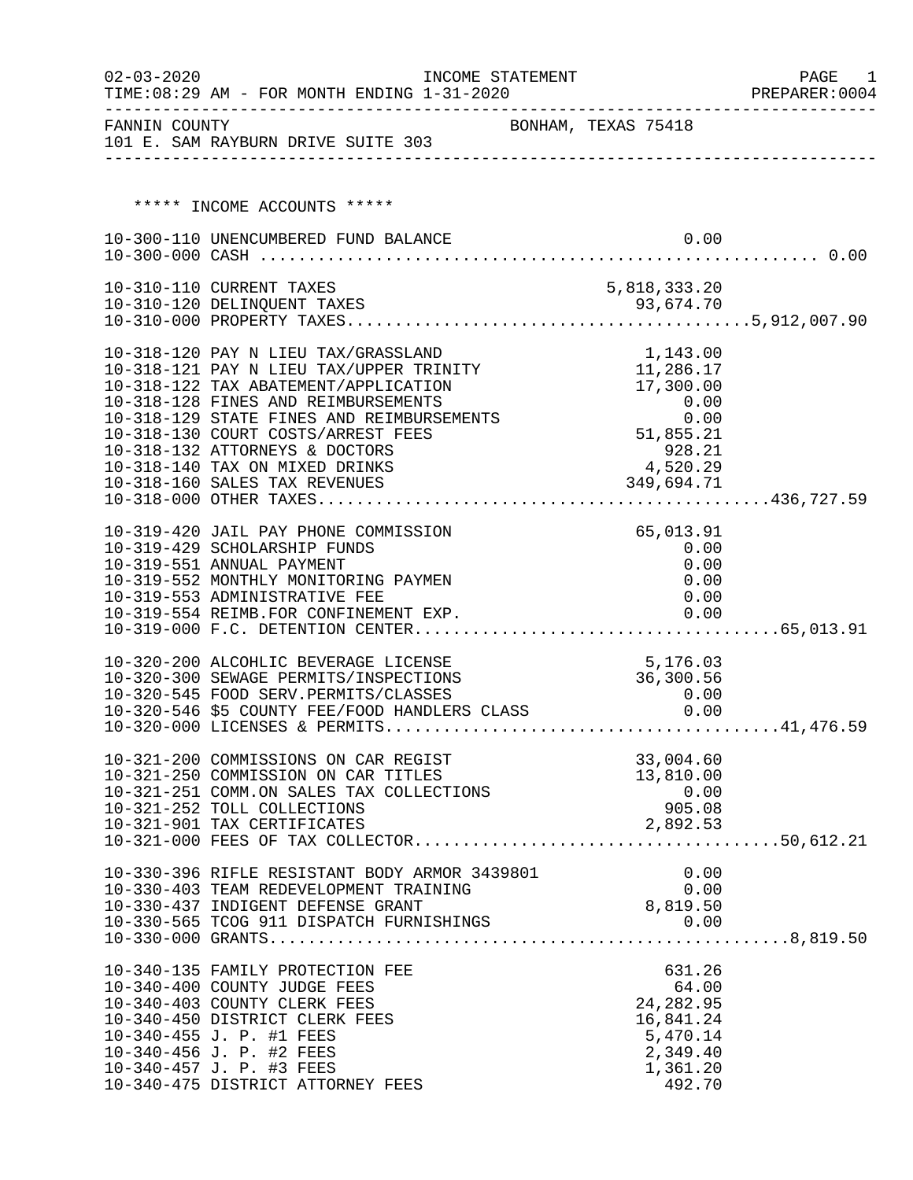| $02 - 03 - 2020$ | TIME: $08:29$ AM - FOR MONTH ENDING $1-31-2020$                             | INCOME STATEMENT |                                           |                        |      | PAGE<br>1<br>PREPARER: 0004 |
|------------------|-----------------------------------------------------------------------------|------------------|-------------------------------------------|------------------------|------|-----------------------------|
|                  |                                                                             |                  |                                           |                        |      |                             |
|                  | ***** INCOME ACCOUNTS *****                                                 |                  |                                           |                        |      |                             |
|                  | 10-300-110 UNENCUMBERED FUND BALANCE                                        |                  |                                           |                        | 0.00 |                             |
|                  |                                                                             |                  |                                           |                        |      |                             |
|                  | 10-310-110 CURRENT TAXES                                                    |                  | 5,818,333.20                              |                        |      |                             |
|                  |                                                                             |                  |                                           |                        |      |                             |
|                  |                                                                             |                  |                                           |                        |      |                             |
|                  | 10-318-120 PAY N LIEU TAX/GRASSLAND                                         |                  |                                           | 1,143.00               |      |                             |
|                  | 10-318-121 PAY N LIEU TAX/UPPER TRINITY                                     |                  | 11,286.17                                 |                        |      |                             |
|                  | 10-318-122 TAX ABATEMENT/APPLICATION                                        |                  |                                           | 17,300.00              |      |                             |
|                  | 10-318-128 FINES AND REIMBURSEMENTS                                         |                  |                                           |                        |      |                             |
|                  | 10-318-129 STATE FINES AND REIMBURSEMENTS                                   |                  |                                           |                        |      |                             |
|                  | 10-318-130 COURT COSTS/ARREST FEES                                          |                  | $0.00$<br>51,855.21<br>928.21<br>4 520.29 |                        |      |                             |
|                  | 10-318-132 ATTORNEYS & DOCTORS                                              |                  |                                           |                        |      |                             |
|                  | 10-318-140 TAX ON MIXED DRINKS                                              |                  | 4,520.29                                  |                        |      |                             |
|                  | 10-318-160 SALES TAX REVENUES                                               |                  | 349,694.71                                |                        |      |                             |
|                  |                                                                             |                  |                                           |                        |      |                             |
|                  | 10-319-420 JAIL PAY PHONE COMMISSION                                        |                  |                                           | 65,013.91              |      |                             |
|                  | 10-319-429 SCHOLARSHIP FUNDS                                                |                  |                                           | 0.00                   |      |                             |
|                  | 10-319-551 ANNUAL PAYMENT                                                   |                  |                                           | 0.00                   |      |                             |
|                  | 10-319-552 MONTHLY MONITORING PAYMEN                                        |                  |                                           |                        | 0.00 |                             |
|                  | 10-319-553 ADMINISTRATIVE FEE                                               |                  |                                           |                        | 0.00 |                             |
|                  | 10-319-554 REIMB.FOR CONFINEMENT EXP.                                       |                  |                                           |                        | 0.00 |                             |
|                  |                                                                             |                  |                                           |                        |      |                             |
|                  | 10-320-200 ALCOHLIC BEVERAGE LICENSE                                        |                  | 5,176.03                                  |                        |      |                             |
|                  | 10-320-300 SEWAGE PERMITS/INSPECTIONS                                       |                  | 36,300.56                                 |                        |      |                             |
|                  |                                                                             |                  |                                           |                        |      |                             |
|                  |                                                                             |                  |                                           |                        |      |                             |
|                  |                                                                             |                  |                                           |                        |      |                             |
|                  |                                                                             |                  |                                           |                        |      |                             |
|                  | 10-321-200 COMMISSIONS ON CAR REGIST<br>10-321-250 COMMISSION ON CAR TITLES |                  |                                           | 33,004.60<br>13,810.00 |      |                             |
|                  | 10-321-251 COMM.ON SALES TAX COLLECTIONS                                    |                  |                                           | 0.00                   |      |                             |
|                  | 10-321-252 TOLL COLLECTIONS                                                 |                  |                                           | 905.08                 |      |                             |
|                  | 10-321-901 TAX CERTIFICATES                                                 |                  |                                           | 2,892.53               |      |                             |
|                  |                                                                             |                  |                                           |                        |      |                             |
|                  |                                                                             |                  |                                           |                        |      |                             |
|                  | 10-330-396 RIFLE RESISTANT BODY ARMOR 3439801                               |                  |                                           |                        | 0.00 |                             |
|                  | 10-330-403 TEAM REDEVELOPMENT TRAINING                                      |                  |                                           |                        | 0.00 |                             |
|                  | 10-330-437 INDIGENT DEFENSE GRANT                                           |                  | 8,819.50                                  |                        |      |                             |
|                  |                                                                             |                  |                                           |                        |      |                             |
|                  |                                                                             |                  |                                           |                        |      |                             |
|                  | 10-340-135 FAMILY PROTECTION FEE                                            |                  |                                           | 631.26                 |      |                             |
|                  | 10-340-400 COUNTY JUDGE FEES                                                |                  |                                           | 64.00                  |      |                             |
|                  | 10-340-403 COUNTY CLERK FEES                                                |                  |                                           | 24, 282.95             |      |                             |
|                  | 10-340-450 DISTRICT CLERK FEES                                              |                  |                                           | 16,841.24              |      |                             |
|                  | 10-340-455 J. P. #1 FEES                                                    |                  |                                           | 5,470.14               |      |                             |
|                  | 10-340-456 J. P. #2 FEES                                                    |                  |                                           | 2,349.40               |      |                             |
|                  | 10-340-457 J. P. #3 FEES<br>10-340-475 DISTRICT ATTORNEY FEES               |                  |                                           | 1,361.20<br>492.70     |      |                             |
|                  |                                                                             |                  |                                           |                        |      |                             |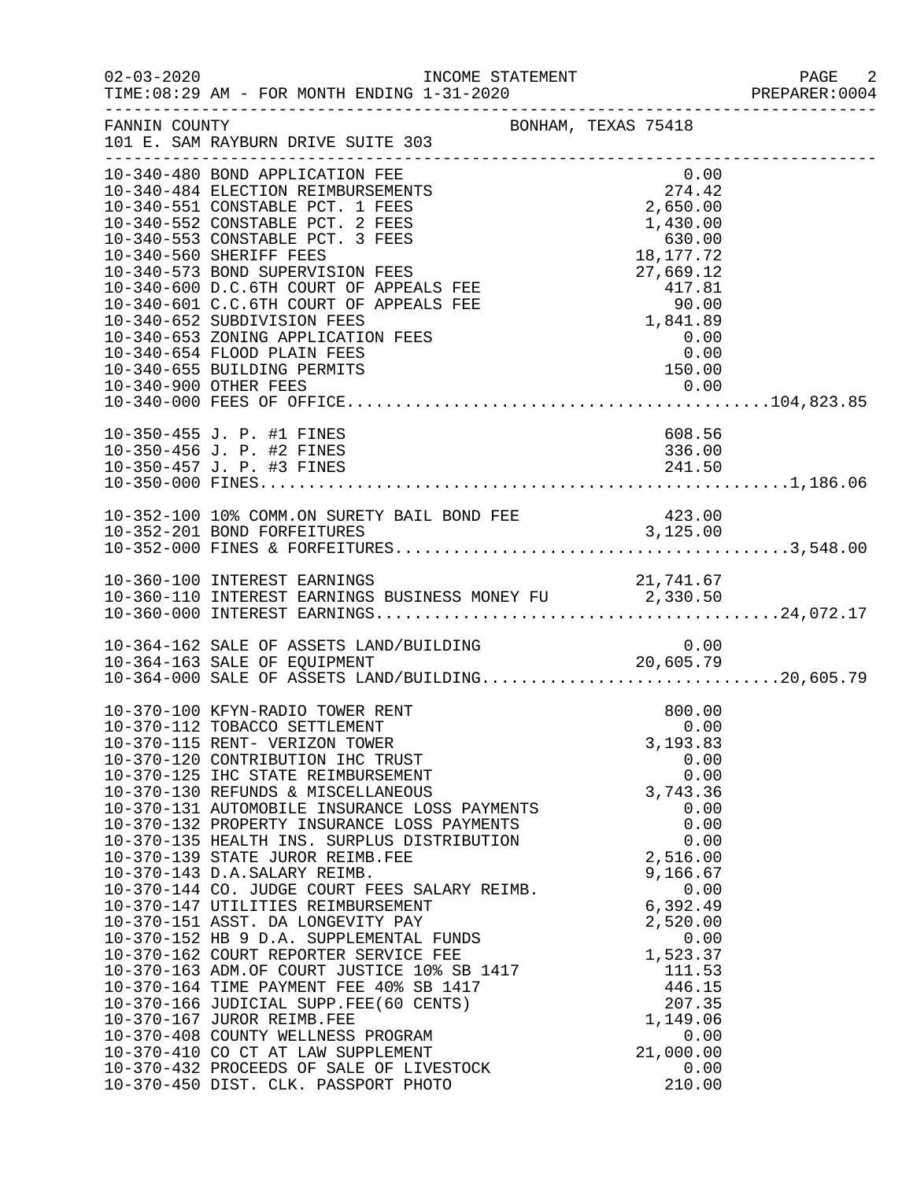| $02 - 03 - 2020$<br>INCOME STATEMENT<br>TIME: 08:29 AM - FOR MONTH ENDING 1-31-2020                                                                                                                                                                                                                                                                                                                                                                                                                                                                                                                                                                                                                                                                                                                                                                                                                                                                                                                |                                                                                                                                                                                                                                             | PAGE<br>- 2<br>PREPARER: 0004 |
|----------------------------------------------------------------------------------------------------------------------------------------------------------------------------------------------------------------------------------------------------------------------------------------------------------------------------------------------------------------------------------------------------------------------------------------------------------------------------------------------------------------------------------------------------------------------------------------------------------------------------------------------------------------------------------------------------------------------------------------------------------------------------------------------------------------------------------------------------------------------------------------------------------------------------------------------------------------------------------------------------|---------------------------------------------------------------------------------------------------------------------------------------------------------------------------------------------------------------------------------------------|-------------------------------|
| FANNIN COUNTY<br>BONHAM, TEXAS 75418<br>101 E. SAM RAYBURN DRIVE SUITE 303                                                                                                                                                                                                                                                                                                                                                                                                                                                                                                                                                                                                                                                                                                                                                                                                                                                                                                                         |                                                                                                                                                                                                                                             |                               |
| 10-340-480 BOND APPLICATION FEE<br>10-340-484 ELECTION REIMBURSEMENTS<br>10-340-551 CONSTABLE PCT. 1 FEES<br>10-340-552 CONSTABLE PCT. 2 FEES<br>10-340-553 CONSTABLE PCT. 3 FEES<br>10-340-560 SHERIFF FEES<br>10-340-573 BOND SUPERVISION FEES<br>10-340-600 D.C.6TH COURT OF APPEALS FEE<br>10-340-601 C.C.6TH COURT OF APPEALS FEE<br>10-340-652 SUBDIVISION FEES<br>10-340-653 ZONING APPLICATION FEES<br>10-340-654 FLOOD PLAIN FEES<br>10-340-655 BUILDING PERMITS                                                                                                                                                                                                                                                                                                                                                                                                                                                                                                                          | 0.00<br>$274.42$<br>2,650.00<br>1,430.00<br>1,430.00<br>630.00<br>18,177.72<br>$18, 17, 72$<br>$27, 669.12$<br>$417.81$<br>$90.00$<br>$1, 841.89$<br>$0.00$<br>$150.00$<br>150.00                                                           |                               |
| 10-350-455 J. P. #1 FINES<br>10-350-456 J. P. #2 FINES                                                                                                                                                                                                                                                                                                                                                                                                                                                                                                                                                                                                                                                                                                                                                                                                                                                                                                                                             | 608.56<br>336.00                                                                                                                                                                                                                            |                               |
|                                                                                                                                                                                                                                                                                                                                                                                                                                                                                                                                                                                                                                                                                                                                                                                                                                                                                                                                                                                                    |                                                                                                                                                                                                                                             |                               |
|                                                                                                                                                                                                                                                                                                                                                                                                                                                                                                                                                                                                                                                                                                                                                                                                                                                                                                                                                                                                    |                                                                                                                                                                                                                                             |                               |
| 10-364-162 SALE OF ASSETS LAND/BUILDING<br>10-364-163 SALE OF EQUIPMENT 20,605.79<br>10-364-000 SALE OF ASSETS LAND/BUILDING20,605.79                                                                                                                                                                                                                                                                                                                                                                                                                                                                                                                                                                                                                                                                                                                                                                                                                                                              | 0.00                                                                                                                                                                                                                                        |                               |
| 10-370-100 KFYN-RADIO TOWER RENT<br>10-370-112 TOBACCO SETTLEMENT<br>10-370-115 RENT- VERIZON TOWER<br>10-370-120 CONTRIBUTION IHC TRUST<br>10-370-125 IHC STATE REIMBURSEMENT<br>10-370-130 REFUNDS & MISCELLANEOUS<br>10-370-131 AUTOMOBILE INSURANCE LOSS PAYMENTS<br>10-370-132 PROPERTY INSURANCE LOSS PAYMENTS<br>10-370-135 HEALTH INS. SURPLUS DISTRIBUTION<br>10-370-139 STATE JUROR REIMB.FEE<br>10-370-143 D.A.SALARY REIMB.<br>10-370-144 CO. JUDGE COURT FEES SALARY REIMB.<br>10-370-147 UTILITIES REIMBURSEMENT<br>10-370-151 ASST. DA LONGEVITY PAY<br>10-370-152 HB 9 D.A. SUPPLEMENTAL FUNDS<br>10-370-152 HB y D.A. SUPPERTER SERVICE FEE<br>10-370-163 ADM.OF COURT JUSTICE 10% SB 1417<br>10-370-163 ADM.OF COURT JUSTICE 10% SB 1417<br>10-370-166 JUDICIAL SUPP.FEE(60 CENTS)<br>10-370-167 JUROR REIMB.FEE<br>10-370-408 COUNTY WELLNESS PROGRAM<br>10-370-410 CO CT AT LAW SUPPLEMENT<br>10-370-432 PROCEEDS OF SALE OF LIVESTOCK<br>10-370-450 DIST. CLK. PASSPORT PHOTO | 800.00<br>0.00<br>3,193.83<br>0.00<br>0.00<br>3,743.36<br>0.00<br>0.00<br>0.00<br>2,516.00<br>9,166.67<br>0.00<br>6,392.49<br>2,520.00<br>0.00<br>1,523.37<br>111.53<br>446.15<br>207.35<br>1,149.06<br>0.00<br>21,000.00<br>0.00<br>210.00 |                               |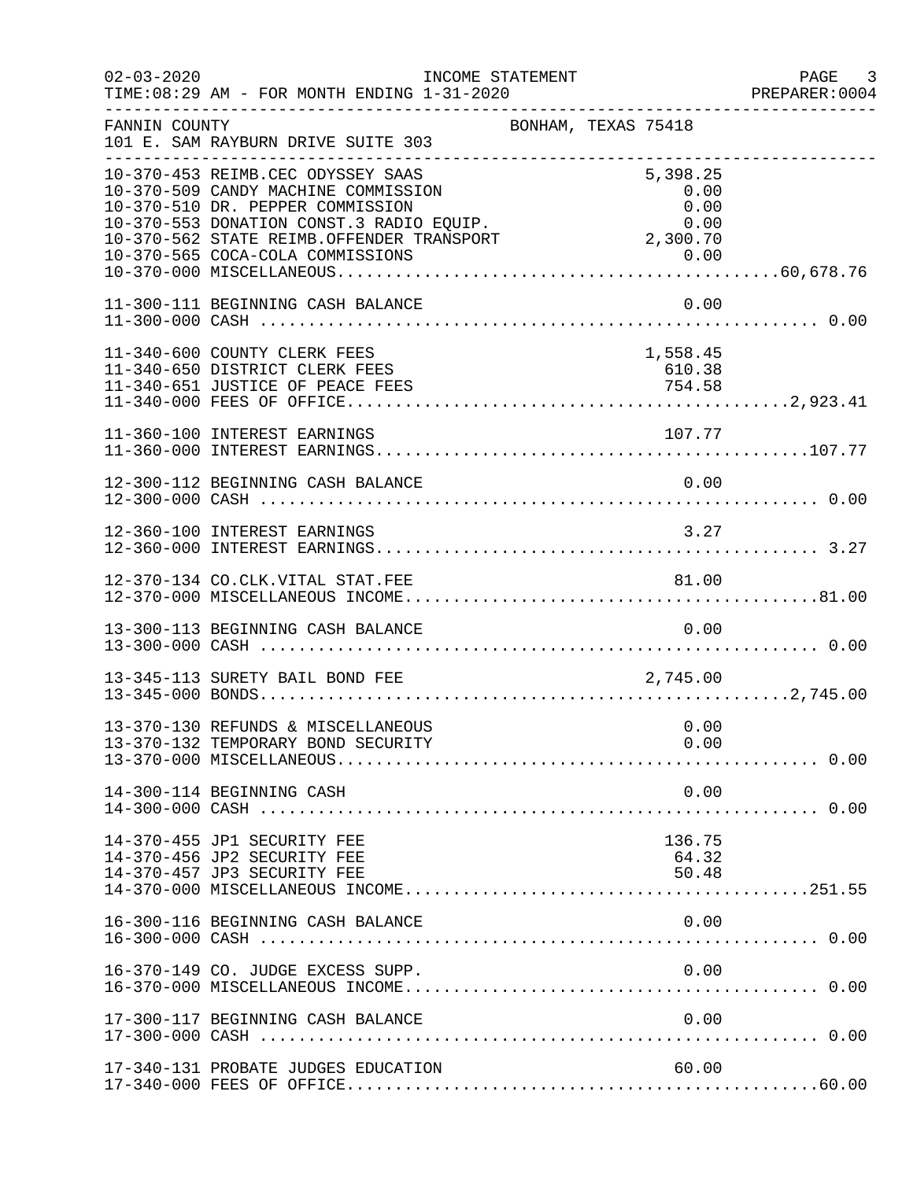| $02 - 03 - 2020$ | TIME: 08:29 AM - FOR MONTH ENDING 1-31-2020                                                                                                                                                           | INCOME STATEMENT    |                                  | PAGE 3<br>PREPARER: 0004 |
|------------------|-------------------------------------------------------------------------------------------------------------------------------------------------------------------------------------------------------|---------------------|----------------------------------|--------------------------|
| FANNIN COUNTY    | 101 E. SAM RAYBURN DRIVE SUITE 303                                                                                                                                                                    | BONHAM, TEXAS 75418 |                                  |                          |
|                  | 10-370-453 REIMB.CEC ODYSSEY SAAS<br>10-370-509 CANDY MACHINE COMMISSION<br>10-370-510 DR. PEPPER COMMISSION<br>10-370-553 DONATION CONST.3 RADIO EOUIP.<br>10-370-562 STATE REIMB.OFFENDER TRANSPORT | 2,300.70            | 5,398.25<br>0.00<br>0.00<br>0.00 |                          |
|                  | 11-300-111 BEGINNING CASH BALANCE                                                                                                                                                                     |                     | 0.00                             |                          |
|                  | 11-340-600 COUNTY CLERK FEES<br>11-340-650 DISTRICT CLERK FEES<br>11-340-651 JUSTICE OF PEACE FEES                                                                                                    |                     | 1,558.45<br>610.38<br>754.58     |                          |
|                  | 11-360-100 INTEREST EARNINGS                                                                                                                                                                          |                     | 107.77                           |                          |
|                  | 12-300-112 BEGINNING CASH BALANCE                                                                                                                                                                     |                     | 0.00                             |                          |
|                  | 12-360-100 INTEREST EARNINGS                                                                                                                                                                          |                     | 3.27                             |                          |
|                  | 12-370-134 CO.CLK.VITAL STAT.FEE                                                                                                                                                                      |                     | 81.00                            |                          |
|                  | 13-300-113 BEGINNING CASH BALANCE                                                                                                                                                                     |                     | 0.00                             |                          |
|                  | 13-345-113 SURETY BAIL BOND FEE                                                                                                                                                                       |                     | 2,745.00                         |                          |
|                  | 13-370-130 REFUNDS & MISCELLANEOUS<br>13-370-132 TEMPORARY BOND SECURITY                                                                                                                              |                     | 0.00<br>0.00                     |                          |
|                  | 14-300-114 BEGINNING CASH                                                                                                                                                                             |                     | 0.00                             |                          |
|                  | 14-370-455 JP1 SECURITY FEE<br>14-370-456 JP2 SECURITY FEE<br>14-370-457 JP3 SECURITY FEE                                                                                                             |                     | 136.75<br>64.32<br>50.48         |                          |
|                  | 16-300-116 BEGINNING CASH BALANCE                                                                                                                                                                     |                     | 0.00                             |                          |
|                  | 16-370-149 CO. JUDGE EXCESS SUPP.                                                                                                                                                                     |                     | 0.00                             |                          |
|                  | 17-300-117 BEGINNING CASH BALANCE                                                                                                                                                                     |                     | 0.00                             |                          |
|                  | 17-340-131 PROBATE JUDGES EDUCATION                                                                                                                                                                   |                     | 60.00                            |                          |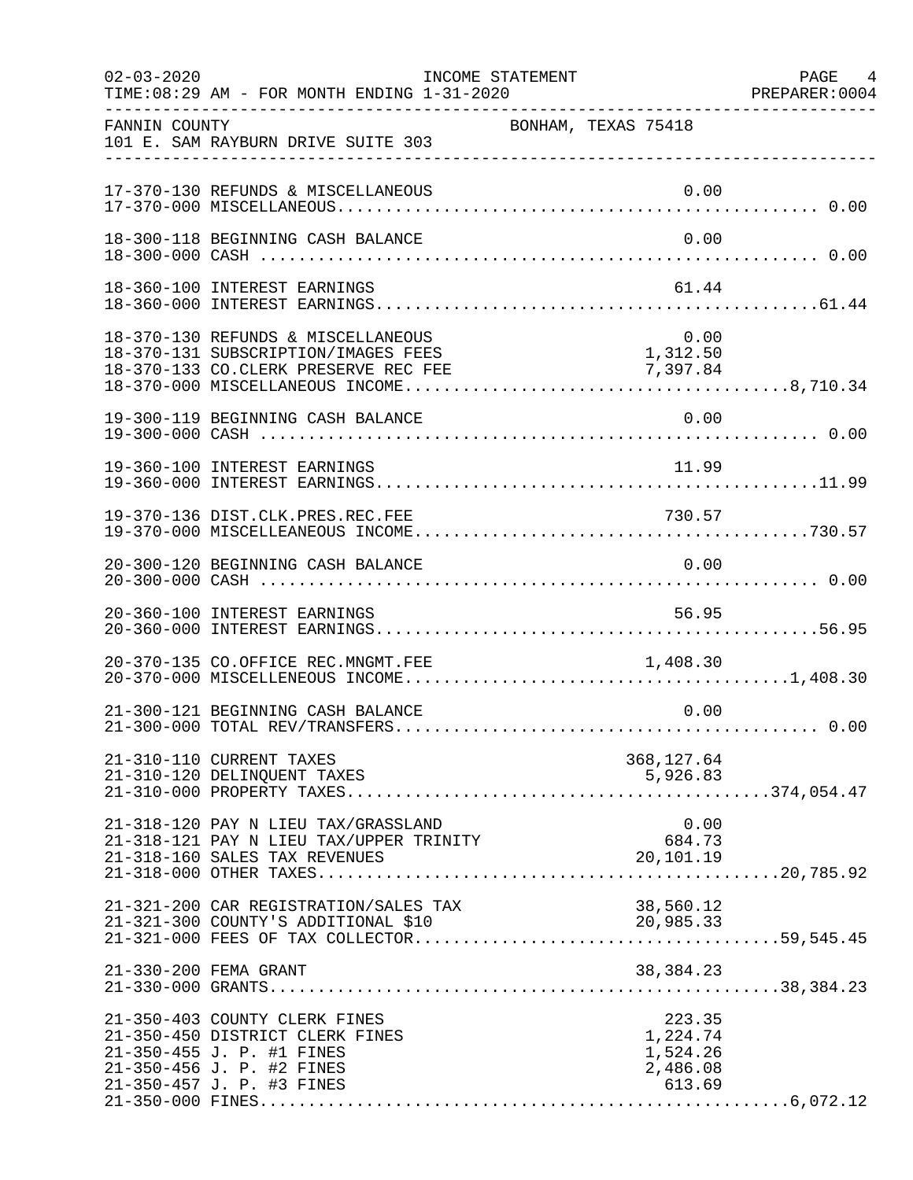| $02 - 03 - 2020$ | INCOME STATEMENT<br>TIME: 08:29 AM - FOR MONTH ENDING 1-31-2020                                                                                         |                     |                                                      | PAGE 4<br>PREPARER: 0004 |
|------------------|---------------------------------------------------------------------------------------------------------------------------------------------------------|---------------------|------------------------------------------------------|--------------------------|
| FANNIN COUNTY    | 101 E. SAM RAYBURN DRIVE SUITE 303                                                                                                                      | BONHAM, TEXAS 75418 |                                                      |                          |
|                  | 17-370-130 REFUNDS & MISCELLANEOUS                                                                                                                      |                     | 0.00                                                 |                          |
|                  | 18-300-118 BEGINNING CASH BALANCE                                                                                                                       |                     | 0.00                                                 |                          |
|                  | 18-360-100 INTEREST EARNINGS                                                                                                                            |                     | 61.44                                                |                          |
|                  | 18-370-130 REFUNDS & MISCELLANEOUS<br>18-370-131 SUBSCRIPTION/IMAGES FEES                                                                               |                     | $0.00$<br>1,312.50                                   |                          |
|                  | 19-300-119 BEGINNING CASH BALANCE                                                                                                                       |                     | 0.00                                                 |                          |
|                  | 19-360-100 INTEREST EARNINGS                                                                                                                            |                     | 11.99                                                |                          |
|                  | 19-370-136 DIST.CLK.PRES.REC.FEE                                                                                                                        |                     | 730.57                                               |                          |
|                  | 20-300-120 BEGINNING CASH BALANCE                                                                                                                       |                     | 0.00                                                 |                          |
|                  | 20-360-100 INTEREST EARNINGS                                                                                                                            |                     | 56.95                                                |                          |
|                  | 20-370-135 CO.OFFICE REC.MNGMT.FEE                                                                                                                      |                     | 1,408.30                                             |                          |
|                  | 21-300-121 BEGINNING CASH BALANCE                                                                                                                       |                     | 0.00                                                 |                          |
|                  | 21-310-110 CURRENT TAXES<br>21-310-120 DELINQUENT TAXES                                                                                                 |                     | 368,127.64<br>5,926.83                               |                          |
|                  | 21-318-120 PAY N LIEU TAX/GRASSLAND<br>21-318-121 PAY N LIEU TAX/UPPER TRINITY<br>21-318-160 SALES TAX REVENUES<br>21 316 100 SABBO TAX REVEROLD        |                     | 0.00<br>684.73<br>20,101.19                          |                          |
|                  | 21-321-200 CAR REGISTRATION/SALES TAX<br>21-321-300 COUNTY'S ADDITIONAL \$10                                                                            |                     | 38,560.12<br>20,985.33                               |                          |
|                  | 21-330-200 FEMA GRANT                                                                                                                                   |                     | 38, 384. 23                                          |                          |
|                  | 21-350-403 COUNTY CLERK FINES<br>21-350-450 DISTRICT CLERK FINES<br>21-350-455 J. P. #1 FINES<br>21-350-456 J. P. #2 FINES<br>21-350-457 J. P. #3 FINES |                     | 223.35<br>1,224.74<br>1,524.26<br>2,486.08<br>613.69 |                          |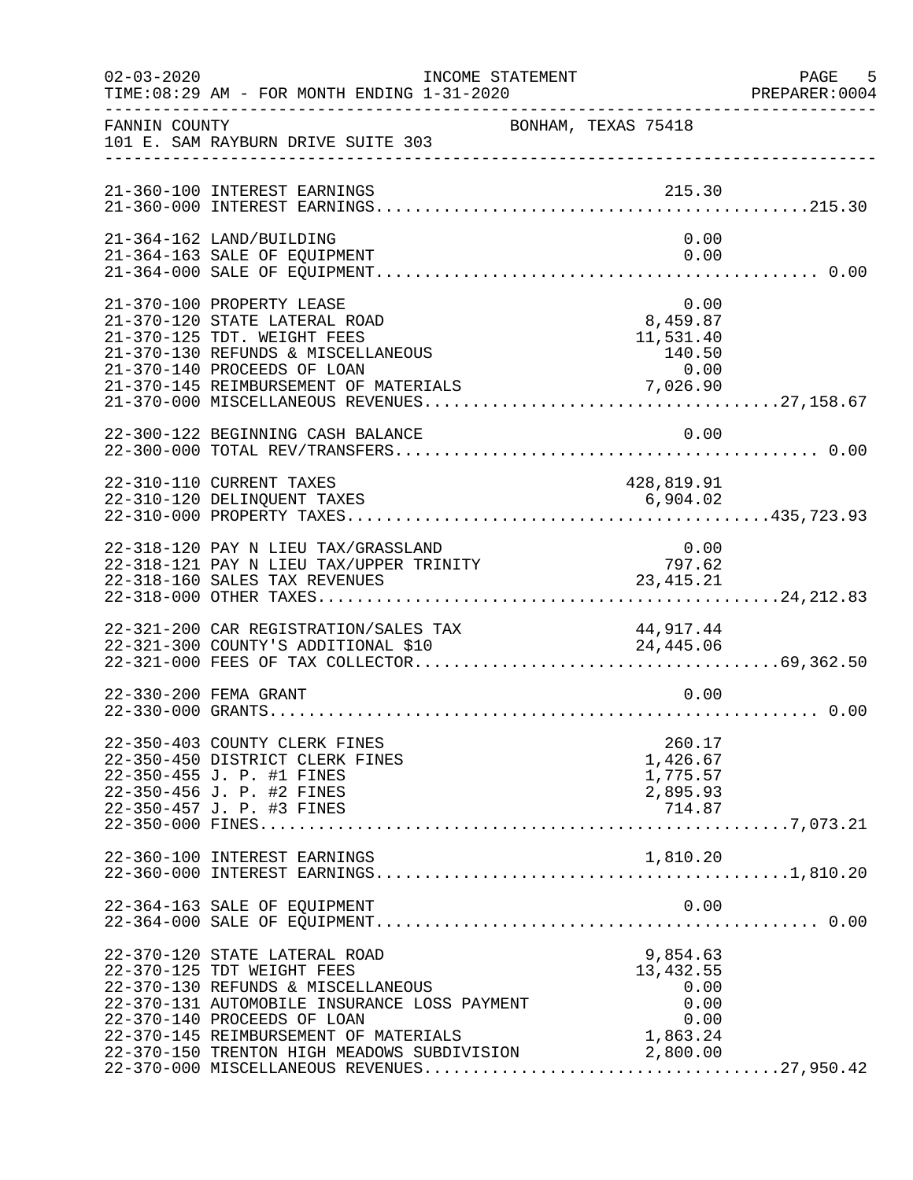| $02 - 03 - 2020$ | INCOME STATEMENT<br>TIME: 08:29 AM - FOR MONTH ENDING 1-31-2020                                                                                                                                                                                                                   |                                                                  | PAGE 5<br>PREPARER: 0004 |
|------------------|-----------------------------------------------------------------------------------------------------------------------------------------------------------------------------------------------------------------------------------------------------------------------------------|------------------------------------------------------------------|--------------------------|
| FANNIN COUNTY    | 101 E. SAM RAYBURN DRIVE SUITE 303                                                                                                                                                                                                                                                | BONHAM, TEXAS 75418                                              |                          |
|                  | 21-360-100 INTEREST EARNINGS                                                                                                                                                                                                                                                      | 215.30                                                           |                          |
|                  | 21-364-162 LAND/BUILDING<br>21-364-163 SALE OF EQUIPMENT                                                                                                                                                                                                                          | 0.00<br>0.00                                                     |                          |
|                  | 21-370-100 PROPERTY LEASE<br>21-370-120 STATE LATERAL ROAD<br>21-370-125 TDT. WEIGHT FEES                                                                                                                                                                                         | 0.00<br>8,459.87<br>11,531.40                                    |                          |
|                  | 22-300-122 BEGINNING CASH BALANCE                                                                                                                                                                                                                                                 | 0.00                                                             |                          |
|                  | 22-310-110 CURRENT TAXES                                                                                                                                                                                                                                                          | 428,819.91                                                       |                          |
|                  | 22-318-120 PAY N LIEU TAX/GRASSLAND<br>$22-318-121$ PAY N LIEU TAX/UPPER TRINITY<br>22-319-160 CALES TAY DIVIDER TRINITY<br>22-318-160 SALES TAX REVENUES                                                                                                                         | $\begin{array}{c} 0\,.\,00 \\ 797.62 \end{array}$<br>23, 415. 21 |                          |
|                  | 22-321-200 CAR REGISTRATION/SALES TAX 44,917.44<br>22-321-300 COUNTY'S ADDITIONAL \$10 24,445.06                                                                                                                                                                                  |                                                                  |                          |
|                  | 22-330-200 FEMA GRANT                                                                                                                                                                                                                                                             | 0.00                                                             |                          |
|                  | 22-350-403 COUNTY CLERK FINES<br>22-350-450 DISTRICT CLERK FINES<br>22-350-455 J. P. #1 FINES<br>22-350-456 J. P. #2 FINES<br>22-350-457 J. P. #3 FINES                                                                                                                           | 260.17<br>1,426.67<br>1,775.57<br>2,895.93<br>714.87             |                          |
|                  | 22-360-100 INTEREST EARNINGS                                                                                                                                                                                                                                                      | 1,810.20                                                         |                          |
|                  | 22-364-163 SALE OF EQUIPMENT                                                                                                                                                                                                                                                      | 0.00                                                             |                          |
|                  | 22-370-120 STATE LATERAL ROAD<br>22-370-125 TDT WEIGHT FEES<br>22-370-130 REFUNDS & MISCELLANEOUS<br>22-370-131 AUTOMOBILE INSURANCE LOSS PAYMENT<br>22-370-140 PROCEEDS OF LOAN<br>22-370-145 REIMBURSEMENT OF MATERIALS<br>22-370-150 TRENTON HIGH MEADOWS SUBDIVISION 2,800.00 | 9,854.63<br>13, 432.55<br>0.00<br>0.00<br>0.00<br>1,863.24       |                          |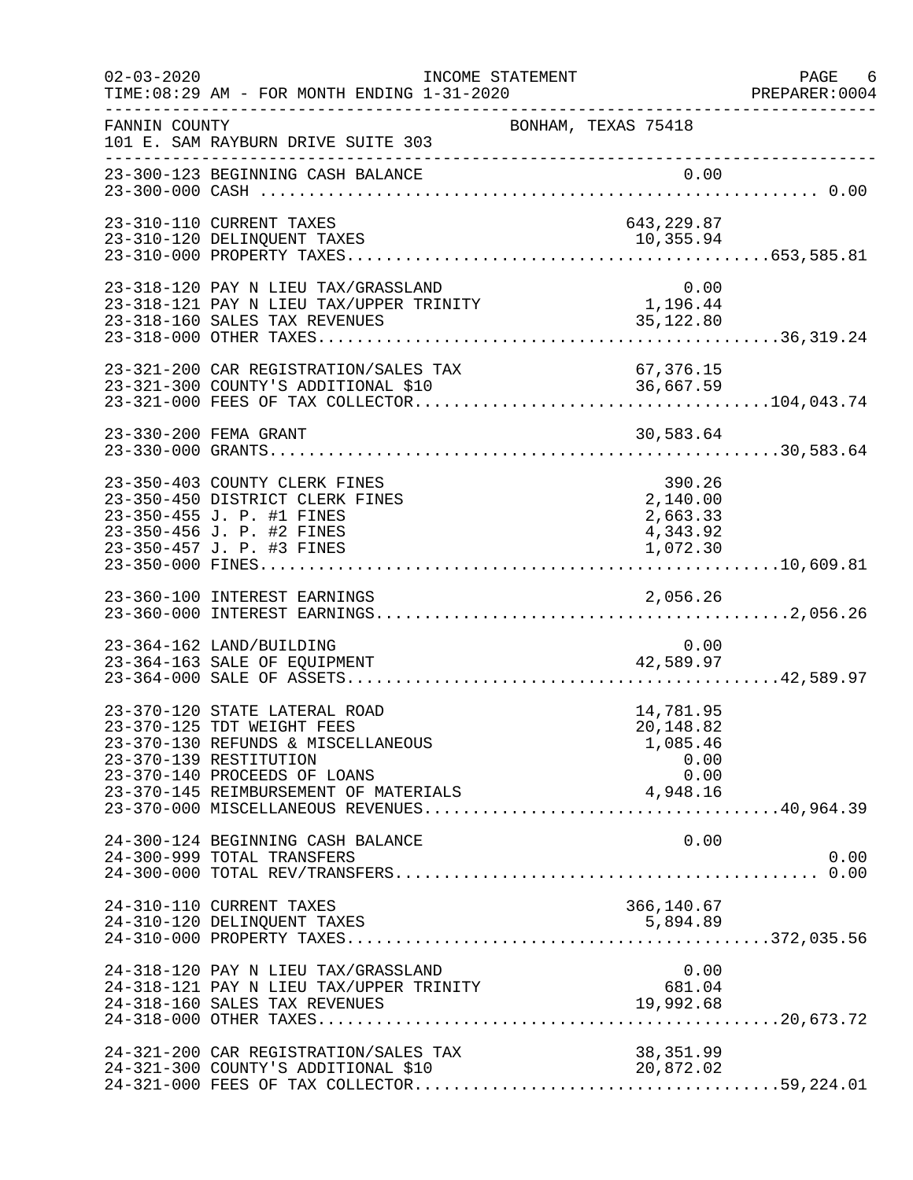| $02 - 03 - 2020$ | TIME: 08:29 AM - FOR MONTH ENDING 1-31-2020                                                                                                                 | INCOME STATEMENT                                                                                 | PAGE 6<br>PREPARER: 0004 |
|------------------|-------------------------------------------------------------------------------------------------------------------------------------------------------------|--------------------------------------------------------------------------------------------------|--------------------------|
| FANNIN COUNTY    | 101 E. SAM RAYBURN DRIVE SUITE 303                                                                                                                          | BONHAM, TEXAS 75418                                                                              |                          |
|                  | 23-300-123 BEGINNING CASH BALANCE                                                                                                                           |                                                                                                  |                          |
|                  | 23-310-110 CURRENT TAXES<br>23-310-120 DELINQUENT TAXES                                                                                                     | 643,229.87<br>10,355.94                                                                          |                          |
|                  | 23-318-120 PAY N LIEU TAX/GRASSLAND<br>23-318-121 PAY N LIEU TAX/UPPER TRINITY<br>23-318-160 SALES TAX REVENUES                                             | 0.00<br>1,196.44<br>35,122.80                                                                    |                          |
|                  |                                                                                                                                                             | 23-321-200 CAR REGISTRATION/SALES TAX 67,376.15<br>23-321-300 COUNTY'S ADDITIONAL \$10 36,667.59 |                          |
|                  | 23-330-200 FEMA GRANT                                                                                                                                       | 30,583.64                                                                                        |                          |
|                  | 23-350-403 COUNTY CLERK FINES<br>23-350-450 DISTRICT CLERK FINES<br>23-350-455 J. P. #1 FINES<br>23-350-456 J. P. #2 FINES                                  | 390.26<br>2,140.00<br>2,663.33<br>4,343.92                                                       |                          |
|                  |                                                                                                                                                             |                                                                                                  |                          |
|                  | 23-364-162 LAND/BUILDING<br>23-364-163 SALE OF EQUIPMENT                                                                                                    | 0.00<br>42,589.97                                                                                |                          |
|                  | 23-370-120 STATE LATERAL ROAD<br>23-370-125 TDT WEIGHT FEES<br>23-370-130 REFUNDS & MISCELLANEOUS<br>23-370-139 RESTITUTION<br>23-370-140 PROCEEDS OF LOANS | 14,781.95<br>20,148.82<br>1,085.46<br>0.00<br>0.00                                               |                          |
|                  | 24-300-124 BEGINNING CASH BALANCE<br>24-300-999 TOTAL TRANSFERS                                                                                             | 0.00                                                                                             | 0.00                     |
|                  | 24-310-110 CURRENT TAXES                                                                                                                                    | 366,140.67                                                                                       |                          |
|                  | 24-318-120 PAY N LIEU TAX/GRASSLAND<br>24-318-121 PAY N LIEU TAX/UPPER TRINITY<br>24-318-160 SALES TAX REVENUES                                             | 0.00<br>681.04<br>19,992.68                                                                      |                          |
|                  | 24-321-200 CAR REGISTRATION/SALES TAX<br>24-321-300 COUNTY'S ADDITIONAL \$10                                                                                | 38, 351.99<br>20,872.02                                                                          |                          |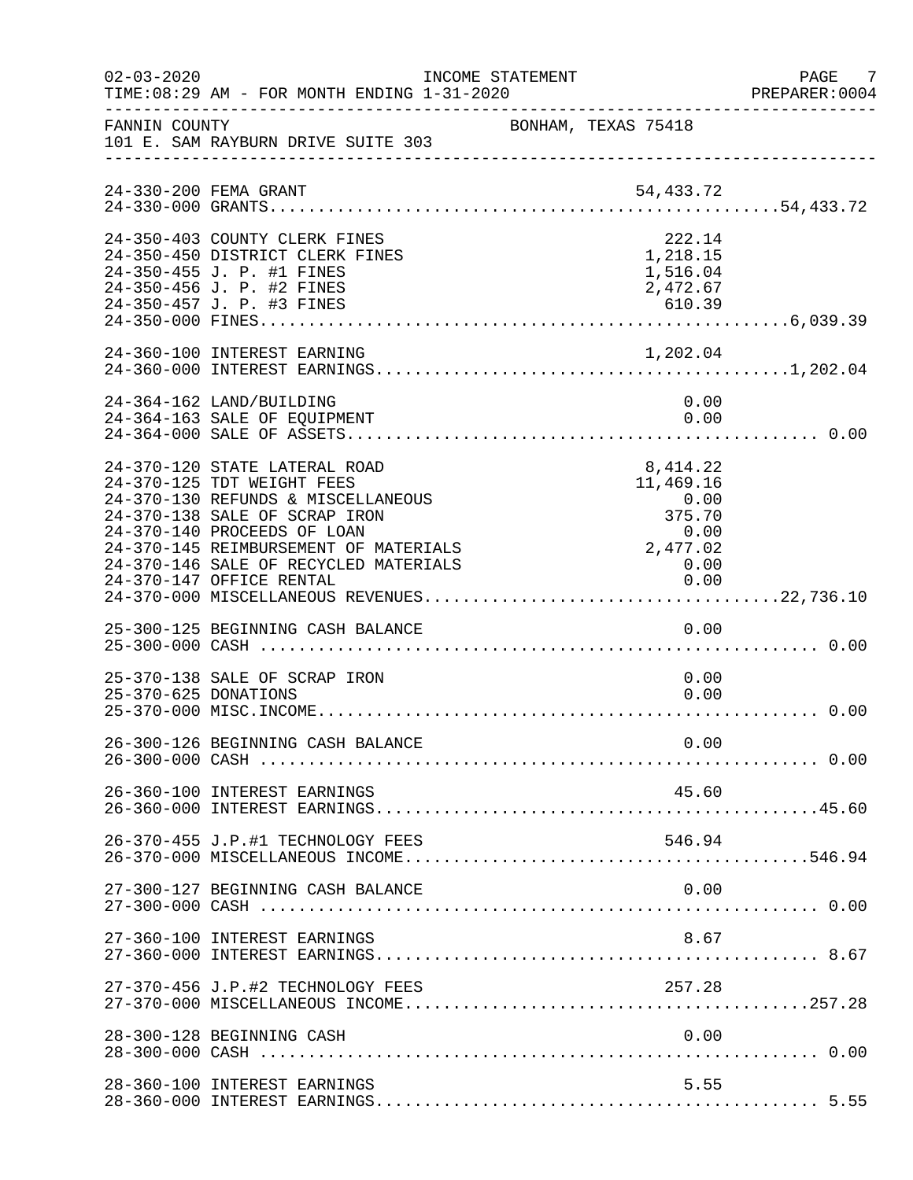| $02 - 03 - 2020$ | TIME: 08:29 AM - FOR MONTH ENDING 1-31-2020                                                                                                                                                                                                                                     | INCOME STATEMENT    |                                                                                     | PAGE 7<br>PREPARER: 0004 |
|------------------|---------------------------------------------------------------------------------------------------------------------------------------------------------------------------------------------------------------------------------------------------------------------------------|---------------------|-------------------------------------------------------------------------------------|--------------------------|
| FANNIN COUNTY    | 101 E. SAM RAYBURN DRIVE SUITE 303                                                                                                                                                                                                                                              | BONHAM, TEXAS 75418 |                                                                                     |                          |
|                  |                                                                                                                                                                                                                                                                                 |                     |                                                                                     |                          |
|                  | 24-350-403 COUNTY CLERK FINES<br>24-350-450 DISTRICT CLERK FINES<br>24-350-455 J. P. #1 FINES<br>24-350-456 J. P. #2 FINES                                                                                                                                                      |                     | 222.14<br>1,218.15<br>1,516.04<br>2,472.67                                          |                          |
|                  |                                                                                                                                                                                                                                                                                 |                     |                                                                                     |                          |
|                  | 24-364-162 LAND/BUILDING<br>24-364-163 SALE OF EQUIPMENT                                                                                                                                                                                                                        |                     | 0.00<br>0.00                                                                        |                          |
|                  | 24-370-120 STATE LATERAL ROAD<br>24-370-125 TDT WEIGHT FEES<br>24-370-130 REFUNDS & MISCELLANEOUS<br>24-370-138 SALE OF SCRAP IRON<br>24-370-140 PROCEEDS OF LOAN<br>24-370-145 REIMBURSEMENT OF MATERIALS<br>24-370-146 SALE OF RECYCLED MATERIALS<br>24-370-147 OFFICE RENTAL |                     | 8,414.22<br>11,469.16<br>0.00<br>375.70<br>0.00<br>0.00<br>2,477.02<br>0.00<br>0.00 |                          |
|                  | 25-300-125 BEGINNING CASH BALANCE                                                                                                                                                                                                                                               |                     | 0.00                                                                                |                          |
|                  | 25-370-138 SALE OF SCRAP IRON<br>25-370-625 DONATIONS                                                                                                                                                                                                                           |                     | 0.00<br>0.00                                                                        |                          |
|                  | 26-300-126 BEGINNING CASH BALANCE                                                                                                                                                                                                                                               |                     | 0.00                                                                                |                          |
|                  | 26-360-100 INTEREST EARNINGS                                                                                                                                                                                                                                                    |                     | 45.60                                                                               |                          |
|                  | 26-370-455 J.P.#1 TECHNOLOGY FEES                                                                                                                                                                                                                                               |                     | 546.94                                                                              |                          |
|                  | 27-300-127 BEGINNING CASH BALANCE                                                                                                                                                                                                                                               |                     | 0.00                                                                                |                          |
|                  | 27-360-100 INTEREST EARNINGS                                                                                                                                                                                                                                                    |                     | 8.67                                                                                |                          |
|                  | 27-370-456 J.P.#2 TECHNOLOGY FEES                                                                                                                                                                                                                                               |                     | 257.28                                                                              |                          |
|                  | 28-300-128 BEGINNING CASH                                                                                                                                                                                                                                                       |                     | 0.00                                                                                |                          |
|                  | 28-360-100 INTEREST EARNINGS                                                                                                                                                                                                                                                    |                     | 5.55                                                                                |                          |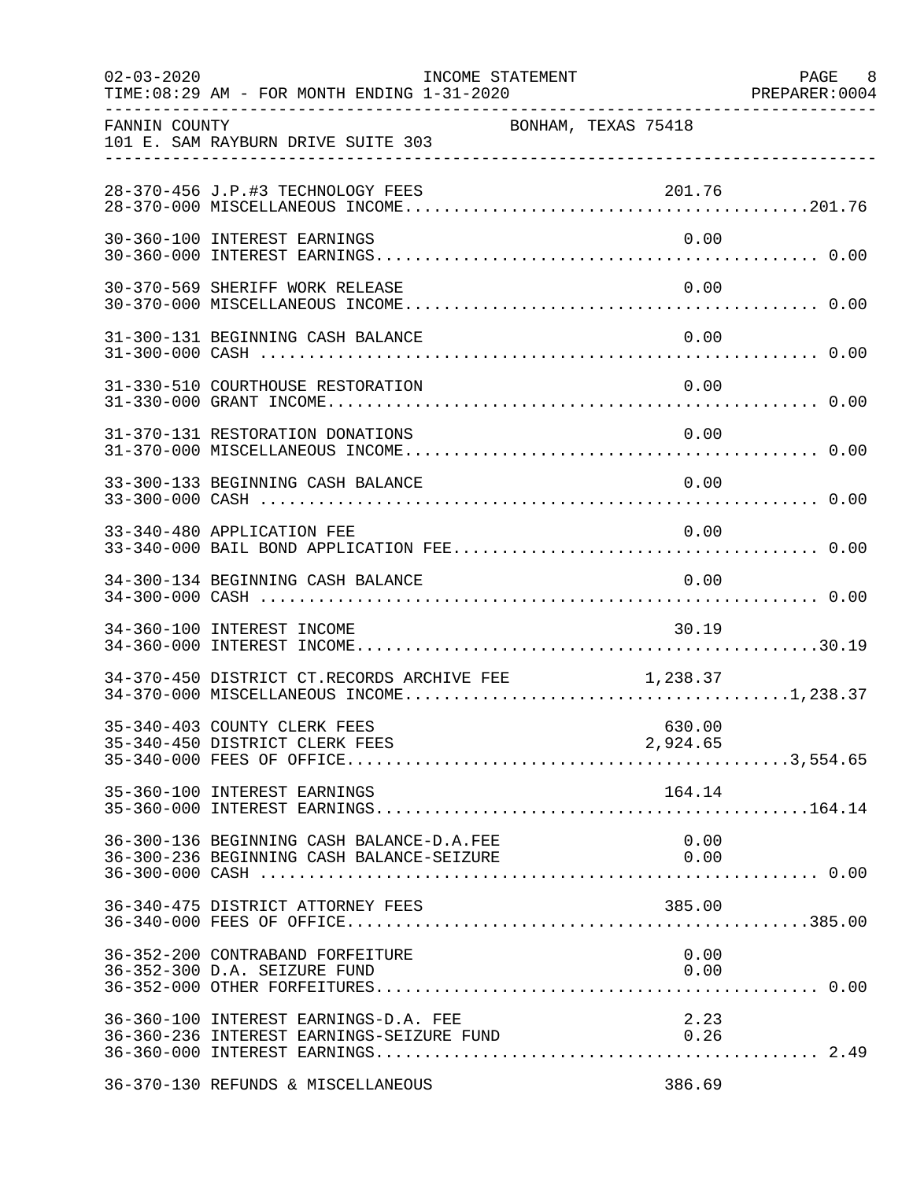| $02 - 03 - 2020$<br>__________________ | TIME: 08:29 AM - FOR MONTH ENDING 1-31-2020                                             | INCOME STATEMENT    |              | PAGE 8<br>PREPARER: 0004 |
|----------------------------------------|-----------------------------------------------------------------------------------------|---------------------|--------------|--------------------------|
| FANNIN COUNTY                          | 101 E. SAM RAYBURN DRIVE SUITE 303                                                      | BONHAM, TEXAS 75418 |              |                          |
|                                        | 28-370-456 J.P.#3 TECHNOLOGY FEES                                                       |                     | 201.76       |                          |
|                                        | 30-360-100 INTEREST EARNINGS                                                            |                     | 0.00         |                          |
|                                        | 30-370-569 SHERIFF WORK RELEASE                                                         |                     | 0.00         |                          |
|                                        | 31-300-131 BEGINNING CASH BALANCE                                                       |                     | 0.00         |                          |
|                                        | 31-330-510 COURTHOUSE RESTORATION                                                       |                     | 0.00         |                          |
|                                        | 31-370-131 RESTORATION DONATIONS                                                        |                     | 0.00         |                          |
|                                        | 33-300-133 BEGINNING CASH BALANCE                                                       |                     | 0.00         |                          |
|                                        | 33-340-480 APPLICATION FEE                                                              |                     | 0.00         |                          |
|                                        | 34-300-134 BEGINNING CASH BALANCE                                                       |                     | 0.00         |                          |
|                                        | 34-360-100 INTEREST INCOME                                                              |                     | 30.19        |                          |
|                                        | 34-370-450 DISTRICT CT.RECORDS ARCHIVE FEE $1,238.37$                                   |                     |              |                          |
|                                        | 35-340-403 COUNTY CLERK FEES                                                            |                     | 630.00       |                          |
|                                        | 35-360-100 INTEREST EARNINGS                                                            |                     | 164.14       |                          |
|                                        | 36-300-136 BEGINNING CASH BALANCE-D.A.FEE                                               |                     | 0.00         |                          |
|                                        |                                                                                         |                     |              |                          |
|                                        | 36-352-200 CONTRABAND FORFEITURE<br>36-352-300 D.A. SEIZURE FUND                        |                     | 0.00<br>0.00 |                          |
|                                        | 36-360-100 INTEREST EARNINGS-D.A. FEE<br>36-360-236 INTEREST EARNINGS-SEIZURE FUND 0.26 |                     | 2.23         |                          |
|                                        | 36-370-130 REFUNDS & MISCELLANEOUS                                                      |                     | 386.69       |                          |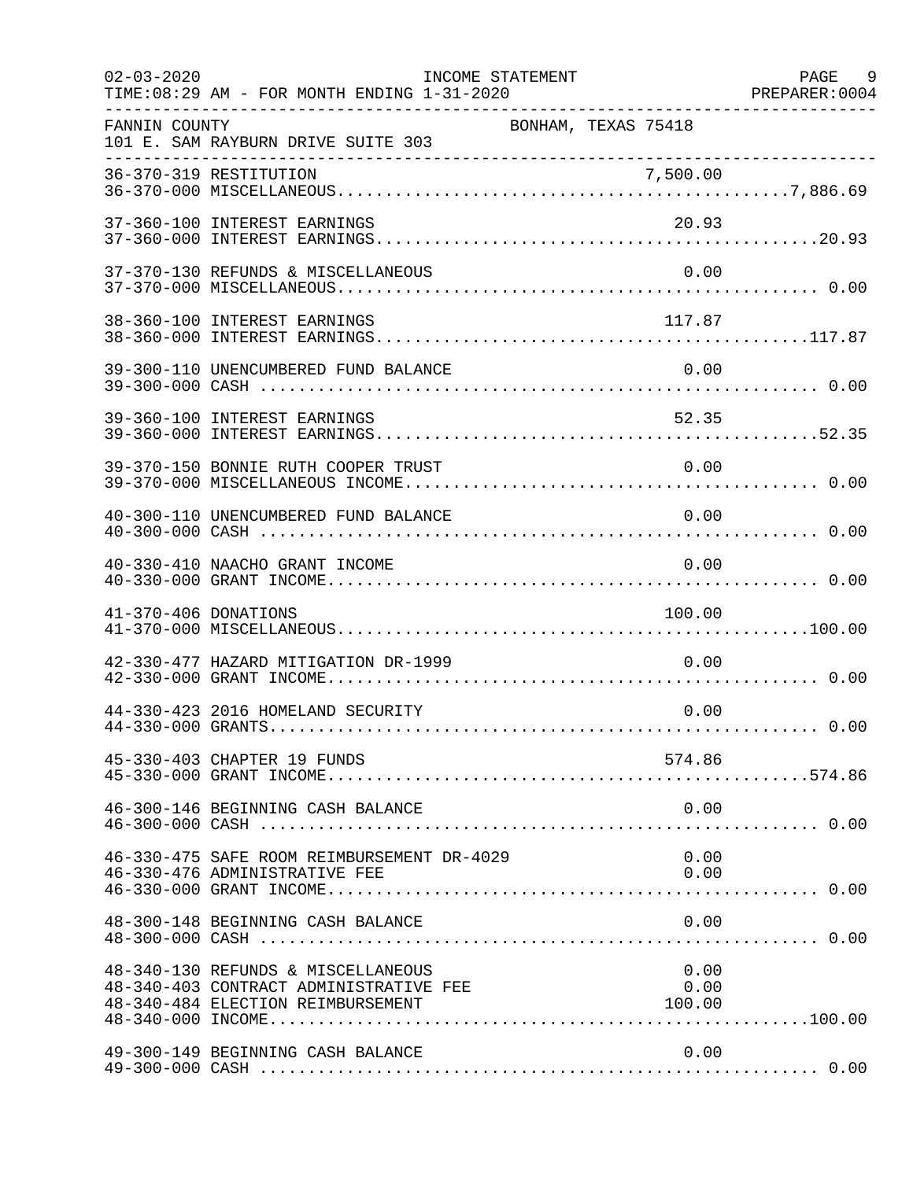| $02 - 03 - 2020$     | TIME:08:29 AM - FOR MONTH ENDING 1-31-2020                                                                        | INCOME STATEMENT    |                        | PAGE 9 |
|----------------------|-------------------------------------------------------------------------------------------------------------------|---------------------|------------------------|--------|
| FANNIN COUNTY        | 101 E. SAM RAYBURN DRIVE SUITE 303                                                                                | BONHAM, TEXAS 75418 |                        |        |
|                      |                                                                                                                   |                     |                        |        |
|                      | 37-360-100 INTEREST EARNINGS                                                                                      |                     | 20.93                  |        |
|                      | 37-370-130 REFUNDS & MISCELLANEOUS                                                                                |                     | 0.00                   |        |
|                      | 38-360-100 INTEREST EARNINGS                                                                                      |                     | 117.87                 |        |
|                      | 39-300-110 UNENCUMBERED FUND BALANCE                                                                              |                     | 0.00                   |        |
|                      | 39-360-100 INTEREST EARNINGS                                                                                      |                     | 52.35                  |        |
|                      | 39-370-150 BONNIE RUTH COOPER TRUST                                                                               |                     | 0.00                   |        |
|                      | 40-300-110 UNENCUMBERED FUND BALANCE                                                                              |                     | 0.00                   |        |
|                      | 40-330-410 NAACHO GRANT INCOME                                                                                    |                     | 0.00                   |        |
| 41-370-406 DONATIONS |                                                                                                                   |                     | 100.00                 |        |
|                      | 42-330-477 HAZARD MITIGATION DR-1999                                                                              |                     | 0.00                   |        |
|                      | 44-330-423 2016 HOMELAND SECURITY                                                                                 |                     | 0.00                   |        |
|                      | 45-330-403 CHAPTER 19 FUNDS                                                                                       |                     | 574.86                 |        |
|                      | 46-300-146 BEGINNING CASH BALANCE                                                                                 |                     | 0.00                   |        |
|                      | 46-330-475 SAFE ROOM REIMBURSEMENT DR-4029<br>46-330-476 ADMINISTRATIVE FEE                                       |                     | 0.00<br>0.00           |        |
|                      | 48-300-148 BEGINNING CASH BALANCE                                                                                 |                     | 0.00                   |        |
|                      | 48-340-130 REFUNDS & MISCELLANEOUS<br>48-340-403 CONTRACT ADMINISTRATIVE FEE<br>48-340-484 ELECTION REIMBURSEMENT |                     | 0.00<br>0.00<br>100.00 |        |
|                      | 49-300-149 BEGINNING CASH BALANCE                                                                                 |                     | 0.00                   |        |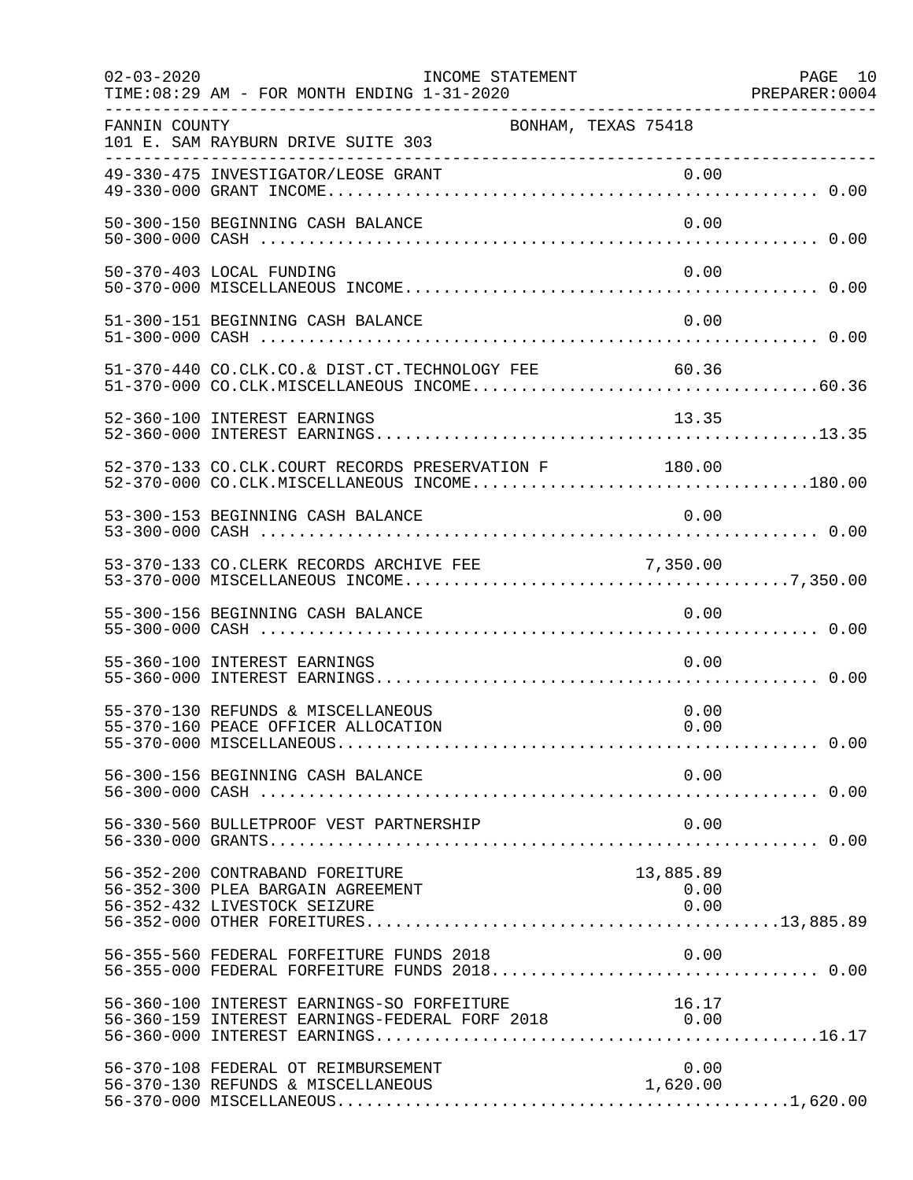| $02 - 03 - 2020$ | TIME:08:29 AM - FOR MONTH ENDING 1-31-2020                                                              | INCOME STATEMENT    |                           | PAGE 10<br>PREPARER: 0004 |
|------------------|---------------------------------------------------------------------------------------------------------|---------------------|---------------------------|---------------------------|
| FANNIN COUNTY    | 101 E. SAM RAYBURN DRIVE SUITE 303                                                                      | BONHAM, TEXAS 75418 |                           |                           |
|                  |                                                                                                         |                     |                           |                           |
|                  | 50-300-150 BEGINNING CASH BALANCE                                                                       |                     | 0.00                      |                           |
|                  | 50-370-403 LOCAL FUNDING                                                                                |                     | 0.00                      |                           |
|                  | 51-300-151 BEGINNING CASH BALANCE                                                                       |                     | 0.00                      |                           |
|                  | 51-370-440 CO.CLK.CO.& DIST.CT.TECHNOLOGY FEE 60.36                                                     |                     |                           |                           |
|                  | 52-360-100 INTEREST EARNINGS                                                                            |                     | 13.35                     |                           |
|                  | 52-370-133 CO.CLK.COURT RECORDS PRESERVATION F 180.00                                                   |                     |                           |                           |
|                  | 53-300-153 BEGINNING CASH BALANCE                                                                       |                     | 0.00                      |                           |
|                  | 53-370-133 CO. CLERK RECORDS ARCHIVE FEE                                                                |                     |                           |                           |
|                  | 55-300-156 BEGINNING CASH BALANCE                                                                       |                     | 0.00                      |                           |
|                  | 55-360-100 INTEREST EARNINGS                                                                            |                     | 0.00                      |                           |
|                  | 55-370-130 REFUNDS & MISCELLANEOUS<br>55-370-160 PEACE OFFICER ALLOCATION                               |                     | 0.00<br>0.00              |                           |
|                  | 56-300-156 BEGINNING CASH BALANCE                                                                       |                     | 0.00                      |                           |
|                  | 56-330-560 BULLETPROOF VEST PARTNERSHIP                                                                 |                     | 0.00                      |                           |
|                  | 56-352-200 CONTRABAND FOREITURE<br>56-352-300 PLEA BARGAIN AGREEMENT<br>56-352-432 LIVESTOCK SEIZURE    |                     | 13,885.89<br>0.00<br>0.00 |                           |
|                  | 56-355-560 FEDERAL FORFEITURE FUNDS 2018                                                                |                     | 0.00                      |                           |
|                  | 56-360-100 INTEREST EARNINGS-SO FORFEITURE 16.17<br>56-360-159 INTEREST EARNINGS-FEDERAL FORF 2018 0.00 |                     |                           |                           |
|                  | 56-370-108 FEDERAL OT REIMBURSEMENT                                                                     |                     | 0.00                      |                           |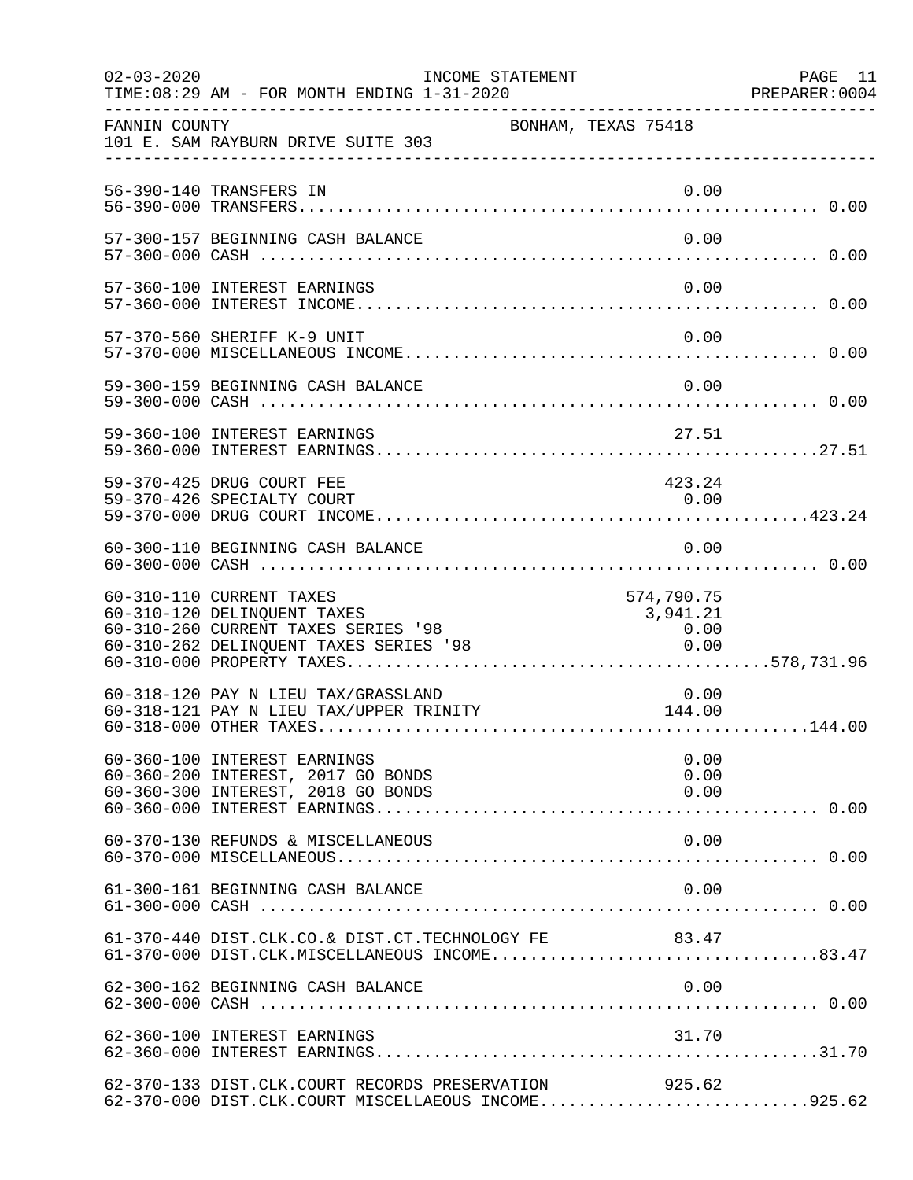| $02 - 03 - 2020$ | INCOME STATEMENT<br>TIME: 08:29 AM - FOR MONTH ENDING 1-31-2020                                                                            |                     | PAGE 11<br>PREPARER: 0004      |  |
|------------------|--------------------------------------------------------------------------------------------------------------------------------------------|---------------------|--------------------------------|--|
| FANNIN COUNTY    | 101 E. SAM RAYBURN DRIVE SUITE 303                                                                                                         | BONHAM, TEXAS 75418 |                                |  |
|                  | 56-390-140 TRANSFERS IN                                                                                                                    |                     | 0.00                           |  |
|                  | 57-300-157 BEGINNING CASH BALANCE                                                                                                          |                     | 0.00                           |  |
|                  | 57-360-100 INTEREST EARNINGS                                                                                                               |                     | 0.00                           |  |
|                  | 57-370-560 SHERIFF K-9 UNIT                                                                                                                |                     | 0.00                           |  |
|                  | 59-300-159 BEGINNING CASH BALANCE                                                                                                          |                     | 0.00                           |  |
|                  | 59-360-100 INTEREST EARNINGS                                                                                                               |                     | 27.51                          |  |
|                  | 59-370-425 DRUG COURT FEE<br>59-370-426 SPECIALTY COURT                                                                                    |                     | 423.24<br>0.00                 |  |
|                  | 60-300-110 BEGINNING CASH BALANCE                                                                                                          |                     | 0.00                           |  |
|                  | 60-310-110 CURRENT TAXES<br>60-310-120 DELINQUENT TAXES<br>60-310-260 CURRENT TAXES SERIES '98<br>$60-310-262$ DELINQUENT TAXES SERIES '98 | 0.00                | 574,790.75<br>3,941.21<br>0.00 |  |
|                  | 60-318-120 PAY N LIEU TAX/GRASSLAND<br>60-318-121 PAY N LIEU TAX/UPPER TRINITY                                                             | 144.00              | 0.00                           |  |
|                  | 60-360-100 INTEREST EARNINGS<br>60-360-200 INTEREST, 2017 GO BONDS<br>60-360-300 INTEREST, 2018 GO BONDS                                   |                     | 0.00<br>0.00<br>0.00           |  |
|                  | 60-370-130 REFUNDS & MISCELLANEOUS                                                                                                         |                     | 0.00                           |  |
|                  | 61-300-161 BEGINNING CASH BALANCE                                                                                                          |                     | 0.00                           |  |
|                  | 61-370-440 DIST.CLK.CO.& DIST.CT.TECHNOLOGY FE 83.47                                                                                       |                     |                                |  |
|                  | 62-300-162 BEGINNING CASH BALANCE                                                                                                          |                     | 0.00                           |  |
|                  | 62-360-100 INTEREST EARNINGS                                                                                                               |                     | 31.70                          |  |
|                  | 62-370-133 DIST.CLK.COURT RECORDS PRESERVATION<br>62-370-000 DIST.CLK.COURT MISCELLAEOUS INCOME925.62                                      |                     | 925.62                         |  |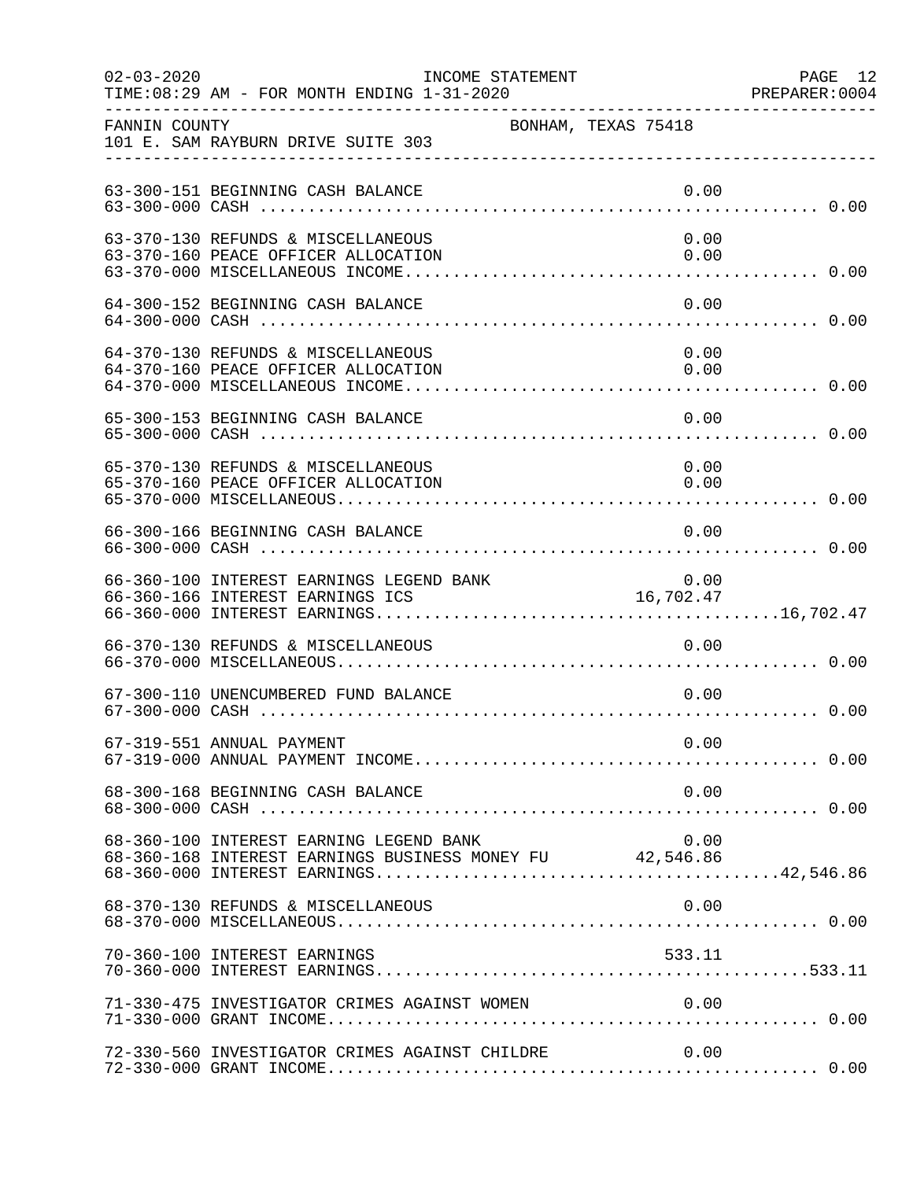| $02 - 03 - 2020$ | INCOME STATEMENT<br>TIME: 08:29 AM - FOR MONTH ENDING 1-31-2020                                     |                     |              | PAGE 12<br>PREPARER: 0004 |
|------------------|-----------------------------------------------------------------------------------------------------|---------------------|--------------|---------------------------|
| FANNIN COUNTY    | 101 E. SAM RAYBURN DRIVE SUITE 303                                                                  | BONHAM, TEXAS 75418 |              |                           |
|                  | 63-300-151 BEGINNING CASH BALANCE                                                                   |                     | 0.00         |                           |
|                  | 63-370-130 REFUNDS & MISCELLANEOUS<br>63-370-160 PEACE OFFICER ALLOCATION                           |                     | 0.00<br>0.00 |                           |
|                  | 64-300-152 BEGINNING CASH BALANCE                                                                   |                     | 0.00         |                           |
|                  | 64-370-130 REFUNDS & MISCELLANEOUS<br>64-370-160 PEACE OFFICER ALLOCATION                           |                     | 0.00<br>0.00 |                           |
|                  | 65-300-153 BEGINNING CASH BALANCE                                                                   |                     | 0.00         |                           |
|                  | 65-370-130 REFUNDS & MISCELLANEOUS<br>65-370-160 PEACE OFFICER ALLOCATION                           |                     | 0.00<br>0.00 |                           |
|                  | 66-300-166 BEGINNING CASH BALANCE                                                                   |                     | 0.00         |                           |
|                  | 66-360-100 INTEREST EARNINGS LEGEND BANK<br>66-360-166 INTEREST EARNINGS ICS                        |                     | 16,702.47    |                           |
|                  | 66-370-130 REFUNDS & MISCELLANEOUS                                                                  |                     | 0.00         |                           |
|                  | 67-300-110 UNENCUMBERED FUND BALANCE                                                                |                     | 0.00         |                           |
|                  | 67-319-551 ANNUAL PAYMENT                                                                           |                     | 0.00         |                           |
|                  | 68-300-168 BEGINNING CASH BALANCE                                                                   |                     | 0.00         |                           |
|                  | 68-360-100 INTEREST EARNING LEGEND BANK<br>68-360-168 INTEREST EARNINGS BUSINESS MONEY FU 42,546.86 |                     | 0.00         |                           |
|                  | 68-370-130 REFUNDS & MISCELLANEOUS                                                                  |                     | 0.00         |                           |
|                  | 70-360-100 INTEREST EARNINGS                                                                        |                     | 533.11       |                           |
|                  | 71-330-475 INVESTIGATOR CRIMES AGAINST WOMEN                                                        |                     | 0.00         |                           |
|                  | 72-330-560 INVESTIGATOR CRIMES AGAINST CHILDRE                                                      |                     | 0.00         |                           |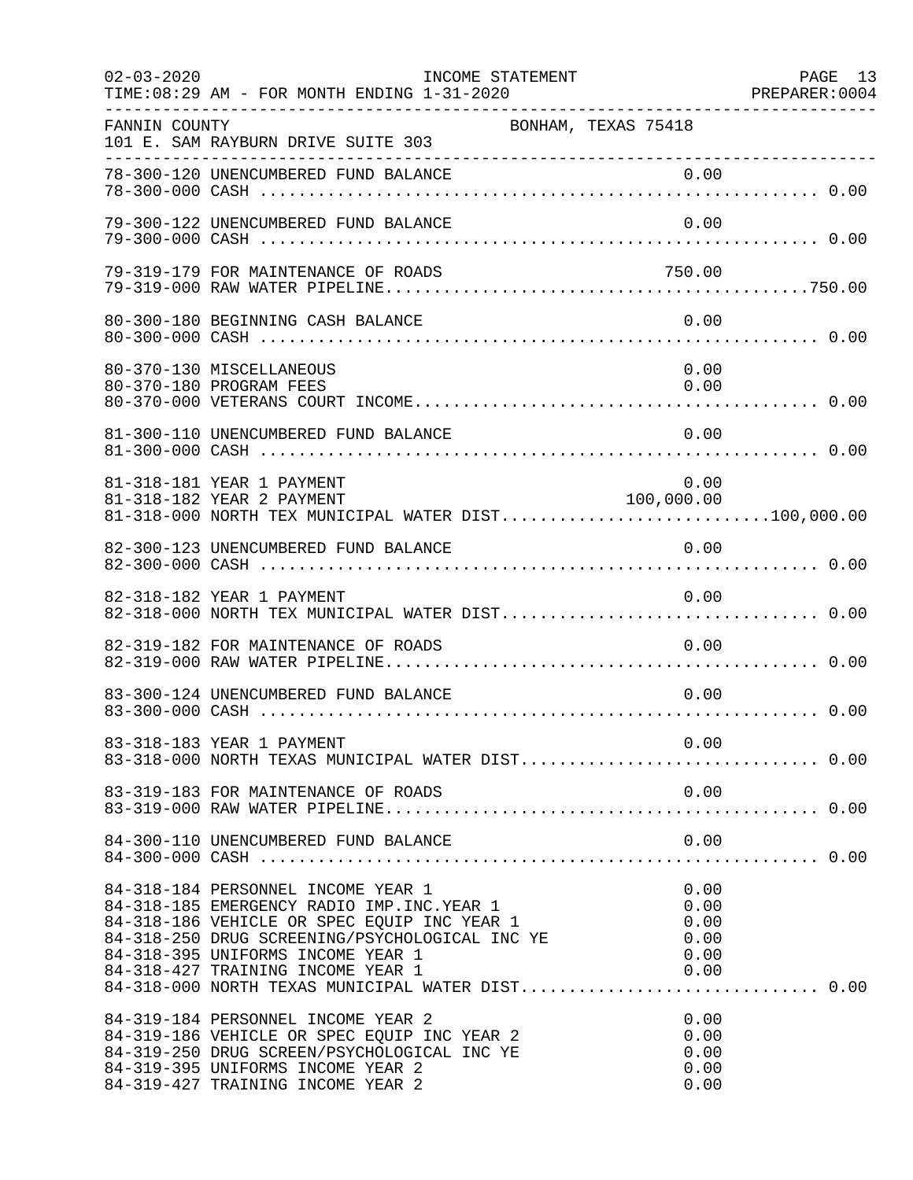| $02 - 03 - 2020$ | INCOME STATEMENT<br>TIME: 08:29 AM - FOR MONTH ENDING 1-31-2020                                                                                                                                                                                                |                                              | PAGE 13<br>PREPARER:0004 |
|------------------|----------------------------------------------------------------------------------------------------------------------------------------------------------------------------------------------------------------------------------------------------------------|----------------------------------------------|--------------------------|
| FANNIN COUNTY    | BONHAM, TEXAS 75418<br>101 E. SAM RAYBURN DRIVE SUITE 303                                                                                                                                                                                                      |                                              |                          |
|                  | 78-300-120 UNENCUMBERED FUND BALANCE                                                                                                                                                                                                                           | 0.00                                         |                          |
|                  | 79-300-122 UNENCUMBERED FUND BALANCE                                                                                                                                                                                                                           | 0.00                                         |                          |
|                  | 79-319-179 FOR MAINTENANCE OF ROADS                                                                                                                                                                                                                            | 750.00                                       |                          |
|                  | 80-300-180 BEGINNING CASH BALANCE                                                                                                                                                                                                                              | 0.00                                         |                          |
|                  | 80-370-130 MISCELLANEOUS<br>80-370-180 PROGRAM FEES                                                                                                                                                                                                            | 0.00<br>0.00                                 |                          |
|                  | 81-300-110 UNENCUMBERED FUND BALANCE                                                                                                                                                                                                                           | 0.00                                         |                          |
|                  | 81-318-181 YEAR 1 PAYMENT<br>100,000.00<br>81-318-182 YEAR 2 PAYMENT<br>81-318-000 NORTH TEX MUNICIPAL WATER DIST100,000.00                                                                                                                                    | 0.00                                         |                          |
|                  | 82-300-123 UNENCUMBERED FUND BALANCE                                                                                                                                                                                                                           | 0.00                                         |                          |
|                  | 82-318-182 YEAR 1 PAYMENT                                                                                                                                                                                                                                      | 0.00                                         |                          |
|                  | 82-319-182 FOR MAINTENANCE OF ROADS                                                                                                                                                                                                                            | 0.00                                         |                          |
|                  | 83-300-124 UNENCUMBERED FUND BALANCE                                                                                                                                                                                                                           | 0.00                                         |                          |
|                  | 83-318-183 YEAR 1 PAYMENT<br>83-318-000 NORTH TEXAS MUNICIPAL WATER DIST 0.00                                                                                                                                                                                  | 0.00                                         |                          |
|                  | 83-319-183 FOR MAINTENANCE OF ROADS                                                                                                                                                                                                                            | 0.00                                         |                          |
|                  | 84-300-110 UNENCUMBERED FUND BALANCE                                                                                                                                                                                                                           | 0.00                                         |                          |
|                  | 84-318-184 PERSONNEL INCOME YEAR 1<br>84-318-185 EMERGENCY RADIO IMP. INC. YEAR 1<br>84-318-186 VEHICLE OR SPEC EQUIP INC YEAR 1<br>84-318-250 DRUG SCREENING/PSYCHOLOGICAL INC YE<br>84-318-395 UNIFORMS INCOME YEAR 1<br>84-318-427 TRAINING INCOME YEAR 1   | 0.00<br>0.00<br>0.00<br>0.00<br>0.00<br>0.00 |                          |
|                  | 84-318-000 NORTH TEXAS MUNICIPAL WATER DIST 0.00<br>84-319-184 PERSONNEL INCOME YEAR 2<br>84-319-186 VEHICLE OR SPEC EQUIP INC YEAR 2<br>84-319-250 DRUG SCREEN/PSYCHOLOGICAL INC YE<br>84-319-395 UNIFORMS INCOME YEAR 2<br>84-319-427 TRAINING INCOME YEAR 2 | 0.00<br>0.00<br>0.00<br>0.00<br>0.00         |                          |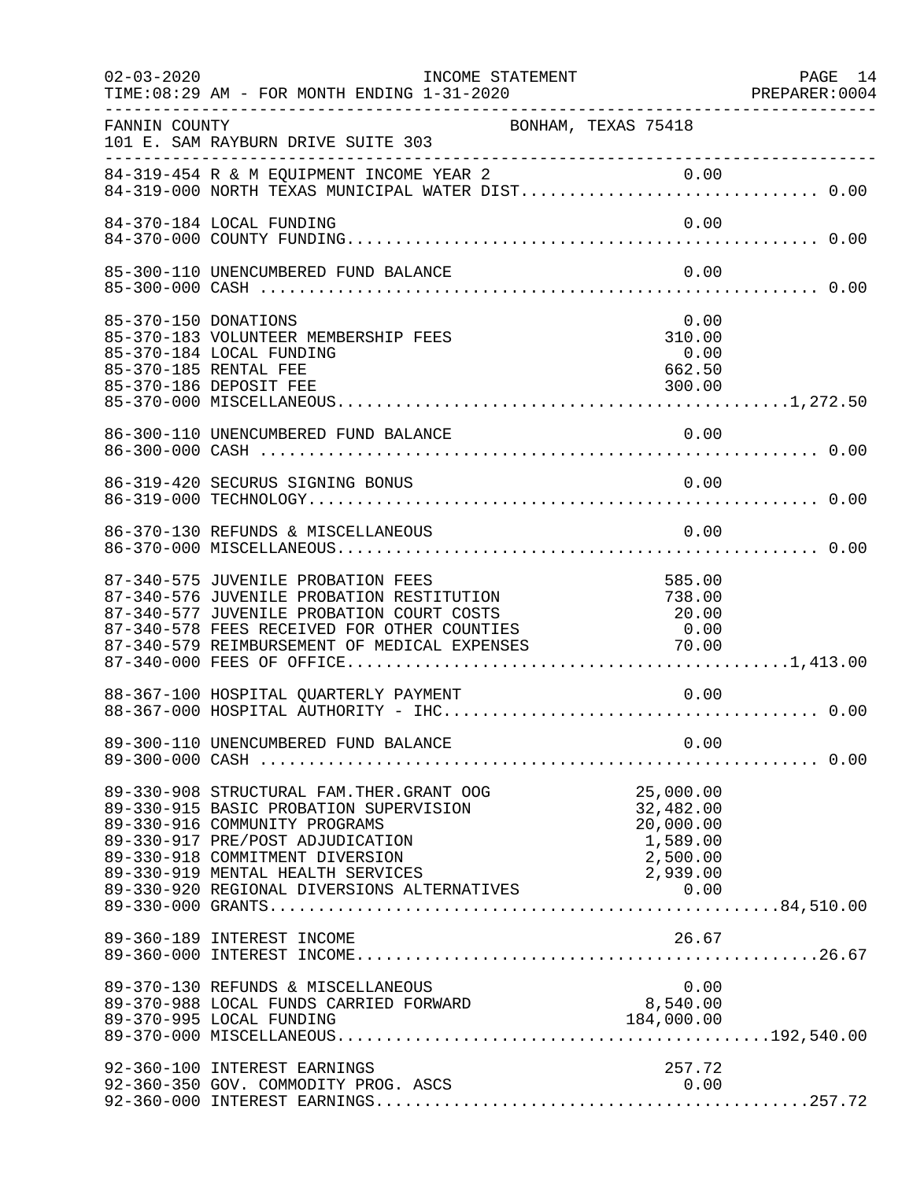| $02 - 03 - 2020$ | TIME: 08:29 AM - FOR MONTH ENDING 1-31-2020                                                                                                                                                                                                                 | INCOME STATEMENT    |                                                             | PAGE 14<br>PREPARER: 0004 |
|------------------|-------------------------------------------------------------------------------------------------------------------------------------------------------------------------------------------------------------------------------------------------------------|---------------------|-------------------------------------------------------------|---------------------------|
| FANNIN COUNTY    | 101 E. SAM RAYBURN DRIVE SUITE 303                                                                                                                                                                                                                          | BONHAM, TEXAS 75418 |                                                             |                           |
|                  | 84-319-454 R & M EQUIPMENT INCOME YEAR 2 0.00<br>84-319-000 NORTH TEXAS MUNICIPAL WATER DIST 0.00                                                                                                                                                           |                     |                                                             |                           |
|                  | 84-370-184 LOCAL FUNDING                                                                                                                                                                                                                                    |                     | 0.00                                                        |                           |
|                  | 85-300-110 UNENCUMBERED FUND BALANCE                                                                                                                                                                                                                        |                     | 0.00                                                        |                           |
|                  | 85-370-150 DONATIONS<br>85-370-183 VOLUNTEER MEMBERSHIP FEES<br>85-370-184 LOCAL FUNDING<br>85-370-185 RENTAL FEE<br>85-370-186 DEPOSIT FEE                                                                                                                 |                     | 0.00<br>310.00<br>0.00<br>662.50<br>300.00                  |                           |
|                  |                                                                                                                                                                                                                                                             |                     |                                                             |                           |
|                  | 86-319-420 SECURUS SIGNING BONUS                                                                                                                                                                                                                            |                     | 0.00                                                        |                           |
|                  | 86-370-130 REFUNDS & MISCELLANEOUS                                                                                                                                                                                                                          |                     | 0.00                                                        |                           |
|                  | 87-340-575 JUVENILE PROBATION FEES<br>87-340-576 JUVENILE PROBATION RESTITUTION (20.00)<br>87-340-577 JUVENILE PROBATION COURT COSTS (20.00)<br>87-340-578 FEES RECEIVED FOR OTHER COUNTIES (20.00)<br>87-340-579 REIMBURSEMENT OF MEDICAL EXPENSES (20.00) |                     | 585.00                                                      |                           |
|                  | 88-367-100 HOSPITAL QUARTERLY PAYMENT                                                                                                                                                                                                                       |                     | 0.00                                                        |                           |
|                  |                                                                                                                                                                                                                                                             |                     |                                                             |                           |
|                  | 89-330-908 STRUCTURAL FAM. THER. GRANT OOG<br>89-330-915 BASIC PROBATION SUPERVISION<br>89-330-916 COMMUNITY PROGRAMS<br>89-330-917 PRE/POST ADJUDICATION<br>89-330-918 COMMITMENT DIVERSION                                                                |                     | 25,000.00<br>32,482.00<br>20,000.00<br>1,589.00<br>2,500.00 |                           |
|                  | 89-360-189 INTEREST INCOME                                                                                                                                                                                                                                  |                     | 26.67                                                       |                           |
|                  | 89-370-130 REFUNDS & MISCELLANEOUS<br>89-370-995 LOCAL FUNDING                                                                                                                                                                                              |                     | 0.00<br>184,000.00                                          |                           |
|                  | 92-360-100 INTEREST EARNINGS<br>92-360-350 GOV. COMMODITY PROG. ASCS                                                                                                                                                                                        |                     | 257.72                                                      |                           |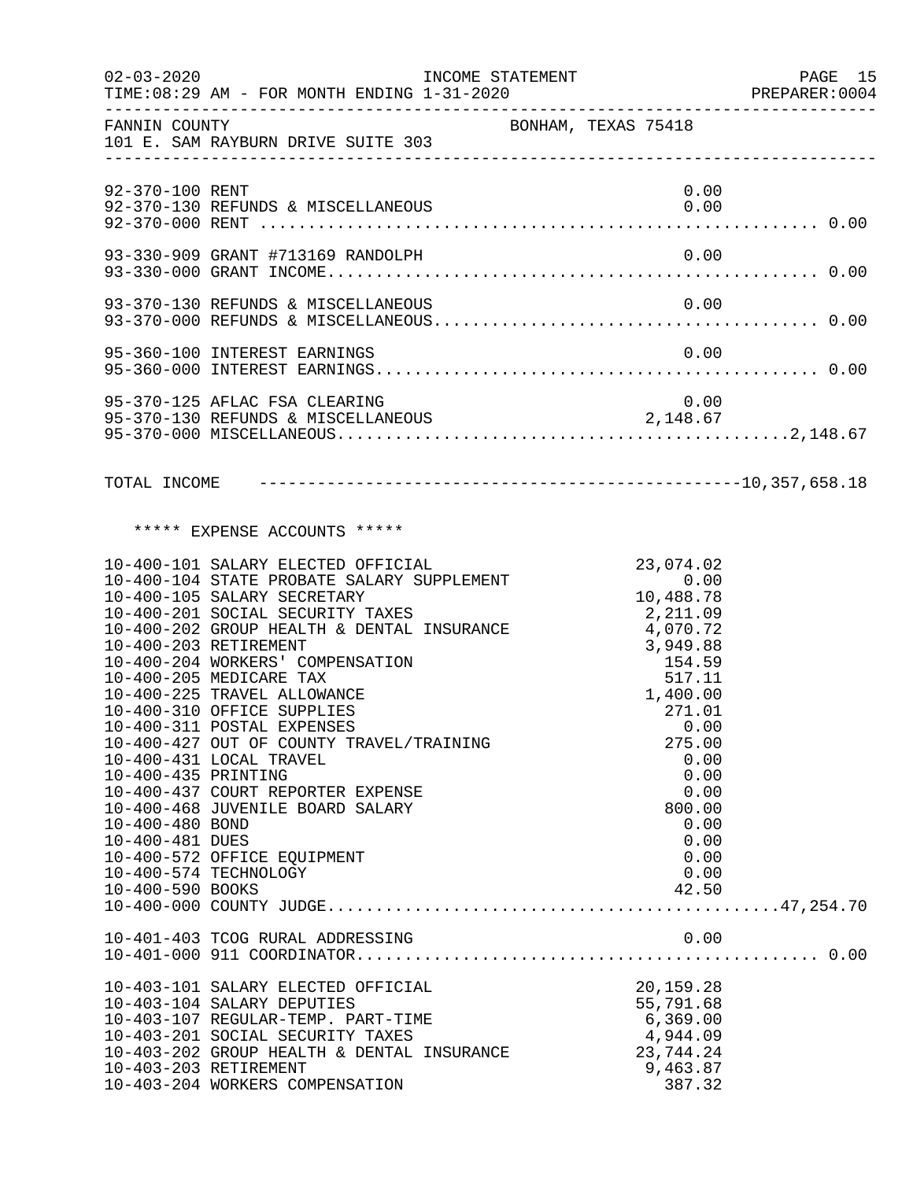| $02 - 03 - 2020$                                                              |                                                                                                                                                                                                                                                                                                                                                                                                                                                                                                                                                                                              | INCOME STATEMENT    |                                                                                                                                                                                                               | PAGE 15<br>PREPARER: 0004 |
|-------------------------------------------------------------------------------|----------------------------------------------------------------------------------------------------------------------------------------------------------------------------------------------------------------------------------------------------------------------------------------------------------------------------------------------------------------------------------------------------------------------------------------------------------------------------------------------------------------------------------------------------------------------------------------------|---------------------|---------------------------------------------------------------------------------------------------------------------------------------------------------------------------------------------------------------|---------------------------|
| FANNIN COUNTY                                                                 | 101 E. SAM RAYBURN DRIVE SUITE 303                                                                                                                                                                                                                                                                                                                                                                                                                                                                                                                                                           | BONHAM, TEXAS 75418 |                                                                                                                                                                                                               |                           |
| 92-370-100 RENT                                                               |                                                                                                                                                                                                                                                                                                                                                                                                                                                                                                                                                                                              |                     | 0.00                                                                                                                                                                                                          |                           |
|                                                                               |                                                                                                                                                                                                                                                                                                                                                                                                                                                                                                                                                                                              |                     |                                                                                                                                                                                                               |                           |
|                                                                               |                                                                                                                                                                                                                                                                                                                                                                                                                                                                                                                                                                                              |                     |                                                                                                                                                                                                               |                           |
|                                                                               | 95-360-100 INTEREST EARNINGS                                                                                                                                                                                                                                                                                                                                                                                                                                                                                                                                                                 |                     | 0.00                                                                                                                                                                                                          |                           |
|                                                                               | 95-370-125 AFLAC FSA CLEARING                                                                                                                                                                                                                                                                                                                                                                                                                                                                                                                                                                |                     | 0.00                                                                                                                                                                                                          |                           |
|                                                                               |                                                                                                                                                                                                                                                                                                                                                                                                                                                                                                                                                                                              |                     |                                                                                                                                                                                                               |                           |
|                                                                               | ***** EXPENSE ACCOUNTS *****                                                                                                                                                                                                                                                                                                                                                                                                                                                                                                                                                                 |                     |                                                                                                                                                                                                               |                           |
| 10-400-435 PRINTING<br>10-400-480 BOND<br>10-400-481 DUES<br>10-400-590 BOOKS | 10-400-101 SALARY ELECTED OFFICIAL<br>10-400-104 STATE PROBATE SALARY SUPPLEMENT<br>10-400-105 SALARY SECRETARY<br>10-400-201 SOCIAL SECURITY TAXES<br>10-400-202 GROUP HEALTH & DENTAL INSURANCE<br>10-400-203 RETIREMENT<br>10-400-204 WORKERS' COMPENSATION<br>10-400-205 MEDICARE TAX<br>10-400-225 TRAVEL ALLOWANCE<br>10-400-310 OFFICE SUPPLIES<br>10-400-311 POSTAL EXPENSES<br>10-400-427 OUT OF COUNTY TRAVEL/TRAINING<br>10-400-431 LOCAL TRAVEL<br>10-400-437 COURT REPORTER EXPENSE<br>10-400-468 JUVENILE BOARD SALARY<br>10-400-572 OFFICE EQUIPMENT<br>10-400-574 TECHNOLOGY |                     | $\frac{23,074.02}{0.00}$<br>10,488<br>2,211.09<br>4,070.72<br>3,949.88<br>154.59<br>517.11<br>1,400.00<br>271.01<br>0.00<br>275.00<br>0.00<br>0.00<br>0.00<br>800.00<br>0.00<br>0.00<br>0.00<br>0.00<br>42.50 |                           |
|                                                                               | 10-401-403 TCOG RURAL ADDRESSING                                                                                                                                                                                                                                                                                                                                                                                                                                                                                                                                                             |                     | 0.00                                                                                                                                                                                                          |                           |
| 10-403-203 RETIREMENT                                                         | 10-403-101 SALARY ELECTED OFFICIAL<br>10-403-104 SALARY DEPUTIES<br>10-403-107 REGULAR-TEMP. PART-TIME<br>10-403-201 SOCIAL SECURITY TAXES<br>10-403-202 GROUP HEALTH & DENTAL INSURANCE<br>10-403-204 WORKERS COMPENSATION                                                                                                                                                                                                                                                                                                                                                                  |                     | 20,159.28<br>55,791.68<br>6,369.00<br>4,944.09<br>23,744.24<br>9,463.87<br>387.32                                                                                                                             |                           |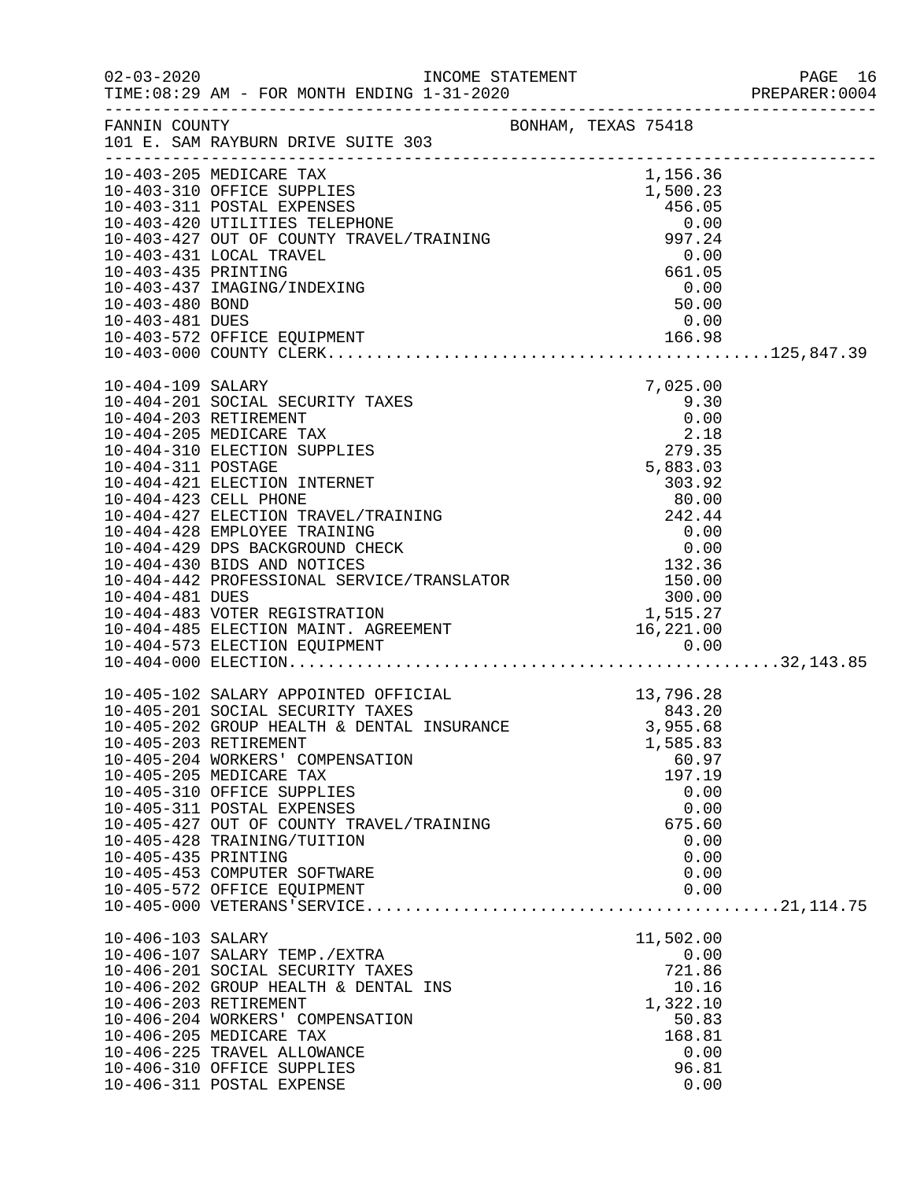| $02 - 03 - 2020$    | TIME: 08:29 AM - FOR MONTH ENDING 1-31-2020                                                                                                                                                                                                                                                                                                                                                                                                    |  |                                                                                              | PAGE 16<br>PREPARER:0004 |
|---------------------|------------------------------------------------------------------------------------------------------------------------------------------------------------------------------------------------------------------------------------------------------------------------------------------------------------------------------------------------------------------------------------------------------------------------------------------------|--|----------------------------------------------------------------------------------------------|--------------------------|
|                     | FANNIN COUNTY BONHAM, TEXAS 75418<br>101 E. SAM RAYBURN DRIVE SUITE 303                                                                                                                                                                                                                                                                                                                                                                        |  |                                                                                              |                          |
| 10-403-480 BOND     | 10-403-437 IMAGING/INDEXING                                                                                                                                                                                                                                                                                                                                                                                                                    |  | $\begin{array}{c} 0.00 \\ 50.00 \end{array}$                                                 |                          |
|                     |                                                                                                                                                                                                                                                                                                                                                                                                                                                |  |                                                                                              |                          |
| 10-404-109 SALARY   | 10-404-201 SOCIAL SECURITY TAXES<br>10-404-203 RETIREMENT                                                                                                                                                                                                                                                                                                                                                                                      |  | 7,025.00<br>$9.30$<br>$0.00$                                                                 |                          |
|                     |                                                                                                                                                                                                                                                                                                                                                                                                                                                |  |                                                                                              |                          |
| 10-405-435 PRINTING | 10-405-102 SALARY APPOINTED OFFICIAL 13,796.28<br>10-405-201 SOCIAL SECURITY TAXES 843.20<br>10-405-202 GROUP HEALTH & DENTAL INSURANCE 3,955.68<br>10-405-203 RETIREMENT<br>10-405-204 WORKERS' COMPENSATION<br>10-405-205 MEDICARE TAX<br>10-405-310 OFFICE SUPPLIES<br>10-405-311 POSTAL EXPENSES<br>10-405-427 OUT OF COUNTY TRAVEL/TRAINING<br>10-405-428 TRAINING/TUITION<br>10-405-453 COMPUTER SOFTWARE<br>10-405-572 OFFICE EQUIPMENT |  | 1,585.83<br>60.97<br>197.19<br>0.00<br>0.00<br>675.60<br>0.00<br>0.00<br>0.00<br>0.00        |                          |
| 10-406-103 SALARY   | 10-406-107 SALARY TEMP./EXTRA<br>10-406-201 SOCIAL SECURITY TAXES<br>10-406-202 GROUP HEALTH & DENTAL INS<br>10-406-203 RETIREMENT<br>10-406-204 WORKERS' COMPENSATION<br>10-406-205 MEDICARE TAX<br>10-406-225 TRAVEL ALLOWANCE<br>10-406-310 OFFICE SUPPLIES<br>10-406-311 POSTAL EXPENSE                                                                                                                                                    |  | 11,502.00<br>0.00<br>721.86<br>10.16<br>1,322.10<br>50.83<br>168.81<br>0.00<br>96.81<br>0.00 |                          |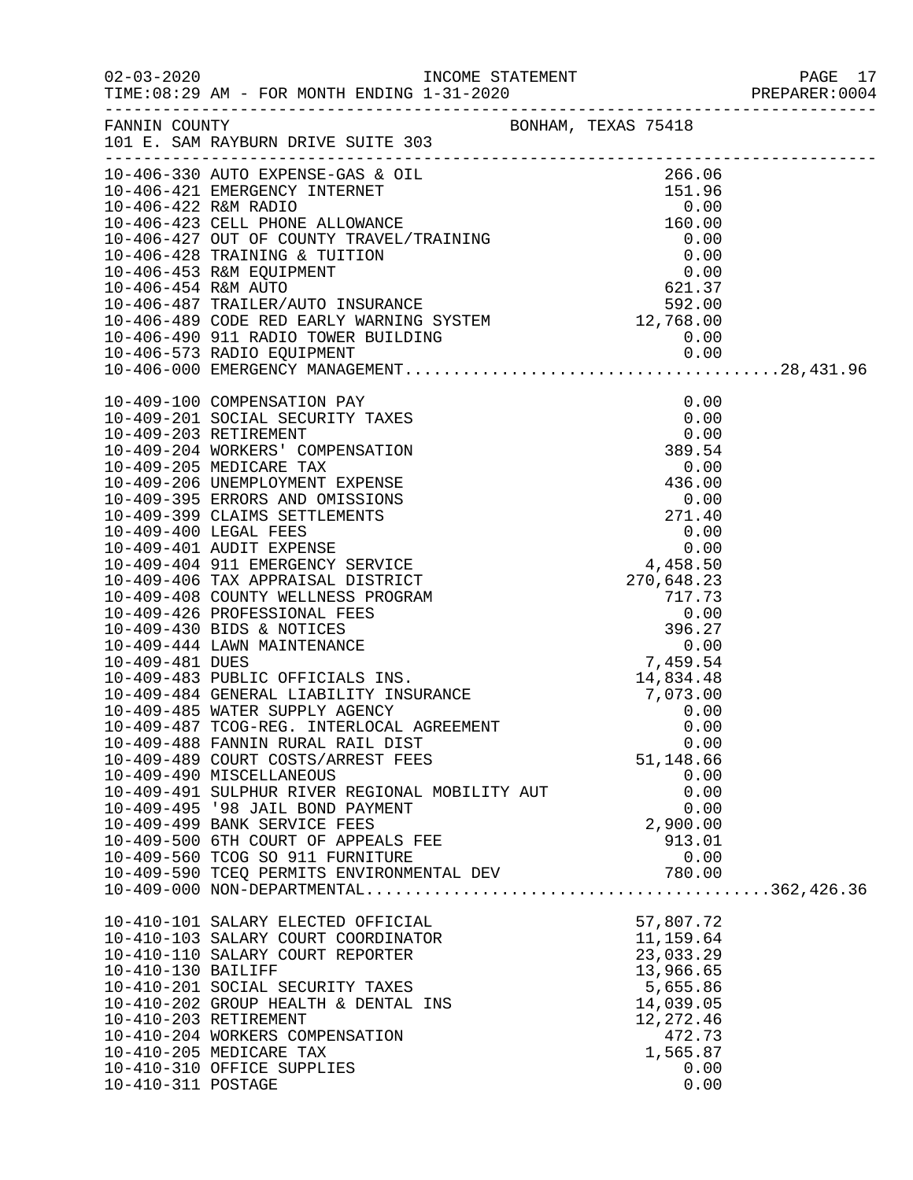|                                          |                                                                                                                                                                                                                                                                                                                                                   |                                                                                                                                   | PREPARER: 0004 |
|------------------------------------------|---------------------------------------------------------------------------------------------------------------------------------------------------------------------------------------------------------------------------------------------------------------------------------------------------------------------------------------------------|-----------------------------------------------------------------------------------------------------------------------------------|----------------|
|                                          | FANNIN COUNTY<br>FANNIN COUNTY<br>101 E. SAM RAYBURN DRIVE SUITE 303                                                                                                                                                                                                                                                                              |                                                                                                                                   |                |
|                                          | 10-406-330 AUTO EXPENSE-GAS & OIL<br>10-406-320 AUTO EXPENSE-GAS & OIL<br>10-406-421 EMERGENCY INTERNET<br>16-406-422 R&M RADIO<br>10-406-423 CELL PHONE ALLOWANCE<br>160.00<br>10-406-423 CELL PHONE ALLOWANCE<br>160.00<br>10-406-427 OUT OF                                                                                                    |                                                                                                                                   |                |
|                                          | 10-409-488 FANNIN RURAL RAIL DIST<br>10-409-489 COURT COSTS/ARREST FEES<br>10-409-490 MISCELLANEOUS<br>10-409-491 SULPHUR RIVER REGIONAL MOBILITY AUT<br>10-409-495 '98 JAIL BOND PAYMENT<br>10-409-499 BANK SERVICE FEES<br>10-409-500 6TH COURT OF APPEALS FEE<br>10-409-560 TCOG SO 911 FURNITURE<br>10-409-590 TCEQ PERMITS ENVIRONMENTAL DEV | 0.00<br>51,148.66<br>0.00<br>0.00<br>0.00<br>2,900.00<br>913.01<br>0.00<br>780.00                                                 |                |
| 10-410-130 BAILIFF<br>10-410-311 POSTAGE | 10-410-101 SALARY ELECTED OFFICIAL<br>10-410-103 SALARY COURT COORDINATOR<br>10-410-110 SALARY COURT REPORTER<br>10-410-201 SOCIAL SECURITY TAXES<br>10-410-202 GROUP HEALTH & DENTAL INS<br>10-410-203 RETIREMENT<br>10-410-204 WORKERS COMPENSATION<br>10-410-205 MEDICARE TAX<br>10-410-310 OFFICE SUPPLIES                                    | $57,807.72$<br>$11,159.64$<br>23,033.29<br>13,966.65<br>5,655.86<br>14,039.05<br>12, 272.46<br>472.73<br>1,565.87<br>0.00<br>0.00 |                |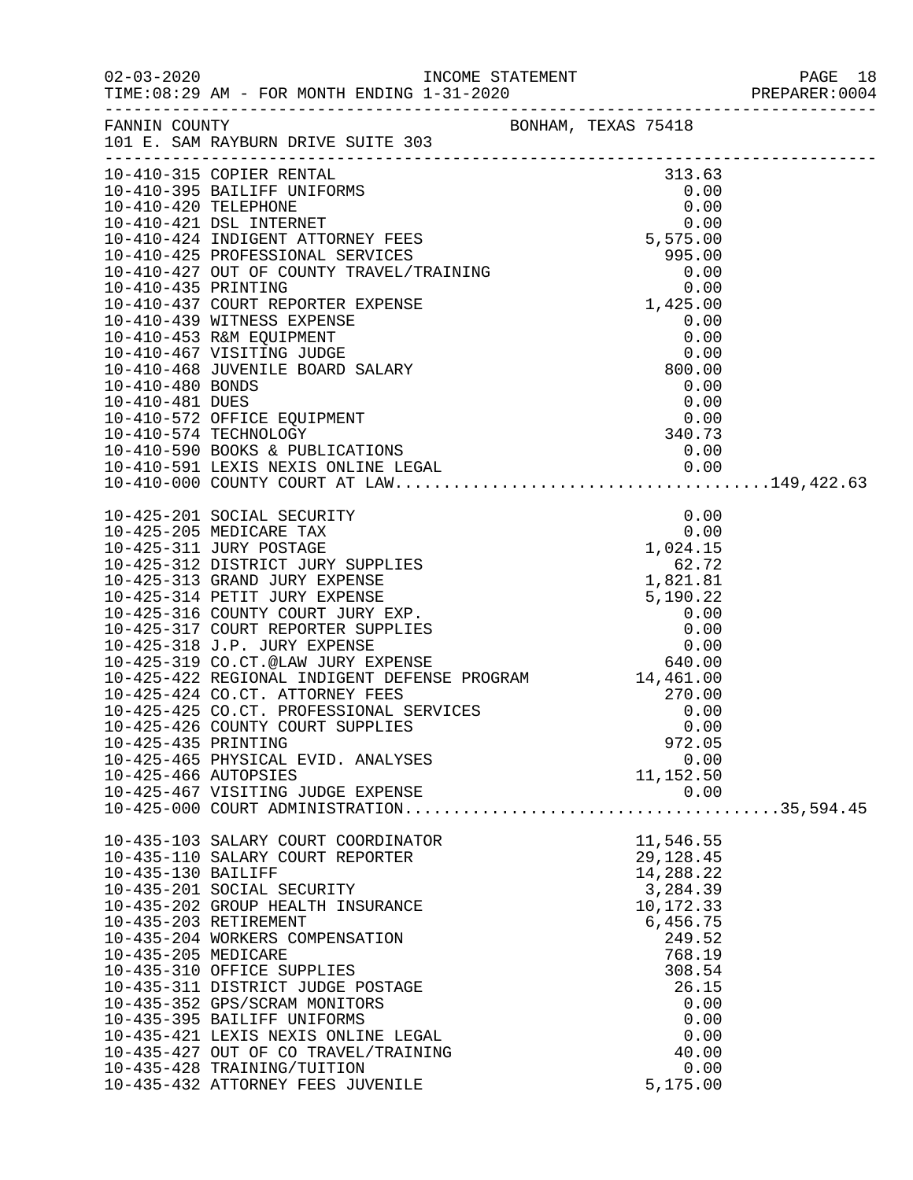|                                             |                                                                                                                                                                                                                                                                                                                                                                                                                                                                                              |  |                                                                                                                                                                      | PREPARER: 0004 |
|---------------------------------------------|----------------------------------------------------------------------------------------------------------------------------------------------------------------------------------------------------------------------------------------------------------------------------------------------------------------------------------------------------------------------------------------------------------------------------------------------------------------------------------------------|--|----------------------------------------------------------------------------------------------------------------------------------------------------------------------|----------------|
|                                             | FANNIN COUNTY<br>101 E. SAM RAYBURN DRIVE SUITE 303                                                                                                                                                                                                                                                                                                                                                                                                                                          |  |                                                                                                                                                                      |                |
|                                             |                                                                                                                                                                                                                                                                                                                                                                                                                                                                                              |  |                                                                                                                                                                      |                |
|                                             | 10-410-481 DUES<br>10-410-572 OFFICE EQUIPMENT<br>10-410-574 TECHNOLOGY<br>10-410-590 BOOKS & PUBLICATIONS<br>10-410-591 LEXIS NEXIS ONLINE LEGAL<br>10-410-591 LEXIS NEXIS ONLINE LEGAL<br>10-410-000 COUNTY COURT AT LAW                                                                                                                                                                                                                                                                   |  |                                                                                                                                                                      |                |
| 10-425-435 PRINTING<br>10-425-466 AUTOPSIES | 10-425-465 PHYSICAL EVID. ANALYSES<br>10-425-467 VISITING JUDGE EXPENSE                                                                                                                                                                                                                                                                                                                                                                                                                      |  | 972.05<br>0.00<br>11,152.50<br>0.00                                                                                                                                  |                |
| 10-435-130 BAILIFF<br>10-435-205 MEDICARE   | 10-435-103 SALARY COURT COORDINATOR<br>10-435-110 SALARY COURT REPORTER<br>10-435-201 SOCIAL SECURITY<br>10-435-202 GROUP HEALTH INSURANCE<br>10-435-203 RETIREMENT<br>10-435-204 WORKERS COMPENSATION<br>10-435-310 OFFICE SUPPLIES<br>10-435-311 DISTRICT JUDGE POSTAGE<br>10-435-352 GPS/SCRAM MONITORS<br>10-435-395 BAILIFF UNIFORMS<br>10-435-421 LEXIS NEXIS ONLINE LEGAL<br>10-435-427 OUT OF CO TRAVEL/TRAINING<br>10-435-428 TRAINING/TUITION<br>10-435-432 ATTORNEY FEES JUVENILE |  | 11,546.55<br>29,128.45<br>14,288.22<br>3,284.39<br>10,172.33<br>6,456.75<br>249.52<br>768.19<br>308.54<br>26.15<br>0.00<br>0.00<br>0.00<br>40.00<br>0.00<br>5,175.00 |                |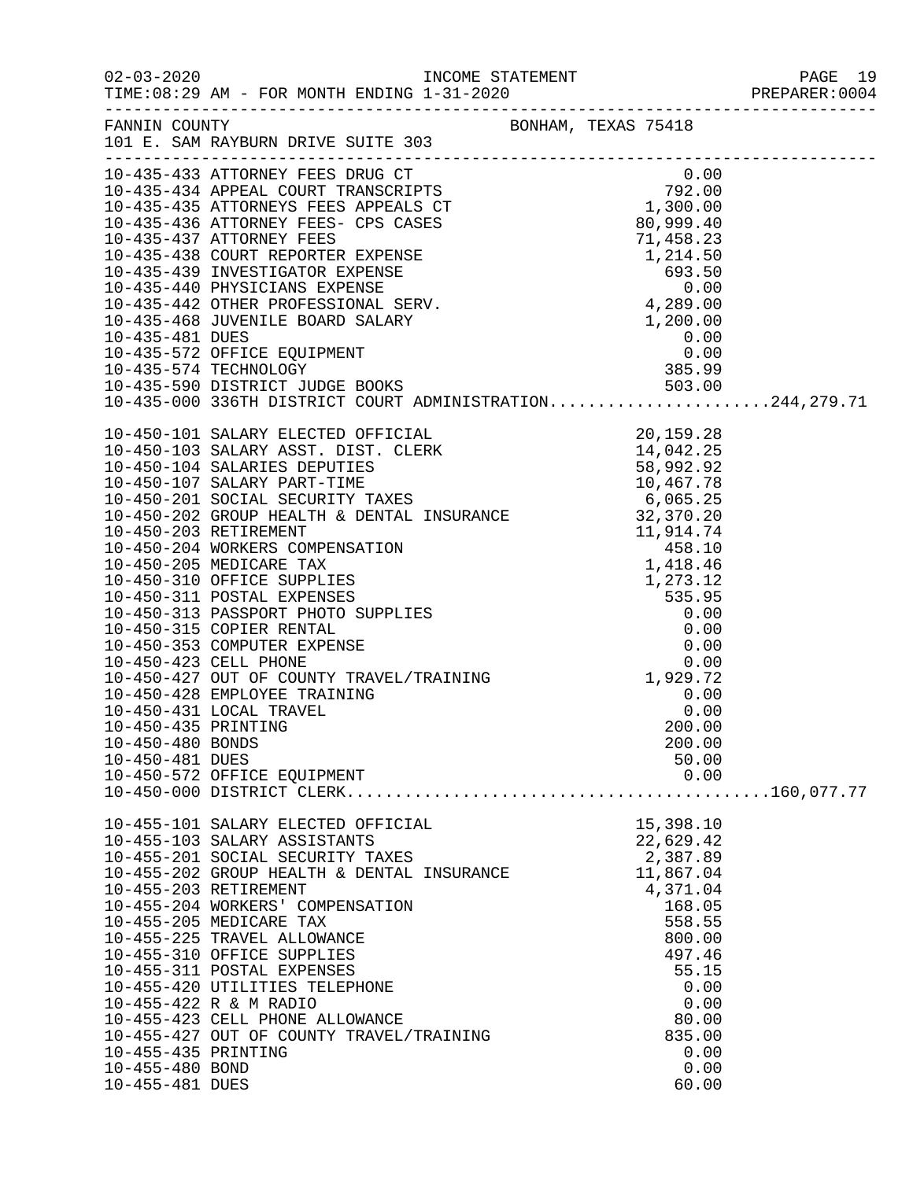|                                         |                                                                                                                                                                                                                                                                                                                                                             |                       | PREPARER: 0004 |
|-----------------------------------------|-------------------------------------------------------------------------------------------------------------------------------------------------------------------------------------------------------------------------------------------------------------------------------------------------------------------------------------------------------------|-----------------------|----------------|
|                                         | FANNIN COUNTY BONHAM, TEXAS 75418<br>101 E. SAM RAYBURN DRIVE SUITE 303                                                                                                                                                                                                                                                                                     |                       |                |
|                                         | 10-435-433 ATTORNEY FEES DRUG CT<br>10-435-434 APPEAL COURT TRANSCRIPTS<br>10-435-435 ATTORNEYS FEES APPEALS CT<br>10-435-435 ATTORNEYS FEES APPEALS CT<br>10-435-436 ATTORNEY FEES-CPS CASES<br>10-435-436 ATTORNEY FEES-CPS CASES<br>10-                                                                                                                  |                       |                |
|                                         |                                                                                                                                                                                                                                                                                                                                                             |                       |                |
|                                         |                                                                                                                                                                                                                                                                                                                                                             |                       |                |
|                                         |                                                                                                                                                                                                                                                                                                                                                             |                       |                |
|                                         |                                                                                                                                                                                                                                                                                                                                                             |                       |                |
|                                         |                                                                                                                                                                                                                                                                                                                                                             |                       |                |
|                                         |                                                                                                                                                                                                                                                                                                                                                             |                       |                |
|                                         |                                                                                                                                                                                                                                                                                                                                                             |                       |                |
|                                         | 10-435-481 DUES<br>10-435-572 OFFICE EQUIPMENT<br>10-435-574 TECHNOLOGY<br>10-435-590 DISTRICT JUDGE BOOKS<br>503.00                                                                                                                                                                                                                                        |                       |                |
|                                         |                                                                                                                                                                                                                                                                                                                                                             |                       |                |
|                                         |                                                                                                                                                                                                                                                                                                                                                             |                       |                |
|                                         | 10-435-590 DISTRICT JUDGE BOOKS 503.00<br>10-435-000 336TH DISTRICT COURT ADMINISTRATION244,279.71                                                                                                                                                                                                                                                          |                       |                |
|                                         |                                                                                                                                                                                                                                                                                                                                                             |                       |                |
|                                         | $10-450-101\,\,\mathrm{SALARY\,\, ELECTED\,\, OFFICLEKK\,\,104-10-450-104\,\,\mathrm{SALARY\,\, BESTCLERK\,\,14,0442.25\,\,\mathrm{10-450-104\,\, SALARIES\,\, DEUTIES\,\,10-450-201\,\,\mathrm{SCAIALRY\,\, PART-TIME\,\,10-450-202\,\,\mathrm{GROUPE\,\, HEATIT Y TAKES\,\,10-450-202\,\,\mathrm{GROUPE\,\, HEATIT Y TAKES\,\,10-450-202\,\,\mathrm{GROU$ |                       |                |
|                                         |                                                                                                                                                                                                                                                                                                                                                             |                       |                |
|                                         |                                                                                                                                                                                                                                                                                                                                                             |                       |                |
|                                         |                                                                                                                                                                                                                                                                                                                                                             |                       |                |
|                                         |                                                                                                                                                                                                                                                                                                                                                             |                       |                |
|                                         |                                                                                                                                                                                                                                                                                                                                                             |                       |                |
|                                         |                                                                                                                                                                                                                                                                                                                                                             |                       |                |
|                                         |                                                                                                                                                                                                                                                                                                                                                             |                       |                |
|                                         |                                                                                                                                                                                                                                                                                                                                                             |                       |                |
|                                         |                                                                                                                                                                                                                                                                                                                                                             |                       |                |
|                                         |                                                                                                                                                                                                                                                                                                                                                             |                       |                |
|                                         |                                                                                                                                                                                                                                                                                                                                                             |                       |                |
|                                         |                                                                                                                                                                                                                                                                                                                                                             |                       |                |
|                                         |                                                                                                                                                                                                                                                                                                                                                             |                       |                |
|                                         | 10-450-428 EMPLOYEE TRAINING                                                                                                                                                                                                                                                                                                                                | 0.00                  |                |
|                                         | 10-450-431 LOCAL TRAVEL                                                                                                                                                                                                                                                                                                                                     | 0.00                  |                |
| 10-450-435 PRINTING<br>10-450-480 BONDS |                                                                                                                                                                                                                                                                                                                                                             | 200.00                |                |
| 10-450-481 DUES                         |                                                                                                                                                                                                                                                                                                                                                             | 200.00<br>50.00       |                |
|                                         | 10-450-572 OFFICE EQUIPMENT                                                                                                                                                                                                                                                                                                                                 | 0.00                  |                |
|                                         |                                                                                                                                                                                                                                                                                                                                                             |                       |                |
|                                         |                                                                                                                                                                                                                                                                                                                                                             |                       |                |
|                                         | 10-455-101 SALARY ELECTED OFFICIAL                                                                                                                                                                                                                                                                                                                          | 15,398.10             |                |
|                                         | 10-455-103 SALARY ASSISTANTS                                                                                                                                                                                                                                                                                                                                | 22,629.42             |                |
|                                         | 10-455-201 SOCIAL SECURITY TAXES<br>10-455-202 GROUP HEALTH & DENTAL INSURANCE                                                                                                                                                                                                                                                                              | 2,387.89<br>11,867.04 |                |
|                                         | 10-455-203 RETIREMENT                                                                                                                                                                                                                                                                                                                                       | 4,371.04              |                |
|                                         | 10-455-204 WORKERS' COMPENSATION                                                                                                                                                                                                                                                                                                                            | 168.05                |                |
|                                         | 10-455-205 MEDICARE TAX                                                                                                                                                                                                                                                                                                                                     | 558.55                |                |
|                                         | 10-455-225 TRAVEL ALLOWANCE                                                                                                                                                                                                                                                                                                                                 | 800.00                |                |
|                                         | 10-455-310 OFFICE SUPPLIES                                                                                                                                                                                                                                                                                                                                  | 497.46                |                |
|                                         | 10-455-311 POSTAL EXPENSES                                                                                                                                                                                                                                                                                                                                  | 55.15                 |                |
|                                         | 10-455-420 UTILITIES TELEPHONE<br>10-455-422 R & M RADIO                                                                                                                                                                                                                                                                                                    | 0.00<br>0.00          |                |
|                                         | 10-455-423 CELL PHONE ALLOWANCE                                                                                                                                                                                                                                                                                                                             | 80.00                 |                |
|                                         | 10-455-427 OUT OF COUNTY TRAVEL/TRAINING                                                                                                                                                                                                                                                                                                                    | 835.00                |                |
| 10-455-435 PRINTING                     |                                                                                                                                                                                                                                                                                                                                                             | 0.00                  |                |
| 10-455-480 BOND                         |                                                                                                                                                                                                                                                                                                                                                             | 0.00                  |                |
| 10-455-481 DUES                         |                                                                                                                                                                                                                                                                                                                                                             | 60.00                 |                |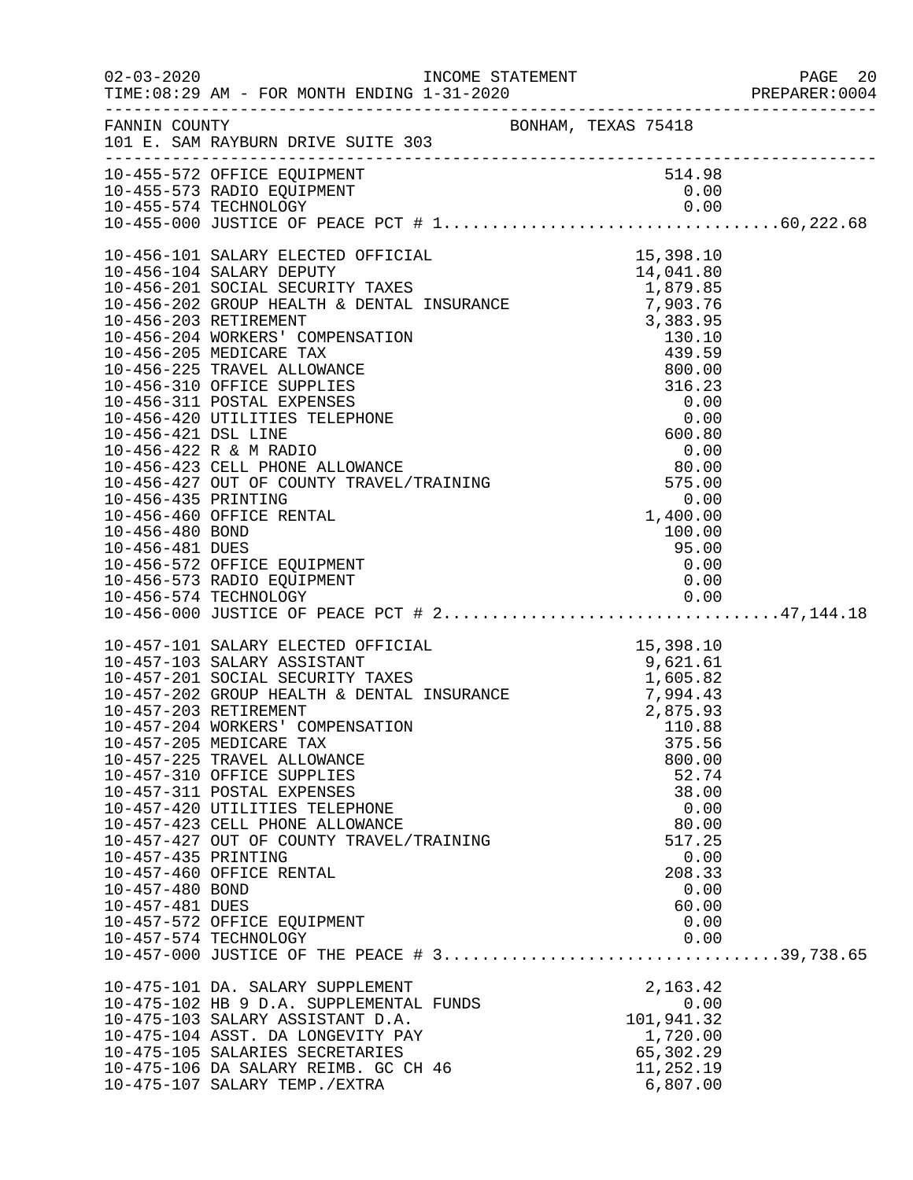|                                                           |                                                                                                                                                                                                                                                                                                                                                                                                                                                                                                                                                                     |                                                                                                                  | PREPARER: 0004 |
|-----------------------------------------------------------|---------------------------------------------------------------------------------------------------------------------------------------------------------------------------------------------------------------------------------------------------------------------------------------------------------------------------------------------------------------------------------------------------------------------------------------------------------------------------------------------------------------------------------------------------------------------|------------------------------------------------------------------------------------------------------------------|----------------|
|                                                           | FANNIN COUNTY BONHAM, TEXAS 75418<br>101 E. SAM RAYBURN DRIVE SUITE 303                                                                                                                                                                                                                                                                                                                                                                                                                                                                                             |                                                                                                                  |                |
|                                                           | 10-455-572 OFFICE EQUIPMENT<br>10-455-573 RADIO EQUIPMENT                                                                                                                                                                                                                                                                                                                                                                                                                                                                                                           | 514.98<br>0.00                                                                                                   |                |
|                                                           |                                                                                                                                                                                                                                                                                                                                                                                                                                                                                                                                                                     |                                                                                                                  |                |
| 10-457-435 PRINTING<br>10-457-480 BOND<br>10-457-481 DUES | 10-457-101 SALARY ELECTED OFFICIAL<br>10-457-103 SALARY ASSISTANT 10-457-201 SOCIAL SECURITY TAXES<br>10-457-201 SOCIAL SECURITY TAXES<br>10-457-202 GROUP HEALTH & DENTAL INSURANCE 7,994.43<br>10-457-203 RETIREMENT 2,875.93<br>10-45<br>10-457-205 MEDICARE TAX<br>10-457-225 TRAVEL ALLOWANCE<br>10-457-310 OFFICE SUPPLIES<br>10-457-311 POSTAL EXPENSES<br>10-457-420 UTILITIES TELEPHONE<br>10-457-423 CELL PHONE ALLOWANCE<br>10-457-427 OUT OF COUNTY TRAVEL/TRAINING<br>10-457-460 OFFICE RENTAL<br>10-457-572 OFFICE EQUIPMENT<br>10-457-574 TECHNOLOGY | 375.56<br>800.00<br>52.74<br>38.00<br>0.00<br>80.00<br>517.25<br>0.00<br>208.33<br>0.00<br>60.00<br>0.00<br>0.00 |                |
|                                                           | 10-475-101 DA. SALARY SUPPLEMENT<br>10-475-102 HB 9 D.A. SUPPLEMENTAL FUNDS<br>10-475-103 SALARY ASSISTANT D.A.<br>10-475-104 ASST. DA LONGEVITY PAY<br>10-475-105 SALARIES SECRETARIES<br>10-475-106 DA SALARY REIMB. GC CH 46<br>10-475-107 SALARY TEMP./EXTRA                                                                                                                                                                                                                                                                                                    | 2,163.42<br>0.00<br>101,941.32<br>1,720.00<br>65,302.29<br>11,252.19<br>6,807.00                                 |                |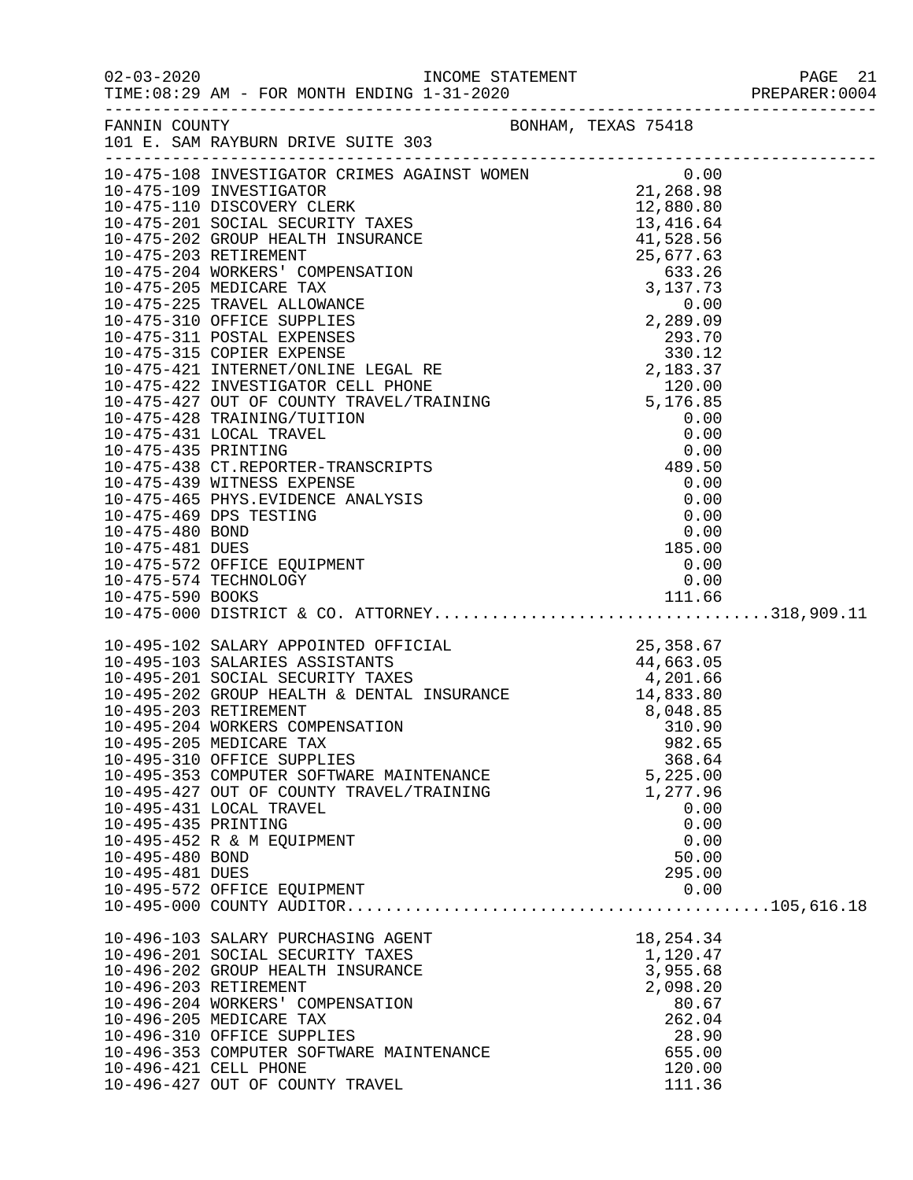| $02 - 03 - 2020$                                                                | TIME: 08:29 AM - FOR MONTH ENDING 1-31-2020                                                                                                                                                                                                                                                                                                                                                                                                                                                                                                                                                             |                                                                                                |  |
|---------------------------------------------------------------------------------|---------------------------------------------------------------------------------------------------------------------------------------------------------------------------------------------------------------------------------------------------------------------------------------------------------------------------------------------------------------------------------------------------------------------------------------------------------------------------------------------------------------------------------------------------------------------------------------------------------|------------------------------------------------------------------------------------------------|--|
| FANNIN COUNTY                                                                   | BONHAM, TEXAS 75418<br>101 E. SAM RAYBURN DRIVE SUITE 303                                                                                                                                                                                                                                                                                                                                                                                                                                                                                                                                               |                                                                                                |  |
|                                                                                 | 10-475-108 INVESTIGATOR CRIMES AGAINST WOMEN $0.00$<br>10-475-109 INVESTIGATOR 21,268.98                                                                                                                                                                                                                                                                                                                                                                                                                                                                                                                |                                                                                                |  |
| 10-475-480 BOND<br>10-475-481 DUES<br>10-475-574 TECHNOLOGY<br>10-475-590 BOOKS | 10-475-439 WITNESS EXPENSE<br>10-475-465 PHYS.EVIDENCE ANALYSIS<br>10-475-469 DPS TESTING<br>10-475-572 OFFICE EQUIPMENT                                                                                                                                                                                                                                                                                                                                                                                                                                                                                | 0.00<br>0.00<br>0.00<br>0.00<br>185.00<br>0.00<br>0.00                                         |  |
| 10-495-435 PRINTING<br>10-495-480 BOND<br>10-495-481 DUES                       | $\begin{tabular}{lllllllllllll} 10-495-102 & \texttt{SALARY APPOINTED OFFICIAL} & & & & 25,358.67\\ 10-495-103 & \texttt{SALARIES ASSISTANTS} & & & 44,663.05\\ 10-495-201 & \texttt{SOCIAL SECURITY TAKES} & & & 4,201.66\\ 10-495-202 & \texttt{GROUP HEALTH & \texttt{DENTAL INSURANCE} & & 14,833.80\\ 10-495-203 & \texttt{RETIREMENT} & & & 8,048.85\\ $<br>10-495-205 MEDICARE TAX<br>10-495-310 OFFICE SUPPLIES<br>10-495-353 COMPUTER SOFTWARE MAINTENANCE<br>10-495-427 OUT OF COUNTY TRAVEL/TRAINING<br>10-495-431 LOCAL TRAVEL<br>10-495-452 R & M EQUIPMENT<br>10-495-572 OFFICE EQUIPMENT | 982.65<br>368.64<br>5,225.00<br>1,277.96<br>0.00<br>0.00<br>0.00<br>50.00<br>295.00<br>0.00    |  |
| 10-496-203 RETIREMENT<br>10-496-421 CELL PHONE                                  | 10-496-103 SALARY PURCHASING AGENT<br>10-496-201 SOCIAL SECURITY TAXES<br>10-496-202 GROUP HEALTH INSURANCE<br>10-496-204 WORKERS' COMPENSATION<br>10-496-205 MEDICARE TAX<br>10-496-310 OFFICE SUPPLIES<br>10-496-353 COMPUTER SOFTWARE MAINTENANCE                                                                                                                                                                                                                                                                                                                                                    | 18, 254.34<br>1,120.47<br>3,955.68<br>2,098.20<br>80.67<br>262.04<br>28.90<br>655.00<br>120.00 |  |

10-496-427 OUT OF COUNTY TRAVEL 110-496-427 OUT OF COUNTY TRAVEL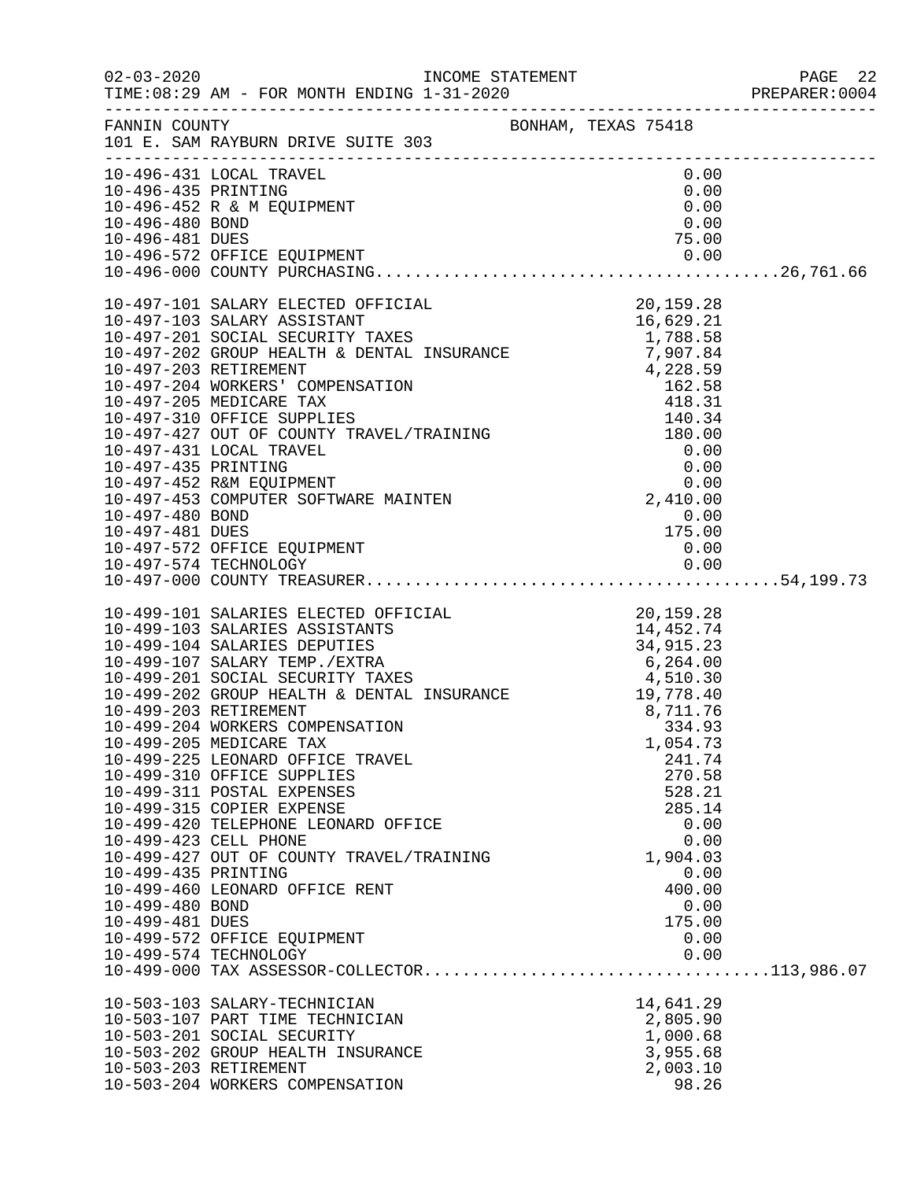|                                                           |                                                                                                                                                                                                                                                                                                                                                                                                                                                                                                                                                                                                                                          |                                                                                                                                               | PREPARER:0004 |
|-----------------------------------------------------------|------------------------------------------------------------------------------------------------------------------------------------------------------------------------------------------------------------------------------------------------------------------------------------------------------------------------------------------------------------------------------------------------------------------------------------------------------------------------------------------------------------------------------------------------------------------------------------------------------------------------------------------|-----------------------------------------------------------------------------------------------------------------------------------------------|---------------|
|                                                           | FANNIN COUNTY<br>101 E. SAM RAYBURN DRIVE SUITE 303                                                                                                                                                                                                                                                                                                                                                                                                                                                                                                                                                                                      |                                                                                                                                               |               |
| 10-496-435 PRINTING<br>10-496-480 BOND                    | 10-496-431 LOCAL TRAVEL<br>10-496-452 R & M EQUIPMENT                                                                                                                                                                                                                                                                                                                                                                                                                                                                                                                                                                                    | 0.00<br>0.00<br>0.00<br>0.00                                                                                                                  |               |
| 10-496-481 DUES                                           |                                                                                                                                                                                                                                                                                                                                                                                                                                                                                                                                                                                                                                          | 75.00                                                                                                                                         |               |
| 10-497-480 BOND                                           |                                                                                                                                                                                                                                                                                                                                                                                                                                                                                                                                                                                                                                          | $0.00$<br>$175.00$                                                                                                                            |               |
|                                                           |                                                                                                                                                                                                                                                                                                                                                                                                                                                                                                                                                                                                                                          |                                                                                                                                               |               |
| 10-499-435 PRINTING<br>10-499-480 BOND<br>10-499-481 DUES | 10-499-101 SALARIES ELECTED OFFICIAL<br>10-499-103 SALARIES ASSISTANTS<br>10-499-104 SALARIES DEPUTIES<br>10-499-107 SALARY TEMP./EXTRA<br>10-499-201 SOCIAL SECURITY TAXES<br>10-499-201 SOCIAL SECURITY TAXES<br>10-499-202 GROUP HEALTH<br>10-499-205 MEDICARE TAX<br>10-499-225 LEONARD OFFICE TRAVEL<br>10-499-310 OFFICE SUPPLIES<br>10-499-311 POSTAL EXPENSES<br>10-499-315 COPIER EXPENSE<br>10-499-420 TELEPHONE LEONARD OFFICE<br>10-499-423 CELL PHONE<br>10-499-427 OUT OF COUNTY TRAVEL/TRAINING<br>10-499-460 LEONARD OFFICE RENT<br>10-499-572 OFFICE EQUIPMENT<br>10-499-574 TECHNOLOGY<br>10-503-103 SALARY-TECHNICIAN | 1,054.73<br>241.74<br>270.58<br>528.21<br>285.14<br>0.00<br>0.00<br>1,904.03<br>0.00<br>400.00<br>0.00<br>175.00<br>0.00<br>0.00<br>14,641.29 |               |
|                                                           | 10-503-107 PART TIME TECHNICIAN<br>10-503-201 SOCIAL SECURITY<br>10-503-202 GROUP HEALTH INSURANCE<br>10-503-203 RETIREMENT<br>10-503-204 WORKERS COMPENSATION                                                                                                                                                                                                                                                                                                                                                                                                                                                                           | 2,805.90<br>1,000.68<br>3,955.68<br>2,003.10<br>98.26                                                                                         |               |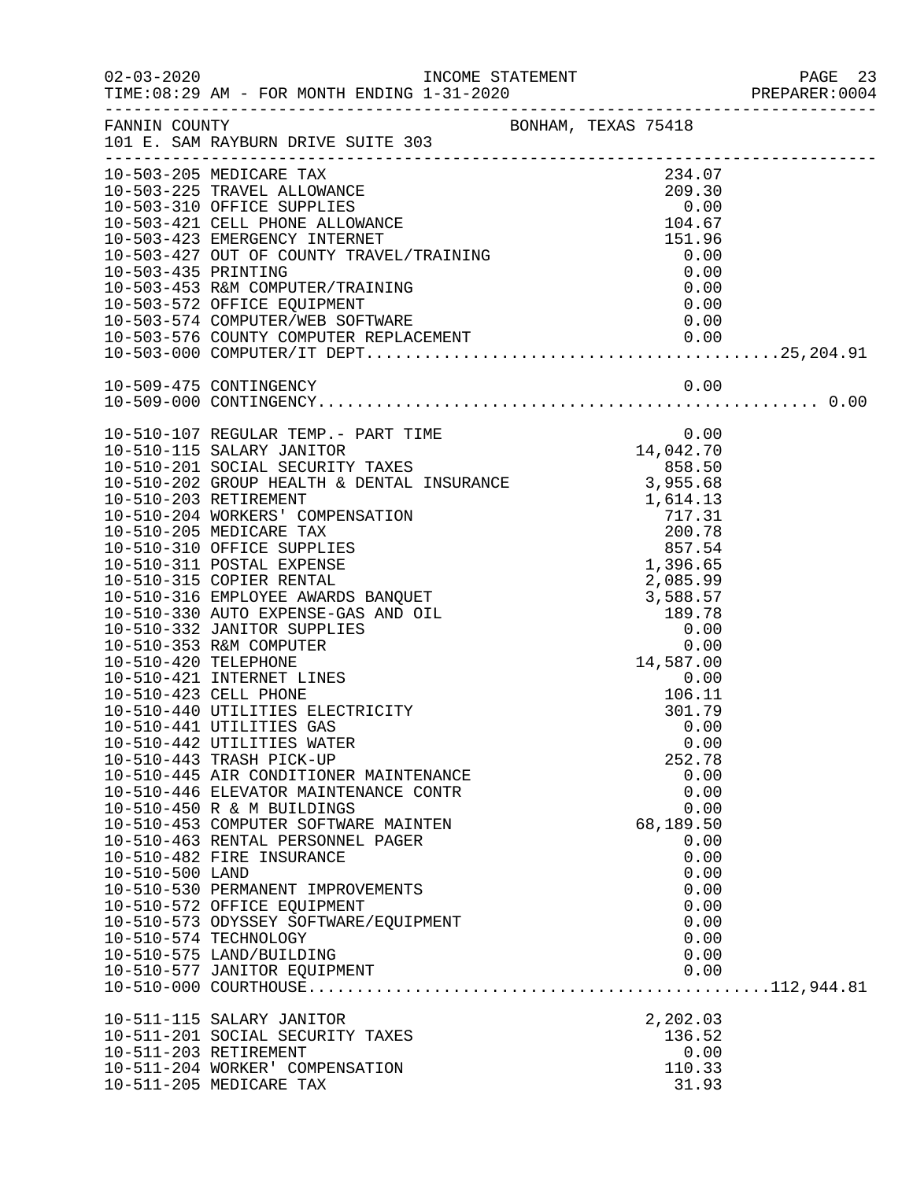|                 |                                                                                                                                                                                                                                                                         |                  | PREPARER: 0004 |
|-----------------|-------------------------------------------------------------------------------------------------------------------------------------------------------------------------------------------------------------------------------------------------------------------------|------------------|----------------|
|                 | FANNIN COUNTY<br>101 E. SAM RAYBURN DRIVE SUITE 303                                                                                                                                                                                                                     |                  |                |
|                 | 10-503-205 MEDICARE TAX<br>10-503-225 TRAVEL ALLOWANCE<br>10-503-225 TRAVEL ALLOWANCE<br>10-503-310 OFFICE SUPPLIES<br>10-503-421 CELL PHONE ALLOWANCE<br>10-503-423 EMERGENCY INTERNET<br>10-503-427 OUT OF COUNTY TRAVEL/TRAINING<br>10-503-435 PRINTING<br>10-503-45 | 234.07           |                |
|                 |                                                                                                                                                                                                                                                                         |                  |                |
|                 |                                                                                                                                                                                                                                                                         |                  |                |
|                 |                                                                                                                                                                                                                                                                         |                  |                |
|                 |                                                                                                                                                                                                                                                                         |                  |                |
|                 |                                                                                                                                                                                                                                                                         |                  |                |
|                 |                                                                                                                                                                                                                                                                         |                  |                |
|                 | 10-503-574 COMPUTER / WEB SOFTWARE                                                                                                                                                                                                                                      |                  |                |
|                 |                                                                                                                                                                                                                                                                         |                  |                |
|                 |                                                                                                                                                                                                                                                                         |                  |                |
|                 |                                                                                                                                                                                                                                                                         |                  |                |
|                 |                                                                                                                                                                                                                                                                         |                  |                |
|                 | 10-510-107 REGULAR TEMP.- PART TIME                                                                                                                                                                                                                                     | 0.00             |                |
|                 | 10-510-115 SALARY JANITOR 14,042.70<br>10-510-201 SOCIAL SECURITY TAXES 858.50<br>10-510-202 GROUP HEALTH & DENTAL INSURANCE 3,955.68                                                                                                                                   |                  |                |
|                 |                                                                                                                                                                                                                                                                         |                  |                |
|                 |                                                                                                                                                                                                                                                                         |                  |                |
|                 |                                                                                                                                                                                                                                                                         |                  |                |
|                 |                                                                                                                                                                                                                                                                         |                  |                |
|                 |                                                                                                                                                                                                                                                                         |                  |                |
|                 |                                                                                                                                                                                                                                                                         |                  |                |
|                 |                                                                                                                                                                                                                                                                         |                  |                |
|                 |                                                                                                                                                                                                                                                                         |                  |                |
|                 |                                                                                                                                                                                                                                                                         |                  |                |
|                 |                                                                                                                                                                                                                                                                         |                  |                |
|                 |                                                                                                                                                                                                                                                                         |                  |                |
|                 | 10-510-421 INTERNET LINES                                                                                                                                                                                                                                               | $0.00$<br>106 11 |                |
|                 | 10-510-423 CELL PHONE                                                                                                                                                                                                                                                   | 106.11           |                |
|                 | 10-510-440 UTILITIES ELECTRICITY<br>10-510-441 UTILITIES GAS                                                                                                                                                                                                            | 301.79<br>0.00   |                |
|                 | 10-510-442 UTILITIES WATER                                                                                                                                                                                                                                              | 0.00             |                |
|                 | 10-510-443 TRASH PICK-UP                                                                                                                                                                                                                                                | 252.78           |                |
|                 | 10-510-445 AIR CONDITIONER MAINTENANCE                                                                                                                                                                                                                                  | 0.00             |                |
|                 | 10-510-446 ELEVATOR MAINTENANCE CONTR                                                                                                                                                                                                                                   | 0.00             |                |
|                 | 10-510-450 R & M BUILDINGS                                                                                                                                                                                                                                              | 0.00             |                |
|                 | 10-510-453 COMPUTER SOFTWARE MAINTEN                                                                                                                                                                                                                                    | 68,189.50        |                |
|                 | 10-510-463 RENTAL PERSONNEL PAGER<br>10-510-482 FIRE INSURANCE                                                                                                                                                                                                          | 0.00<br>0.00     |                |
| 10-510-500 LAND |                                                                                                                                                                                                                                                                         | 0.00             |                |
|                 | 10-510-530 PERMANENT IMPROVEMENTS                                                                                                                                                                                                                                       | 0.00             |                |
|                 | 10-510-572 OFFICE EQUIPMENT                                                                                                                                                                                                                                             | 0.00             |                |
|                 | 10-510-573 ODYSSEY SOFTWARE/EQUIPMENT                                                                                                                                                                                                                                   | 0.00             |                |
|                 | 10-510-574 TECHNOLOGY                                                                                                                                                                                                                                                   | 0.00             |                |
|                 | 10-510-575 LAND/BUILDING                                                                                                                                                                                                                                                | 0.00             |                |
|                 | 10-510-577 JANITOR EQUIPMENT                                                                                                                                                                                                                                            | 0.00             |                |
|                 |                                                                                                                                                                                                                                                                         |                  |                |
|                 | 10-511-115 SALARY JANITOR                                                                                                                                                                                                                                               | 2,202.03         |                |
|                 | 10-511-201 SOCIAL SECURITY TAXES                                                                                                                                                                                                                                        | 136.52           |                |
|                 | 10-511-203 RETIREMENT<br>10-511-204 WORKER' COMPENSATION                                                                                                                                                                                                                | 0.00<br>110.33   |                |
|                 | 10-511-205 MEDICARE TAX                                                                                                                                                                                                                                                 | 31.93            |                |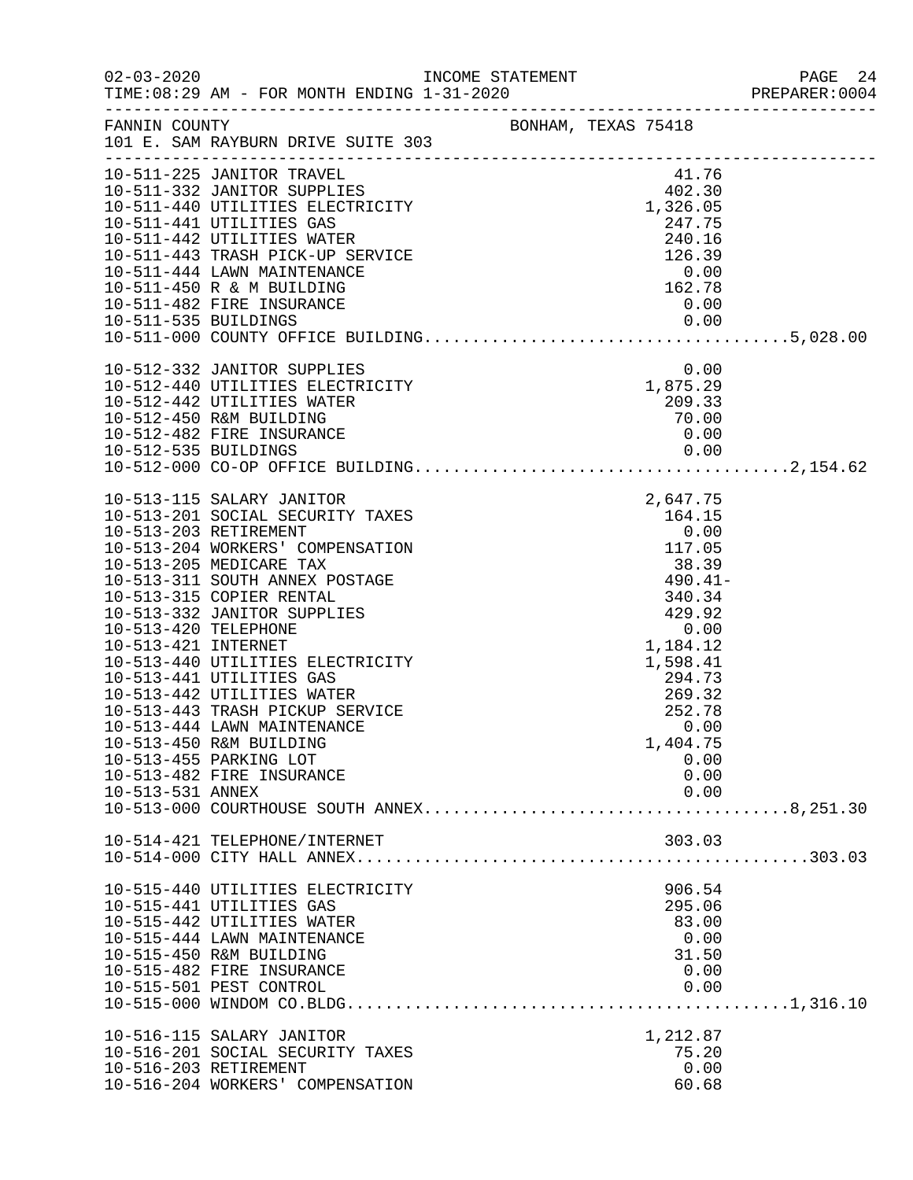|                                                                 |                                                                                                                                                                                                                                                                                                                                                                                                                                                                                                      |                     |                                                                                                                                                                                                                                            | PAGE 24<br>PREPARER:0004 |
|-----------------------------------------------------------------|------------------------------------------------------------------------------------------------------------------------------------------------------------------------------------------------------------------------------------------------------------------------------------------------------------------------------------------------------------------------------------------------------------------------------------------------------------------------------------------------------|---------------------|--------------------------------------------------------------------------------------------------------------------------------------------------------------------------------------------------------------------------------------------|--------------------------|
| FANNIN COUNTY                                                   | 101 E. SAM RAYBURN DRIVE SUITE 303                                                                                                                                                                                                                                                                                                                                                                                                                                                                   | BONHAM, TEXAS 75418 |                                                                                                                                                                                                                                            |                          |
| 10-511-535 BUILDINGS                                            | 10-511-225 JANITOR TRAVEL<br>10-511-332 JANITOR SUPPLIES<br>10-511-440 UTILITIES ELECTRICITY<br>10-511-441 UTILITIES GAS<br>10-511-442 UTILITIES WATER<br>10-511-443 TRASH PICK-UP SERVICE<br>10-511-444 LAWN MAINTENANCE<br>10-511-450 R & M BUILDING<br>10-511-482 FIRE INSURANCE                                                                                                                                                                                                                  |                     | $101.76$<br>102.30<br>1,326.05<br>247.75<br>$240.16$<br>$126.39$<br>$0.00$<br>$162.78$<br>0.00<br>0.00                                                                                                                                     |                          |
|                                                                 | 10-512-332 JANITOR SUPPLIES<br>10-512-440 UTILITIES ELECTRICITY<br>10-512-442 UTILITIES WATER<br>10-512-442 UTILITIES WATER<br>10-512-450 R&M BUILDING<br>10-512-450 R&M BUILDING<br>10-512-450 R&M BUILDING<br>10-512-450 R&M BUILDING<br>10-512-450 R&M BUILDING<br>10-512-<br>10-512-482 FIRE INSURANCE                                                                                                                                                                                           |                     | 0.00<br>0.00                                                                                                                                                                                                                               |                          |
| 10-513-420 TELEPHONE<br>10-513-421 INTERNET<br>10-513-531 ANNEX | 10-513-115 SALARY JANITOR<br>10-513-201 SOCIAL SECURITY TAXES<br>10-513-203 RETIREMENT<br>10-513-204 WORKERS' COMPENSATION<br>10-513-205 MEDICARE TAX<br>10-513-311 SOUTH ANNEX POSTAGE<br>10-513-315 COPIER RENTAL<br>10-513-332 JANITOR SUPPLIES<br>10-513-440 UTILITIES ELECTRICITY<br>10-513-441 UTILITIES GAS<br>10-513-442 UTILITIES WATER<br>10-513-443 TRASH PICKUP SERVICE<br>10-513-444 LAWN MAINTENANCE<br>10-513-450 R&M BUILDING<br>10-513-455 PARKING LOT<br>10-513-482 FIRE INSURANCE |                     | 2,647.75<br>$\begin{array}{r} 164.15 \\ 164.15 \\ 0.00 \\ 117.05 \\ 38.39 \\ 490.41 - \\ 340.34 \\ 199.34 \end{array}$<br>429.92<br>0.00<br>1,184.12<br>1,598.41<br>294.73<br>269.32<br>252.78<br>0.00<br>1,404.75<br>0.00<br>0.00<br>0.00 |                          |
|                                                                 | 10-514-421 TELEPHONE/INTERNET                                                                                                                                                                                                                                                                                                                                                                                                                                                                        |                     | 303.03                                                                                                                                                                                                                                     |                          |
|                                                                 | 10-515-440 UTILITIES ELECTRICITY<br>10-515-441 UTILITIES GAS<br>10-515-442 UTILITIES WATER<br>10-515-444 LAWN MAINTENANCE<br>10-515-450 R&M BUILDING<br>10-515-482 FIRE INSURANCE<br>10-515-501 PEST CONTROL                                                                                                                                                                                                                                                                                         |                     | 906.54<br>295.06<br>83.00<br>0.00<br>31.50<br>0.00<br>0.00                                                                                                                                                                                 |                          |
| 10-516-203 RETIREMENT                                           | 10-516-115 SALARY JANITOR<br>10-516-201 SOCIAL SECURITY TAXES<br>10-516-204 WORKERS' COMPENSATION                                                                                                                                                                                                                                                                                                                                                                                                    |                     | 1,212.87<br>75.20<br>0.00<br>60.68                                                                                                                                                                                                         |                          |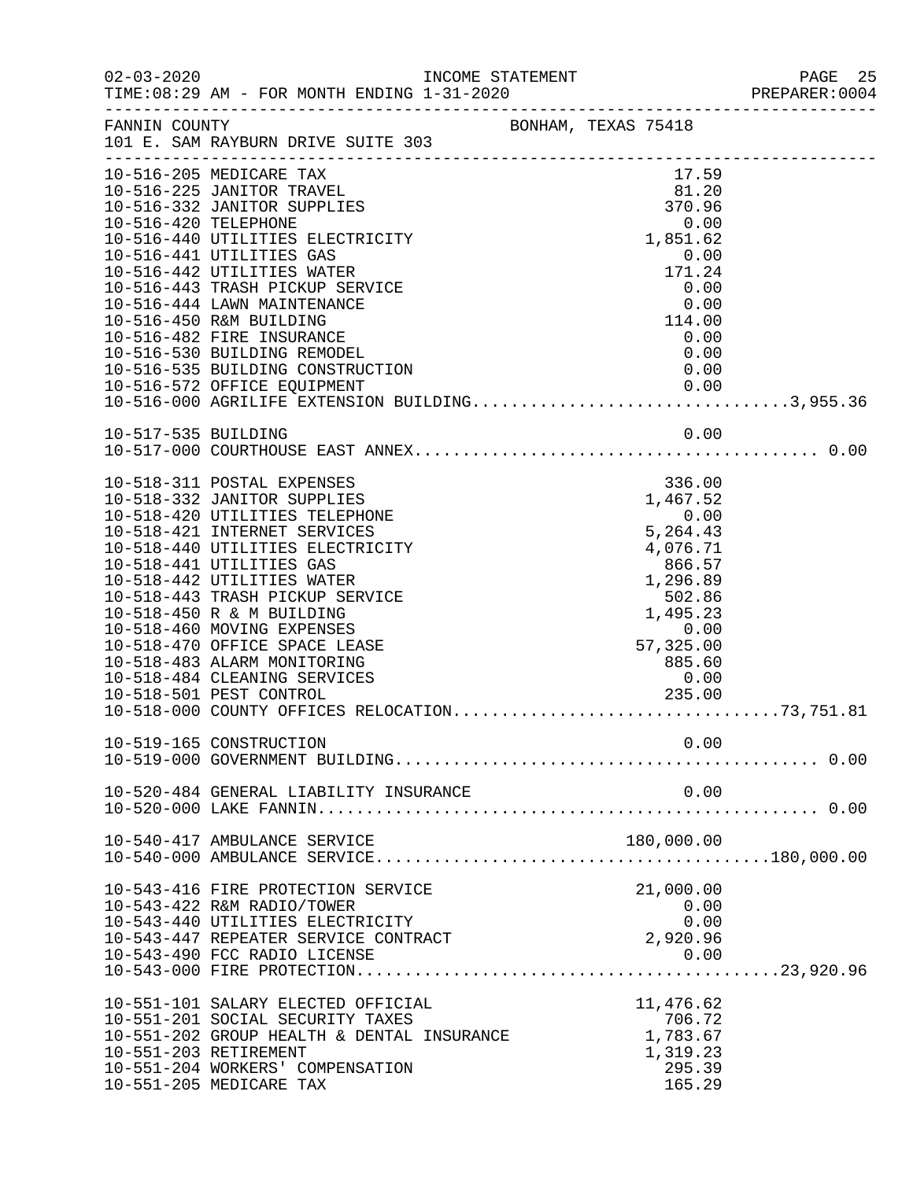|                      |                                                                                                                                                                                                                                                                                                                                                                                                                                                                           | INCOME STATEMENT |                                                                     |                                                                                                |                                                                                          |      | PREPARER: 0004 |
|----------------------|---------------------------------------------------------------------------------------------------------------------------------------------------------------------------------------------------------------------------------------------------------------------------------------------------------------------------------------------------------------------------------------------------------------------------------------------------------------------------|------------------|---------------------------------------------------------------------|------------------------------------------------------------------------------------------------|------------------------------------------------------------------------------------------|------|----------------|
|                      | FANNIN COUNTY BONHAM, TEXAS 75418<br>101 E. SAM RAYBURN DRIVE SUITE 303                                                                                                                                                                                                                                                                                                                                                                                                   |                  |                                                                     |                                                                                                |                                                                                          |      |                |
| 10-516-420 TELEPHONE | 10-516-205 MEDICARE TAX<br>10-516-225 JANITOR TRAVEL<br>10-516-332 JANITOR SUPPLIES<br>10-516-440 UTILITIES ELECTRICITY<br>10-516-441 UTILITIES GAS<br>10-516-442 UTILITIES WATER<br>10-516-443 TRASH PICKUP SERVICE<br>10-516-444 LAWN MAINTENANCE<br>10-516-450 R&M BUILDING<br>10-516-482 FIRE INSURANCE<br>10-516-530 BUILDING REMODEL                                                                                                                                |                  |                                                                     | $\begin{array}{c} 0.00 \ 0.00 \ 114.00 \end{array}$                                            | 17.59<br>81.20<br>370.96<br>1,851.62<br>0.00<br>171.24<br>0.00<br>114.00<br>0.00<br>0.00 | 0.00 |                |
|                      | 10-516-535 BUILDING CONSTRUCTION<br>10-516-572 OFFICE EQUIPMENT<br>10-516-572 OFFICE EQUIPMENT 0.00<br>10-516-000 AGRILIFE EXTENSION BUILDING3,955.36                                                                                                                                                                                                                                                                                                                     |                  |                                                                     |                                                                                                |                                                                                          | 0.00 |                |
| 10-517-535 BUILDING  |                                                                                                                                                                                                                                                                                                                                                                                                                                                                           |                  |                                                                     |                                                                                                |                                                                                          | 0.00 |                |
|                      | 10-518-311 POSTAL EXPENSES<br>10-518-332 JANITOR SUPPLIES<br>10-518-420 UTILITIES TELEPHONE<br>10-518-421 INTERNET SERVICES<br>10-518-440 UTILITIES ELECTRICITY<br>10-518-441 UTILITIES GAS<br>10-518-442 UTILITIES WATER<br>10-518-443 TRASH PICKUP SERVICE<br>10-518-450 R & M BUILDING<br>10-518-460 MOVING EXPENSES<br>10-518-470 OFFICE SPACE LEASE<br>10-518-483 ALARM MONITORING<br>10-518-484 CLEANING SERVICES<br>ICES <b>Service</b><br>10-518-501 PEST CONTROL |                  | $360.57$ $1,296.89$ $502.86$ $1,495.23$ $0.00$ $57,325.00$ $995.60$ | $-7.37.32$<br>0.00<br>5, 264.43<br>4, 076.71<br>$\begin{bmatrix} 885.60 \\ 0.00 \end{bmatrix}$ | 336.00<br>1,467.52<br>866.57<br>235.00                                                   |      |                |
|                      | 10-519-165 CONSTRUCTION                                                                                                                                                                                                                                                                                                                                                                                                                                                   |                  |                                                                     |                                                                                                | 0.00                                                                                     |      |                |
|                      | 10-520-484 GENERAL LIABILITY INSURANCE                                                                                                                                                                                                                                                                                                                                                                                                                                    |                  |                                                                     |                                                                                                |                                                                                          | 0.00 |                |
|                      | 10-540-417 AMBULANCE SERVICE                                                                                                                                                                                                                                                                                                                                                                                                                                              |                  |                                                                     |                                                                                                | 180,000.00                                                                               |      |                |
|                      | 10-543-416 FIRE PROTECTION SERVICE<br>10-543-422 R&M RADIO/TOWER<br>10-543-440 UTILITIES ELECTRICITY<br>10-543-447 REPEATER SERVICE CONTRACT<br>10-543-490 FCC RADIO LICENSE                                                                                                                                                                                                                                                                                              |                  |                                                                     | 2,920.96                                                                                       | 21,000.00<br>0.00<br>0.00                                                                | 0.00 |                |
|                      | 10-551-101 SALARY ELECTED OFFICIAL<br>10-551-201 SOCIAL SECURITY TAXES<br>10-551-202 GROUP HEALTH & DENTAL INSURANCE<br>10-551-203 RETIREMENT<br>10-551-204 WORKERS' COMPENSATION<br>10-551-205 MEDICARE TAX                                                                                                                                                                                                                                                              |                  |                                                                     |                                                                                                | 11,476.62<br>706.72<br>1,783.67<br>1,319.23<br>295.39<br>165.29                          |      |                |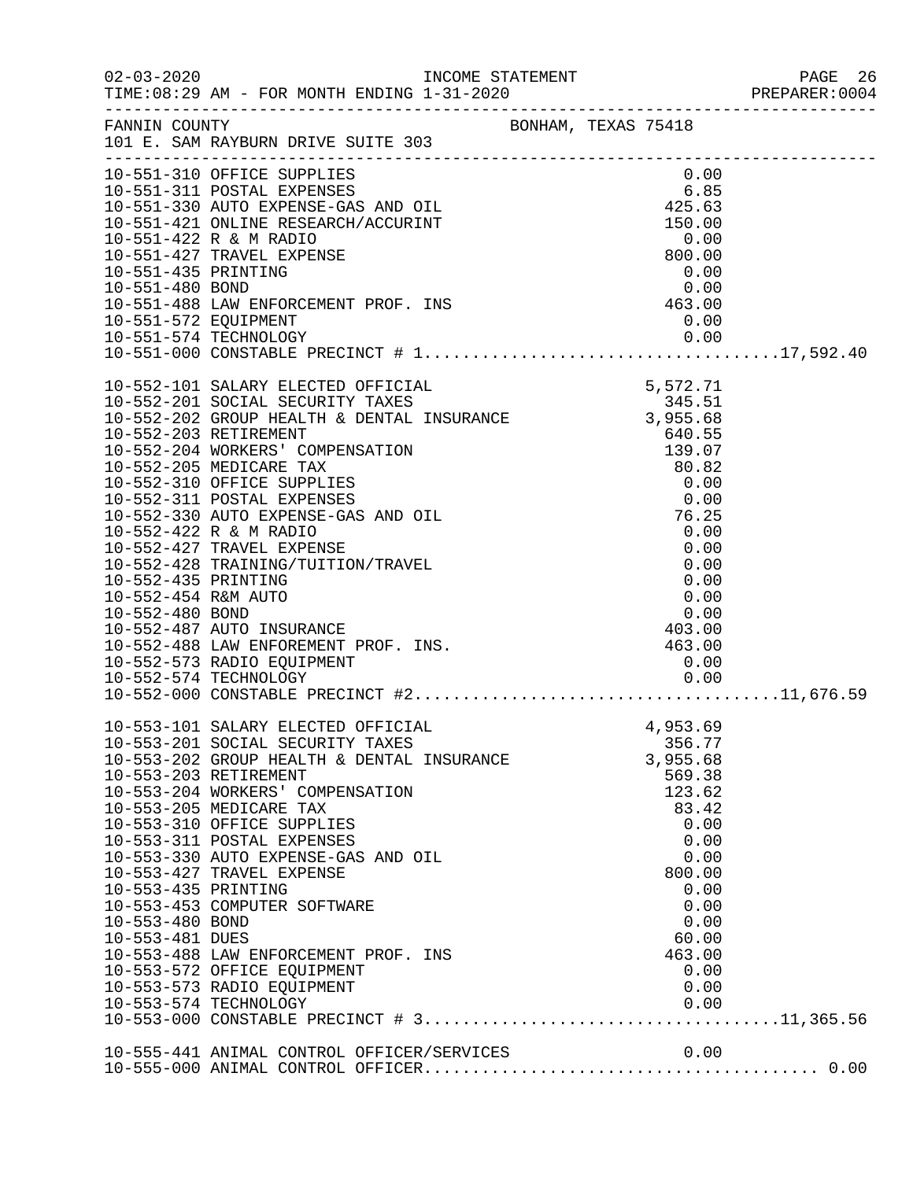|                                                           |                                                                                                                                                                                                                                                                                                                                                                                                                                                                                                                                                                                                                    |                                                                                                                              |  |                                                                              |                                                              | PREPARER: 0004 |
|-----------------------------------------------------------|--------------------------------------------------------------------------------------------------------------------------------------------------------------------------------------------------------------------------------------------------------------------------------------------------------------------------------------------------------------------------------------------------------------------------------------------------------------------------------------------------------------------------------------------------------------------------------------------------------------------|------------------------------------------------------------------------------------------------------------------------------|--|------------------------------------------------------------------------------|--------------------------------------------------------------|----------------|
|                                                           | FANNIN COUNTY BONHAM, TEXAS 75418<br>101 E. SAM RAYBURN DRIVE SUITE 303                                                                                                                                                                                                                                                                                                                                                                                                                                                                                                                                            |                                                                                                                              |  |                                                                              |                                                              |                |
| 10-551-572 EQUIPMENT                                      | 10-551-310 OFFICE SUPPLIES<br>10-551-310 OFFICE SUPPLIES<br>10-551-311 POSTAL EXPENSES<br>10-551-330 AUTO EXPENSE-GAS AND OIL<br>10-551-421 ONLINE RESEARCH/ACCURINT<br>10-551-422 R & M RADIO<br>10-551-422 R & M RADIO<br>10-551-427 TRAVEL EXPENSE<br>10-551-435 PRINTI                                                                                                                                                                                                                                                                                                                                         |                                                                                                                              |  | 0.00<br>0.00                                                                 |                                                              |                |
|                                                           | 10-552-101 SALARY ELECTED OFFICIAL 5.572.71<br>10-552-201 SOCIAL SECURITY TAXES 345.51<br>10-552-202 GROUP HEALTH & DENTAL INSURANCE 3,955.68<br>10-552-203 RETIREMENT<br>10-552-203 RETIREMENT<br>10-552-204 WORKERS' COMPENSATION<br>10-552-205 MEDICARE TAX<br>10-552-310 OFFICE SUPPLIES<br>10-552-311 POSTAL EXPENSES<br>10-552-330 AUTO EXPENSE-GAS AND OIL<br>10-552-428 TRAINING/TUITION/TRAVEL<br>10-552-428 TRAINING/TUITION/TRAVEL<br>10-552-435 PRINTING<br>10-552-435 PRINTING<br>10-552-435 REM AUTO<br>10-552-480 BOND<br>10-552-480 BOND<br>10-552-487 AUTO INSURANCE<br>10-552-488 LAW ENFOREMENT | $\begin{array}{r} 640.55 \\ 139.07 \\ 80.82 \\ 0.00 \\ 0.00 \\ 76.25 \\ 0.00 \\ 0.00 \\ 0.00 \\ 0.00 \\ 0.00 \\ \end{array}$ |  |                                                                              |                                                              |                |
| 10-553-435 PRINTING<br>10-553-480 BOND<br>10-553-481 DUES | 10-553-101 SALARY ELECTED OFFICIAL<br>10-553-201 SOCIAL SECURITY TAXES<br>10-553-202 GROUP HEALTH & DENTAL INSURANCE 3,955.68<br>10-553-203 RETIREMENT<br>10-553-204 WORKERS' COMPENSATION<br>10-553-205 MEDICARE TAX<br>10-553-310 OFFICE SUPPLIES<br>10-553-311 POSTAL EXPENSES<br>10-553-330 AUTO EXPENSE-GAS AND OIL<br>10-553-427 TRAVEL EXPENSE<br>10-553-453 COMPUTER SOFTWARE<br>10-553-488 LAW ENFORCEMENT PROF. INS<br>10-553-572 OFFICE EQUIPMENT<br>10-553-573 RADIO EQUIPMENT                                                                                                                         |                                                                                                                              |  | 4,953.69<br>356.77<br>569.38<br>123.62<br>83.42<br>800.00<br>60.00<br>463.00 | 0.00<br>0.00<br>0.00<br>0.00<br>0.00<br>0.00<br>0.00<br>0.00 |                |
|                                                           |                                                                                                                                                                                                                                                                                                                                                                                                                                                                                                                                                                                                                    |                                                                                                                              |  |                                                                              |                                                              |                |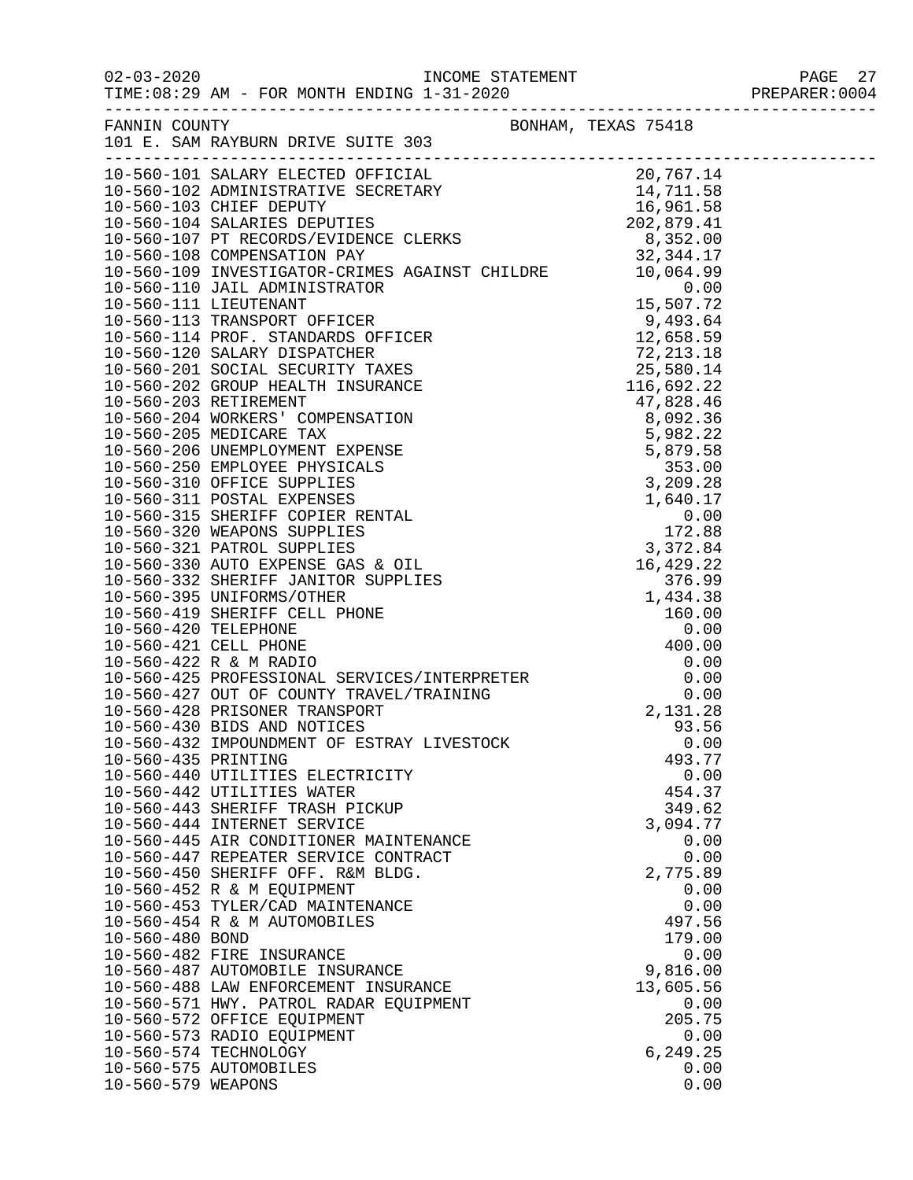|                       |                                                                |                  | PAGE 27       |
|-----------------------|----------------------------------------------------------------|------------------|---------------|
|                       |                                                                |                  | PREPARER:0004 |
| FANNIN COUNTY         | BONHAM, TEXAS 75418                                            |                  |               |
|                       | 101 E. SAM RAYBURN DRIVE SUITE 303                             |                  |               |
|                       |                                                                |                  |               |
|                       |                                                                |                  |               |
|                       |                                                                |                  |               |
|                       |                                                                |                  |               |
|                       |                                                                |                  |               |
|                       |                                                                |                  |               |
|                       |                                                                |                  |               |
|                       |                                                                |                  |               |
|                       |                                                                |                  |               |
|                       |                                                                |                  |               |
|                       |                                                                |                  |               |
|                       |                                                                |                  |               |
|                       |                                                                |                  |               |
|                       |                                                                |                  |               |
|                       |                                                                |                  |               |
|                       |                                                                |                  |               |
|                       |                                                                |                  |               |
|                       |                                                                |                  |               |
|                       |                                                                |                  |               |
|                       |                                                                |                  |               |
|                       |                                                                |                  |               |
|                       |                                                                |                  |               |
|                       |                                                                |                  |               |
|                       |                                                                |                  |               |
|                       |                                                                |                  |               |
|                       |                                                                |                  |               |
|                       |                                                                |                  |               |
|                       |                                                                |                  |               |
|                       |                                                                |                  |               |
|                       |                                                                |                  |               |
|                       |                                                                |                  |               |
|                       |                                                                |                  |               |
| 10-560-435 PRINTING   | 10-560-432 IMPOUNDMENT OF ESTRAY LIVESTOCK                     | 0.00<br>493.77   |               |
|                       | 10-560-440 UTILITIES ELECTRICITY                               | 0.00             |               |
|                       | 10-560-442 UTILITIES WATER                                     | 454.37           |               |
|                       | 10-560-443 SHERIFF TRASH PICKUP                                | 349.62           |               |
|                       | 10-560-444 INTERNET SERVICE                                    | 3,094.77         |               |
|                       | 10-560-445 AIR CONDITIONER MAINTENANCE                         | 0.00             |               |
|                       | 10-560-447 REPEATER SERVICE CONTRACT                           | 0.00             |               |
|                       | 10-560-450 SHERIFF OFF. R&M BLDG.                              | 2,775.89         |               |
|                       | 10-560-452 R & M EQUIPMENT<br>10-560-453 TYLER/CAD MAINTENANCE | 0.00<br>0.00     |               |
|                       | 10-560-454 R & M AUTOMOBILES                                   | 497.56           |               |
| 10-560-480 BOND       |                                                                | 179.00           |               |
|                       | 10-560-482 FIRE INSURANCE                                      | 0.00             |               |
|                       | 10-560-487 AUTOMOBILE INSURANCE                                | 9,816.00         |               |
|                       | 10-560-488 LAW ENFORCEMENT INSURANCE                           | 13,605.56        |               |
|                       | 10-560-571 HWY. PATROL RADAR EQUIPMENT                         | 0.00             |               |
|                       | 10-560-572 OFFICE EQUIPMENT                                    | 205.75           |               |
| 10-560-574 TECHNOLOGY | 10-560-573 RADIO EQUIPMENT                                     | 0.00<br>6,249.25 |               |
|                       | 10-560-575 AUTOMOBILES                                         | 0.00             |               |
| 10-560-579 WEAPONS    |                                                                | 0.00             |               |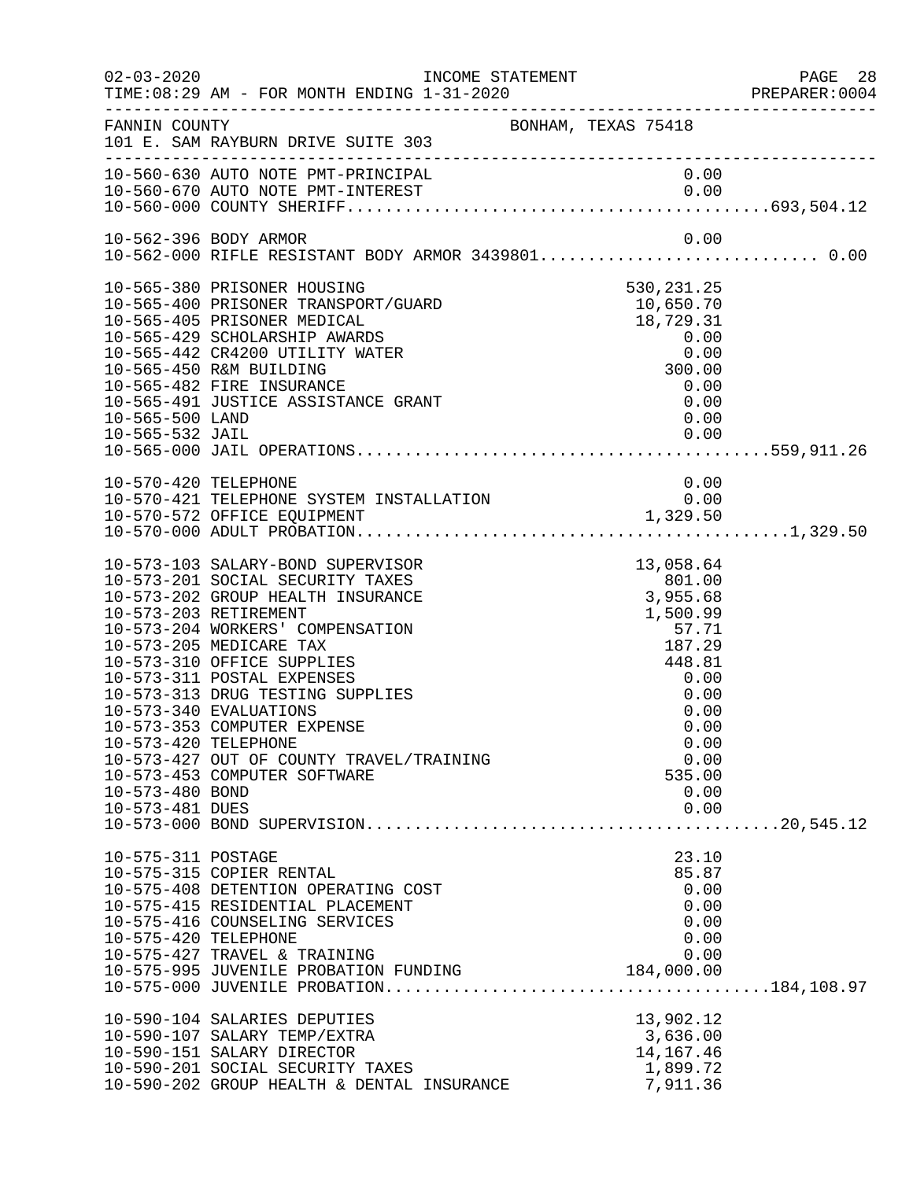| $02 - 03 - 2020$                                           | TIME: 08:29 AM - FOR MONTH ENDING 1-31-2020                                                                                                                                                                                                                                                                                                                                                                                             | INCOME STATEMENT    |                                                                                                                                                        | PAGE 28<br>PREPARER: 0004 |
|------------------------------------------------------------|-----------------------------------------------------------------------------------------------------------------------------------------------------------------------------------------------------------------------------------------------------------------------------------------------------------------------------------------------------------------------------------------------------------------------------------------|---------------------|--------------------------------------------------------------------------------------------------------------------------------------------------------|---------------------------|
| FANNIN COUNTY                                              | 101 E. SAM RAYBURN DRIVE SUITE 303                                                                                                                                                                                                                                                                                                                                                                                                      | BONHAM, TEXAS 75418 |                                                                                                                                                        |                           |
|                                                            | 10-560-630 AUTO NOTE PMT-PRINCIPAL                                                                                                                                                                                                                                                                                                                                                                                                      |                     | 0.00                                                                                                                                                   |                           |
|                                                            | 10-562-396 BODY ARMOR                                                                                                                                                                                                                                                                                                                                                                                                                   |                     | 0.00                                                                                                                                                   |                           |
| 10-565-500 LAND                                            | 10-565-380 PRISONER HOUSING<br>10-565-400 PRISONER TRANSPORT/GUARD<br>10-565-405 PRISONER MEDICAL<br>10-565-429 SCHOLARSHIP AWARDS<br>10-565-442 CR4200 UTILITY WATER<br>10-565-450 R&M BUILDING<br>10-565-482 FIRE INSURANCE<br>10-565-491 JUSTICE ASSISTANCE GRANT                                                                                                                                                                    |                     | 530, 231. 25<br>10,650.70<br>$18,729.31$<br>0.00<br>300.00<br>0.00<br>0.00<br>0.00                                                                     |                           |
| 10-570-420 TELEPHONE                                       | 10-570-421 TELEPHONE SYSTEM INSTALLATION                                                                                                                                                                                                                                                                                                                                                                                                |                     | 0.00<br>0.00                                                                                                                                           |                           |
| 10-573-420 TELEPHONE<br>10-573-480 BOND<br>10-573-481 DUES | 10-573-103 SALARY-BOND SUPERVISOR<br>10-573-201 SOCIAL SECURITY TAXES<br>10-573-202 GROUP HEALTH INSURANCE<br>10-573-203 RETIREMENT<br>10-573-204 WORKERS' COMPENSATION<br>10-573-205 MEDICARE TAX<br>10-573-310 OFFICE SUPPLIES<br>10-573-311 POSTAL EXPENSES<br>10-573-313 DRUG TESTING SUPPLIES<br>10-573-340 EVALUATIONS<br>10-573-353 COMPUTER EXPENSE<br>10-573-427 OUT OF COUNTY TRAVEL/TRAINING<br>10-573-453 COMPUTER SOFTWARE |                     | 13,058.64<br>$3,955.68$<br>3,955.68<br>1,500.99<br>57.71<br>187.29<br>448.81<br>0.00<br>0.00<br>0.00<br>0.00<br>0.00<br>0.00<br>535.00<br>0.00<br>0.00 |                           |
| 10-575-311 POSTAGE<br>10-575-420 TELEPHONE                 | 10-575-315 COPIER RENTAL<br>10-575-408 DETENTION OPERATING COST<br>10-575-415 RESIDENTIAL PLACEMENT<br>10-575-416 COUNSELING SERVICES<br>10-575-427 TRAVEL & TRAINING<br>10-575-995 JUVENILE PROBATION FUNDING                                                                                                                                                                                                                          |                     | 23.10<br>85.87<br>0.00<br>0.00<br>0.00<br>0.00<br>0.00<br>184,000.00                                                                                   |                           |
|                                                            | 10-590-104 SALARIES DEPUTIES<br>10-590-107 SALARY TEMP/EXTRA<br>10-590-151 SALARY DIRECTOR<br>10-590-201 SOCIAL SECURITY TAXES<br>10-590-202 GROUP HEALTH & DENTAL INSURANCE                                                                                                                                                                                                                                                            |                     | 13,902.12<br>3,636.00<br>14,167.46<br>1,899.72<br>7,911.36                                                                                             |                           |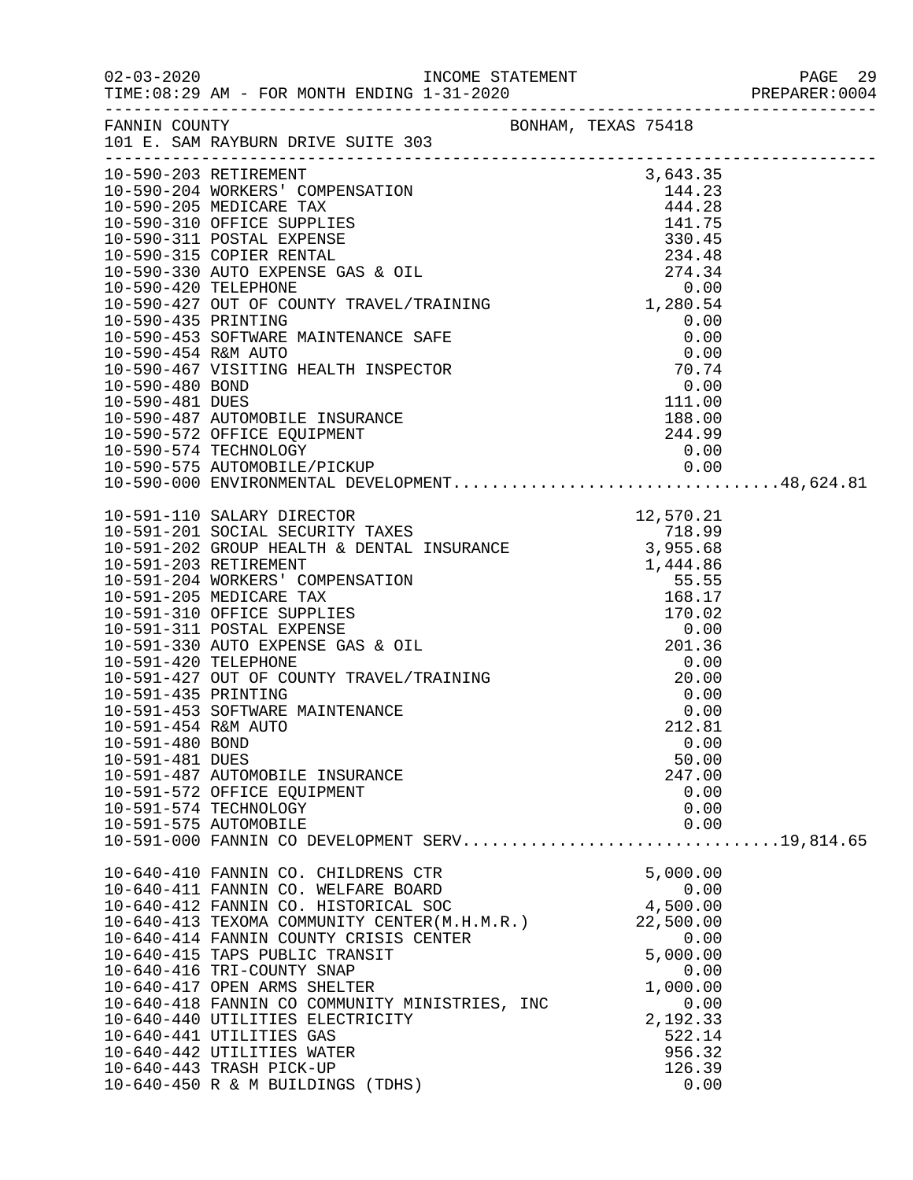|                                            | FANNIN COUNTY<br>101 E. SAM RAYBURN DRIVE SUITE 303                                                                                                                                                                               | BONHAM, TEXAS 75418                    |  |
|--------------------------------------------|-----------------------------------------------------------------------------------------------------------------------------------------------------------------------------------------------------------------------------------|----------------------------------------|--|
|                                            | 10-590-203 RETIREMENT                                                                                                                                                                                                             | 3,643.35                               |  |
|                                            |                                                                                                                                                                                                                                   |                                        |  |
|                                            |                                                                                                                                                                                                                                   |                                        |  |
|                                            |                                                                                                                                                                                                                                   |                                        |  |
|                                            |                                                                                                                                                                                                                                   |                                        |  |
|                                            |                                                                                                                                                                                                                                   |                                        |  |
|                                            | 10-590-572 OFFICE EQUIPMENT<br>10-590-574 TECHNOLOGY 0.00<br>10-590-575 AUTOMOBILE/PICKUP 0.00<br>10-590-000 ENVIRONMENTAL DEVELOPMENT48,624.81                                                                                   |                                        |  |
|                                            |                                                                                                                                                                                                                                   |                                        |  |
|                                            |                                                                                                                                                                                                                                   |                                        |  |
|                                            |                                                                                                                                                                                                                                   |                                        |  |
|                                            |                                                                                                                                                                                                                                   | $201.36$<br>0.00                       |  |
| 10-591-435 PRINTING<br>10-591-454 R&M AUTO | 10-591-453 SOFTWARE MAINTENANCE                                                                                                                                                                                                   | 0.00<br>0.00<br>212.81                 |  |
| 10-591-480 BOND<br>10-591-481 DUES         | 10-591-487 AUTOMOBILE INSURANCE                                                                                                                                                                                                   | 0.00<br>50.00<br>247.00                |  |
|                                            | 10-591-572 OFFICE EQUIPMENT<br>10-591-574 TECHNOLOGY<br>10-591-575 AUTOMOBILE                                                                                                                                                     | 0.00<br>0.00<br>0.00                   |  |
|                                            | 10-591-000 FANNIN CO DEVELOPMENT SERV19,814.65                                                                                                                                                                                    |                                        |  |
|                                            | 10-640-410 FANNIN CO. CHILDRENS CTR<br>10-640-411 FANNIN CO. WELFARE BOARD<br>10-640-411 FANNIN CO. WELFARE BOARD 0.00<br>10-640-412 FANNIN CO. HISTORICAL SOC 4,500.00<br>10-640-413 TEXOMA COMMUNITY CENTER(M.H.M.R.) 22,500.00 | 5,000.00<br>0.00                       |  |
|                                            | 10-640-414 FANNIN COUNTY CRISIS CENTER<br>10-640-415 TAPS PUBLIC TRANSIT<br>10-640-416 TRI-COUNTY SNAP                                                                                                                            | 0.00<br>5,000.00<br>0.00               |  |
|                                            | 10-640-417 OPEN ARMS SHELTER<br>10-640-418 FANNIN CO COMMUNITY MINISTRIES, INC<br>10-640-440 UTILITIES ELECTRICITY<br>10-640-441 UTILITIES GAS                                                                                    | 1,000.00<br>0.00<br>2,192.33<br>522.14 |  |
|                                            | 10-640-442 UTILITIES WATER<br>10-640-443 TRASH PICK-UP<br>10-640-450 R & M BUILDINGS (TDHS)                                                                                                                                       | 956.32<br>126.39<br>0.00               |  |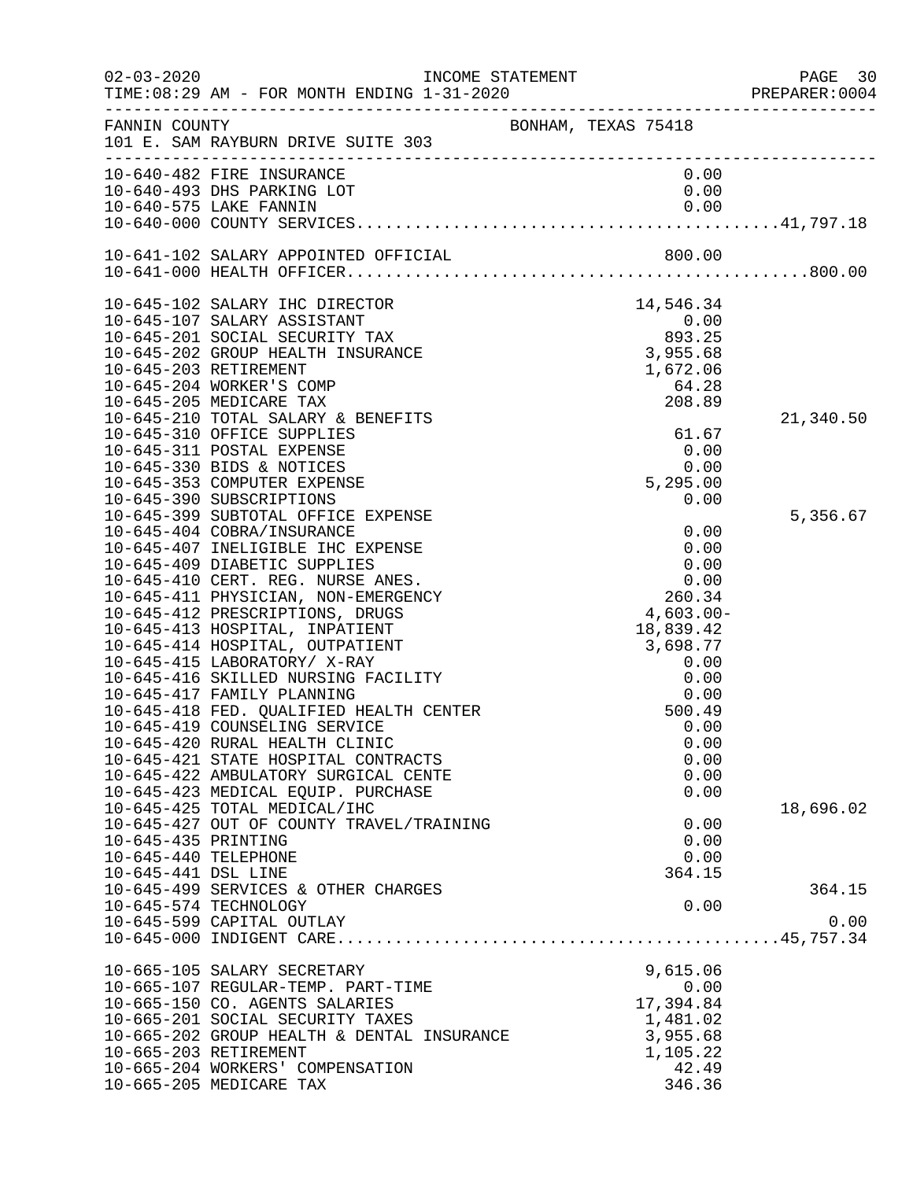| $02 - 03 - 2020$     | INCOME STATEMENT                                                         |                                                                     | PAGE 30<br>PREPARER:0004 |
|----------------------|--------------------------------------------------------------------------|---------------------------------------------------------------------|--------------------------|
| FANNIN COUNTY        | 101 E. SAM RAYBURN DRIVE SUITE 303                                       | BONHAM, TEXAS 75418                                                 |                          |
|                      | 10-640-482 FIRE INSURANCE<br>10-640-493 DHS PARKING LOT                  | 0.00<br>0.00                                                        |                          |
|                      | 10-640-575 LAKE FANNIN                                                   | 0.00                                                                |                          |
|                      |                                                                          |                                                                     |                          |
|                      |                                                                          |                                                                     |                          |
|                      | 10-645-102 SALARY IHC DIRECTOR                                           | $\begin{array}{r} 14,546.34 \\ 0.00 \\ 893.25 \\ 3,955 \end{array}$ |                          |
|                      | 10-645-107 SALARY ASSISTANT                                              |                                                                     |                          |
|                      | 10-645-201 SOCIAL SECURITY TAX                                           |                                                                     |                          |
|                      | 10-645-202 GROUP HEALTH INSURANCE<br>10-645-203 RETIREMENT               |                                                                     |                          |
|                      | 10-645-204 WORKER'S COMP                                                 | 64.28                                                               |                          |
|                      | 10-645-205 MEDICARE TAX                                                  | 208.89                                                              |                          |
|                      | 10-645-210 TOTAL SALARY & BENEFITS                                       |                                                                     | 21,340.50                |
|                      | 10-645-310 OFFICE SUPPLIES                                               | 61.67                                                               |                          |
|                      | 10-645-311 POSTAL EXPENSE                                                | 0.00                                                                |                          |
|                      | 10-645-330 BIDS & NOTICES                                                | 0.00                                                                |                          |
|                      | 10-645-353 COMPUTER EXPENSE                                              | 5,295.00                                                            |                          |
|                      | 10-645-390 SUBSCRIPTIONS                                                 | 0.00                                                                |                          |
|                      | 10-645-399 SUBTOTAL OFFICE EXPENSE<br>10-645-404 COBRA/INSURANCE         | 0.00                                                                | 5,356.67                 |
|                      | 10-645-407 INELIGIBLE IHC EXPENSE                                        | 0.00                                                                |                          |
|                      | 10-645-409 DIABETIC SUPPLIES                                             | 0.00                                                                |                          |
|                      | 10-645-410 CERT. REG. NURSE ANES.                                        | 0.00                                                                |                          |
|                      | 10-645-411 PHYSICIAN, NON-EMERGENCY                                      | 260.34                                                              |                          |
|                      | 10-645-412 PRESCRIPTIONS, DRUGS                                          | 4,603.00-                                                           |                          |
|                      | 10-645-413 HOSPITAL, INPATIENT                                           | 18,839.42                                                           |                          |
|                      | 10-645-414 HOSPITAL, OUTPATIENT                                          | 3,698.77                                                            |                          |
|                      | 10-645-415 LABORATORY/ X-RAY<br>10-645-416 SKILLED NURSING FACILITY      | 0.00<br>0.00                                                        |                          |
|                      | 10-645-417 FAMILY PLANNING                                               | 0.00                                                                |                          |
|                      | 10-645-418 FED. QUALIFIED HEALTH CENTER                                  | 500.49                                                              |                          |
|                      | 10-645-419 COUNSELING SERVICE                                            | 0.00                                                                |                          |
|                      | 10-645-420 RURAL HEALTH CLINIC                                           | 0.00                                                                |                          |
|                      | 10-645-421 STATE HOSPITAL CONTRACTS                                      | 0.00                                                                |                          |
|                      | 10-645-422 AMBULATORY SURGICAL CENTE                                     | 0.00                                                                |                          |
|                      | 10-645-423 MEDICAL EQUIP. PURCHASE                                       | 0.00                                                                |                          |
|                      | 10-645-425 TOTAL MEDICAL/IHC<br>10-645-427 OUT OF COUNTY TRAVEL/TRAINING | 0.00                                                                | 18,696.02                |
| 10-645-435 PRINTING  |                                                                          | 0.00                                                                |                          |
| 10-645-440 TELEPHONE |                                                                          | 0.00                                                                |                          |
| 10-645-441 DSL LINE  |                                                                          | 364.15                                                              |                          |
|                      | 10-645-499 SERVICES & OTHER CHARGES                                      |                                                                     | 364.15                   |
|                      | 10-645-574 TECHNOLOGY                                                    | 0.00                                                                |                          |
|                      | 10-645-599 CAPITAL OUTLAY                                                |                                                                     | 0.00                     |
|                      |                                                                          |                                                                     |                          |
|                      | 10-665-105 SALARY SECRETARY                                              | 9,615.06                                                            |                          |
|                      | 10-665-107 REGULAR-TEMP. PART-TIME                                       | 0.00                                                                |                          |
|                      | 10-665-150 CO. AGENTS SALARIES                                           | 17,394.84                                                           |                          |
|                      | 10-665-201 SOCIAL SECURITY TAXES                                         | 1,481.02                                                            |                          |
|                      | 10-665-202 GROUP HEALTH & DENTAL INSURANCE<br>10-665-203 RETIREMENT      | 3,955.68<br>1,105.22                                                |                          |
|                      | 10-665-204 WORKERS' COMPENSATION                                         | 42.49                                                               |                          |
|                      | 10-665-205 MEDICARE TAX                                                  | 346.36                                                              |                          |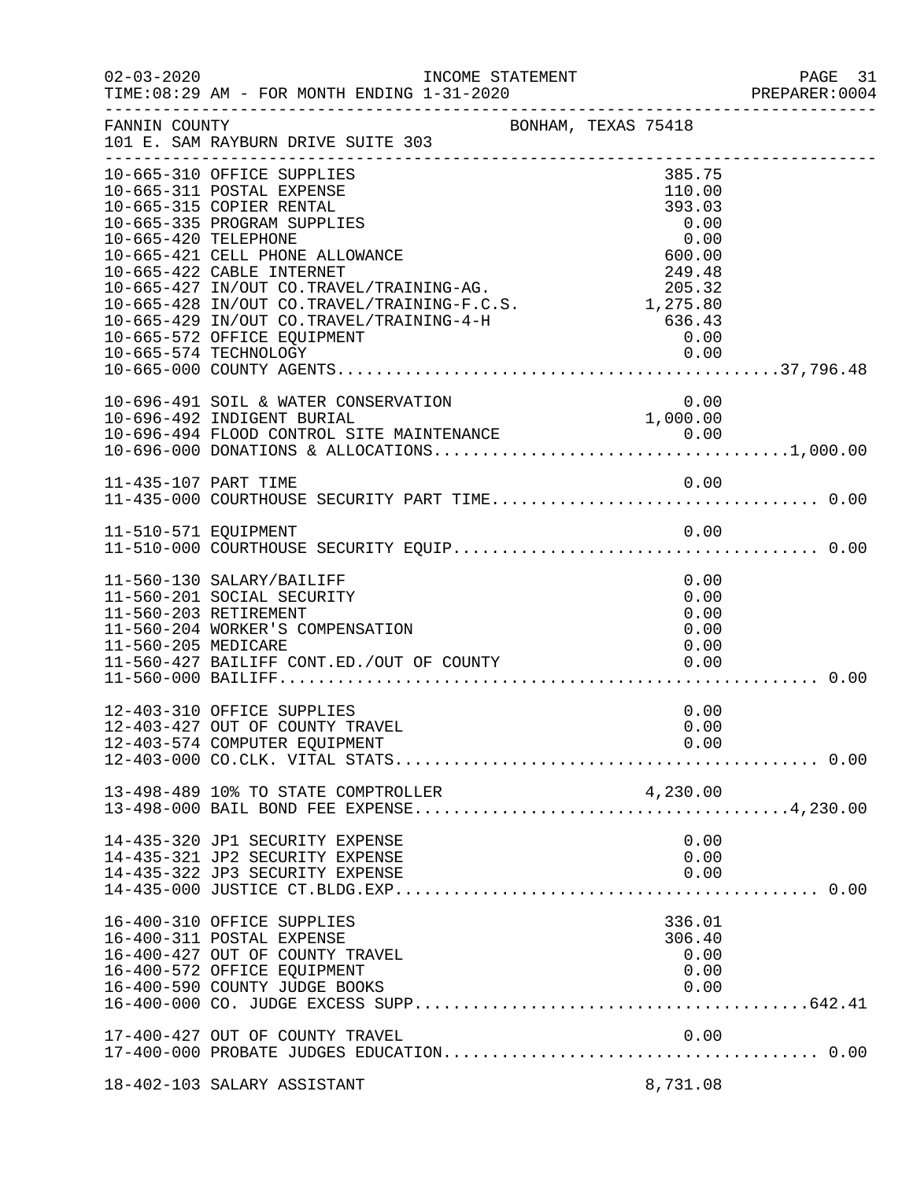| $02 - 03 - 2020$     | INCOME STATEMENT<br>TIME: 08:29 AM - FOR MONTH ENDING 1-31-2020                                                                                                                                                                                                                                                                                                                   |                                                                                                                | PAGE 31<br>PREPARER: 0004 |
|----------------------|-----------------------------------------------------------------------------------------------------------------------------------------------------------------------------------------------------------------------------------------------------------------------------------------------------------------------------------------------------------------------------------|----------------------------------------------------------------------------------------------------------------|---------------------------|
| FANNIN COUNTY        | BONHAM, TEXAS 75418<br>101 E. SAM RAYBURN DRIVE SUITE 303                                                                                                                                                                                                                                                                                                                         |                                                                                                                |                           |
| 10-665-420 TELEPHONE | 10-665-310 OFFICE SUPPLIES<br>10-665-311 POSTAL EXPENSE<br>10-665-315 COPIER RENTAL<br>10-665-335 PROGRAM SUPPLIES<br>10-665-421 CELL PHONE ALLOWANCE<br>10-665-422 CABLE INTERNET<br>10-665-427 IN/OUT CO.TRAVEL/TRAINING-AG.<br>10-665-428 IN/OUT CO.TRAVEL/TRAINING-F.C.S.<br>10-665-429 IN/OUT CO.TRAVEL/TRAINING-4-H<br>10-665-572 OFFICE EQUIPMENT<br>10-665-574 TECHNOLOGY | 385.75<br>110.00<br>393.03<br>0.00<br>0.00<br>600.00<br>249.48<br>205.32<br>1,275.80<br>636.43<br>0.00<br>0.00 |                           |
|                      | 10-696-491 SOIL & WATER CONSERVATION<br>10-696-492 INDIGENT BURIAL                                                                                                                                                                                                                                                                                                                | 0.00<br>1,000.00                                                                                               |                           |
| 11-435-107 PART TIME |                                                                                                                                                                                                                                                                                                                                                                                   | 0.00                                                                                                           |                           |
| 11-510-571 EQUIPMENT |                                                                                                                                                                                                                                                                                                                                                                                   | 0.00                                                                                                           |                           |
| 11-560-205 MEDICARE  | 11-560-130 SALARY/BAILIFF<br>11-560-201 SOCIAL SECURITY<br>11-560-203 RETIREMENT<br>11-560-204 WORKER'S COMPENSATION<br>11-560-427 BAILIFF CONT.ED./OUT OF COUNTY                                                                                                                                                                                                                 | 0.00<br>0.00<br>0.00<br>0.00<br>0.00<br>0.00                                                                   |                           |
|                      | 12-403-310 OFFICE SUPPLIES<br>12-403-427 OUT OF COUNTY TRAVEL                                                                                                                                                                                                                                                                                                                     | 0.00<br>0.00                                                                                                   |                           |
|                      |                                                                                                                                                                                                                                                                                                                                                                                   |                                                                                                                |                           |
|                      | 14-435-320 JP1 SECURITY EXPENSE<br>14-435-321 JP2 SECURITY EXPENSE<br>14-435-322 JP3 SECURITY EXPENSE                                                                                                                                                                                                                                                                             | 0.00<br>0.00<br>0.00                                                                                           |                           |
|                      | 16-400-310 OFFICE SUPPLIES<br>16-400-311 POSTAL EXPENSE<br>16-400-427 OUT OF COUNTY TRAVEL<br>16-400-572 OFFICE EQUIPMENT<br>16-400-590 COUNTY JUDGE BOOKS                                                                                                                                                                                                                        | 336.01<br>306.40<br>0.00<br>0.00<br>0.00                                                                       |                           |
|                      | 17-400-427 OUT OF COUNTY TRAVEL                                                                                                                                                                                                                                                                                                                                                   | 0.00                                                                                                           |                           |
|                      | 18-402-103 SALARY ASSISTANT                                                                                                                                                                                                                                                                                                                                                       | 8,731.08                                                                                                       |                           |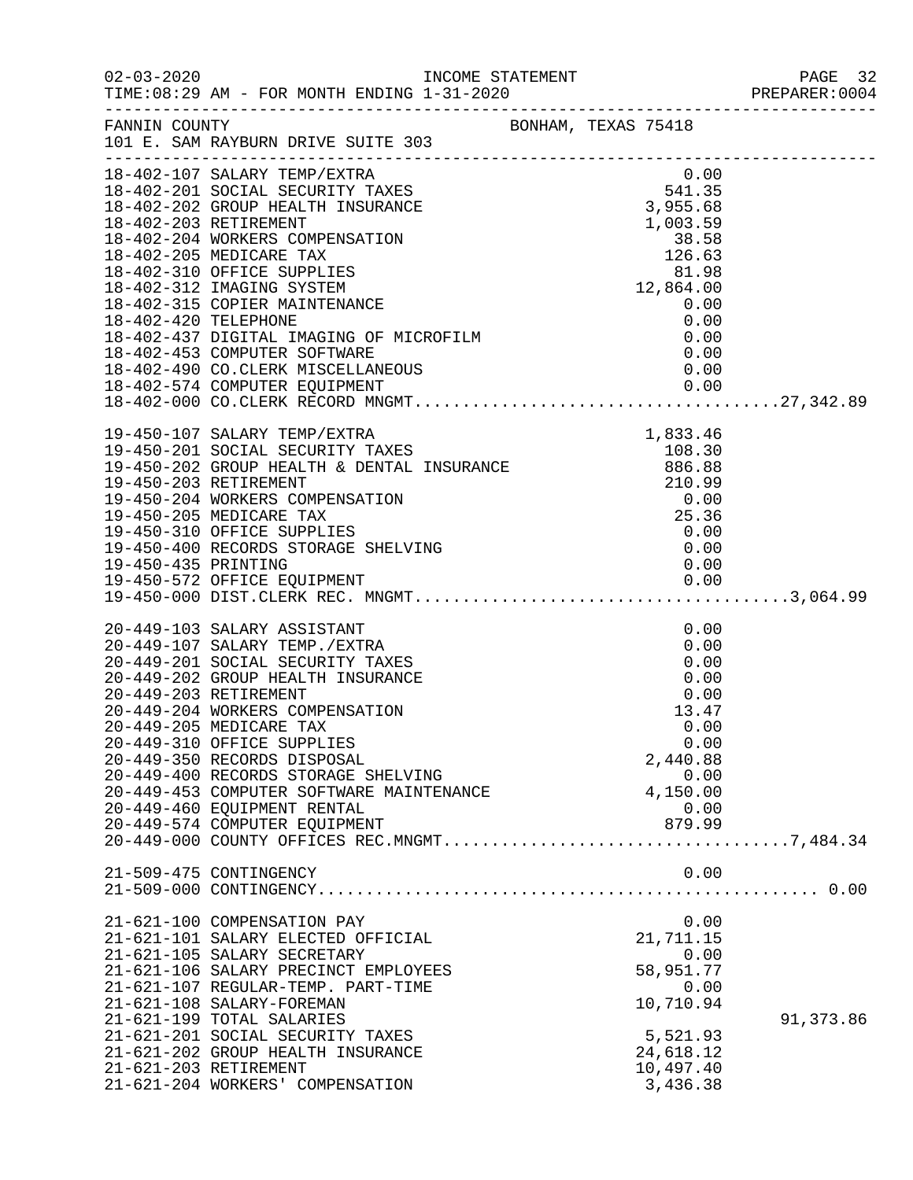| $02 - 03 - 2020$     | TIME: 08:29 AM - FOR MONTH ENDING 1-31-2020                                                                                                                                                                                                                                                                                                                                                                                                  | INCOME STATEMENT |                                                                                                                 |           |
|----------------------|----------------------------------------------------------------------------------------------------------------------------------------------------------------------------------------------------------------------------------------------------------------------------------------------------------------------------------------------------------------------------------------------------------------------------------------------|------------------|-----------------------------------------------------------------------------------------------------------------|-----------|
| FANNIN COUNTY        | 101 E. SAM RAYBURN DRIVE SUITE 303                                                                                                                                                                                                                                                                                                                                                                                                           |                  | BONHAM, TEXAS 75418                                                                                             |           |
|                      | 18-402-107 SALARY TEMP/EXTRA<br>18-402-201 SOCIAL SECURITY TAXES<br>18-402-202 GROUP HEALTH INSURANCE<br>18-402-203 RETIREMENT<br>18-402-204 WORKERS COMPENSATION<br>18-402-205 MEDICARE TAX<br>18-402-310 OFFICE SUPPLIES<br>18-402-312 IMAGING SYSTEM                                                                                                                                                                                      |                  | 0.00<br>$541.35$<br>3,955.68<br>1,003.59<br>38.58<br>$126.65\n81.98\n12,864.00\n0.00\n0.00$                     |           |
| 18-402-420 TELEPHONE | 18-402-315 COPIER MAINTENANCE<br>18-402-420 TELEPHONE<br>18-402-437 DIGITAL IMAGING OF MICROFILM<br>18-402-453 COMPUTER SOFTWARE<br>18-402-490 CO. CLERK MISCELLANEOUS                                                                                                                                                                                                                                                                       |                  | 0.00<br>0.00<br>0.00<br>0.00                                                                                    |           |
| 19-450-435 PRINTING  | 18-402-000 COOLSERING 19-450-107 SALARY TEMP/EXTRA 19-450-201 SOCIAL SECURITY TAXES 108.30<br>19-450-202 GROUP HEALTH & DENTAL INSURANCE 19-450-202 GROUP HEALTH & DENTAL INSURANCE 210.99<br>19-450-203 RETIREMENT 210.99<br>19-450-20<br>19-450-310 OFFICE SUPPLIES<br>19-450-400 RECORDS STORAGE SHELVING                                                                                                                                 |                  | 0.00<br>0.00<br>0.00                                                                                            |           |
|                      | 20-449-103 SALARY ASSISTANT<br>20-449-107 SALARY TEMP./EXTRA<br>20-449-201 SOCIAL SECURITY TAXES<br>20-449-202 GROUP HEALTH INSURANCE<br>20-449-203 RETIREMENT<br>20-449-204 WORKERS COMPENSATION<br>20-449-205 MEDICARE TAX<br>20-449-310 OFFICE SUPPLIES<br>20-449-350 RECORDS DISPOSAL<br>20-449-400 RECORDS STORAGE SHELVING<br>20-449-453 COMPUTER SOFTWARE MAINTENANCE<br>20-449-460 EQUIPMENT RENTAL<br>20-449-574 COMPUTER EQUIPMENT |                  | 0.00<br>0.00<br>0.00<br>0.00<br>0.00<br>13.47<br>0.00<br>0.00<br>2,440.88<br>0.00<br>4,150.00<br>0.00<br>879.99 |           |
|                      | 21-509-475 CONTINGENCY                                                                                                                                                                                                                                                                                                                                                                                                                       |                  | 0.00                                                                                                            |           |
|                      | 21-621-100 COMPENSATION PAY<br>21-621-101 SALARY ELECTED OFFICIAL<br>21-621-105 SALARY SECRETARY<br>21-621-106 SALARY PRECINCT EMPLOYEES<br>21-621-107 REGULAR-TEMP. PART-TIME<br>21-621-108 SALARY-FOREMAN<br>21-621-199 TOTAL SALARIES<br>21-621-201 SOCIAL SECURITY TAXES<br>21-621-202 GROUP HEALTH INSURANCE<br>21-621-203 RETIREMENT<br>21-621-204 WORKERS' COMPENSATION                                                               |                  | 0.00<br>21,711.15<br>0.00<br>58,951.77<br>0.00<br>10,710.94<br>5,521.93<br>24,618.12<br>10,497.40<br>3,436.38   | 91,373.86 |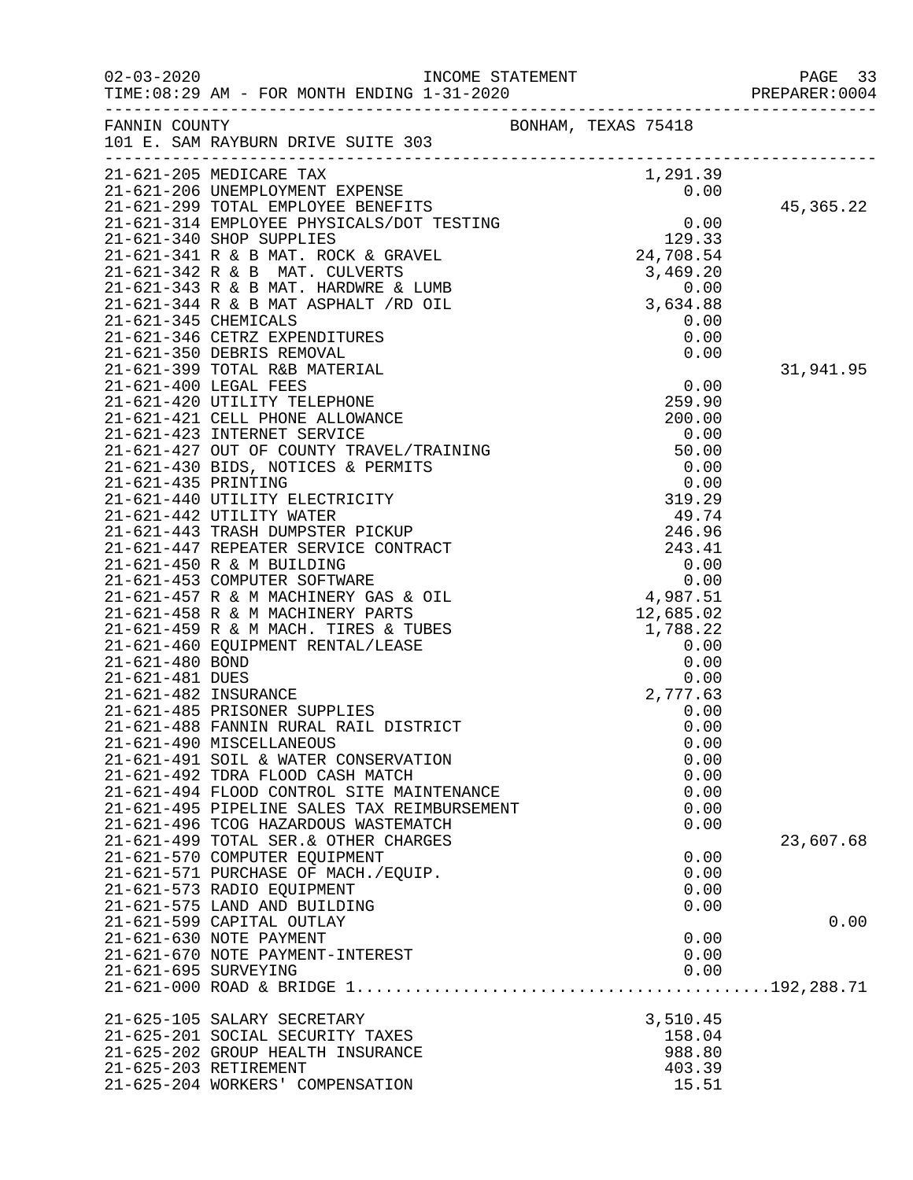|                      |                                                                                                                                                                                                                                              |                     |              | PREPARER: 0004 |
|----------------------|----------------------------------------------------------------------------------------------------------------------------------------------------------------------------------------------------------------------------------------------|---------------------|--------------|----------------|
|                      | FANNIN COUNTY<br>101 E. SAM RAYBURN DRIVE SUITE 303                                                                                                                                                                                          | BONHAM, TEXAS 75418 |              |                |
|                      | 101 E. SAPI ACT<br>21-621-205 MEDICARE TAX<br>21-621-206 UNEMPLOYMENT EXPENSE<br>21-621-299 TOTAL EMPLOYEE BENEFITS<br>21-621-314 EMPLOYEE PHYSICALS/DOT TESTING<br>21-621-340 SHOP SUPPLIES<br>21-621-341 R & B MAT. ROCK & GRAVEL<br>21-62 |                     |              |                |
|                      |                                                                                                                                                                                                                                              |                     |              |                |
|                      |                                                                                                                                                                                                                                              |                     |              |                |
|                      |                                                                                                                                                                                                                                              |                     |              | 45,365.22      |
|                      |                                                                                                                                                                                                                                              |                     |              |                |
|                      |                                                                                                                                                                                                                                              |                     |              |                |
|                      |                                                                                                                                                                                                                                              |                     |              |                |
|                      |                                                                                                                                                                                                                                              |                     |              |                |
|                      |                                                                                                                                                                                                                                              |                     |              |                |
|                      |                                                                                                                                                                                                                                              |                     |              |                |
|                      |                                                                                                                                                                                                                                              |                     |              |                |
|                      |                                                                                                                                                                                                                                              |                     |              |                |
|                      |                                                                                                                                                                                                                                              |                     |              | 31,941.95      |
|                      |                                                                                                                                                                                                                                              |                     |              |                |
|                      |                                                                                                                                                                                                                                              |                     |              |                |
|                      |                                                                                                                                                                                                                                              |                     |              |                |
|                      |                                                                                                                                                                                                                                              |                     |              |                |
|                      |                                                                                                                                                                                                                                              |                     |              |                |
|                      |                                                                                                                                                                                                                                              |                     |              |                |
|                      |                                                                                                                                                                                                                                              |                     |              |                |
|                      |                                                                                                                                                                                                                                              |                     |              |                |
|                      |                                                                                                                                                                                                                                              |                     |              |                |
|                      |                                                                                                                                                                                                                                              |                     |              |                |
|                      |                                                                                                                                                                                                                                              |                     |              |                |
|                      |                                                                                                                                                                                                                                              |                     |              |                |
|                      |                                                                                                                                                                                                                                              |                     |              |                |
|                      |                                                                                                                                                                                                                                              |                     |              |                |
|                      |                                                                                                                                                                                                                                              |                     |              |                |
|                      |                                                                                                                                                                                                                                              |                     |              |                |
|                      |                                                                                                                                                                                                                                              |                     |              |                |
|                      |                                                                                                                                                                                                                                              |                     |              |                |
|                      | 21-621-485 PRISONER SUPPLIES                                                                                                                                                                                                                 |                     | 0.00         |                |
|                      | 21-621-488 FANNIN RURAL RAIL DISTRICT                                                                                                                                                                                                        |                     | 0.00         |                |
|                      | 21-621-490 MISCELLANEOUS<br>21-621-491 SOIL & WATER CONSERVATION                                                                                                                                                                             |                     | 0.00<br>0.00 |                |
|                      | 21-621-492 TDRA FLOOD CASH MATCH                                                                                                                                                                                                             |                     | 0.00         |                |
|                      | 21-621-494 FLOOD CONTROL SITE MAINTENANCE                                                                                                                                                                                                    |                     | 0.00         |                |
|                      | 21-621-495 PIPELINE SALES TAX REIMBURSEMENT                                                                                                                                                                                                  |                     | 0.00         |                |
|                      | 21-621-496 TCOG HAZARDOUS WASTEMATCH                                                                                                                                                                                                         |                     | 0.00         |                |
|                      | 21-621-499 TOTAL SER. & OTHER CHARGES                                                                                                                                                                                                        |                     |              | 23,607.68      |
|                      | 21-621-570 COMPUTER EQUIPMENT                                                                                                                                                                                                                |                     | 0.00         |                |
|                      | 21-621-571 PURCHASE OF MACH./EQUIP.                                                                                                                                                                                                          |                     | 0.00         |                |
|                      | 21-621-573 RADIO EQUIPMENT                                                                                                                                                                                                                   |                     | 0.00         |                |
|                      | 21-621-575 LAND AND BUILDING<br>21-621-599 CAPITAL OUTLAY                                                                                                                                                                                    |                     | 0.00         | 0.00           |
|                      | 21-621-630 NOTE PAYMENT                                                                                                                                                                                                                      |                     | 0.00         |                |
|                      | 21-621-670 NOTE PAYMENT-INTEREST                                                                                                                                                                                                             |                     | 0.00         |                |
| 21-621-695 SURVEYING |                                                                                                                                                                                                                                              |                     | 0.00         |                |
|                      |                                                                                                                                                                                                                                              |                     |              |                |
|                      | 21-625-105 SALARY SECRETARY                                                                                                                                                                                                                  |                     | 3,510.45     |                |
|                      | 21-625-201 SOCIAL SECURITY TAXES                                                                                                                                                                                                             |                     | 158.04       |                |
|                      | 21-625-202 GROUP HEALTH INSURANCE                                                                                                                                                                                                            |                     | 988.80       |                |
|                      | 21-625-203 RETIREMENT                                                                                                                                                                                                                        |                     | 403.39       |                |
|                      | 21-625-204 WORKERS' COMPENSATION                                                                                                                                                                                                             |                     | 15.51        |                |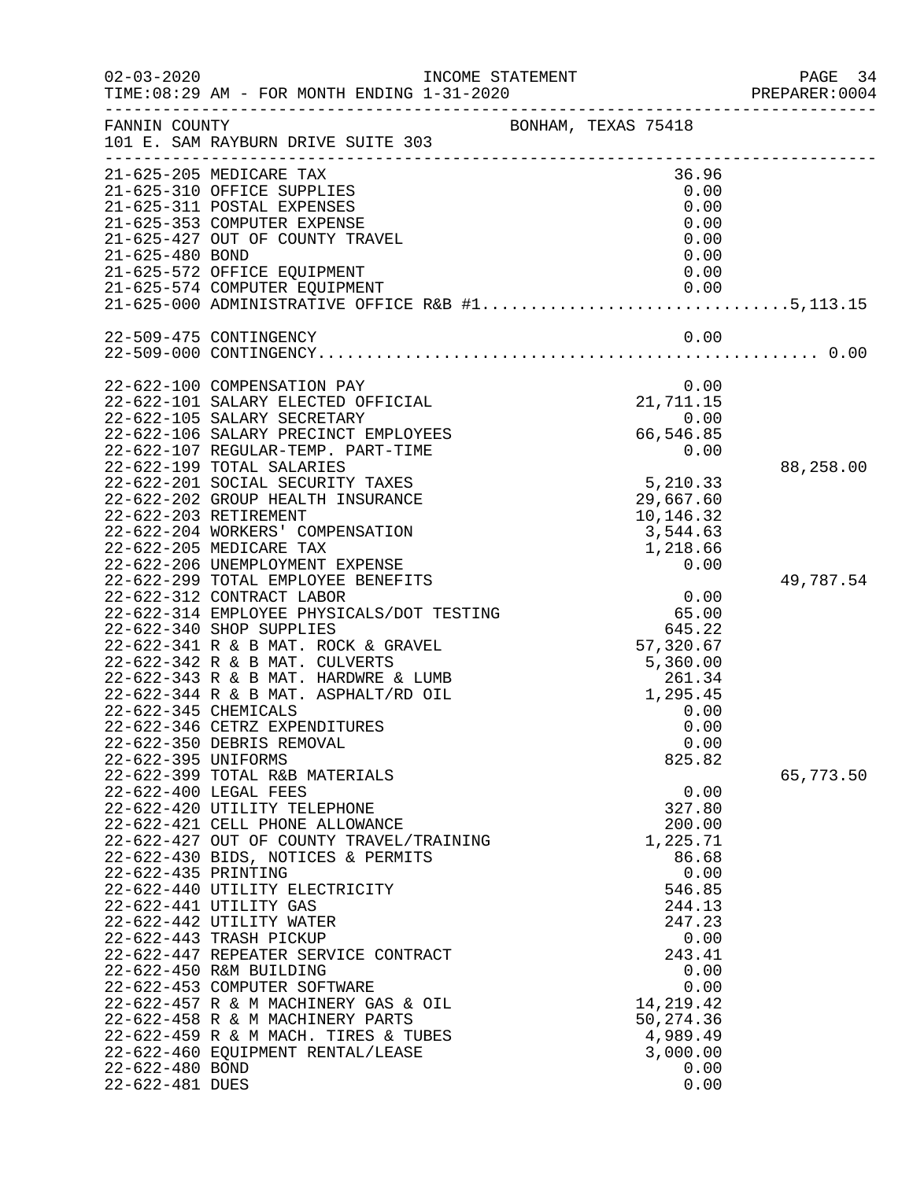| $02 - 03 - 2020$                                          | INCOME STATEMENT                                                                                                                                                                                                                                                                                                                                                                                                                                                                                                                                                                            |                                                                                                                                                                                           | PAGE 34<br>PREPARER: 0004 |
|-----------------------------------------------------------|---------------------------------------------------------------------------------------------------------------------------------------------------------------------------------------------------------------------------------------------------------------------------------------------------------------------------------------------------------------------------------------------------------------------------------------------------------------------------------------------------------------------------------------------------------------------------------------------|-------------------------------------------------------------------------------------------------------------------------------------------------------------------------------------------|---------------------------|
| FANNIN COUNTY                                             | 101 E. SAM RAYBURN DRIVE SUITE 303                                                                                                                                                                                                                                                                                                                                                                                                                                                                                                                                                          | BONHAM, TEXAS 75418                                                                                                                                                                       |                           |
|                                                           | 21-625-205 MEDICARE TAX<br>21-625-310 OFFICE SUPPLIES<br>21-625-311 POSTAL EXPENSES<br>21-625-353 COMPUTER EXPENSE<br>21-625-427 OUT OF COUNTY TRAVEL                                                                                                                                                                                                                                                                                                                                                                                                                                       | 36.96<br>0.00<br>0.00<br>0.00<br>0.00                                                                                                                                                     |                           |
| 21-625-480 BOND                                           | 21-625-572 OFFICE EQUIPMENT<br>21-625-574 COMPUTER EQUIPMENT                                                                                                                                                                                                                                                                                                                                                                                                                                                                                                                                | 0.00<br>0.00<br>0.00                                                                                                                                                                      |                           |
|                                                           | $21-625-000$ ADMINISTRATIVE OFFICE R&B $#1$ 5,113.15<br>22-509-475 CONTINGENCY                                                                                                                                                                                                                                                                                                                                                                                                                                                                                                              | 0.00                                                                                                                                                                                      |                           |
|                                                           | 22-622-100 COMPENSATION PAY                                                                                                                                                                                                                                                                                                                                                                                                                                                                                                                                                                 | 0.00                                                                                                                                                                                      |                           |
|                                                           | 22-622-101 SALARY ELECTED OFFICIAL<br>22-622-105 SALARY SECRETARY<br>22-622-106 SALARY PRECINCT EMPLOYEES<br>22-622-107 REGULAR-TEMP. PART-TIME                                                                                                                                                                                                                                                                                                                                                                                                                                             | 21,711.15<br>0.00<br>66,546.85<br>0.00                                                                                                                                                    |                           |
|                                                           | 22-622-199 TOTAL SALARIES<br>22-622-201 SOCIAL SECURITY TAXES<br>22-622-202 GROUP HEALTH INSURANCE<br>22-622-203 RETIREMENT<br>22-622-204 WORKERS' COMPENSATION<br>22-622-205 MEDICARE TAX                                                                                                                                                                                                                                                                                                                                                                                                  | 5,210.33<br>29,667.60<br>10,146.32<br>3,544.63<br>1,218.66                                                                                                                                | 88,258.00                 |
| 22-622-345 CHEMICALS<br>22-622-395 UNIFORMS               | 22-622-206 UNEMPLOYMENT EXPENSE<br>22-622-299 TOTAL EMPLOYEE BENEFITS<br>22-622-312 CONTRACT LABOR<br>22-622-314 EMPLOYEE PHYSICALS/DOT TESTING<br>22-622-340 SHOP SUPPLIES<br>22-622-341 R & B MAT. ROCK & GRAVEL<br>22-622-342 R & B MAT. CULVERTS<br>22-622-343 R & B MAT. HARDWRE & LUMB<br>22-622-344 R & B MAT. ASPHALT/RD OIL<br>22-622-346 CETRZ EXPENDITURES<br>22-622-350 DEBRIS REMOVAL                                                                                                                                                                                          | 0.00<br>0.00<br>65.00<br>645.22<br>57,320.67<br>5,360.00<br>$261.34$<br>1,295.45<br>0.00<br>0.00<br>0.00<br>825.82                                                                        | 49,787.54                 |
| 22-622-435 PRINTING<br>22-622-480 BOND<br>22-622-481 DUES | 22-622-399 TOTAL R&B MATERIALS<br>22-622-400 LEGAL FEES<br>22-622-420 UTILITY TELEPHONE<br>22-622-421 CELL PHONE ALLOWANCE<br>22-622-427 OUT OF COUNTY TRAVEL/TRAINING<br>22-622-430 BIDS, NOTICES & PERMITS<br>22-622-440 UTILITY ELECTRICITY<br>22-622-441 UTILITY GAS<br>22-622-442 UTILITY WATER<br>22-622-443 TRASH PICKUP<br>22-622-447 REPEATER SERVICE CONTRACT<br>22-622-450 R&M BUILDING<br>22-622-453 COMPUTER SOFTWARE<br>22-622-457 R & M MACHINERY GAS & OIL<br>22-622-458 R & M MACHINERY PARTS<br>22-622-459 R & M MACH. TIRES & TUBES<br>22-622-460 EQUIPMENT RENTAL/LEASE | 0.00<br>327.80<br>200.00<br>1,225.71<br>86.68<br>0.00<br>546.85<br>244.13<br>247.23<br>0.00<br>243.41<br>0.00<br>0.00<br>14, 219. 42<br>50,274.36<br>4,989.49<br>3,000.00<br>0.00<br>0.00 | 65,773.50                 |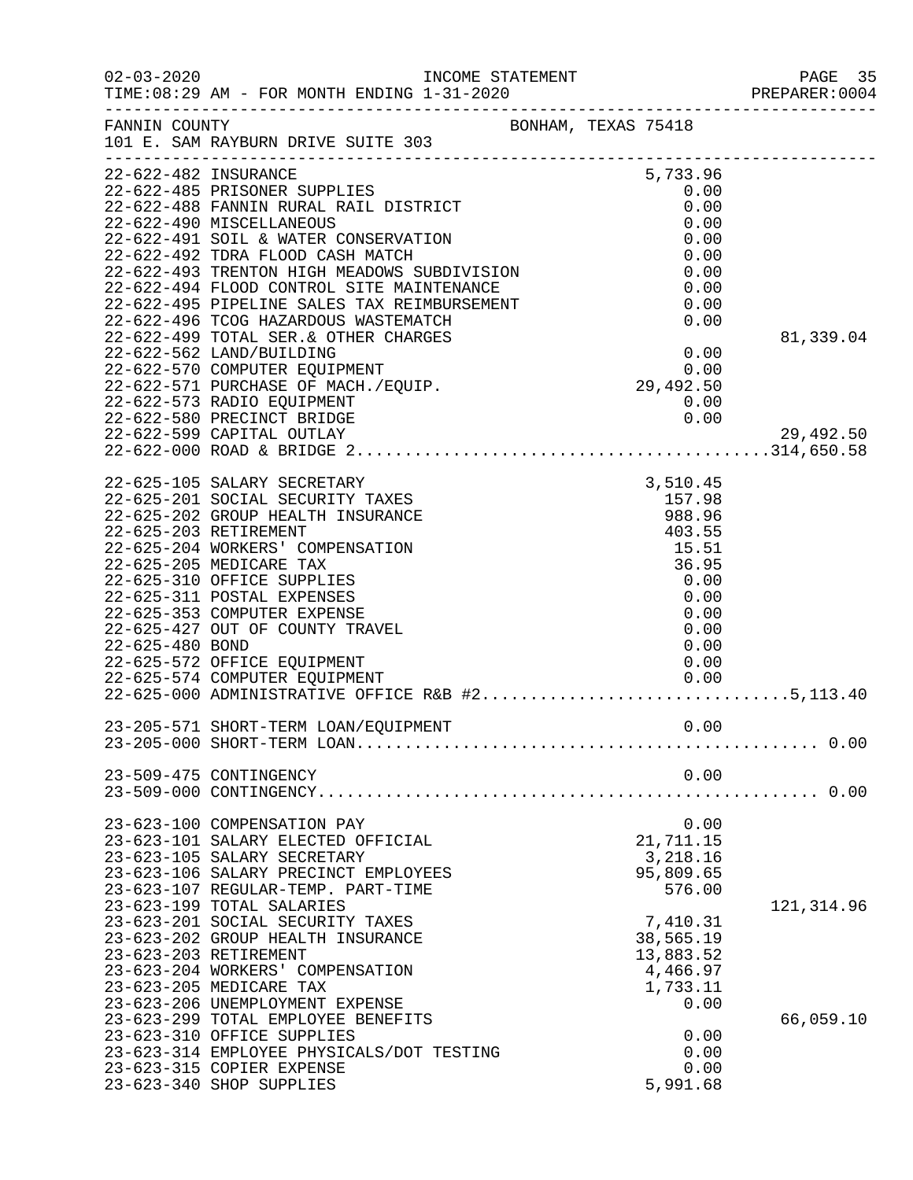| $02 - 03 - 2020$     | INCOME STATEMENT                                                                                                                        |                                        | PAGE 35<br>PREPARER:0004 |
|----------------------|-----------------------------------------------------------------------------------------------------------------------------------------|----------------------------------------|--------------------------|
|                      | TIME:08:29 AM - FOR MONTH ENDING 1-31-2020 PREPARER:0                                                                                   |                                        |                          |
| FANNIN COUNTY        | 101 E. SAM RAYBURN DRIVE SUITE 303                                                                                                      | BONHAM, TEXAS 75418                    |                          |
|                      |                                                                                                                                         |                                        |                          |
| 22-622-482 INSURANCE |                                                                                                                                         | 5,733.96                               |                          |
|                      | 22-622-485 PRISONER SUPPLIES<br>22-622-488 FANNIN RURAL RAIL DISTRICT                                                                   | 0.00<br>0.00                           |                          |
|                      | 22-622-490 MISCELLANEOUS                                                                                                                | 0.00                                   |                          |
|                      | 22-622-491 SOIL & WATER CONSERVATION                                                                                                    | 0.00                                   |                          |
|                      | 22-622-492 TDRA FLOOD CASH MATCH                                                                                                        | 0.00                                   |                          |
|                      | 22-622-493 TRENTON HIGH MEADOWS SUBDIVISION                                                                                             | 0.00                                   |                          |
|                      | 22-622-494 FLOOD CONTROL SITE MAINTENANCE                                                                                               | 0.00                                   |                          |
|                      | 22-622-495 PIPELINE SALES TAX REIMBURSEMENT                                                                                             | 0.00                                   |                          |
|                      | 22-622-496 TCOG HAZARDOUS WASTEMATCH                                                                                                    | 0.00                                   |                          |
|                      | 22-622-499 TOTAL SER.& OTHER CHARGES                                                                                                    |                                        | 81,339.04                |
|                      | 22-622-562 LAND/BUILDING                                                                                                                | $0.00$<br>0.00<br>29,492.50            |                          |
|                      | 22-622-570 COMPUTER EQUIPMENT                                                                                                           |                                        |                          |
|                      | 22-622-571 PURCHASE OF MACH./EQUIP.<br>22-622-573 RADIO EQUIPMENT                                                                       |                                        |                          |
|                      | 22-622-580 PRECINCT BRIDGE                                                                                                              |                                        |                          |
|                      | 22-622-599 CAPITAL OUTLAY                                                                                                               |                                        | 29,492.50                |
|                      |                                                                                                                                         |                                        |                          |
|                      |                                                                                                                                         |                                        |                          |
|                      | 22-625-105 SALARY SECRETARY                                                                                                             | 3,510.45<br>157.98<br>988.96<br>403.55 |                          |
|                      | 22-625-201 SOCIAL SECURITY TAXES<br>22-625-202 GROUP HEALTH INSURANCE                                                                   |                                        |                          |
|                      | 22-625-203 RETIREMENT                                                                                                                   |                                        |                          |
|                      | 22-625-204 WORKERS' COMPENSATION                                                                                                        | 15.51                                  |                          |
|                      | 22-625-205 MEDICARE TAX                                                                                                                 | 36.95                                  |                          |
|                      | 22-625-310 OFFICE SUPPLIES                                                                                                              | 0.00                                   |                          |
|                      | 22-625-311 POSTAL EXPENSES                                                                                                              | 0.00                                   |                          |
|                      | 22-625-353 COMPUTER EXPENSE                                                                                                             | 0.00                                   |                          |
|                      | 22-625-427 OUT OF COUNTY TRAVEL                                                                                                         | 0.00                                   |                          |
| 22-625-480 BOND      |                                                                                                                                         | 0.00                                   |                          |
|                      | 22-625-572 OFFICE EQUIPMENT                                                                                                             | 0.00                                   |                          |
|                      | 22-625-574 COMPUTER EQUIPMENT<br>22-625-574 COMPUTER EQUIPMENT                  0.00<br>22-625-000 ADMINISTRATIVE OFFICE R&B #25,113.40 | 0.00                                   |                          |
|                      |                                                                                                                                         |                                        |                          |
|                      | 23-205-571 SHORT-TERM LOAN/EQUIPMENT                                                                                                    | 0.00                                   |                          |
|                      |                                                                                                                                         |                                        |                          |
|                      | 23-509-475 CONTINGENCY                                                                                                                  | 0.00                                   |                          |
|                      |                                                                                                                                         |                                        |                          |
|                      |                                                                                                                                         |                                        |                          |
|                      | 23-623-100 COMPENSATION PAY                                                                                                             | 0.00                                   |                          |
|                      | 23-623-101 SALARY ELECTED OFFICIAL<br>23-623-105 SALARY SECRETARY                                                                       | 21,711.15<br>3,218.16                  |                          |
|                      | 23-623-106 SALARY PRECINCT EMPLOYEES                                                                                                    | 95,809.65                              |                          |
|                      | 23-623-107 REGULAR-TEMP. PART-TIME                                                                                                      | 576.00                                 |                          |
|                      | 23-623-199 TOTAL SALARIES                                                                                                               |                                        | 121, 314.96              |
|                      | 23-623-201 SOCIAL SECURITY TAXES                                                                                                        | 7,410.31                               |                          |
|                      | 23-623-202 GROUP HEALTH INSURANCE                                                                                                       | 38,565.19                              |                          |
|                      | 23-623-203 RETIREMENT                                                                                                                   | 13,883.52                              |                          |
|                      | 23-623-204 WORKERS' COMPENSATION                                                                                                        | 4,466.97                               |                          |
|                      | 23-623-205 MEDICARE TAX                                                                                                                 | 1,733.11                               |                          |
|                      | 23-623-206 UNEMPLOYMENT EXPENSE                                                                                                         | 0.00                                   |                          |
|                      | 23-623-299 TOTAL EMPLOYEE BENEFITS<br>23-623-310 OFFICE SUPPLIES                                                                        | 0.00                                   | 66,059.10                |
|                      | 23-623-314 EMPLOYEE PHYSICALS/DOT TESTING                                                                                               | 0.00                                   |                          |
|                      | 23-623-315 COPIER EXPENSE                                                                                                               | 0.00                                   |                          |
|                      | 23-623-340 SHOP SUPPLIES                                                                                                                | 5,991.68                               |                          |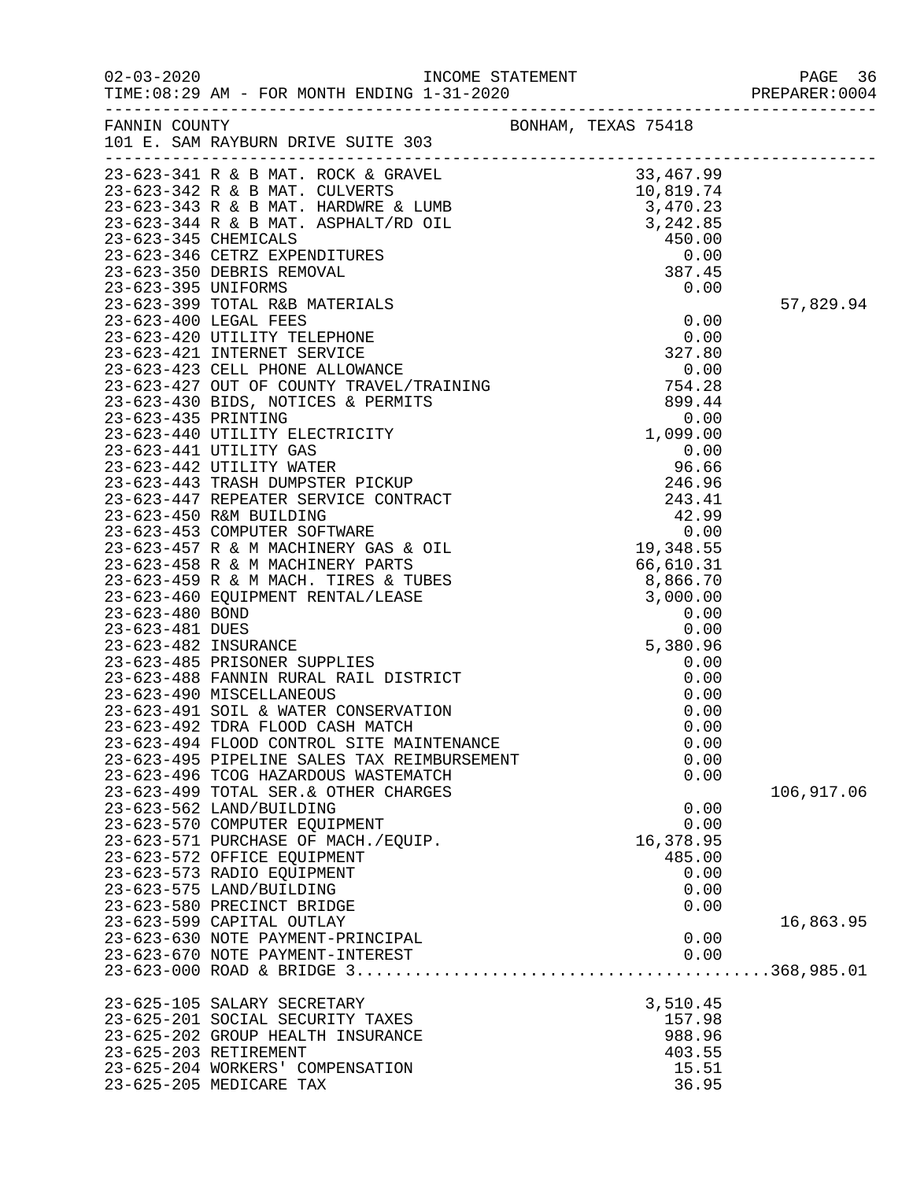02-03-2020 INCOME STATEMENT PAGE 36

| PREPARER UUU4 |  |  |  |  |
|---------------|--|--|--|--|
|               |  |  |  |  |

| FANNIN COUNTY<br>101 E. SAM RAYBURN DRIVE SUITE 303<br>101 B. SAM RAYBURN SINTE 301 B. SAMEL (1918 - SAMEL 101 B. SAMEL 23-623-3441 R. & B MAT. ROUTKER S. 1001 3,467.99<br>23-623-3442 R. & B MAT. RATIFALT/RD OIL 3,442.85<br>23-623-3443 R. & B MAT. MADWRE & LIMB 3,442.85<br>23-623-3 | BONHAM, TEXAS 75418 |            |
|--------------------------------------------------------------------------------------------------------------------------------------------------------------------------------------------------------------------------------------------------------------------------------------------|---------------------|------------|
|                                                                                                                                                                                                                                                                                            |                     |            |
|                                                                                                                                                                                                                                                                                            |                     |            |
|                                                                                                                                                                                                                                                                                            |                     |            |
|                                                                                                                                                                                                                                                                                            |                     |            |
|                                                                                                                                                                                                                                                                                            |                     |            |
|                                                                                                                                                                                                                                                                                            |                     |            |
|                                                                                                                                                                                                                                                                                            |                     |            |
|                                                                                                                                                                                                                                                                                            |                     |            |
|                                                                                                                                                                                                                                                                                            |                     | 57,829.94  |
|                                                                                                                                                                                                                                                                                            |                     |            |
|                                                                                                                                                                                                                                                                                            |                     |            |
|                                                                                                                                                                                                                                                                                            |                     |            |
|                                                                                                                                                                                                                                                                                            |                     |            |
|                                                                                                                                                                                                                                                                                            |                     |            |
|                                                                                                                                                                                                                                                                                            |                     |            |
|                                                                                                                                                                                                                                                                                            |                     |            |
|                                                                                                                                                                                                                                                                                            |                     |            |
|                                                                                                                                                                                                                                                                                            |                     |            |
|                                                                                                                                                                                                                                                                                            |                     |            |
|                                                                                                                                                                                                                                                                                            |                     |            |
|                                                                                                                                                                                                                                                                                            |                     |            |
|                                                                                                                                                                                                                                                                                            |                     |            |
|                                                                                                                                                                                                                                                                                            |                     |            |
|                                                                                                                                                                                                                                                                                            |                     |            |
|                                                                                                                                                                                                                                                                                            |                     |            |
|                                                                                                                                                                                                                                                                                            |                     |            |
|                                                                                                                                                                                                                                                                                            |                     |            |
|                                                                                                                                                                                                                                                                                            |                     |            |
|                                                                                                                                                                                                                                                                                            |                     |            |
|                                                                                                                                                                                                                                                                                            |                     |            |
|                                                                                                                                                                                                                                                                                            |                     |            |
|                                                                                                                                                                                                                                                                                            |                     |            |
|                                                                                                                                                                                                                                                                                            |                     |            |
|                                                                                                                                                                                                                                                                                            |                     |            |
|                                                                                                                                                                                                                                                                                            |                     |            |
| 23-623-494 FLOOD CONTROL SITE MAINTENANCE                                                                                                                                                                                                                                                  | 0.00                |            |
| 23-623-495 PIPELINE SALES TAX REIMBURSEMENT                                                                                                                                                                                                                                                | 0.00<br>0.00        |            |
| 23-623-496 TCOG HAZARDOUS WASTEMATCH<br>23-623-499 TOTAL SER. & OTHER CHARGES                                                                                                                                                                                                              |                     | 106,917.06 |
| 23-623-562 LAND/BUILDING                                                                                                                                                                                                                                                                   | 0.00                |            |
| 23-623-570 COMPUTER EQUIPMENT                                                                                                                                                                                                                                                              | 0.00                |            |
| 23-623-571 PURCHASE OF MACH./EQUIP.                                                                                                                                                                                                                                                        | 16,378.95           |            |
| 23-623-572 OFFICE EQUIPMENT                                                                                                                                                                                                                                                                | 485.00              |            |
| 23-623-573 RADIO EQUIPMENT                                                                                                                                                                                                                                                                 | 0.00                |            |
| 23-623-575 LAND/BUILDING                                                                                                                                                                                                                                                                   | 0.00                |            |
| 23-623-580 PRECINCT BRIDGE                                                                                                                                                                                                                                                                 | 0.00                |            |
| 23-623-599 CAPITAL OUTLAY                                                                                                                                                                                                                                                                  |                     | 16,863.95  |
| 23-623-630 NOTE PAYMENT-PRINCIPAL                                                                                                                                                                                                                                                          | 0.00                |            |
| 23-623-670 NOTE PAYMENT-INTEREST                                                                                                                                                                                                                                                           | 0.00                |            |
|                                                                                                                                                                                                                                                                                            |                     |            |
| 23-625-105 SALARY SECRETARY                                                                                                                                                                                                                                                                | 3,510.45            |            |
| 23-625-201 SOCIAL SECURITY TAXES                                                                                                                                                                                                                                                           | 157.98              |            |
| 23-625-202 GROUP HEALTH INSURANCE                                                                                                                                                                                                                                                          | 988.96              |            |
| 23-625-203 RETIREMENT                                                                                                                                                                                                                                                                      | 403.55              |            |
| 23-625-204 WORKERS' COMPENSATION                                                                                                                                                                                                                                                           | 15.51               |            |
| 23-625-205 MEDICARE TAX                                                                                                                                                                                                                                                                    | 36.95               |            |
|                                                                                                                                                                                                                                                                                            |                     |            |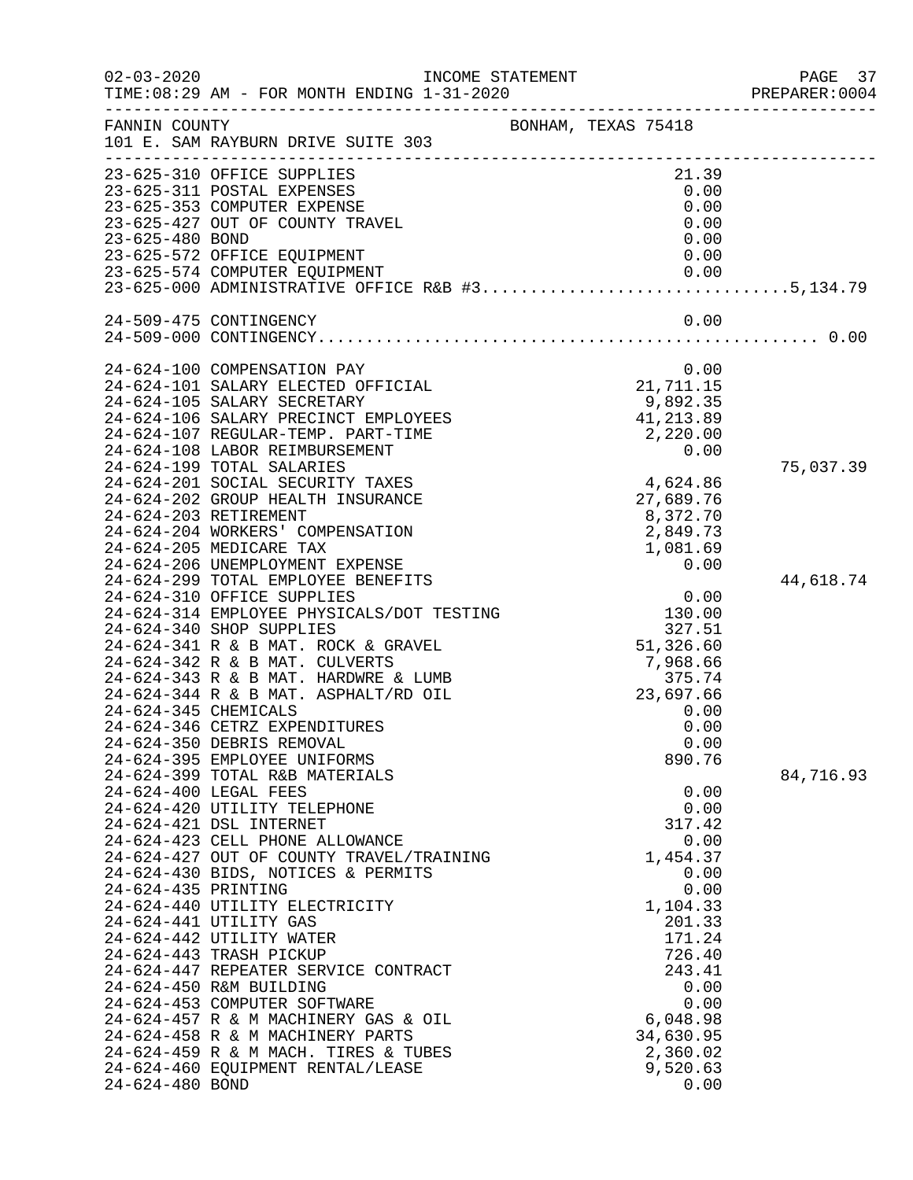| $02 - 03 - 2020$                            | INCOME STATEMENT<br>TIME: 08:29 AM - FOR MONTH ENDING 1-31-2020                                                                                                                                                                                                                                                                                                                                                                                                                                                                                                                                                                                                                                                                                                                                                                                                                                                                                                                                                                                                                                                                                                                                                                                                                                                                                                                                    |                                                                                                                                                                                                                                                                                                                                                                                                              | PAGE 37<br>PREPARER: 0004           |
|---------------------------------------------|----------------------------------------------------------------------------------------------------------------------------------------------------------------------------------------------------------------------------------------------------------------------------------------------------------------------------------------------------------------------------------------------------------------------------------------------------------------------------------------------------------------------------------------------------------------------------------------------------------------------------------------------------------------------------------------------------------------------------------------------------------------------------------------------------------------------------------------------------------------------------------------------------------------------------------------------------------------------------------------------------------------------------------------------------------------------------------------------------------------------------------------------------------------------------------------------------------------------------------------------------------------------------------------------------------------------------------------------------------------------------------------------------|--------------------------------------------------------------------------------------------------------------------------------------------------------------------------------------------------------------------------------------------------------------------------------------------------------------------------------------------------------------------------------------------------------------|-------------------------------------|
| FANNIN COUNTY                               | 101 E. SAM RAYBURN DRIVE SUITE 303                                                                                                                                                                                                                                                                                                                                                                                                                                                                                                                                                                                                                                                                                                                                                                                                                                                                                                                                                                                                                                                                                                                                                                                                                                                                                                                                                                 | BONHAM, TEXAS 75418                                                                                                                                                                                                                                                                                                                                                                                          |                                     |
| 23-625-480 BOND                             | 23-625-310 OFFICE SUPPLIES<br>23-625-311 POSTAL EXPENSES<br>23-625-353 COMPUTER EXPENSE<br>23-625-427 OUT OF COUNTY TRAVEL<br>23-625-572 OFFICE EQUIPMENT<br>23-625-574 COMPUTER EQUIPMENT<br>23-025-574 COMPUTER EQUIPMENT<br>23-625-000 ADMINISTRATIVE OFFICE R&B #35,134.79                                                                                                                                                                                                                                                                                                                                                                                                                                                                                                                                                                                                                                                                                                                                                                                                                                                                                                                                                                                                                                                                                                                     | 21.39<br>0.00<br>0.00<br>0.00<br>0.00<br>0.00<br>0.00                                                                                                                                                                                                                                                                                                                                                        |                                     |
|                                             | 24-509-475 CONTINGENCY                                                                                                                                                                                                                                                                                                                                                                                                                                                                                                                                                                                                                                                                                                                                                                                                                                                                                                                                                                                                                                                                                                                                                                                                                                                                                                                                                                             | 0.00                                                                                                                                                                                                                                                                                                                                                                                                         |                                     |
| 24-624-345 CHEMICALS<br>24-624-435 PRINTING | 24-624-100 COMPENSATION PAY<br>24-624-101 SALARY ELECTED OFFICIAL<br>24-624-105 SALARY SECRETARY<br>24-624-106 SALARY PRECINCT EMPLOYEES<br>24-624-107 REGULAR-TEMP. PART-TIME<br>24-624-108 LABOR REIMBURSEMENT<br>24-624-199 TOTAL SALARIES<br>24-624-201 SOCIAL SECURITY TAXES<br>24-624-202 GROUP HEALTH INSURANCE<br>24-624-203 RETIREMENT<br>24-624-204 WORKERS' COMPENSATION<br>24-624-205 MEDICARE TAX<br>24-624-206 UNEMPLOYMENT EXPENSE<br>24-624-299 TOTAL EMPLOYEE BENEFITS<br>24-624-310 OFFICE SUPPLIES<br>24-624-314 EMPLOYEE PHYSICALS/DOT TESTING<br>24-624-340 SHOP SUPPLIES<br>24-624-341 R & B MAT. ROCK & GRAVEL<br>24-624-342 R & B MAT. CULVERTS<br>24-624-343 R & B MAT. HARDWRE & LUMB<br>24-624-344 R & B MAT. ASPHALT/RD OIL<br>24-624-346 CETRZ EXPENDITURES<br>24-624-350 DEBRIS REMOVAL<br>24-624-395 EMPLOYEE UNIFORMS<br>24-624-399 TOTAL R&B MATERIALS<br>24-624-400 LEGAL FEES<br>24-624-420 UTILITY TELEPHONE<br>24-624-421 DSL INTERNET<br>24-624-423 CELL PHONE ALLOWANCE<br>24-624-427 OUT OF COUNTY TRAVEL/TRAINING<br>24-624-430 BIDS, NOTICES & PERMITS<br>24-624-440 UTILITY ELECTRICITY<br>24-624-441 UTILITY GAS<br>24-624-442 UTILITY WATER<br>24-624-443 TRASH PICKUP<br>24-624-447 REPEATER SERVICE CONTRACT<br>24-624-450 R&M BUILDING<br>24-624-453 COMPUTER SOFTWARE<br>24-624-457 R & M MACHINERY GAS & OIL<br>24-624-458 R & M MACHINERY PARTS | 0.00<br>21,711.15<br>9,892.35<br>41,213.89<br>2,220.00<br>0.00<br>4,624.86<br>27,689.76<br>8,372.70<br>2,849.73<br>1,081.69<br>0.00<br>0.00<br>130.00<br>327.51<br>51,326.60<br>7,968.66<br>375.74<br>23,697.66<br>0.00<br>0.00<br>0.00<br>890.76<br>0.00<br>0.00<br>317.42<br>0.00<br>1,454.37<br>0.00<br>0.00<br>1,104.33<br>201.33<br>171.24<br>726.40<br>243.41<br>0.00<br>0.00<br>6,048.98<br>34,630.95 | 75,037.39<br>44,618.74<br>84,716.93 |
| 24-624-480 BOND                             | 24-624-459 R & M MACH. TIRES & TUBES<br>24-624-460 EQUIPMENT RENTAL/LEASE                                                                                                                                                                                                                                                                                                                                                                                                                                                                                                                                                                                                                                                                                                                                                                                                                                                                                                                                                                                                                                                                                                                                                                                                                                                                                                                          | 2,360.02<br>9,520.63<br>0.00                                                                                                                                                                                                                                                                                                                                                                                 |                                     |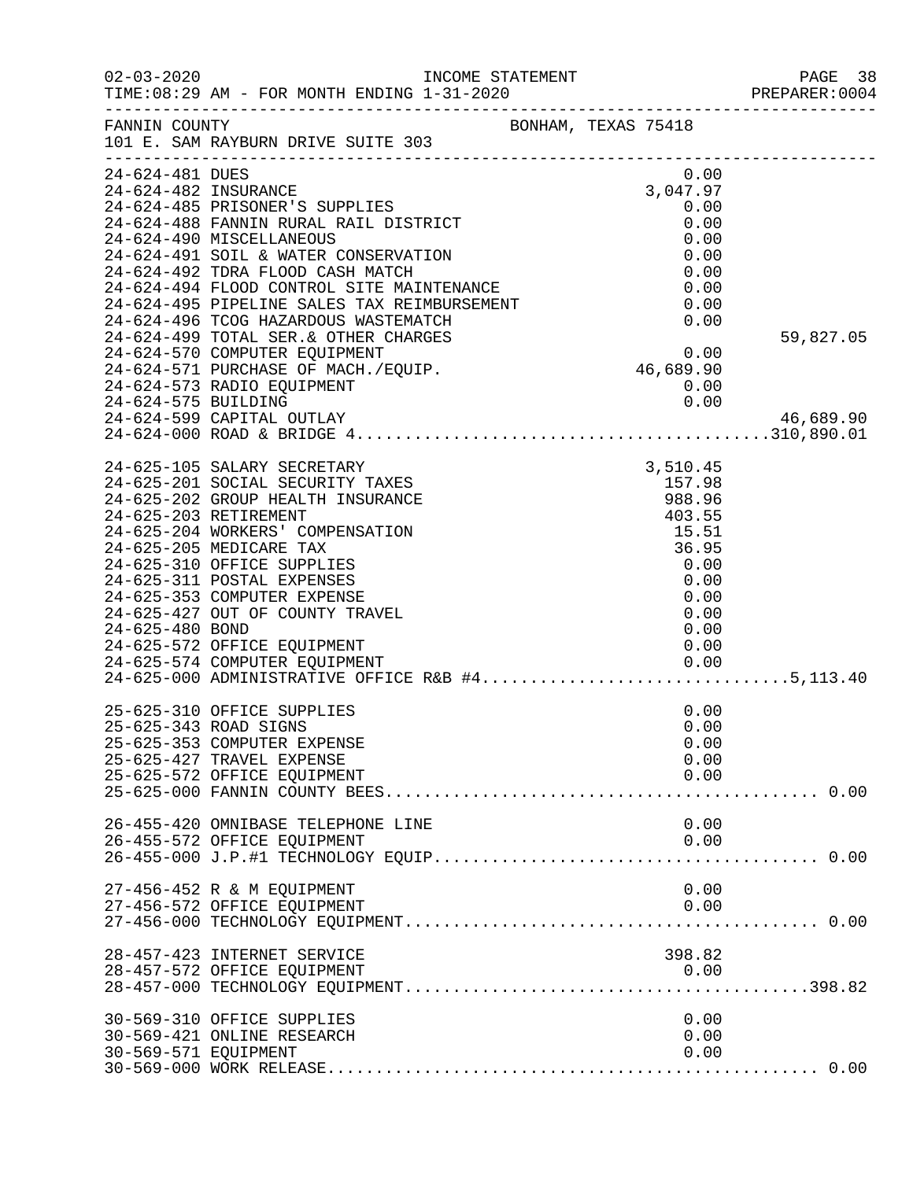| $02 - 03 - 2020$                        | INCOME STATEMENT<br>TIME: 08:29 AM - FOR MONTH ENDING 1-31-2020                                                                                                                                                                                                                                                                                                                                                                                 |                                                                                                      | PAGE 38<br>PREPARER: 0004 |
|-----------------------------------------|-------------------------------------------------------------------------------------------------------------------------------------------------------------------------------------------------------------------------------------------------------------------------------------------------------------------------------------------------------------------------------------------------------------------------------------------------|------------------------------------------------------------------------------------------------------|---------------------------|
| FANNIN COUNTY                           | 101 E. SAM RAYBURN DRIVE SUITE 303                                                                                                                                                                                                                                                                                                                                                                                                              | -----------------------------------<br>BONHAM, TEXAS 75418                                           |                           |
| 24-624-481 DUES<br>24-624-482 INSURANCE | 24-624-485 PRISONER'S SUPPLIES<br>24-624-488 FANNIN RURAL RAIL DISTRICT<br>24-624-490 MISCELLANEOUS                                                                                                                                                                                                                                                                                                                                             | 0.00<br>3,047.97<br>0.00<br>0.00<br>0.00                                                             |                           |
|                                         | 24-624-491 SOIL & WATER CONSERVATION<br>24-624-492 TDRA FLOOD CASH MATCH<br>24-624-494 FLOOD CONTROL SITE MAINTENANCE<br>24-624-495 PIPELINE SALES TAX REIMBURSEMENT<br>24-624-496 TCOG HAZARDOUS WASTEMATCH                                                                                                                                                                                                                                    | 0.00<br>0.00<br>0.00<br>0.00<br>0.00                                                                 |                           |
| 24-624-575 BUILDING                     | 24-624-499 TOTAL SER. & OTHER CHARGES<br>24-624-570 COMPUTER EQUIPMENT<br>24-624-571 PURCHASE OF MACH./EQUIP.<br>24-624-573 RADIO EQUIPMENT<br>24-624-599 CAPITAL OUTLAY                                                                                                                                                                                                                                                                        | 0.00<br>46,689.90<br>0.00<br>0.00                                                                    | 59,827.05<br>46,689.90    |
|                                         | 24-625-105 SALARY SECRETARY                                                                                                                                                                                                                                                                                                                                                                                                                     | 3,510.45                                                                                             |                           |
| 24-625-480 BOND                         | 24-625-201 SOCIAL SECURITY TAXES<br>24-625-202 GROUP HEALTH INSURANCE<br>24-625-203 RETIREMENT<br>24-625-204 WORKERS' COMPENSATION<br>24-625-205 MEDICARE TAX<br>24-625-310 OFFICE SUPPLIES<br>24-625-311 POSTAL EXPENSES<br>24-625-353 COMPUTER EXPENSE<br>24-625-427 OUT OF COUNTY TRAVEL<br>24-625-572 OFFICE EQUIPMENT<br>24-625-574 COMPUTER EQUIPMENT<br>24-625-574 COMPUTER EQUIPMENT<br>24-625-000 ADMINISTRATIVE OFFICE R&B #45,113.40 | 157.98<br>988.96<br>403.55<br>15.51<br>36.95<br>0.00<br>0.00<br>0.00<br>0.00<br>0.00<br>0.00<br>0.00 |                           |
|                                         | 25-625-310 OFFICE SUPPLIES<br>25-625-343 ROAD SIGNS<br>25-625-353 COMPUTER EXPENSE<br>25-625-427 TRAVEL EXPENSE<br>25-625-572 OFFICE EQUIPMENT                                                                                                                                                                                                                                                                                                  | 0.00<br>0.00<br>0.00<br>0.00<br>0.00                                                                 |                           |
|                                         | 26-455-420 OMNIBASE TELEPHONE LINE<br>26-455-572 OFFICE EQUIPMENT                                                                                                                                                                                                                                                                                                                                                                               | 0.00<br>0.00                                                                                         |                           |
|                                         | 27-456-452 R & M EQUIPMENT<br>27-456-572 OFFICE EQUIPMENT                                                                                                                                                                                                                                                                                                                                                                                       | 0.00<br>0.00                                                                                         |                           |
|                                         | 28-457-423 INTERNET SERVICE<br>28-457-572 OFFICE EQUIPMENT                                                                                                                                                                                                                                                                                                                                                                                      | 398.82<br>0.00                                                                                       |                           |
| 30-569-571 EQUIPMENT                    | 30-569-310 OFFICE SUPPLIES<br>30-569-421 ONLINE RESEARCH                                                                                                                                                                                                                                                                                                                                                                                        | 0.00<br>0.00<br>0.00                                                                                 |                           |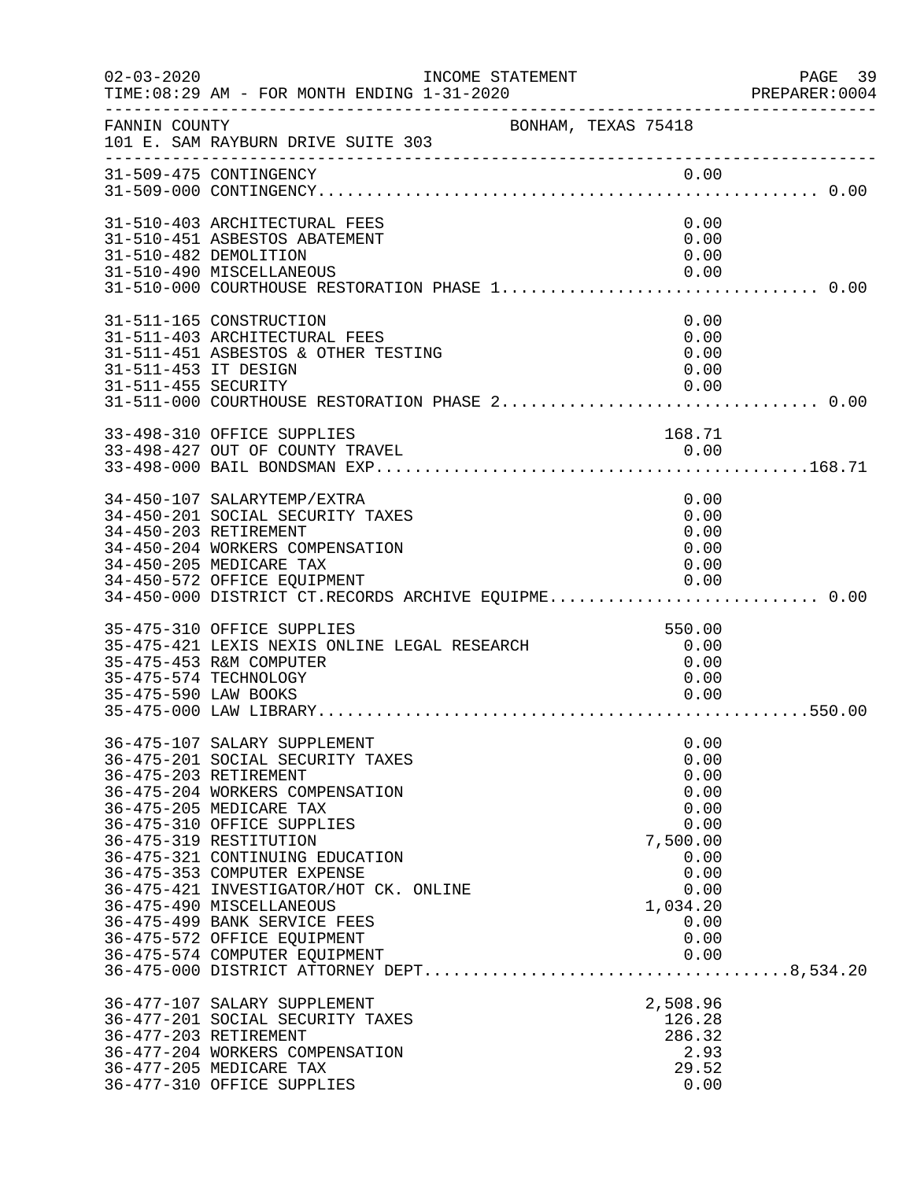| $02 - 03 - 2020$                            | INCOME STATEMENT<br>TIME: 08:29 AM - FOR MONTH ENDING 1-31-2020                                                                                                                                                                                                                                                                                                                                                                                         |                                                                                                                      | PAGE 39<br>PREPARER:0004 |
|---------------------------------------------|---------------------------------------------------------------------------------------------------------------------------------------------------------------------------------------------------------------------------------------------------------------------------------------------------------------------------------------------------------------------------------------------------------------------------------------------------------|----------------------------------------------------------------------------------------------------------------------|--------------------------|
| FANNIN COUNTY                               | BONHAM, TEXAS 75418<br>101 E. SAM RAYBURN DRIVE SUITE 303                                                                                                                                                                                                                                                                                                                                                                                               |                                                                                                                      |                          |
|                                             | 31-509-475 CONTINGENCY                                                                                                                                                                                                                                                                                                                                                                                                                                  | 0.00                                                                                                                 |                          |
|                                             | 31-510-403 ARCHITECTURAL FEES<br>31-510-451 ASBESTOS ABATEMENT<br>31-510-482 DEMOLITION<br>31-510-490 MISCELLANEOUS                                                                                                                                                                                                                                                                                                                                     | 0.00<br>0.00<br>0.00<br>0.00                                                                                         |                          |
| 31-511-453 IT DESIGN<br>31-511-455 SECURITY | 31-511-165 CONSTRUCTION<br>31-511-403 ARCHITECTURAL FEES<br>31-511-451 ASBESTOS & OTHER TESTING                                                                                                                                                                                                                                                                                                                                                         | 0.00<br>0.00<br>0.00<br>0.00<br>0.00                                                                                 |                          |
|                                             | 33-498-310 OFFICE SUPPLIES                                                                                                                                                                                                                                                                                                                                                                                                                              | 168.71                                                                                                               |                          |
|                                             | 34-450-107 SALARYTEMP/EXTRA<br>34-450-201 SOCIAL SECURITY TAXES<br>34-450-203 RETIREMENT<br>34-450-204 WORKERS COMPENSATION<br>34-450-205 MEDICARE TAX<br>34-450-572 OFFICE EQUIPMENT<br>34-450-000 DISTRICT CT.RECORDS ARCHIVE EQUIPME 0.00                                                                                                                                                                                                            | 0.00<br>0.00<br>0.00<br>0.00<br>0.00<br>0.00                                                                         |                          |
| 35-475-590 LAW BOOKS                        | 35-475-310 OFFICE SUPPLIES<br>35-475-421 LEXIS NEXIS ONLINE LEGAL RESEARCH<br>35-475-453 R&M COMPUTER<br>35-475-574 TECHNOLOGY                                                                                                                                                                                                                                                                                                                          | 550.00<br>0.00<br>0.00<br>0.00<br>0.00                                                                               |                          |
|                                             | 36-475-107 SALARY SUPPLEMENT<br>36-475-201 SOCIAL SECURITY TAXES<br>36-475-203 RETIREMENT<br>36-475-204 WORKERS COMPENSATION<br>36-475-205 MEDICARE TAX<br>36-475-310 OFFICE SUPPLIES<br>36-475-319 RESTITUTION<br>36-475-321 CONTINUING EDUCATION<br>36-475-353 COMPUTER EXPENSE<br>36-475-421 INVESTIGATOR/HOT CK. ONLINE<br>36-475-490 MISCELLANEOUS<br>36-475-499 BANK SERVICE FEES<br>36-475-572 OFFICE EQUIPMENT<br>36-475-574 COMPUTER EQUIPMENT | 0.00<br>0.00<br>0.00<br>0.00<br>0.00<br>0.00<br>7,500.00<br>0.00<br>0.00<br>0.00<br>1,034.20<br>0.00<br>0.00<br>0.00 |                          |
|                                             | 36-477-107 SALARY SUPPLEMENT<br>36-477-201 SOCIAL SECURITY TAXES<br>36-477-203 RETIREMENT<br>36-477-204 WORKERS COMPENSATION<br>36-477-205 MEDICARE TAX<br>36-477-310 OFFICE SUPPLIES                                                                                                                                                                                                                                                                   | 2,508.96<br>126.28<br>286.32<br>2.93<br>29.52<br>0.00                                                                |                          |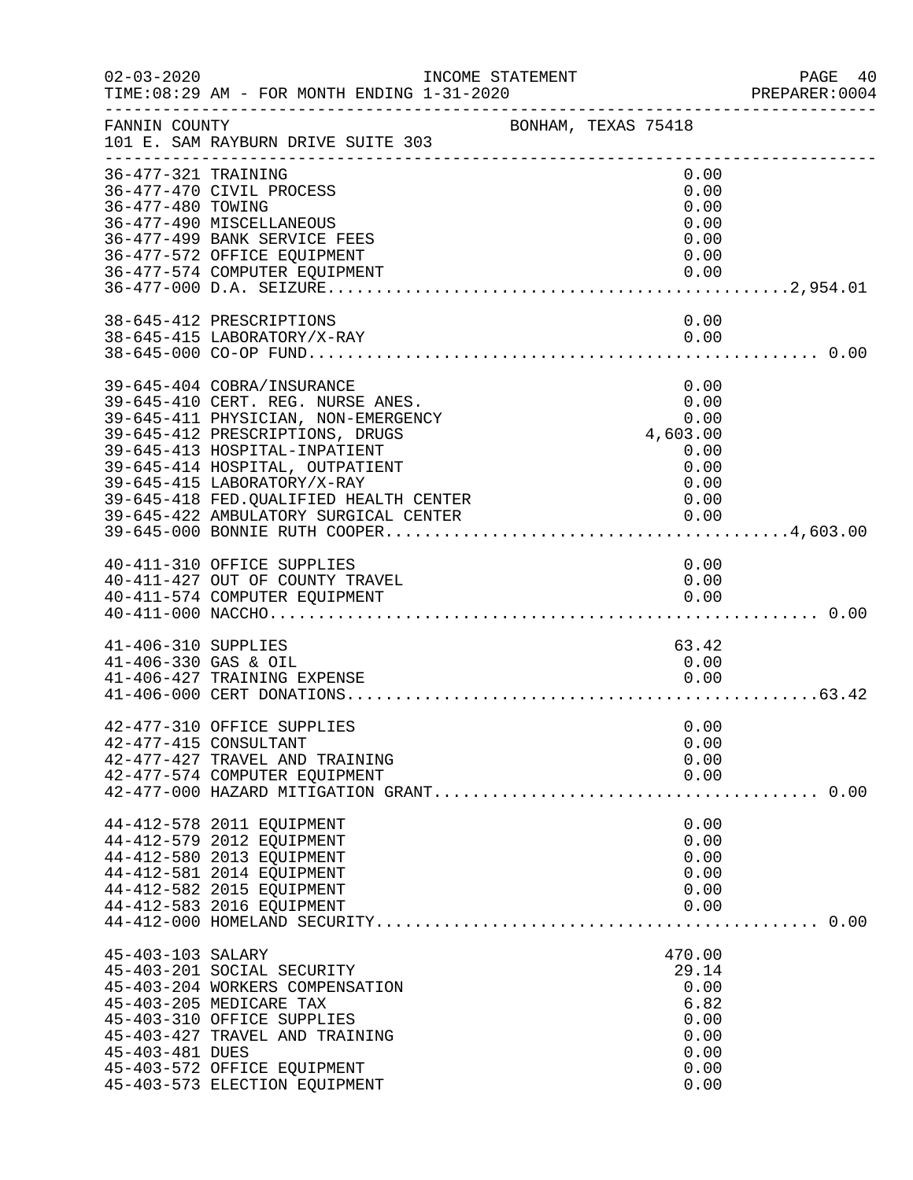| $02 - 03 - 2020$                            | INCOME STATEMENT<br>TIME: 08:29 AM - FOR MONTH ENDING 1-31-2020                                                                                                                                                                                                                                                                 |                     |                                                                          | PAGE 40<br>PREPARER:0004<br>----------------------------------- |
|---------------------------------------------|---------------------------------------------------------------------------------------------------------------------------------------------------------------------------------------------------------------------------------------------------------------------------------------------------------------------------------|---------------------|--------------------------------------------------------------------------|-----------------------------------------------------------------|
| FANNIN COUNTY                               | 101 E. SAM RAYBURN DRIVE SUITE 303                                                                                                                                                                                                                                                                                              | BONHAM, TEXAS 75418 |                                                                          |                                                                 |
| 36-477-321 TRAINING<br>36-477-480 TOWING    | 36-477-470 CIVIL PROCESS<br>36-477-490 MISCELLANEOUS<br>36-477-499 BANK SERVICE FEES<br>36-477-572 OFFICE EQUIPMENT<br>36-477-574 COMPUTER EQUIPMENT                                                                                                                                                                            |                     | 0.00<br>0.00<br>0.00<br>0.00<br>0.00<br>0.00<br>0.00                     |                                                                 |
|                                             | 38-645-412 PRESCRIPTIONS<br>38-645-415 LABORATORY/X-RAY                                                                                                                                                                                                                                                                         |                     | 0.00<br>0.00                                                             |                                                                 |
|                                             | 39-645-404 COBRA/INSURANCE<br>39-645-410 CERT. REG. NURSE ANES.<br>39-645-411 PHYSICIAN, NON-EMERGENCY<br>39-645-412 PRESCRIPTIONS, DRUGS<br>39-645-413 HOSPITAL-INPATIENT<br>39-645-414 HOSPITAL, OUTPATIENT<br>39-645-415 LABORATORY/X-RAY<br>39-645-418 FED.QUALIFIED HEALTH CENTER<br>39-645-422 AMBULATORY SURGICAL CENTER |                     | 0.00<br>0.00<br>0.00<br>4,603.00<br>0.00<br>0.00<br>0.00<br>0.00<br>0.00 |                                                                 |
|                                             | 40-411-310 OFFICE SUPPLIES<br>40-411-427 OUT OF COUNTY TRAVEL<br>40-411-574 COMPUTER EQUIPMENT                                                                                                                                                                                                                                  |                     | 0.00<br>0.00<br>0.00                                                     |                                                                 |
| 41-406-310 SUPPLIES<br>41-406-330 GAS & OIL | 41-406-427 TRAINING EXPENSE                                                                                                                                                                                                                                                                                                     |                     | 63.42<br>0.00<br>0.00                                                    |                                                                 |
|                                             | 42-477-310 OFFICE SUPPLIES<br>42-477-415 CONSULTANT<br>42-477-427 TRAVEL AND TRAINING<br>42-477-574 COMPUTER EQUIPMENT                                                                                                                                                                                                          |                     | 0.00<br>0.00<br>0.00<br>0.00                                             |                                                                 |
|                                             | 44-412-578 2011 EQUIPMENT<br>44-412-579 2012 EQUIPMENT<br>44-412-580 2013 EQUIPMENT<br>44-412-581 2014 EQUIPMENT<br>44-412-582 2015 EQUIPMENT<br>44-412-583 2016 EQUIPMENT                                                                                                                                                      |                     | 0.00<br>0.00<br>0.00<br>0.00<br>0.00<br>0.00                             |                                                                 |
| 45-403-103 SALARY<br>45-403-481 DUES        | 45-403-201 SOCIAL SECURITY<br>45-403-204 WORKERS COMPENSATION<br>45-403-205 MEDICARE TAX<br>45-403-310 OFFICE SUPPLIES<br>45-403-427 TRAVEL AND TRAINING<br>45-403-572 OFFICE EQUIPMENT<br>45-403-573 ELECTION EQUIPMENT                                                                                                        |                     | 470.00<br>29.14<br>0.00<br>6.82<br>0.00<br>0.00<br>0.00<br>0.00<br>0.00  |                                                                 |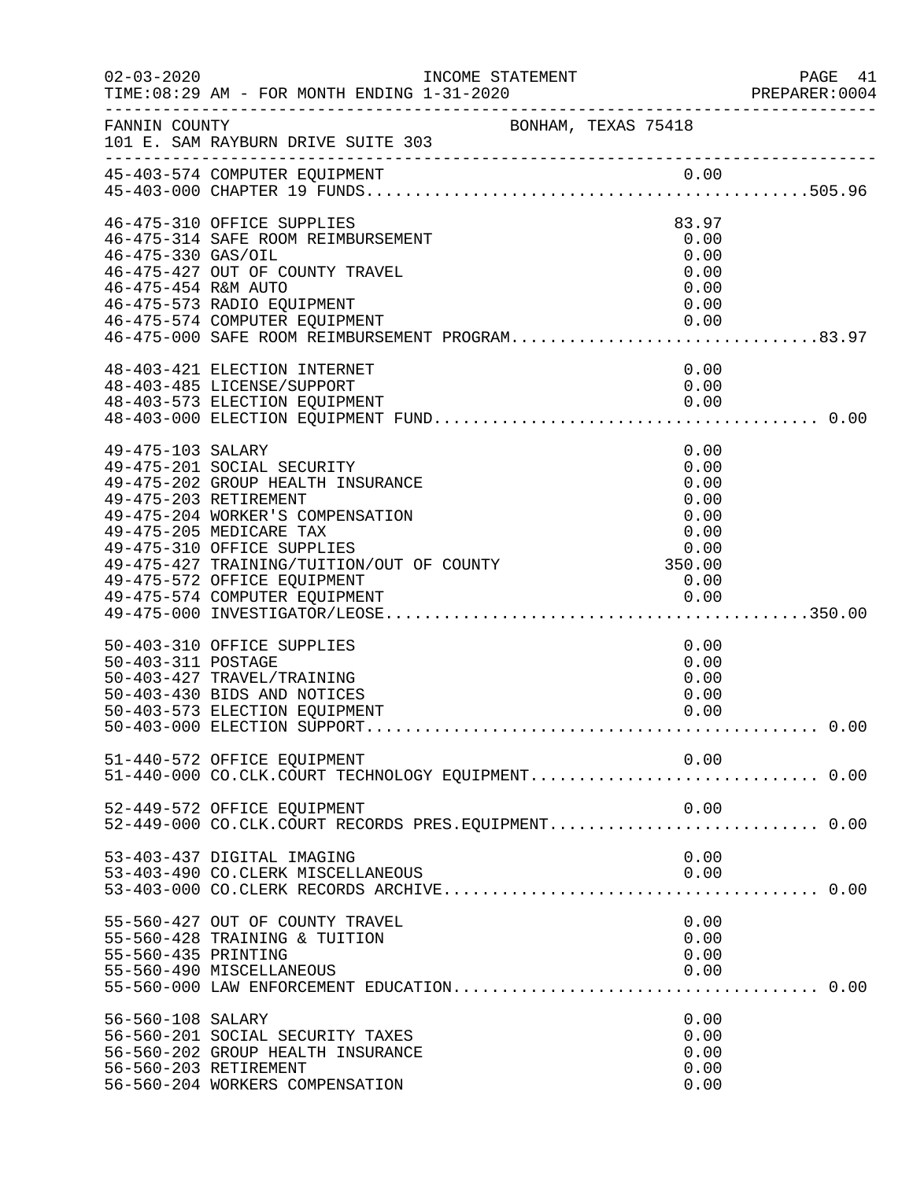| $02 - 03 - 2020$                          | INCOME STATEMENT<br>TIME: 08:29 AM - FOR MONTH ENDING 1-31-2020                                                                                                                                                                                                                                         |                                                       | PAGE 41<br>PREPARER:0004 |
|-------------------------------------------|---------------------------------------------------------------------------------------------------------------------------------------------------------------------------------------------------------------------------------------------------------------------------------------------------------|-------------------------------------------------------|--------------------------|
| FANNIN COUNTY                             | BONHAM, TEXAS 75418<br>101 E. SAM RAYBURN DRIVE SUITE 303                                                                                                                                                                                                                                               |                                                       |                          |
|                                           | 45-403-574 COMPUTER EQUIPMENT                                                                                                                                                                                                                                                                           |                                                       |                          |
| 46-475-330 GAS/OIL<br>46-475-454 R&M AUTO | 46-475-310 OFFICE SUPPLIES<br>46-475-314 SAFE ROOM REIMBURSEMENT<br>46-475-427 OUT OF COUNTY TRAVEL<br>46-475-573 RADIO EQUIPMENT<br>46-475-574 COMPUTER EQUIPMENT<br>46-475-574 COMPUTER EQUIPMENT<br>46-475-000 SAFE ROOM REIMBURSEMENT PROGRAM83.97                                                  | 83.97<br>0.00<br>0.00<br>0.00<br>0.00<br>0.00<br>0.00 |                          |
|                                           | 48-403-421 ELECTION INTERNET<br>48-403-485 LICENSE/SUPPORT                                                                                                                                                                                                                                              | 0.00<br>0.00                                          |                          |
| 49-475-103 SALARY                         | 49-475-201 SOCIAL SECURITY<br>49-475-202 GROUP HEALTH INSURANCE<br>49-475-203 RETIREMENT<br>49-475-204 WORKER'S COMPENSATION<br>49-475-205 MEDICARE TAX<br>49-475-310 OFFICE SUPPLIES<br>49-475-427 TRAINING/TUITION/OUT OF COUNTY 350.00<br>49-475-572 OFFICE FOULDMENT<br>49-475-572 OFFICE EQUIPMENT | 0.00<br>0.00<br>0.00<br>0.00<br>0.00<br>0.00<br>0.00  |                          |
| 50-403-311 POSTAGE                        | 50-403-310 OFFICE SUPPLIES<br>50-403-427 TRAVEL/TRAINING<br>50-403-430 BIDS AND NOTICES<br>50-403-573 ELECTION EQUIPMENT                                                                                                                                                                                | 0.00<br>0.00<br>0.00<br>0.00<br>0.00                  |                          |
|                                           | 51-440-572 OFFICE EQUIPMENT                                                                                                                                                                                                                                                                             | 0.00                                                  |                          |
|                                           | 52-449-572 OFFICE EQUIPMENT<br>52-449-000 CO.CLK.COURT RECORDS PRES.EQUIPMENT 0.00                                                                                                                                                                                                                      | 0.00                                                  |                          |
|                                           | 53-403-437 DIGITAL IMAGING<br>53-403-490 CO.CLERK MISCELLANEOUS                                                                                                                                                                                                                                         | 0.00<br>0.00                                          |                          |
| 55-560-435 PRINTING                       | 55-560-427 OUT OF COUNTY TRAVEL<br>55-560-428 TRAINING & TUITION<br>55-560-490 MISCELLANEOUS                                                                                                                                                                                                            | 0.00<br>0.00<br>0.00<br>0.00                          |                          |
| 56-560-108 SALARY                         | 56-560-201 SOCIAL SECURITY TAXES<br>56-560-202 GROUP HEALTH INSURANCE<br>56-560-203 RETIREMENT<br>56-560-204 WORKERS COMPENSATION                                                                                                                                                                       | 0.00<br>0.00<br>0.00<br>0.00<br>0.00                  |                          |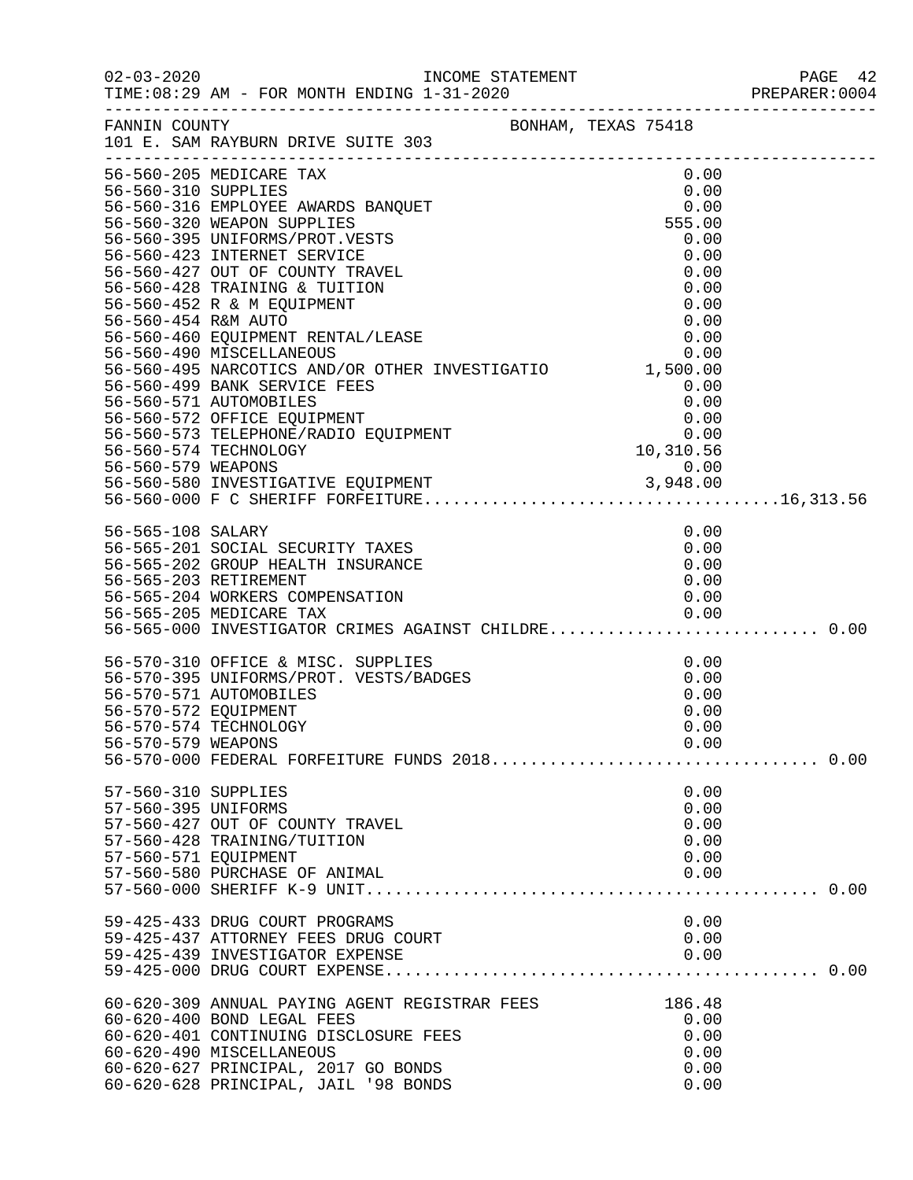|                                                                     |                                                                                                                                                                                                                                                                                                                                                                                                                                                                                                                                                |                                                                         | PAGE 42<br>PREPARER:0004 |
|---------------------------------------------------------------------|------------------------------------------------------------------------------------------------------------------------------------------------------------------------------------------------------------------------------------------------------------------------------------------------------------------------------------------------------------------------------------------------------------------------------------------------------------------------------------------------------------------------------------------------|-------------------------------------------------------------------------|--------------------------|
| FANNIN COUNTY                                                       | BONHAM, TEXAS 75418<br>101 E. SAM RAYBURN DRIVE SUITE 303                                                                                                                                                                                                                                                                                                                                                                                                                                                                                      |                                                                         |                          |
|                                                                     | _____________________<br>56-560-205 MEDICARE TAX<br>36-560-310 SUPPLIES<br>56-560-310 SUPPLIES<br>56-560-316 EMPLOYEE AWARDS BANQUET<br>56-560-320 WEAPON SUPPLIES<br>56-560-423 INTEORMS/PROT.VESTS<br>56-560-423 INTEORMS/PROT.VESTS<br>56-560-427 OUT OF COUNTY TRAVEL<br>56-560-427 OUT OF C<br>30-300-493 NARCOILCS AND/OR OIRER INVESTIGATION 1, 300.00<br>56-560-499 BANK SERVICE FEES<br>0.00<br>56-560-572 OFFICE EQUIPMENT 0.00<br>56-560-573 TELEPHONE/RADIO EQUIPMENT 0.00<br>56-560-573 TELEPHONE/RADIO EQUIPMENT 0.00<br>56-560- | 0.00<br>$\begin{array}{c} 0\, . \, 0\, 0 \\ 0\, . \, 0\, 0 \end{array}$ |                          |
|                                                                     |                                                                                                                                                                                                                                                                                                                                                                                                                                                                                                                                                |                                                                         |                          |
|                                                                     | 56-565-201 SOCIAL SECURITY TAXES<br>56-565-202 GROUP HEALTH INSURANCE<br>56-565-203 RETIREMENT<br>56-565-203 RETIREMENT<br>56-565-204 WORKERS COMPENSATION                                                                                                                                                                                                                                                                                                                                                                                     | 0.00<br>0.00<br>0.00<br>0.00<br>0.00                                    |                          |
| 56-570-572 EQUIPMENT<br>56-570-574 TECHNOLOGY<br>56-570-579 WEAPONS | 56-570-310 OFFICE & MISC. SUPPLIES<br>56-570-395 UNIFORMS/PROT. VESTS/BADGES<br>56-570-571 AUTOMOBILES                                                                                                                                                                                                                                                                                                                                                                                                                                         | 0.00<br>0.00<br>0.00<br>0.00<br>0.00<br>0.00                            |                          |
| 57-560-310 SUPPLIES<br>57-560-395 UNIFORMS<br>57-560-571 EQUIPMENT  | 57-560-427 OUT OF COUNTY TRAVEL<br>57-560-428 TRAINING/TUITION<br>57-560-580 PURCHASE OF ANIMAL                                                                                                                                                                                                                                                                                                                                                                                                                                                | 0.00<br>0.00<br>0.00<br>0.00<br>0.00<br>0.00                            |                          |
|                                                                     | 59-425-433 DRUG COURT PROGRAMS<br>59-425-437 ATTORNEY FEES DRUG COURT<br>59-425-439 INVESTIGATOR EXPENSE                                                                                                                                                                                                                                                                                                                                                                                                                                       | 0.00<br>0.00<br>0.00                                                    |                          |
|                                                                     | 60-620-309 ANNUAL PAYING AGENT REGISTRAR FEES<br>60-620-400 BOND LEGAL FEES<br>60-620-401 CONTINUING DISCLOSURE FEES<br>60-620-490 MISCELLANEOUS<br>60-620-627 PRINCIPAL, 2017 GO BONDS<br>60-620-628 PRINCIPAL, JAIL '98 BONDS                                                                                                                                                                                                                                                                                                                | 186.48<br>0.00<br>0.00<br>0.00<br>0.00<br>0.00                          |                          |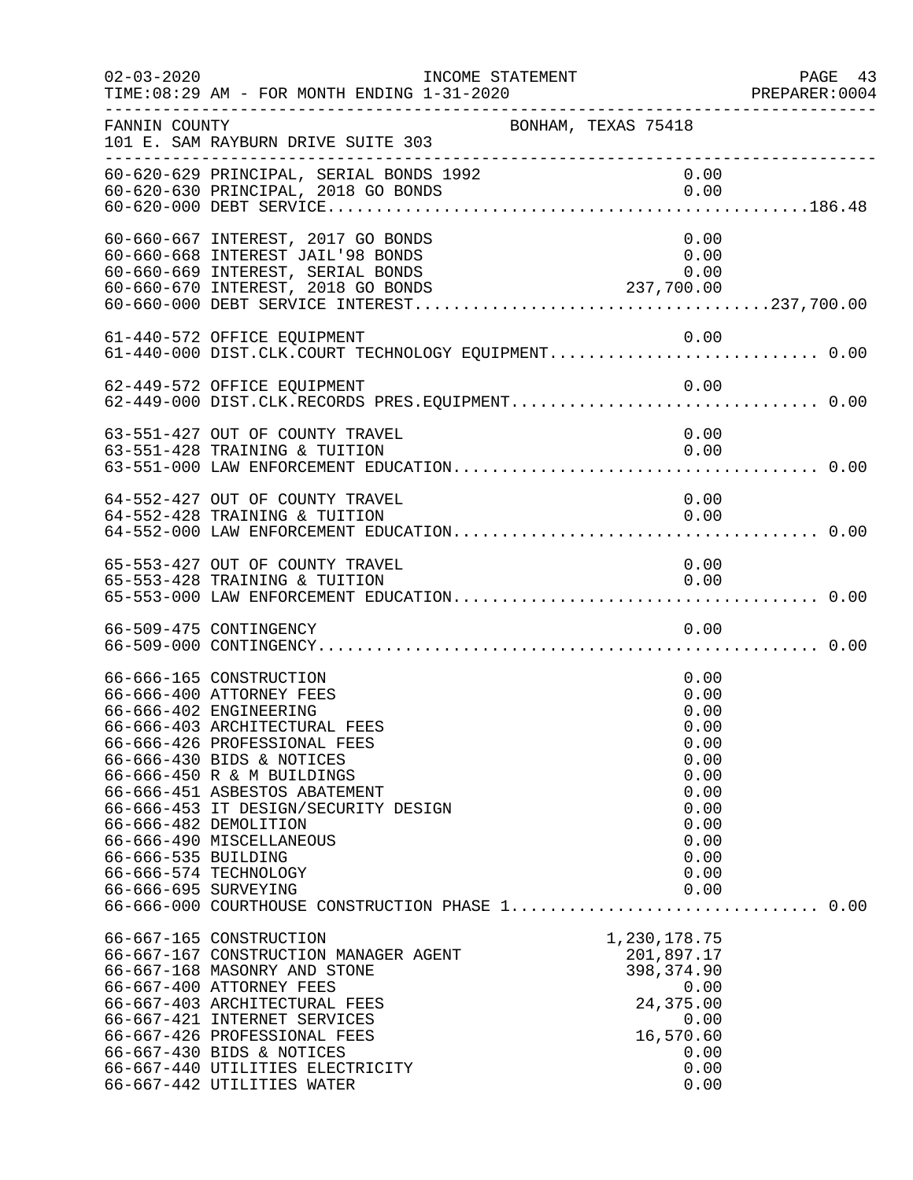| $02 - 03 - 2020$                            | INCOME STATEMENT<br>TIME: 08:29 AM - FOR MONTH ENDING 1-31-2020                                                                                                                                                                                                                                                                                                                                                | PREPARER<br>----------------------------------                                                               | PAGE 43<br>PREPARER:0004 |
|---------------------------------------------|----------------------------------------------------------------------------------------------------------------------------------------------------------------------------------------------------------------------------------------------------------------------------------------------------------------------------------------------------------------------------------------------------------------|--------------------------------------------------------------------------------------------------------------|--------------------------|
| FANNIN COUNTY                               | 101 E. SAM RAYBURN DRIVE SUITE 303<br>-----------------------------                                                                                                                                                                                                                                                                                                                                            | BONHAM, TEXAS 75418                                                                                          |                          |
|                                             | 60-620-629 PRINCIPAL, SERIAL BONDS 1992<br>60-620-630 PRINCIPAL, 2018 GO BONDS                                                                                                                                                                                                                                                                                                                                 | 0.00<br>0.00                                                                                                 |                          |
|                                             | 60-660-667 INTEREST, 2017 GO BONDS<br>60-660-668 INTEREST JAIL'98 BONDS<br>60-660-669 INTEREST, SERIAL BONDS                                                                                                                                                                                                                                                                                                   | 0.00<br>0.00<br>0.00                                                                                         |                          |
|                                             | 61-440-572 OFFICE EQUIPMENT<br>61-440-000 DIST.CLK.COURT TECHNOLOGY EQUIPMENT 0.00                                                                                                                                                                                                                                                                                                                             | 0.00                                                                                                         |                          |
|                                             | 62-449-572 OFFICE EQUIPMENT<br>62-449-000 DIST.CLK.RECORDS PRES.EQUIPMENT 0.00                                                                                                                                                                                                                                                                                                                                 | 0.00                                                                                                         |                          |
|                                             | 63-551-427 OUT OF COUNTY TRAVEL<br>63-551-428 TRAINING & TUITION                                                                                                                                                                                                                                                                                                                                               | 0.00<br>0.00                                                                                                 |                          |
|                                             | 64-552-427 OUT OF COUNTY TRAVEL<br>64-552-428 TRAINING & TUITION                                                                                                                                                                                                                                                                                                                                               | 0.00<br>0.00                                                                                                 |                          |
|                                             | 65-553-427 OUT OF COUNTY TRAVEL<br>65-553-428 TRAINING & TUITION                                                                                                                                                                                                                                                                                                                                               | 0.00<br>0.00                                                                                                 |                          |
|                                             | 66-509-475 CONTINGENCY                                                                                                                                                                                                                                                                                                                                                                                         | 0.00                                                                                                         |                          |
| 66-666-535 BUILDING<br>66-666-695 SURVEYING | 66-666-165 CONSTRUCTION<br>66-666-400 ATTORNEY FEES<br>66-666-402 ENGINEERING<br>66-666-403 ARCHITECTURAL FEES<br>66-666-426 PROFESSIONAL FEES<br>66-666-430 BIDS & NOTICES<br>66-666-450 R & M BUILDINGS<br>66-666-451 ASBESTOS ABATEMENT<br>66-666-453 IT DESIGN/SECURITY DESIGN<br>66-666-482 DEMOLITION<br>66-666-490 MISCELLANEOUS<br>66-666-574 TECHNOLOGY<br>66-666-000 COURTHOUSE CONSTRUCTION PHASE 1 | 0.00<br>0.00<br>0.00<br>0.00<br>0.00<br>0.00<br>0.00<br>0.00<br>0.00<br>0.00<br>0.00<br>0.00<br>0.00<br>0.00 | 0.00                     |
|                                             | 66-667-165 CONSTRUCTION<br>66-667-167 CONSTRUCTION MANAGER AGENT<br>66-667-168 MASONRY AND STONE<br>66-667-400 ATTORNEY FEES<br>66-667-403 ARCHITECTURAL FEES<br>66-667-421 INTERNET SERVICES<br>66-667-426 PROFESSIONAL FEES<br>66-667-430 BIDS & NOTICES<br>66-667-440 UTILITIES ELECTRICITY<br>66-667-442 UTILITIES WATER                                                                                   | 1,230,178.75<br>201,897.17<br>398,374.90<br>0.00<br>24,375.00<br>0.00<br>16,570.60<br>0.00<br>0.00<br>0.00   |                          |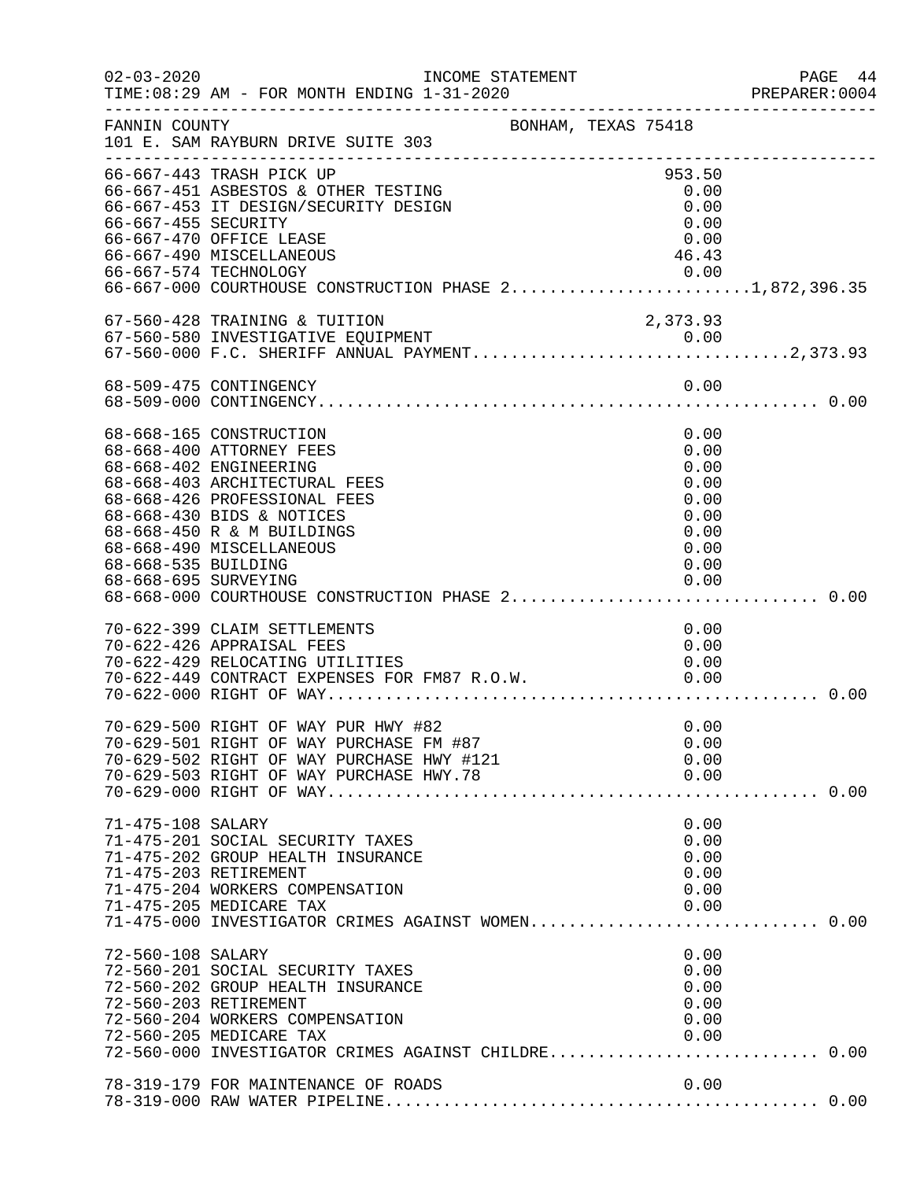| $02 - 03 - 2020$                            | INCOME STATEMENT<br>TIME: 08:29 AM - FOR MONTH ENDING 1-31-2020                                                                                                                                                                                                                          |                                                                              | PAGE 44<br>PREPARER:0004 |
|---------------------------------------------|------------------------------------------------------------------------------------------------------------------------------------------------------------------------------------------------------------------------------------------------------------------------------------------|------------------------------------------------------------------------------|--------------------------|
| FANNIN COUNTY                               | --------------------------------<br>BONHAM, TEXAS 75418<br>101 E. SAM RAYBURN DRIVE SUITE 303                                                                                                                                                                                            |                                                                              |                          |
| 66-667-455 SECURITY                         | 66-667-443 TRASH PICK UP<br>66-667-451 ASBESTOS & OTHER TESTING<br>66-667-453 IT DESIGN/SECURITY DESIGN<br>66-667-470 OFFICE LEASE<br>66-667-490 MISCELLANEOUS<br>66-667-574 TECHNOLOGY<br>66-667-000 COURTHOUSE CONSTRUCTION PHASE 21,872,396.35                                        | 953.50<br>0.00<br>0.00<br>0.00<br>0.00<br>46.43<br>0.00                      |                          |
|                                             | 67-560-428 TRAINING & TUITION                                                                                                                                                                                                                                                            | 2,373.93                                                                     |                          |
|                                             | 68-509-475 CONTINGENCY                                                                                                                                                                                                                                                                   | 0.00                                                                         |                          |
| 68-668-535 BUILDING<br>68-668-695 SURVEYING | 68-668-165 CONSTRUCTION<br>68-668-400 ATTORNEY FEES<br>68-668-402 ENGINEERING<br>68-668-403 ARCHITECTURAL FEES<br>68-668-426 PROFESSIONAL FEES<br>68-668-430 BIDS & NOTICES<br>68-668-450 R & M BUILDINGS<br>68-668-490 MISCELLANEOUS<br>68-668-000 COURTHOUSE CONSTRUCTION PHASE 2 0.00 | 0.00<br>0.00<br>0.00<br>0.00<br>0.00<br>0.00<br>0.00<br>0.00<br>0.00<br>0.00 |                          |
|                                             | 70-622-399 CLAIM SETTLEMENTS<br>70-622-426 APPRAISAL FEES<br>70-622-429 RELOCATING UTILITIES<br>70-622-449 CONTRACT EXPENSES FOR FM87 R.O.W.                                                                                                                                             | 0.00<br>0.00<br>0.00<br>0.00                                                 |                          |
|                                             | 70-629-500 RIGHT OF WAY PUR HWY #82<br>70-629-501 RIGHT OF WAY PURCHASE FM #87<br>70-629-502 RIGHT OF WAY PURCHASE HWY #121                                                                                                                                                              | 0.00<br>0.00<br>0.00                                                         |                          |
| 71-475-108 SALARY                           | 71-475-201 SOCIAL SECURITY TAXES<br>71-475-202 GROUP HEALTH INSURANCE<br>71-475-203 RETIREMENT<br>71-475-204 WORKERS COMPENSATION<br>71-475-205 MEDICARE TAX<br>71-475-000 INVESTIGATOR CRIMES AGAINST WOMEN 0.00                                                                        | 0.00<br>0.00<br>0.00<br>0.00<br>0.00<br>0.00                                 |                          |
| 72-560-108 SALARY                           | 72-560-201 SOCIAL SECURITY TAXES<br>72-560-202 GROUP HEALTH INSURANCE<br>72-560-203 RETIREMENT<br>72-560-204 WORKERS COMPENSATION<br>72-560-205 MEDICARE TAX<br>72-560-000 INVESTIGATOR CRIMES AGAINST CHILDRE 0.00                                                                      | 0.00<br>0.00<br>0.00<br>0.00<br>0.00<br>0.00                                 |                          |
|                                             | 78-319-179 FOR MAINTENANCE OF ROADS                                                                                                                                                                                                                                                      | 0.00                                                                         |                          |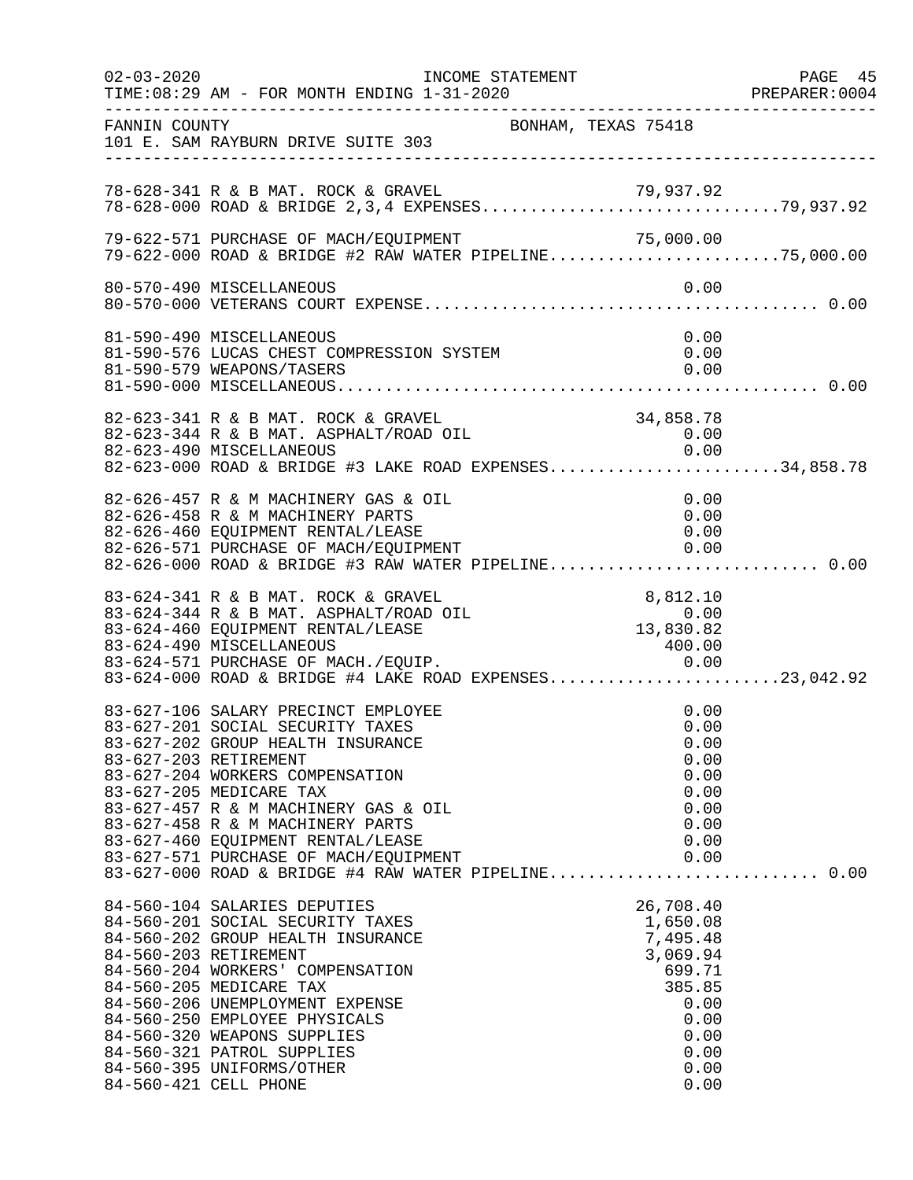| $02 - 03 - 2020$ |                                                                                                                                                                                                                                                                                                                                                                                                                      | INCOME STATEMENT    |                                                                                                                   | PAGE 45<br>PREPARER:0004 |
|------------------|----------------------------------------------------------------------------------------------------------------------------------------------------------------------------------------------------------------------------------------------------------------------------------------------------------------------------------------------------------------------------------------------------------------------|---------------------|-------------------------------------------------------------------------------------------------------------------|--------------------------|
| FANNIN COUNTY    | 101 E. SAM RAYBURN DRIVE SUITE 303                                                                                                                                                                                                                                                                                                                                                                                   | BONHAM, TEXAS 75418 |                                                                                                                   |                          |
|                  | 78-628-341 R & B MAT. ROCK & GRAVEL<br>78-628-341 R & B MAT. ROCK & GRAVEL 79,937.92<br>78-628-000 ROAD & BRIDGE 2,3,4 EXPENSES79,937.92                                                                                                                                                                                                                                                                             |                     |                                                                                                                   |                          |
|                  | 79-622-571 PURCHASE OF MACH/EQUIPMENT<br>79-622-571 PURCHASE OF MACH/EQUIPMENT 79-622-571 PURCHASE OF MACH/EQUIPMENT 71<br>79-622-000 ROAD & BRIDGE #2 RAW WATER PIPELINE75,000.00                                                                                                                                                                                                                                   |                     |                                                                                                                   |                          |
|                  | 80-570-490 MISCELLANEOUS                                                                                                                                                                                                                                                                                                                                                                                             |                     | 0.00                                                                                                              |                          |
|                  | 81-590-490 MISCELLANEOUS<br>81-590-576 LUCAS CHEST COMPRESSION SYSTEM<br>81-590-579 WEAPONS/TASERS                                                                                                                                                                                                                                                                                                                   |                     | 0.00<br>0.00<br>0.00                                                                                              |                          |
|                  | 82-623-341 R & B MAT. ROCK & GRAVEL<br>82-623-344 R & B MAT. ASPHALT/ROAD OIL<br>0.00 0.00 AISCELLANEOUS<br>82-623-000 ROAD & BRIDGE #3 LAKE ROAD EXPENSES34,858.78                                                                                                                                                                                                                                                  |                     | 34,858.78<br>0.00                                                                                                 |                          |
|                  | 82-626-457 R & M MACHINERY GAS & OIL<br>82-626-458 R & M MACHINERY PARTS<br>82-626-460 EQUIPMENT RENTAL/LEASE<br>82-626-571 PURCHASE OF MACH/EQUIPMENT<br>82-626-000 ROAD & BRIDGE #3 RAW WATER PIPELINE 0.00                                                                                                                                                                                                        |                     | 0.00<br>0.00<br>0.00<br>0.00                                                                                      |                          |
|                  | 83-624-341 R & B MAT. ROCK & GRAVEL<br>83-624-344 R & B MAT. ASPHALT/ROAD OIL<br>83-624-460 EQUIPMENT RENTAL/LEASE<br>83-624-490 MISCELLANEOUS                                                                                                                                                                                                                                                                       |                     | $8,812.10$<br>0.00<br>13,830.82<br>400.00                                                                         |                          |
|                  | 83-627-106 SALARY PRECINCT EMPLOYEE<br>83-627-201 SOCIAL SECURITY TAXES<br>83-627-202 GROUP HEALTH INSURANCE<br>83-627-203 RETIREMENT<br>83-627-204 WORKERS COMPENSATION<br>83-627-205 MEDICARE TAX<br>83-627-457 R & M MACHINERY GAS & OIL<br>83-627-458 R & M MACHINERY PARTS<br>83-627-460 EQUIPMENT RENTAL/LEASE<br>83-627-571 PURCHASE OF MACH/EQUIPMENT<br>83-627-000 ROAD & BRIDGE #4 RAW WATER PIPELINE 0.00 |                     | 0.00<br>0.00<br>0.00<br>0.00<br>0.00<br>0.00<br>0.00<br>0.00<br>0.00<br>0.00                                      |                          |
|                  | 84-560-104 SALARIES DEPUTIES<br>84-560-201 SOCIAL SECURITY TAXES<br>84-560-202 GROUP HEALTH INSURANCE<br>84-560-203 RETIREMENT<br>84-560-204 WORKERS' COMPENSATION<br>84-560-205 MEDICARE TAX<br>84-560-206 UNEMPLOYMENT EXPENSE<br>84-560-250 EMPLOYEE PHYSICALS<br>84-560-320 WEAPONS SUPPLIES<br>84-560-321 PATROL SUPPLIES<br>84-560-395 UNIFORMS/OTHER<br>84-560-421 CELL PHONE                                 |                     | 26,708.40<br>1,650.08<br>7,495.48<br>3,069.94<br>699.71<br>385.85<br>0.00<br>0.00<br>0.00<br>0.00<br>0.00<br>0.00 |                          |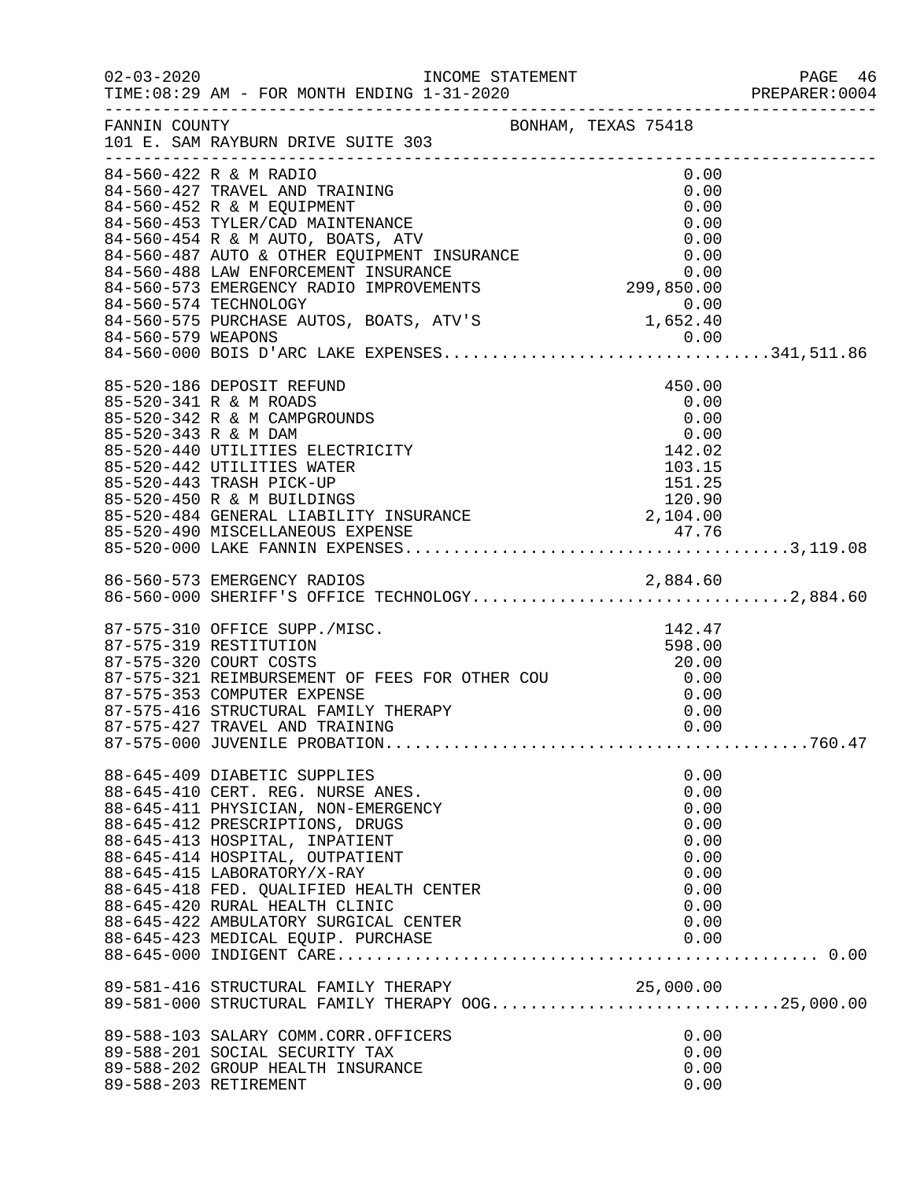|                                                                                                                                                                                                                                                                                                                                                                       |                                                                                      | PREPARER: 0004 |
|-----------------------------------------------------------------------------------------------------------------------------------------------------------------------------------------------------------------------------------------------------------------------------------------------------------------------------------------------------------------------|--------------------------------------------------------------------------------------|----------------|
| FANNIN COUNTY<br>101 E. SAM RAYBURN DRIVE SUITE 303                                                                                                                                                                                                                                                                                                                   |                                                                                      |                |
| 84-560-422 R & M RADIO<br>84-560-427 TRAVEL AND TRAINING<br>84-560-427 TRAVEL AND TRAINING<br>84-560-452 R & M EQUIPMENT<br>84-560-453 TYLER/CAD MAINTENANCE<br>84-560-453 TYLER/CAD MAINTENANCE<br>84-560-487 AUTO & OTHER EQUIPMENT INSURANCE<br>84-560-487 AUTO & OTHER EQUIPMENT INSURANCE<br>84-5                                                                | 0.00<br>0.00                                                                         |                |
| 85-520-186 DEPOSIT REFUND<br>85-520-341 R & M ROADS<br>85-520-342 R & M CAMPGROUNDS<br>0.00<br>85-520-343 R & M DAM<br>85-520-440 UTILITIES ELECTRICITY<br>85-520-442 UTILITIES WATER<br>85-520-442 UTILITIES WATER<br>85-520-443 TRASH PICK-UP<br>85-520-483 TRASH PICK-UP<br>85-520-484 GENERAL LIABILITY INSURANCE<br>85-520-484 G                                 | 450.00<br>0.00<br>0.00                                                               |                |
| 86-560-573 EMERGENCY RADIOS 2,884.60<br>86-560-000 SHERIFF'S OFFICE TECHNOLOGY2,884.60                                                                                                                                                                                                                                                                                |                                                                                      |                |
| 87-575-310 OFFICE SUPP./MISC.<br>87-575-319 RESTITUTION<br>87-575-321 REIMBURSEMENT OF FEES FOR OTHER COU (20.00)<br>87-575-353 COMPUTER EXPENSE<br>87-575-353 COMPUTER EXPENSE (0.00) (0.00) (0.00) (0.00) (0.00) (0.00) (0.00) (0.00) (0.00) (0.00) (0.00) (0.00<br>87-575-427 TRAVEL AND TRAINING                                                                  | 142.47<br>598.00<br>0.00                                                             |                |
| 88-645-409 DIABETIC SUPPLIES<br>88-645-410 CERT. REG. NURSE ANES.<br>88-645-411 PHYSICIAN, NON-EMERGENCY<br>88-645-412 PRESCRIPTIONS, DRUGS<br>88-645-413 HOSPITAL, INPATIENT<br>88-645-414 HOSPITAL, OUTPATIENT<br>88-645-415 LABORATORY/X-RAY<br>88-645-418 FED. QUALIFIED HEALTH CENTER<br>88-645-420 RURAL HEALTH CLINIC<br>88-645-422 AMBULATORY SURGICAL CENTER | 0.00<br>0.00<br>0.00<br>0.00<br>0.00<br>0.00<br>0.00<br>0.00<br>0.00<br>0.00<br>0.00 |                |
| 89-581-416 STRUCTURAL FAMILY THERAPY<br>89-581-000 STRUCTURAL FAMILY THERAPY OOG25,000.00                                                                                                                                                                                                                                                                             |                                                                                      |                |
| 89-588-103 SALARY COMM.CORR.OFFICERS<br>89-588-201 SOCIAL SECURITY TAX<br>89-588-202 GROUP HEALTH INSURANCE<br>89-588-203 RETIREMENT                                                                                                                                                                                                                                  | 0.00<br>0.00<br>0.00<br>0.00                                                         |                |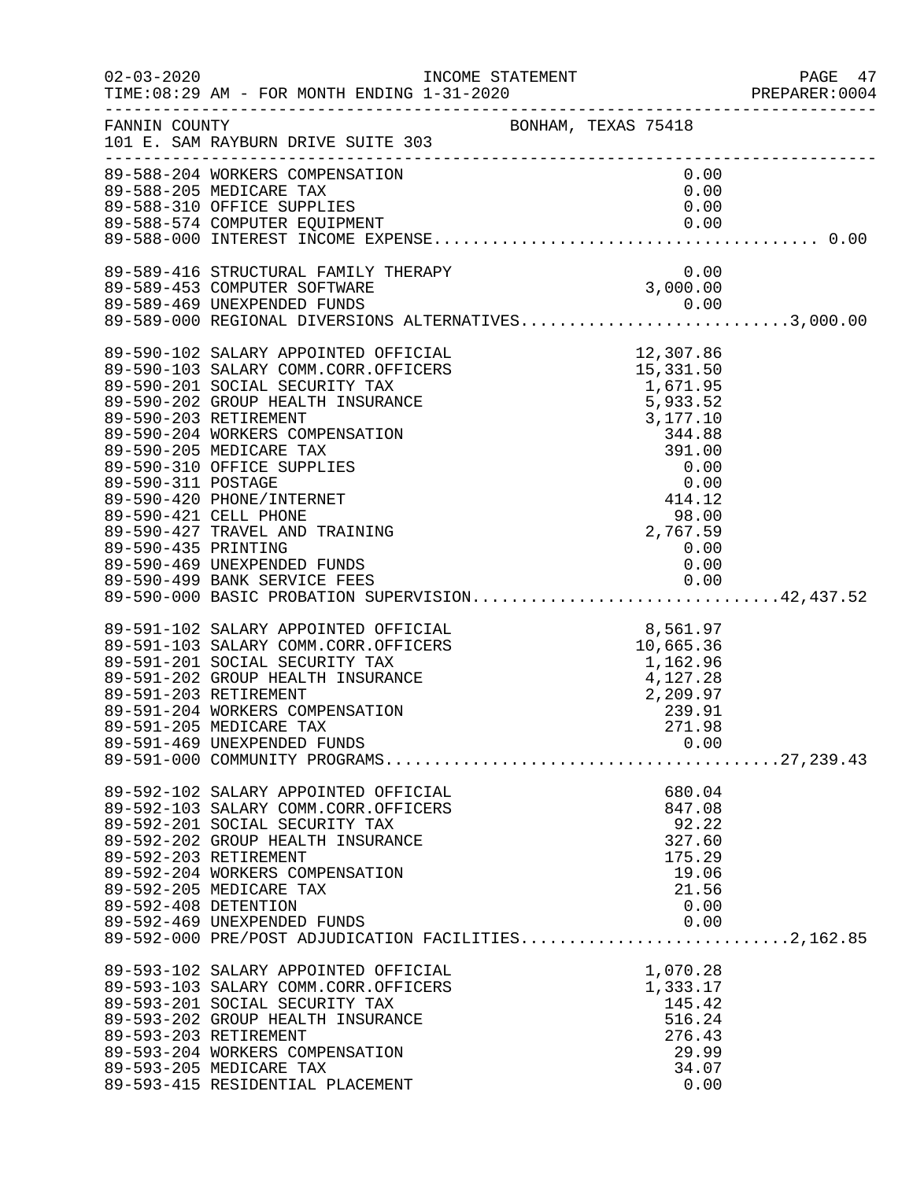| $02 - 03 - 2020$     | TIME: 08:29 AM - FOR MONTH ENDING 1-31-2020                                                                                                                                                                                             |                  | PAGE 47<br>PREPARER: 0004 |
|----------------------|-----------------------------------------------------------------------------------------------------------------------------------------------------------------------------------------------------------------------------------------|------------------|---------------------------|
|                      | FANNIN COUNTY BONHAM, TEXAS 75418<br>101 E. SAM RAYBURN DRIVE SUITE 303                                                                                                                                                                 |                  |                           |
|                      | 89-588-204 WORKERS COMPENSATION                                                                                                                                                                                                         | 0.00             |                           |
|                      | 89-588-205 MEDICARE TAX                                                                                                                                                                                                                 | 0.00             |                           |
|                      |                                                                                                                                                                                                                                         |                  |                           |
|                      |                                                                                                                                                                                                                                         |                  |                           |
|                      | 89-589-416 STRUCTURAL FAMILY THERAPY 0.00<br>89-589-453 COMPUTER SOFTWARE 308-589-469 UNEXPENDED FUNDS 0.00                                                                                                                             |                  |                           |
|                      |                                                                                                                                                                                                                                         |                  |                           |
|                      | 89-589-469 UNEXPENDED FUNDS<br>89-589-000 REGIONAL DIVERSIONS ALTERNATIVES3,000.00                                                                                                                                                      |                  |                           |
|                      |                                                                                                                                                                                                                                         |                  |                           |
|                      |                                                                                                                                                                                                                                         |                  |                           |
|                      |                                                                                                                                                                                                                                         |                  |                           |
|                      |                                                                                                                                                                                                                                         |                  |                           |
|                      |                                                                                                                                                                                                                                         |                  |                           |
|                      |                                                                                                                                                                                                                                         |                  |                           |
|                      |                                                                                                                                                                                                                                         |                  |                           |
|                      |                                                                                                                                                                                                                                         |                  |                           |
|                      |                                                                                                                                                                                                                                         |                  |                           |
|                      |                                                                                                                                                                                                                                         |                  |                           |
|                      |                                                                                                                                                                                                                                         |                  |                           |
|                      |                                                                                                                                                                                                                                         |                  |                           |
| 89-590-435 PRINTING  | 89-590-469 UNEXPENDED FUNDS                                                                                                                                                                                                             | 0.00<br>0.00     |                           |
|                      |                                                                                                                                                                                                                                         |                  |                           |
|                      | 89-590-499 BANK SERVICE FEES 0.00<br>89-590-000 BASIC PROBATION SUPERVISION42,437.52                                                                                                                                                    |                  |                           |
|                      | 89-590-000 BASIC PROBATION DONAL PRICIAL 89-591-102 SALARY APPOINTED OFFICIAL 89-591-103 SALARY COMM.CORR.OFFICERS 10,665.36<br>89-591-201 SOCIAL SECURITY TAX 1,162.96<br>89-591-202 GROUP HEALTH INSURANCE 4,127.28<br>89-591-203 RET |                  |                           |
|                      |                                                                                                                                                                                                                                         |                  |                           |
|                      |                                                                                                                                                                                                                                         |                  |                           |
|                      |                                                                                                                                                                                                                                         |                  |                           |
|                      |                                                                                                                                                                                                                                         |                  |                           |
|                      |                                                                                                                                                                                                                                         |                  |                           |
|                      | 89-591-205 MEDICARE TAX                                                                                                                                                                                                                 | 271.98           |                           |
|                      |                                                                                                                                                                                                                                         |                  |                           |
|                      |                                                                                                                                                                                                                                         |                  |                           |
|                      | 89-592-102 SALARY APPOINTED OFFICIAL<br>89-592-103 SALARY COMM.CORR.OFFICERS                                                                                                                                                            | 680.04<br>847.08 |                           |
|                      | 89-592-201 SOCIAL SECURITY TAX                                                                                                                                                                                                          | 92.22            |                           |
|                      | 89-592-202 GROUP HEALTH INSURANCE                                                                                                                                                                                                       | 327.60           |                           |
|                      | 89-592-203 RETIREMENT                                                                                                                                                                                                                   | 175.29           |                           |
|                      | 89-592-204 WORKERS COMPENSATION                                                                                                                                                                                                         | 19.06            |                           |
|                      | 89-592-205 MEDICARE TAX                                                                                                                                                                                                                 | 21.56            |                           |
| 89-592-408 DETENTION |                                                                                                                                                                                                                                         | 0.00             |                           |
|                      | 89-592-469 UNEXPENDED FUNDS<br>89-592-469 UNEXPENDED FUNDS<br>89-592-000 PRE/POST ADJUDICATION FACILITIES2,162.85                                                                                                                       | 0.00             |                           |
|                      |                                                                                                                                                                                                                                         |                  |                           |
|                      | 89-593-102 SALARY APPOINTED OFFICIAL                                                                                                                                                                                                    | 1,070.28         |                           |
|                      | 89-593-103 SALARY COMM.CORR.OFFICERS                                                                                                                                                                                                    | 1,333.17         |                           |
|                      | 89-593-201 SOCIAL SECURITY TAX<br>89-593-202 GROUP HEALTH INSURANCE                                                                                                                                                                     | 145.42<br>516.24 |                           |
|                      | 89-593-203 RETIREMENT                                                                                                                                                                                                                   | 276.43           |                           |
|                      | 89-593-204 WORKERS COMPENSATION                                                                                                                                                                                                         | 29.99            |                           |
|                      | 89-593-205 MEDICARE TAX                                                                                                                                                                                                                 | 34.07            |                           |
|                      | 89-593-415 RESIDENTIAL PLACEMENT                                                                                                                                                                                                        | 0.00             |                           |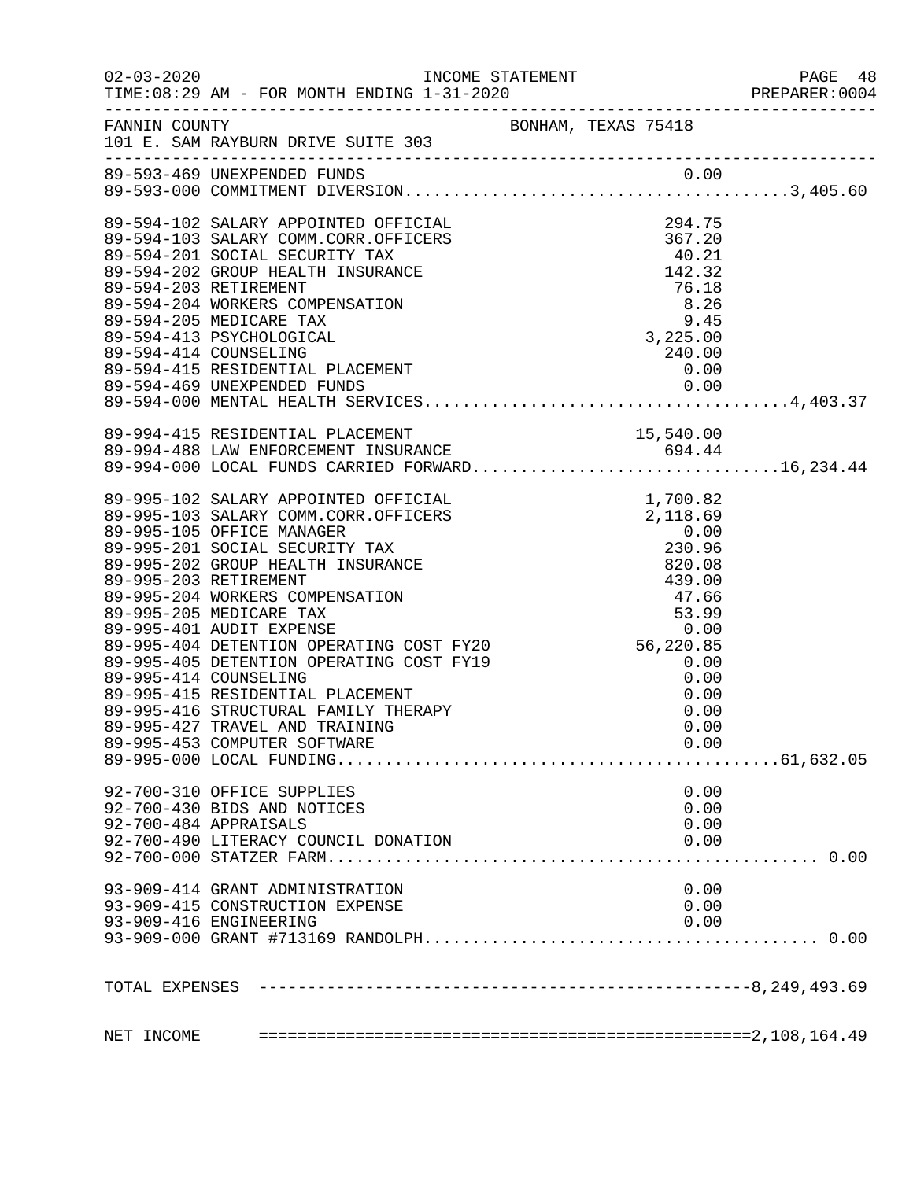|                                                                                                                             |  |      |      | PREPARER: 0004 |
|-----------------------------------------------------------------------------------------------------------------------------|--|------|------|----------------|
| FANNIN COUNTY<br>101 E. SAM RAYBURN DRIVE SUITE 303                                                                         |  |      |      |                |
|                                                                                                                             |  |      |      |                |
|                                                                                                                             |  |      |      |                |
|                                                                                                                             |  |      |      |                |
|                                                                                                                             |  |      |      |                |
|                                                                                                                             |  |      |      |                |
|                                                                                                                             |  |      |      |                |
|                                                                                                                             |  |      |      |                |
|                                                                                                                             |  |      |      |                |
|                                                                                                                             |  |      |      |                |
| 89-594-415 RESIDENTIAL PLACEMENT                                                                                            |  | 0.00 |      |                |
|                                                                                                                             |  |      |      |                |
|                                                                                                                             |  |      |      |                |
|                                                                                                                             |  |      |      |                |
| 89-994-415 RESIDENTIAL PLACEMENT<br>89-994-488 LAW ENFORCEMENT INSURANCE<br>89-994-000 LOCAL FUNDS CARRIED FORWARD16,234.44 |  |      |      |                |
|                                                                                                                             |  |      |      |                |
|                                                                                                                             |  |      |      |                |
|                                                                                                                             |  |      |      |                |
|                                                                                                                             |  |      |      |                |
|                                                                                                                             |  |      |      |                |
|                                                                                                                             |  |      |      |                |
|                                                                                                                             |  |      |      |                |
|                                                                                                                             |  |      |      |                |
|                                                                                                                             |  |      |      |                |
|                                                                                                                             |  |      |      |                |
|                                                                                                                             |  |      |      |                |
|                                                                                                                             |  |      |      |                |
|                                                                                                                             |  |      |      |                |
|                                                                                                                             |  |      |      |                |
|                                                                                                                             |  |      |      |                |
| 89-995-427 TRAVEL AND TRAINING                                                                                              |  |      | 0.00 |                |
| 89-995-453 COMPUTER SOFTWARE                                                                                                |  |      | 0.00 |                |
|                                                                                                                             |  |      |      |                |
|                                                                                                                             |  |      |      |                |
| 92-700-310 OFFICE SUPPLIES                                                                                                  |  |      | 0.00 |                |
| 92-700-430 BIDS AND NOTICES                                                                                                 |  |      | 0.00 |                |
| 92-700-484 APPRAISALS                                                                                                       |  |      | 0.00 |                |
| 92-700-490 LITERACY COUNCIL DONATION                                                                                        |  |      | 0.00 |                |
|                                                                                                                             |  |      |      |                |
| 93-909-414 GRANT ADMINISTRATION                                                                                             |  |      | 0.00 |                |
| 93-909-415 CONSTRUCTION EXPENSE                                                                                             |  |      | 0.00 |                |
| 93-909-416 ENGINEERING                                                                                                      |  |      | 0.00 |                |
|                                                                                                                             |  |      |      |                |
|                                                                                                                             |  |      |      |                |
|                                                                                                                             |  |      |      |                |
|                                                                                                                             |  |      |      |                |
|                                                                                                                             |  |      |      |                |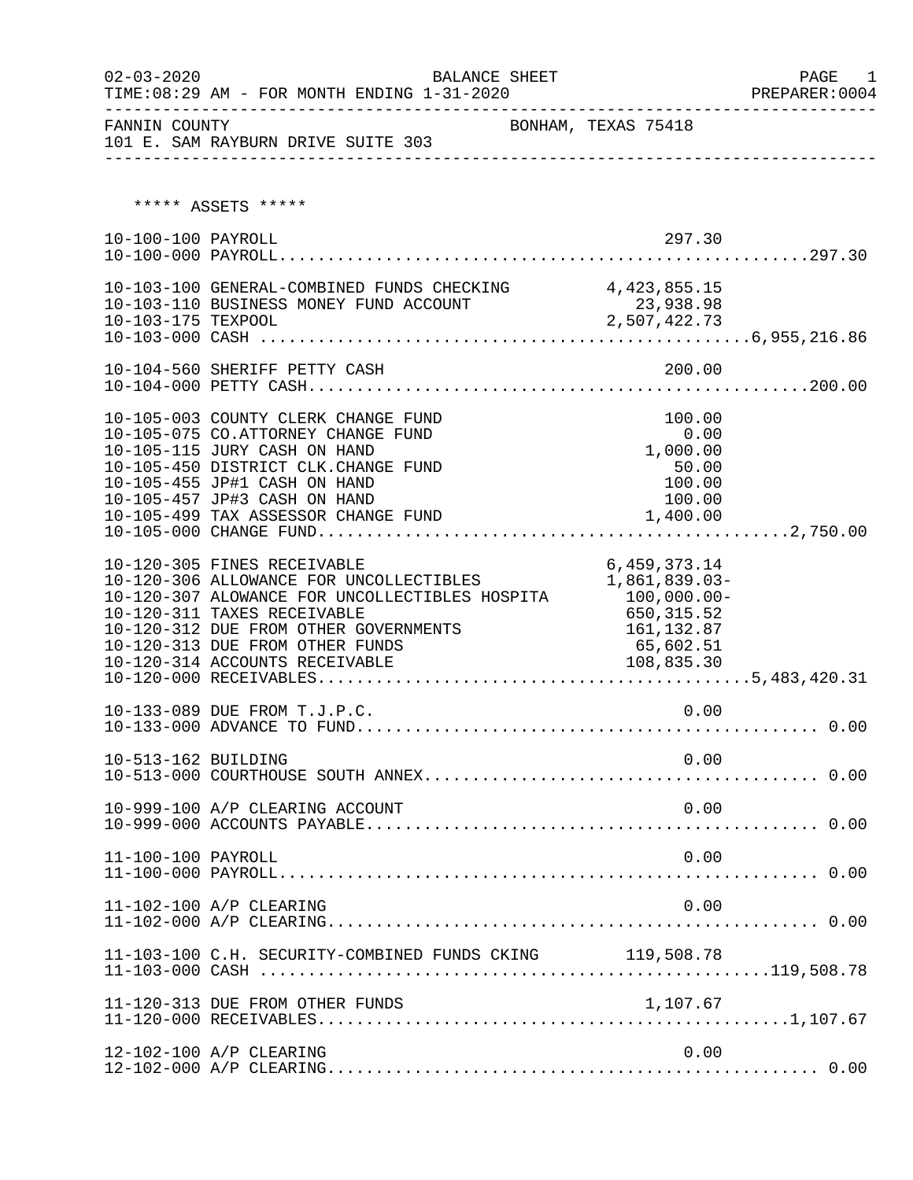| $02 - 03 - 2020$    | BALANCE SHEET                                                                                                                                                                                                                                                         |                                                                                                      | PAGE<br>1 |
|---------------------|-----------------------------------------------------------------------------------------------------------------------------------------------------------------------------------------------------------------------------------------------------------------------|------------------------------------------------------------------------------------------------------|-----------|
| FANNIN COUNTY       | 101 E. SAM RAYBURN DRIVE SUITE 303                                                                                                                                                                                                                                    | BONHAM, TEXAS 75418                                                                                  |           |
|                     | ***** ASSETS *****                                                                                                                                                                                                                                                    |                                                                                                      |           |
| 10-100-100 PAYROLL  |                                                                                                                                                                                                                                                                       | 297.30                                                                                               |           |
| 10-103-175 TEXPOOL  | 10-103-100 GENERAL-COMBINED FUNDS CHECKING 4,423,855.15<br>10-103-110 BUSINESS MONEY FUND ACCOUNT                                                                                                                                                                     | 23,938.98<br>2,507,422.73                                                                            |           |
|                     | 10-104-560 SHERIFF PETTY CASH                                                                                                                                                                                                                                         | 200.00                                                                                               |           |
|                     | 10-105-003 COUNTY CLERK CHANGE FUND<br>10-105-075 CO.ATTORNEY CHANGE FUND<br>10-105-115 JURY CASH ON HAND<br>10-105-450 DISTRICT CLK. CHANGE FUND<br>10-105-455 JP#1 CASH ON HAND<br>10-105-457 JP#3 CASH ON HAND<br>10-105-499 TAX ASSESSOR CHANGE FUND              | 100.00<br>0.00<br>1,000.00<br>50.00<br>100.00<br>100.00<br>1,400.00                                  |           |
|                     | 10-120-305 FINES RECEIVABLE<br>10-120-306 ALLOWANCE FOR UNCOLLECTIBLES<br>10-120-307 ALOWANCE FOR UNCOLLECTIBLES HOSPITA<br>10-120-311 TAXES RECEIVABLE<br>10-120-312 DUE FROM OTHER GOVERNMENTS<br>10-120-313 DUE FROM OTHER FUNDS<br>10-120-314 ACCOUNTS RECEIVABLE | 6,459,373.14<br>1,861,839.03-<br>100,000.00-<br>650,315.52<br>161, 132.87<br>65,602.51<br>108,835.30 |           |
|                     | 10-133-089 DUE FROM T.J.P.C.                                                                                                                                                                                                                                          | 0.00                                                                                                 |           |
| 10-513-162 BUILDING |                                                                                                                                                                                                                                                                       | 0.00                                                                                                 |           |
|                     | 10-999-100 A/P CLEARING ACCOUNT                                                                                                                                                                                                                                       | 0.00                                                                                                 |           |
| 11-100-100 PAYROLL  |                                                                                                                                                                                                                                                                       | 0.00                                                                                                 |           |
|                     | 11-102-100 A/P CLEARING                                                                                                                                                                                                                                               | 0.00                                                                                                 |           |
|                     | 11-103-100 C.H. SECURITY-COMBINED FUNDS CKING 119,508.78                                                                                                                                                                                                              |                                                                                                      |           |
|                     | 11-120-313 DUE FROM OTHER FUNDS                                                                                                                                                                                                                                       | 1,107.67                                                                                             |           |
|                     | 12-102-100 A/P CLEARING                                                                                                                                                                                                                                               | 0.00                                                                                                 |           |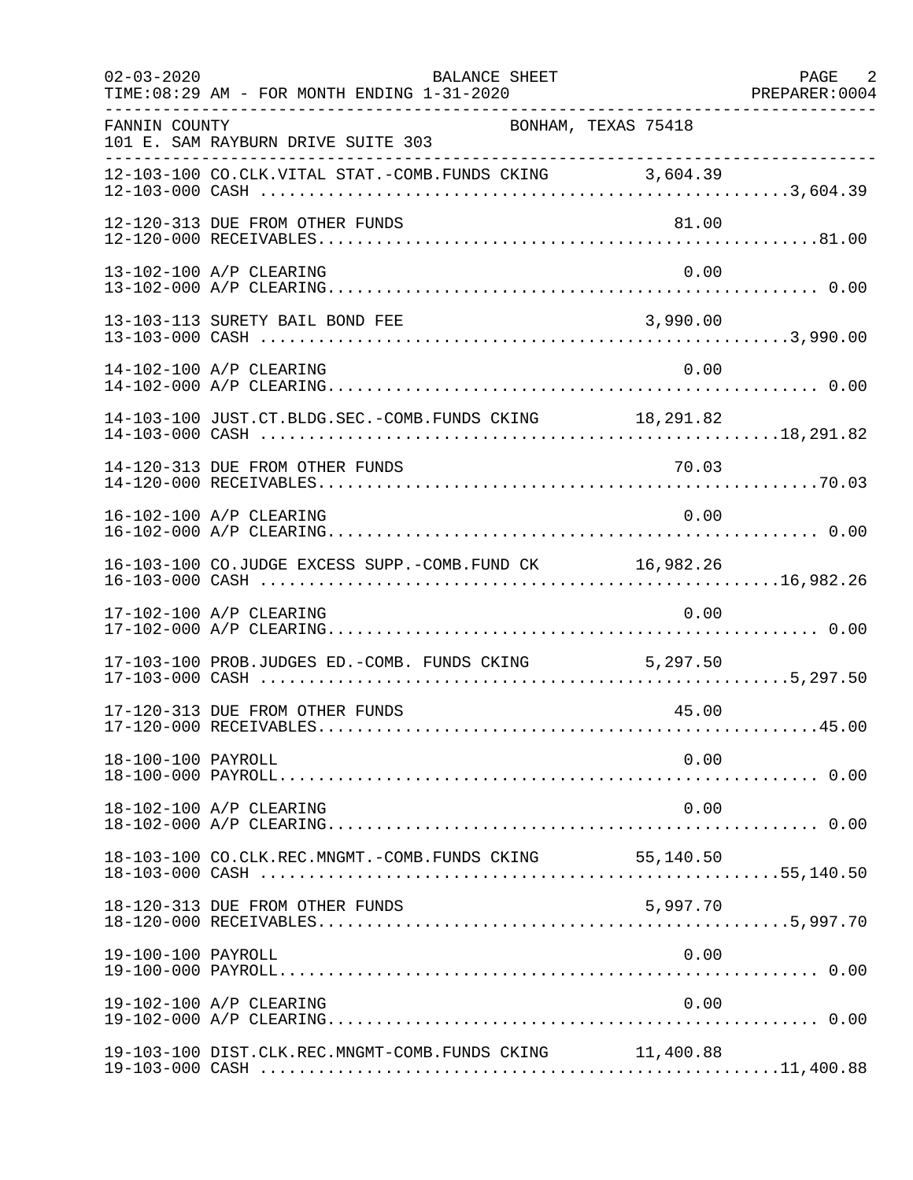| $02 - 03 - 2020$   | BALANCE SHEET<br>TIME: 08:29 AM - FOR MONTH ENDING 1-31-2020 |           | PAGE 2<br>PREPARER: 0004 |
|--------------------|--------------------------------------------------------------|-----------|--------------------------|
| FANNIN COUNTY      | BONHAM, TEXAS 75418<br>101 E. SAM RAYBURN DRIVE SUITE 303    |           |                          |
|                    | 12-103-100 CO.CLK.VITAL STAT.-COMB.FUNDS CKING 3,604.39      |           |                          |
|                    | 12-120-313 DUE FROM OTHER FUNDS                              | 81.00     |                          |
|                    | 13-102-100 A/P CLEARING                                      | 0.00      |                          |
|                    | 13-103-113 SURETY BAIL BOND FEE                              | 3,990.00  |                          |
|                    | 14-102-100 A/P CLEARING                                      | 0.00      |                          |
|                    | 14-103-100 JUST.CT.BLDG.SEC.-COMB.FUNDS CKING 18,291.82      |           |                          |
|                    |                                                              |           |                          |
|                    | 16-102-100 A/P CLEARING                                      | 0.00      |                          |
|                    | 16-103-100 CO.JUDGE EXCESS SUPP.-COMB.FUND CK 16,982.26      |           |                          |
|                    | 17-102-100 A/P CLEARING                                      | 0.00      |                          |
|                    | 17-103-100 PROB.JUDGES ED.-COMB. FUNDS CKING 5,297.50        |           |                          |
|                    | 17-120-313 DUE FROM OTHER FUNDS                              | 45.00     |                          |
| 18-100-100 PAYROLL |                                                              | 0.00      |                          |
|                    | 18-102-100 A/P CLEARING                                      | 0.00      |                          |
|                    | 18-103-100 CO.CLK.REC.MNGMT.-COMB.FUNDS CKING                | 55,140.50 |                          |
|                    | 18-120-313 DUE FROM OTHER FUNDS                              | 5,997.70  |                          |
| 19-100-100 PAYROLL |                                                              | 0.00      |                          |
|                    | 19-102-100 A/P CLEARING                                      | 0.00      |                          |
|                    | 19-103-100 DIST.CLK.REC.MNGMT-COMB.FUNDS CKING 11,400.88     |           |                          |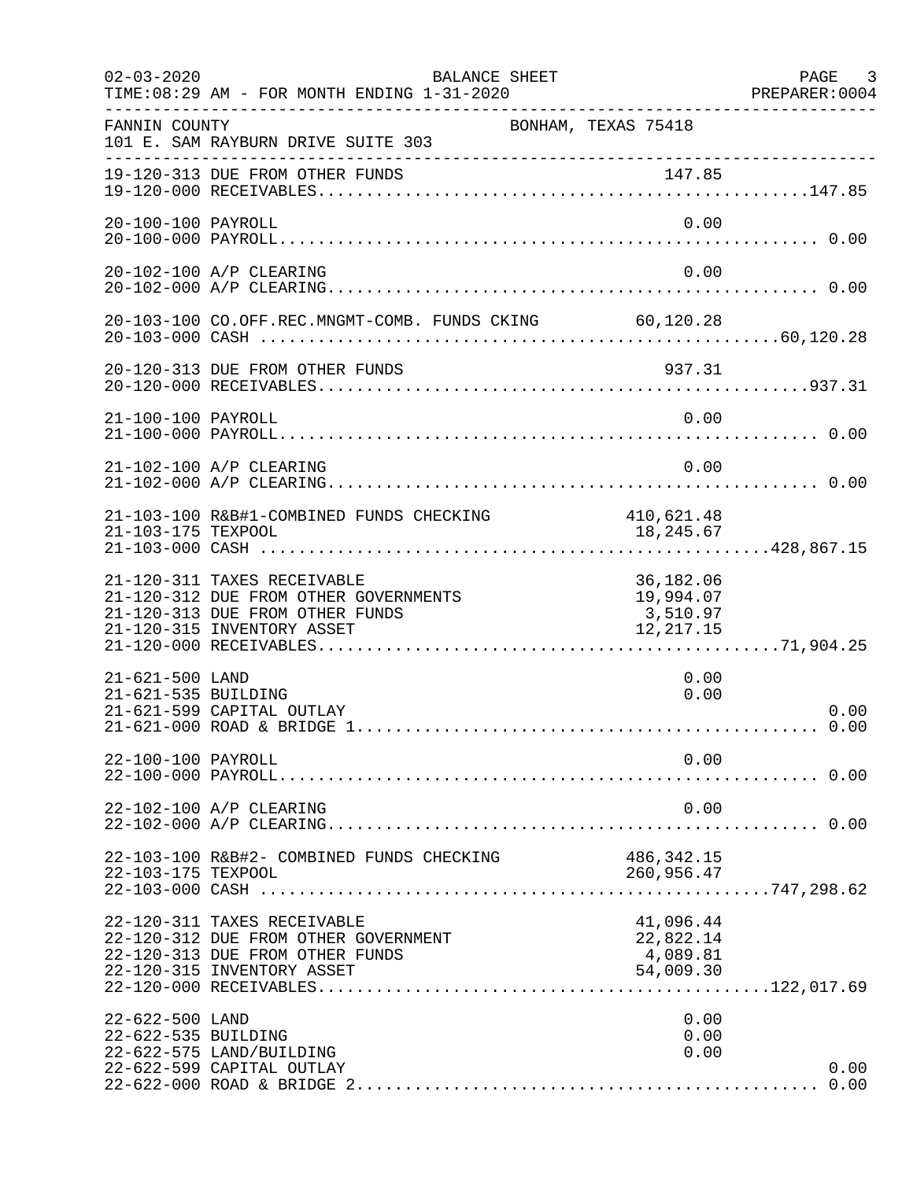| $02 - 03 - 2020$                       | BALANCE SHEET<br>TIME: 08:29 AM - FOR MONTH ENDING 1-31-2020                                                                          |                                                 | PAGE 3<br>PREPARER: 0004 |
|----------------------------------------|---------------------------------------------------------------------------------------------------------------------------------------|-------------------------------------------------|--------------------------|
| FANNIN COUNTY                          | BONHAM, TEXAS 75418<br>101 E. SAM RAYBURN DRIVE SUITE 303                                                                             |                                                 |                          |
|                                        | 19-120-313 DUE FROM OTHER FUNDS                                                                                                       |                                                 |                          |
| 20-100-100 PAYROLL                     |                                                                                                                                       | 0.00                                            |                          |
|                                        | 20-102-100 A/P CLEARING                                                                                                               | 0.00                                            |                          |
|                                        | 20-103-100 CO.OFF.REC.MNGMT-COMB. FUNDS CKING 60,120.28                                                                               |                                                 |                          |
|                                        | 20-120-313 DUE FROM OTHER FUNDS                                                                                                       | 937.31                                          |                          |
| 21-100-100 PAYROLL                     |                                                                                                                                       | 0.00                                            |                          |
|                                        | 21-102-100 A/P CLEARING                                                                                                               | 0.00                                            |                          |
| 21-103-175 TEXPOOL                     | 21-103-100 R&B#1-COMBINED FUNDS CHECKING 410,621.48                                                                                   | 18,245.67                                       |                          |
|                                        | 21-120-311 TAXES RECEIVABLE<br>21-120-312 DUE FROM OTHER GOVERNMENTS<br>21-120-313 DUE FROM OTHER FUNDS<br>21-120-315 INVENTORY ASSET | 36,182.06<br>19,994.07<br>3,510.97<br>12,217.15 |                          |
| 21-621-500 LAND<br>21-621-535 BUILDING | 21-621-599 CAPITAL OUTLAY                                                                                                             | 0.00<br>0.00                                    | 0.00                     |
| 22-100-100 PAYROLL                     |                                                                                                                                       | 0.00                                            |                          |
|                                        | 22-102-100 A/P CLEARING                                                                                                               | 0.00                                            |                          |
| 22-103-175 TEXPOOL                     | 22-103-100 R&B#2- COMBINED FUNDS CHECKING                                                                                             | 486,342.15<br>260,956.47                        |                          |
|                                        | 22-120-311 TAXES RECEIVABLE<br>22-120-312 DUE FROM OTHER GOVERNMENT<br>22-120-313 DUE FROM OTHER FUNDS<br>22-120-315 INVENTORY ASSET  | 41,096.44<br>22,822.14<br>4,089.81<br>54,009.30 |                          |
| 22-622-500 LAND<br>22-622-535 BUILDING | 22-622-575 LAND/BUILDING<br>22-622-599 CAPITAL OUTLAY                                                                                 | 0.00<br>0.00<br>0.00                            | 0.00                     |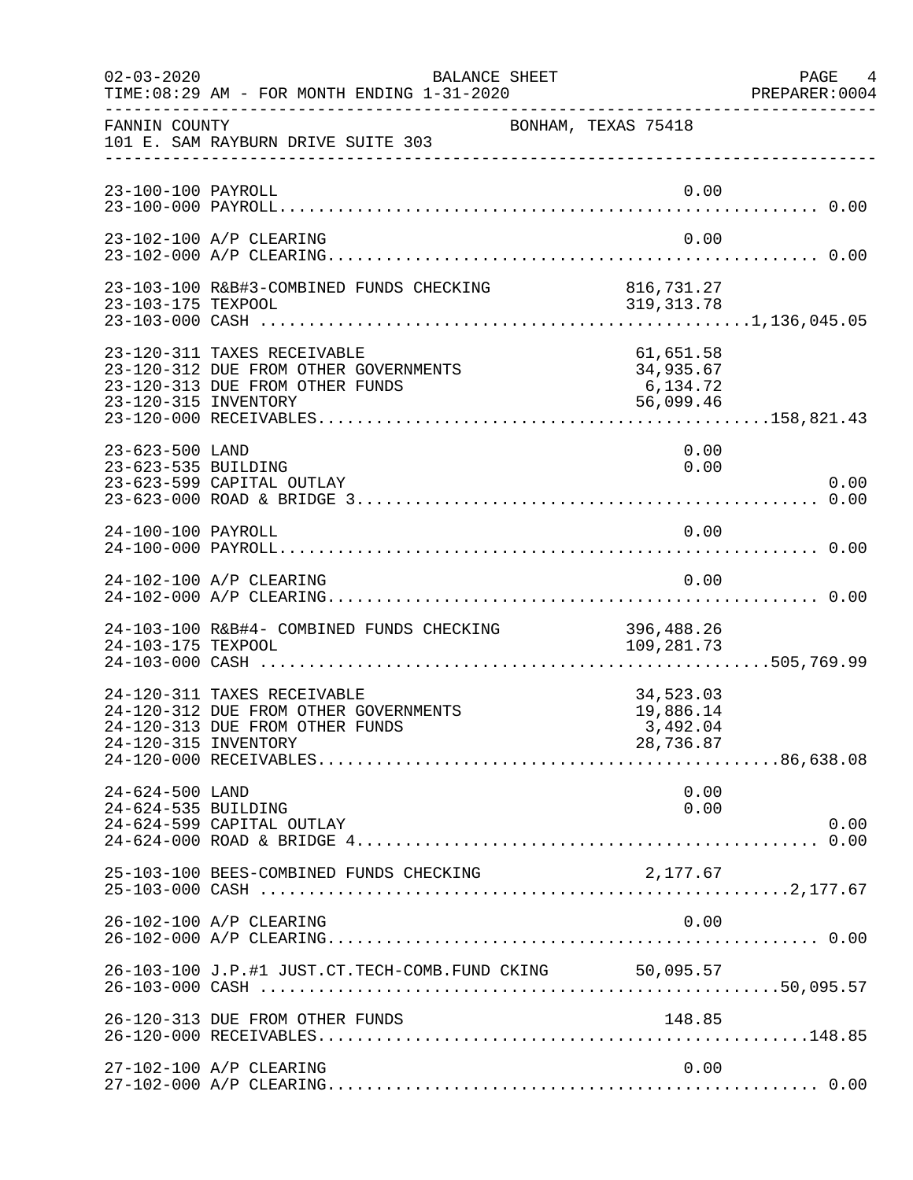| $02 - 03 - 2020$                       | BALANCE SHEET<br>TIME: 08:29 AM - FOR MONTH ENDING 1-31-2020                                            |                                                 | PAGE 4<br>PREPARER:0004 |
|----------------------------------------|---------------------------------------------------------------------------------------------------------|-------------------------------------------------|-------------------------|
| FANNIN COUNTY                          | 101 E. SAM RAYBURN DRIVE SUITE 303                                                                      | BONHAM, TEXAS 75418                             |                         |
| 23-100-100 PAYROLL                     |                                                                                                         | 0.00                                            |                         |
|                                        | 23-102-100 A/P CLEARING                                                                                 | 0.00                                            |                         |
|                                        |                                                                                                         |                                                 |                         |
| 23-120-315 INVENTORY                   | 23-120-311 TAXES RECEIVABLE<br>23-120-312 DUE FROM OTHER GOVERNMENTS<br>23-120-313 DUE FROM OTHER FUNDS | 61,651.58<br>34,935.67<br>6,134.72<br>56,099.46 |                         |
| 23-623-500 LAND<br>23-623-535 BUILDING | 23-623-599 CAPITAL OUTLAY                                                                               | 0.00<br>0.00                                    | 0.00                    |
| 24-100-100 PAYROLL                     |                                                                                                         | 0.00                                            |                         |
|                                        | 24-102-100 A/P CLEARING                                                                                 | 0.00                                            |                         |
| 24-103-175 TEXPOOL                     | 24-103-100 R&B#4- COMBINED FUNDS CHECKING                                                               | 396,488.26<br>109,281.73                        |                         |
| 24-120-315 INVENTORY                   | 24-120-311 TAXES RECEIVABLE<br>24-120-312 DUE FROM OTHER GOVERNMENTS<br>24-120-313 DUE FROM OTHER FUNDS | 34,523.03<br>19,886.14<br>3,492.04<br>28,736.87 |                         |
| 24-624-500 LAND<br>24-624-535 BUILDING | 24-624-599 CAPITAL OUTLAY                                                                               | 0.00<br>0.00                                    | 0.00                    |
|                                        | 25-103-100 BEES-COMBINED FUNDS CHECKING                                                                 | 2,177.67                                        |                         |
|                                        | 26-102-100 A/P CLEARING                                                                                 | 0.00                                            |                         |
|                                        | 26-103-100 J.P.#1 JUST.CT.TECH-COMB.FUND CKING 50,095.57                                                |                                                 |                         |
|                                        | 26-120-313 DUE FROM OTHER FUNDS                                                                         | 148.85                                          |                         |
|                                        | 27-102-100 A/P CLEARING                                                                                 | 0.00                                            |                         |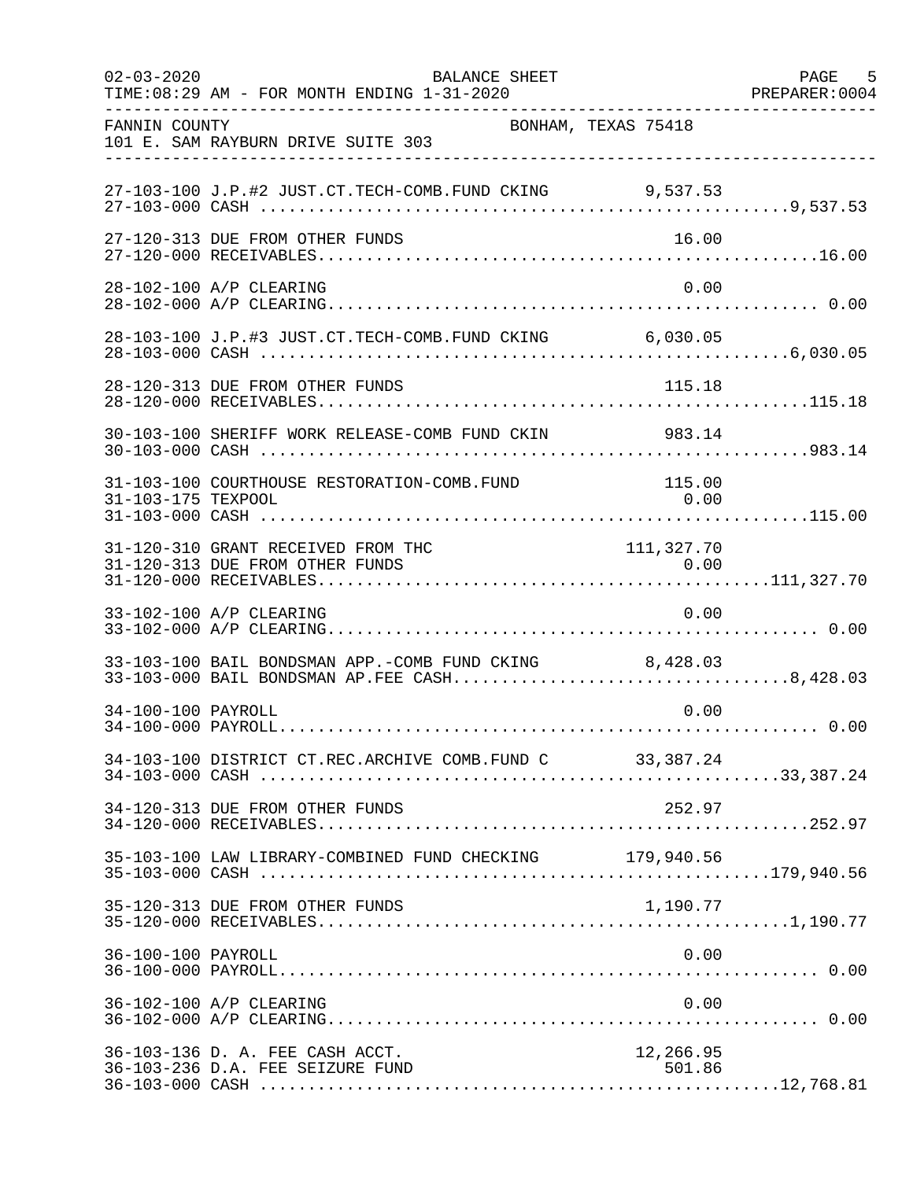| $02 - 03 - 2020$   | BALANCE SHEET<br>TIME: 08:29 AM - FOR MONTH ENDING 1-31-2020                                           |                     | PAGE 5<br>PREPARER: 0004 |
|--------------------|--------------------------------------------------------------------------------------------------------|---------------------|--------------------------|
| FANNIN COUNTY      | BONHAM, TEXAS 75418<br>101 E. SAM RAYBURN DRIVE SUITE 303                                              |                     |                          |
|                    | 27-103-100 J.P.#2 JUST.CT.TECH-COMB.FUND CKING 9,537.53                                                |                     |                          |
|                    | 27-120-313 DUE FROM OTHER FUNDS                                                                        | 16.00               |                          |
|                    | 28-102-100 A/P CLEARING                                                                                | 0.00                |                          |
|                    | 28-103-100 J.P.#3 JUST.CT.TECH-COMB.FUND CKING 6,030.05                                                |                     |                          |
|                    | 28-120-313 DUE FROM OTHER FUNDS                                                                        | 115.18              |                          |
|                    | 30-103-100 SHERIFF WORK RELEASE-COMB FUND CKIN 983.14                                                  |                     |                          |
| 31-103-175 TEXPOOL | 31-103-100 COURTHOUSE RESTORATION-COMB.FUND                                                            | 115.00<br>0.00      |                          |
|                    | 31-120-310 GRANT RECEIVED FROM THC                                                                     | 111, 327.70         |                          |
|                    | 33-102-100 A/P CLEARING                                                                                | 0.00                |                          |
|                    | 33-103-100 BAIL BONDSMAN APP.-COMB FUND CKING 8,428.03<br>33-103-000 BAIL BONDSMAN AP.FEE CASH8,428.03 |                     |                          |
| 34-100-100 PAYROLL |                                                                                                        | 0.00                |                          |
|                    | 34-103-100 DISTRICT CT.REC.ARCHIVE COMB.FUND C 33,387.24                                               |                     |                          |
|                    | 34-120-313 DUE FROM OTHER FUNDS                                                                        | 252.97              |                          |
|                    | 35-103-100 LAW LIBRARY-COMBINED FUND CHECKING 179,940.56                                               |                     |                          |
|                    | 35-120-313 DUE FROM OTHER FUNDS                                                                        | 1,190.77            |                          |
| 36-100-100 PAYROLL |                                                                                                        | 0.00                |                          |
|                    | 36-102-100 A/P CLEARING                                                                                | 0.00                |                          |
|                    | 36-103-136 D. A. FEE CASH ACCT.<br>36-103-236 D.A. FEE SEIZURE FUND                                    | 12,266.95<br>501.86 |                          |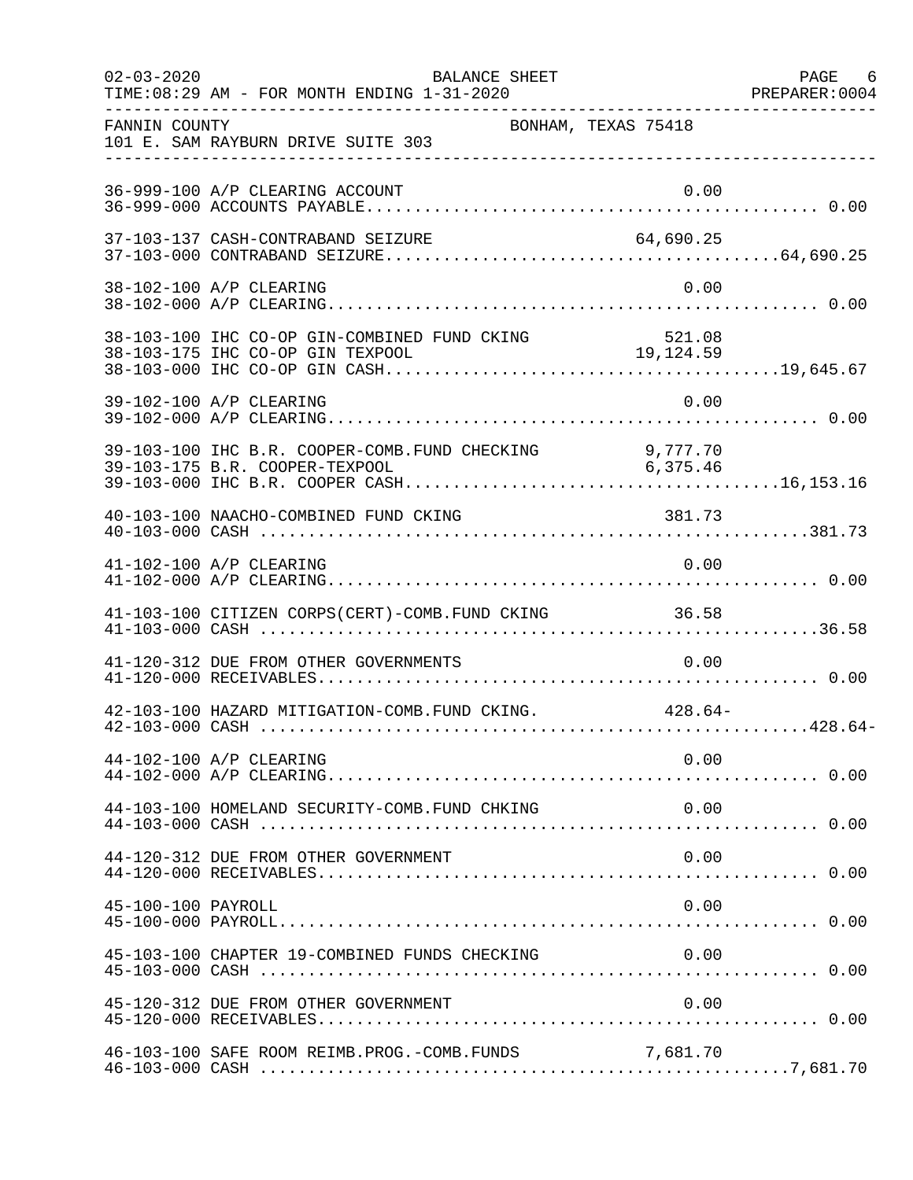| $02 - 03 - 2020$   | BALANCE SHEET<br>TIME: 08:29 AM - FOR MONTH ENDING 1-31-2020 |           | PAGE 6 |
|--------------------|--------------------------------------------------------------|-----------|--------|
| FANNIN COUNTY      | BONHAM, TEXAS 75418<br>101 E. SAM RAYBURN DRIVE SUITE 303    |           |        |
|                    | 36-999-100 A/P CLEARING ACCOUNT                              | 0.00      |        |
|                    | 37-103-137 CASH-CONTRABAND SEIZURE                           | 64,690.25 |        |
|                    | 38-102-100 A/P CLEARING                                      | 0.00      |        |
|                    |                                                              |           |        |
|                    | 39-102-100 A/P CLEARING                                      | 0.00      |        |
|                    | 39-103-100 IHC B.R. COOPER-COMB. FUND CHECKING 9, 777.70     |           |        |
|                    | 40-103-100 NAACHO-COMBINED FUND CKING                        | 381.73    |        |
|                    | 41-102-100 A/P CLEARING                                      | 0.00      |        |
|                    | 41-103-100 CITIZEN CORPS(CERT)-COMB.FUND CKING 36.58         |           |        |
|                    | 41-120-312 DUE FROM OTHER GOVERNMENTS                        | 0.00      |        |
|                    | 42-103-100 HAZARD MITIGATION-COMB. FUND CKING. 428.64-       |           |        |
|                    | 44-102-100 A/P CLEARING                                      | 0.00      |        |
|                    | 44-103-100 HOMELAND SECURITY-COMB. FUND CHKING               | 0.00      |        |
|                    | 44-120-312 DUE FROM OTHER GOVERNMENT                         | 0.00      |        |
| 45-100-100 PAYROLL |                                                              | 0.00      |        |
|                    | 45-103-100 CHAPTER 19-COMBINED FUNDS CHECKING                | 0.00      |        |
|                    | 45-120-312 DUE FROM OTHER GOVERNMENT                         | 0.00      |        |
|                    | 46-103-100 SAFE ROOM REIMB.PROG.-COMB.FUNDS                  | 7,681.70  |        |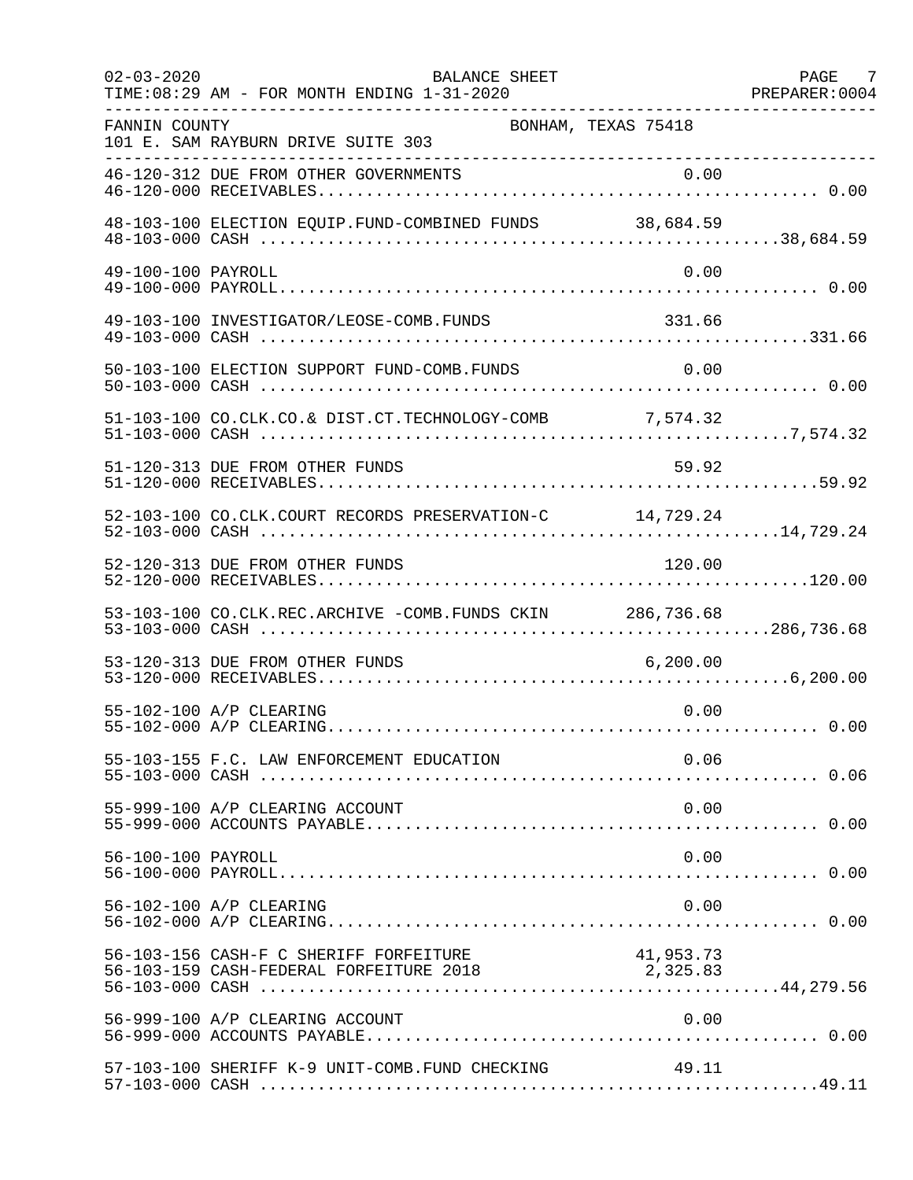| $02 - 03 - 2020$   | <b>BALANCE SHEET</b><br>TIME: 08:29 AM - FOR MONTH ENDING 1-31-2020               |                       | PAGE<br>- 7<br>PREPARER: 0004 |
|--------------------|-----------------------------------------------------------------------------------|-----------------------|-------------------------------|
| FANNIN COUNTY      | BONHAM, TEXAS 75418<br>101 E. SAM RAYBURN DRIVE SUITE 303                         |                       |                               |
|                    | 46-120-312 DUE FROM OTHER GOVERNMENTS                                             |                       |                               |
|                    | 48-103-100 ELECTION EQUIP. FUND-COMBINED FUNDS 38,684.59                          |                       |                               |
| 49-100-100 PAYROLL |                                                                                   | 0.00                  |                               |
|                    | 49-103-100 INVESTIGATOR/LEOSE-COMB.FUNDS                                          | 331.66                |                               |
|                    | 50-103-100 ELECTION SUPPORT FUND-COMB. FUNDS                                      | 0.00                  |                               |
|                    | 51-103-100 CO.CLK.CO.& DIST.CT.TECHNOLOGY-COMB 7,574.32                           |                       |                               |
|                    | 51-120-313 DUE FROM OTHER FUNDS                                                   | 59.92                 |                               |
|                    | 52-103-100 CO.CLK.COURT RECORDS PRESERVATION-C 14,729.24                          |                       |                               |
|                    | 52-120-313 DUE FROM OTHER FUNDS                                                   | 120.00                |                               |
|                    | 53-103-100 CO.CLK.REC.ARCHIVE -COMB.FUNDS CKIN 286,736.68                         |                       |                               |
|                    | 53-120-313 DUE FROM OTHER FUNDS                                                   | 6, 200.00             |                               |
|                    | 55-102-100 A/P CLEARING                                                           | 0.00                  |                               |
|                    |                                                                                   | 0.06                  |                               |
|                    | 55-999-100 A/P CLEARING ACCOUNT                                                   | 0.00                  |                               |
| 56-100-100 PAYROLL |                                                                                   | 0.00                  |                               |
|                    | 56-102-100 A/P CLEARING                                                           | 0.00                  |                               |
|                    | 56-103-156 CASH-F C SHERIFF FORFEITURE<br>56-103-159 CASH-FEDERAL FORFEITURE 2018 | 41,953.73<br>2,325.83 |                               |
|                    | 56-999-100 A/P CLEARING ACCOUNT                                                   | 0.00                  |                               |
|                    | 57-103-100 SHERIFF K-9 UNIT-COMB.FUND CHECKING                                    | 49.11                 |                               |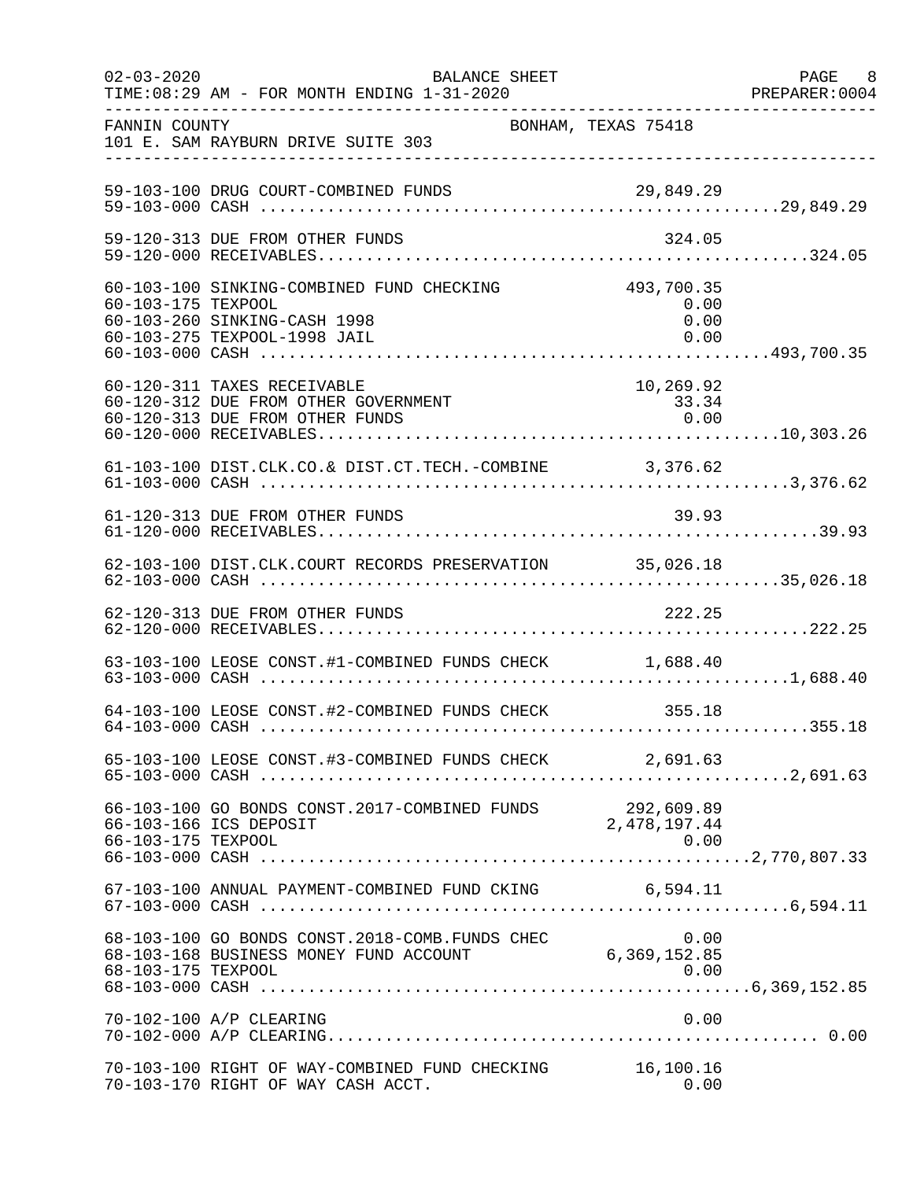| $02 - 03 - 2020$   | BALANCE SHEET<br>TIME: 08:29 AM - FOR MONTH ENDING 1-31-2020                                                          |                                    | PAGE 8<br>PREPARER:0004 |
|--------------------|-----------------------------------------------------------------------------------------------------------------------|------------------------------------|-------------------------|
| FANNIN COUNTY      | 101 E. SAM RAYBURN DRIVE SUITE 303                                                                                    | BONHAM, TEXAS 75418                |                         |
|                    | 59-103-100 DRUG COURT-COMBINED FUNDS                                                                                  | 29,849.29                          |                         |
|                    | 59-120-313 DUE FROM OTHER FUNDS                                                                                       | 324.05                             |                         |
| 60-103-175 TEXPOOL | 60-103-100 SINKING-COMBINED FUND CHECKING<br>60-103-260 SINKING-CASH 1998<br>60-103-275 TEXPOOL-1998 JAIL             | 493,700.35<br>0.00<br>0.00<br>0.00 |                         |
|                    | 60-120-311 TAXES RECEIVABLE<br>60-120-312 DUE FROM OTHER GOVERNMENT<br>60-120-313 DUE FROM OTHER FUNDS                | 10,269.92<br>33.34<br>0.00         |                         |
|                    | 61-103-100 DIST.CLK.CO.& DIST.CT.TECH.-COMBINE 3,376.62                                                               |                                    |                         |
|                    | 61-120-313 DUE FROM OTHER FUNDS                                                                                       | 39.93                              |                         |
|                    | 62-103-100 DIST.CLK.COURT RECORDS PRESERVATION 35,026.18                                                              |                                    |                         |
|                    | 62-120-313 DUE FROM OTHER FUNDS                                                                                       | 222.25                             |                         |
|                    | 63-103-100 LEOSE CONST.#1-COMBINED FUNDS CHECK 1,688.40                                                               |                                    |                         |
|                    | 64-103-100 LEOSE CONST.#2-COMBINED FUNDS CHECK 355.18                                                                 |                                    |                         |
|                    | 65-103-100 LEOSE CONST.#3-COMBINED FUNDS CHECK 2,691.63                                                               |                                    |                         |
| 66-103-175 TEXPOOL | 66-103-100 GO BONDS CONST.2017-COMBINED FUNDS 292,609.89<br>$56-103-166$ TCS DEPOSIT 2017-COMBINED FUNDS 2,478,197.44 | 0.00                               |                         |
|                    | 67-103-100 ANNUAL PAYMENT-COMBINED FUND CKING 6,594.11                                                                |                                    |                         |
| 68-103-175 TEXPOOL | 0.00 68-103-100 GO BONDS CONST.2018-COMB.FUNDS CHEC<br>6,369,152.85 6,369,152.85                                      | 0.00                               |                         |
|                    | 70-102-100 A/P CLEARING                                                                                               | 0.00                               |                         |
|                    | 70-103-100 RIGHT OF WAY-COMBINED FUND CHECKING<br>70-103-170 RIGHT OF WAY CASH ACCT.                                  | 16,100.16<br>0.00                  |                         |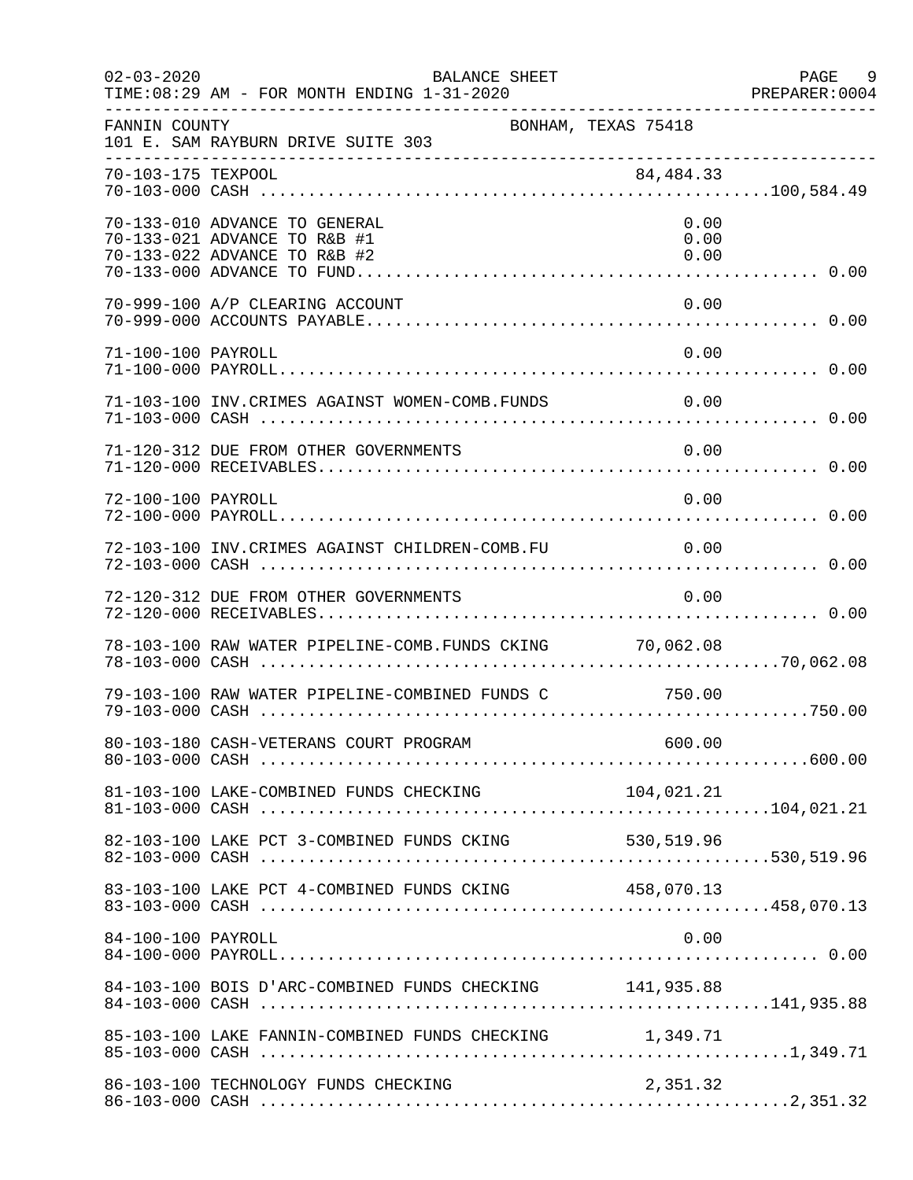| $02 - 03 - 2020$   | <b>BALANCE SHEET</b><br>TIME: 08:29 AM - FOR MONTH ENDING 1-31-2020                           |                      | PAGE<br>- 9<br>PREPARER:0004 |
|--------------------|-----------------------------------------------------------------------------------------------|----------------------|------------------------------|
| FANNIN COUNTY      | 101 E. SAM RAYBURN DRIVE SUITE 303                                                            | BONHAM, TEXAS 75418  |                              |
| 70-103-175 TEXPOOL |                                                                                               | 84, 484. 33          |                              |
|                    | 70-133-010 ADVANCE TO GENERAL<br>70-133-021 ADVANCE TO R&B #1<br>70-133-022 ADVANCE TO R&B #2 | 0.00<br>0.00<br>0.00 |                              |
|                    | 70-999-100 A/P CLEARING ACCOUNT                                                               | 0.00                 |                              |
| 71-100-100 PAYROLL |                                                                                               | 0.00                 |                              |
|                    | 71-103-100 INV. CRIMES AGAINST WOMEN-COMB. FUNDS                                              | 0.00                 |                              |
|                    | 71-120-312 DUE FROM OTHER GOVERNMENTS                                                         | 0.00                 |                              |
| 72-100-100 PAYROLL |                                                                                               | 0.00                 |                              |
|                    | 72-103-100 INV. CRIMES AGAINST CHILDREN-COMB. FU 0.00                                         |                      |                              |
|                    | 72-120-312 DUE FROM OTHER GOVERNMENTS                                                         | 0.00                 |                              |
|                    | 78-103-100 RAW WATER PIPELINE-COMB.FUNDS CKING 70,062.08                                      |                      |                              |
|                    | 79-103-100 RAW WATER PIPELINE-COMBINED FUNDS C 750.00                                         |                      |                              |
|                    |                                                                                               |                      |                              |
|                    |                                                                                               |                      |                              |
|                    | 82-103-100 LAKE PCT 3-COMBINED FUNDS CKING 530,519.96                                         |                      |                              |
|                    | 83-103-100 LAKE PCT 4-COMBINED FUNDS CKING 458,070.13                                         |                      |                              |
| 84-100-100 PAYROLL |                                                                                               | 0.00                 |                              |
|                    | 84-103-100 BOIS D'ARC-COMBINED FUNDS CHECKING 141,935.88                                      |                      |                              |
|                    | 85-103-100 LAKE FANNIN-COMBINED FUNDS CHECKING 1,349.71                                       |                      |                              |
|                    | 86-103-100 TECHNOLOGY FUNDS CHECKING                                                          | 2,351.32             |                              |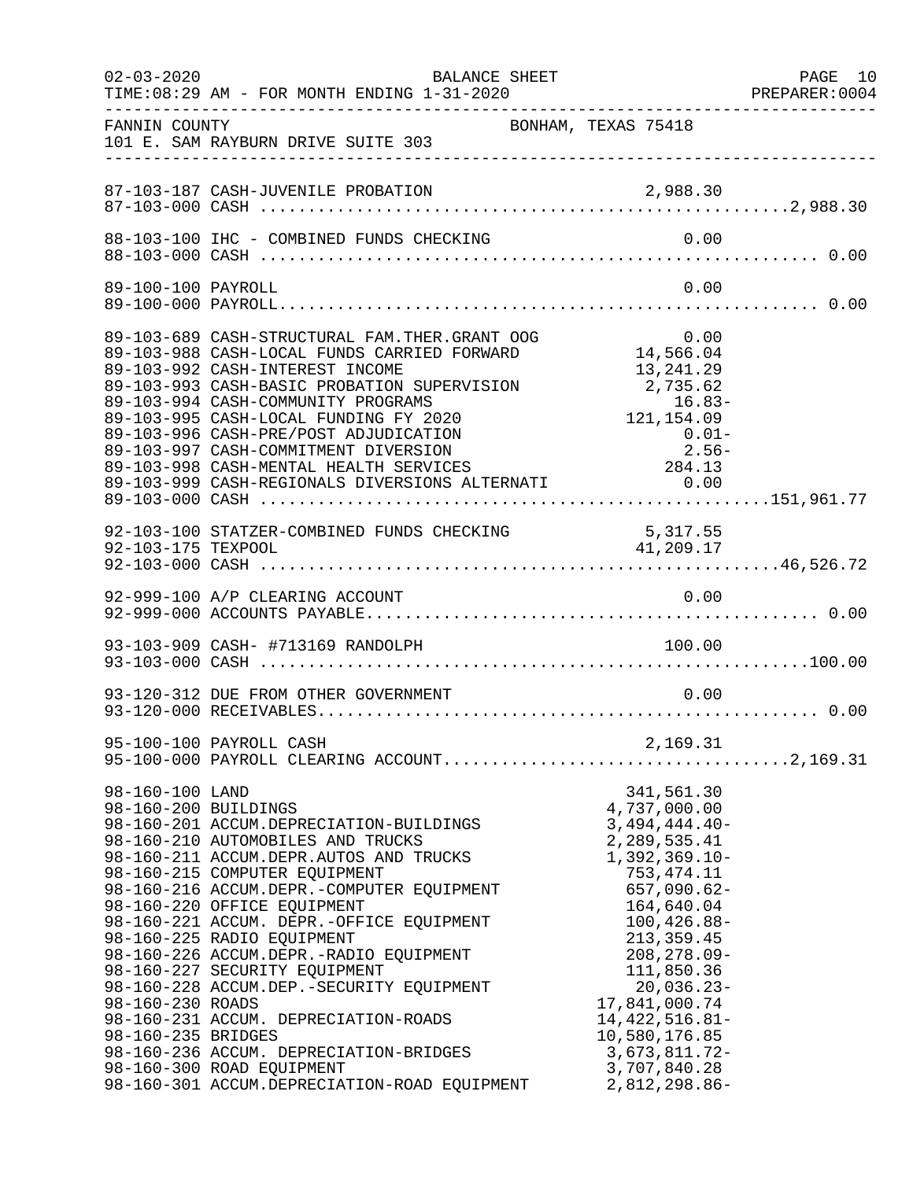| $02 - 03 - 2020$                                                                  | BALANCE SHEET                                                                                                                                                                                                                                                                                                                                                                                                                                                                                                                                                                                         |                                                                                                                                                                                                                                                                                                                              | PAGE 10<br>PREPARER:0004 |
|-----------------------------------------------------------------------------------|-------------------------------------------------------------------------------------------------------------------------------------------------------------------------------------------------------------------------------------------------------------------------------------------------------------------------------------------------------------------------------------------------------------------------------------------------------------------------------------------------------------------------------------------------------------------------------------------------------|------------------------------------------------------------------------------------------------------------------------------------------------------------------------------------------------------------------------------------------------------------------------------------------------------------------------------|--------------------------|
| FANNIN COUNTY                                                                     | 101 E. SAM RAYBURN DRIVE SUITE 303                                                                                                                                                                                                                                                                                                                                                                                                                                                                                                                                                                    | BONHAM, TEXAS 75418                                                                                                                                                                                                                                                                                                          |                          |
|                                                                                   |                                                                                                                                                                                                                                                                                                                                                                                                                                                                                                                                                                                                       |                                                                                                                                                                                                                                                                                                                              |                          |
|                                                                                   | 88-103-100 IHC - COMBINED FUNDS CHECKING                                                                                                                                                                                                                                                                                                                                                                                                                                                                                                                                                              | 0.00                                                                                                                                                                                                                                                                                                                         |                          |
| 89-100-100 PAYROLL                                                                |                                                                                                                                                                                                                                                                                                                                                                                                                                                                                                                                                                                                       | 0.00                                                                                                                                                                                                                                                                                                                         |                          |
|                                                                                   | 89-103-689 CASH-STRUCTURAL FAM.THER.GRANT OOG<br>89-103-988 CASH-LOCAL FUNDS CARRIED FORWARD<br>89-103-992 CASH-INTEREST INCOME<br>89-103-993 CASH-BASIC PROBATION SUPERVISION<br>89-103-994 CASH-COMMUNITY PROGRAMS 16.83-<br>89-103-995 CASH-LOCAL FUNDING FY 2020 121,154.09<br>89-103-996 CASH-PRE/POST ADJUDICATION 0.01-<br>89-103-997 CASH-COMMITMENT DIVERSION 2.56-<br>89-103-998 CASH-MENTAL HEALTH SERVICES 284.1                                                                                                                                                                          | $0.00$<br>14,566.04<br>13,241.29<br>2,735.62                                                                                                                                                                                                                                                                                 |                          |
|                                                                                   | 92-103-100 STATZER-COMBINED FUNDS CHECKING 5,317.55<br>92-103-175 TEXPOOL 41,209.17                                                                                                                                                                                                                                                                                                                                                                                                                                                                                                                   |                                                                                                                                                                                                                                                                                                                              |                          |
|                                                                                   |                                                                                                                                                                                                                                                                                                                                                                                                                                                                                                                                                                                                       |                                                                                                                                                                                                                                                                                                                              |                          |
|                                                                                   | 93-103-909 CASH- #713169 RANDOLPH                                                                                                                                                                                                                                                                                                                                                                                                                                                                                                                                                                     | 100.00                                                                                                                                                                                                                                                                                                                       |                          |
|                                                                                   | 93-120-312 DUE FROM OTHER GOVERNMENT                                                                                                                                                                                                                                                                                                                                                                                                                                                                                                                                                                  | 0.00                                                                                                                                                                                                                                                                                                                         |                          |
|                                                                                   | 95-100-100 PAYROLL CASH                                                                                                                                                                                                                                                                                                                                                                                                                                                                                                                                                                               | 2,169.31                                                                                                                                                                                                                                                                                                                     |                          |
| 98-160-100 LAND<br>98-160-200 BUILDINGS<br>98-160-230 ROADS<br>98-160-235 BRIDGES | 98-160-201 ACCUM.DEPRECIATION-BUILDINGS<br>98-160-210 AUTOMOBILES AND TRUCKS<br>98-160-211 ACCUM.DEPR.AUTOS AND TRUCKS<br>98-160-215 COMPUTER EQUIPMENT<br>98-160-216 ACCUM.DEPR.-COMPUTER EQUIPMENT<br>98-160-220 OFFICE EQUIPMENT<br>98-160-221 ACCUM. DEPR.-OFFICE EQUIPMENT<br>98-160-225 RADIO EQUIPMENT<br>98-160-226 ACCUM.DEPR.-RADIO EQUIPMENT<br>98-160-227 SECURITY EQUIPMENT<br>98-160-228 ACCUM.DEP. - SECURITY EQUIPMENT<br>98-160-231 ACCUM. DEPRECIATION-ROADS<br>98-160-236 ACCUM. DEPRECIATION-BRIDGES<br>98-160-300 ROAD EQUIPMENT<br>98-160-301 ACCUM.DEPRECIATION-ROAD EQUIPMENT | 341,561.30<br>4,737,000.00<br>$3,494,444.40-$<br>2, 289, 535.41<br>$1,392,369.10-$<br>753, 474. 11<br>$657,090.62-$<br>164,640.04<br>$100, 426.88 -$<br>213, 359.45<br>$208, 278.09 -$<br>111,850.36<br>$20,036.23-$<br>17,841,000.74<br>$14,422,516.81-$<br>10,580,176.85<br>3,673,811.72-<br>3,707,840.28<br>2,812,298.86- |                          |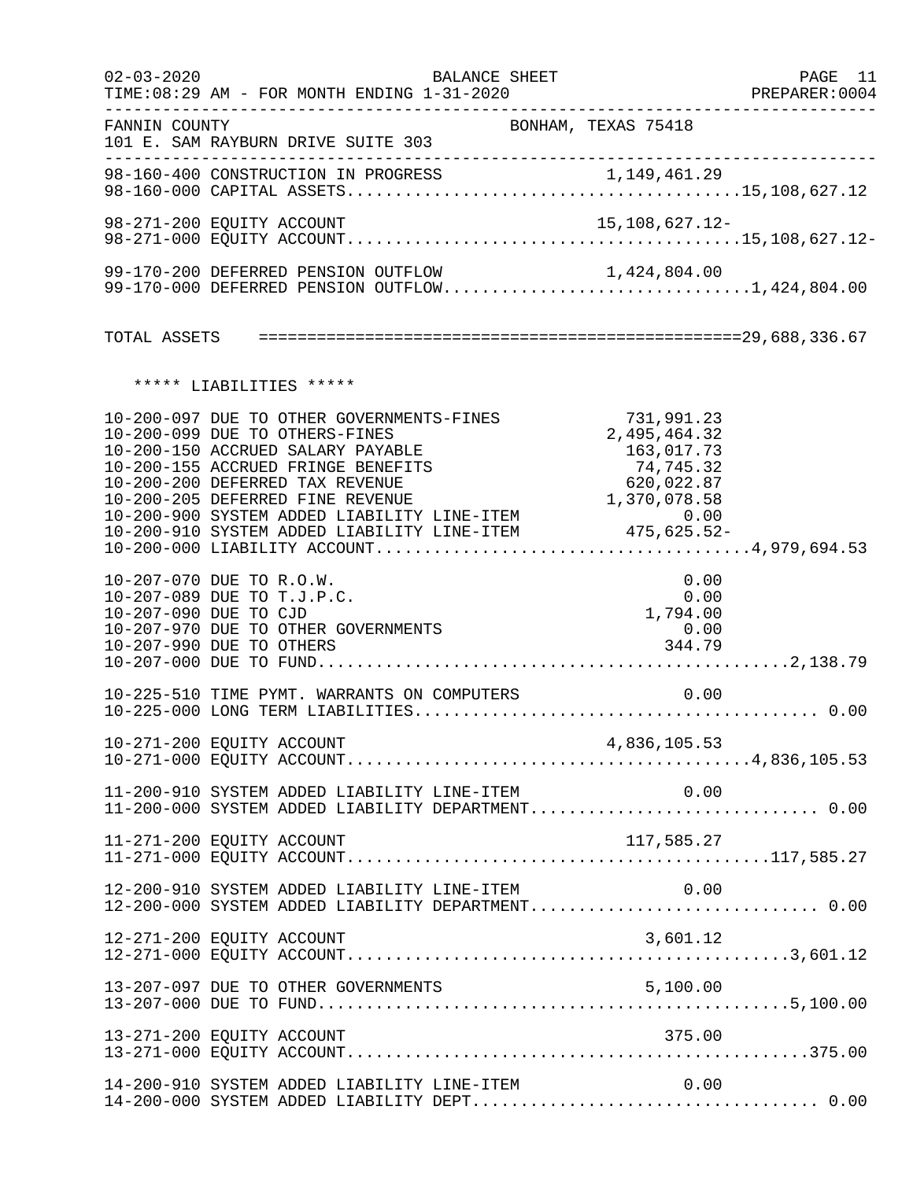| $02 - 03 - 2020$ | BALANCE SHEET<br>TIME: 08:29 AM - FOR MONTH ENDING 1-31-2020                                                                                                                              |                                                                     | PAGE 11<br>PREPARER:0004 |
|------------------|-------------------------------------------------------------------------------------------------------------------------------------------------------------------------------------------|---------------------------------------------------------------------|--------------------------|
| FANNIN COUNTY    | 101 E. SAM RAYBURN DRIVE SUITE 303                                                                                                                                                        | BONHAM, TEXAS 75418                                                 |                          |
|                  |                                                                                                                                                                                           |                                                                     |                          |
|                  | 98-271-200 EQUITY ACCOUNT                                                                                                                                                                 | 15,108,627.12-                                                      |                          |
|                  | 99-170-200 DEFERRED PENSION OUTFLOW<br>99-170-200 DEFERRED PENSION OUTFLOW 1,424,804.00<br>99-170-000 DEFERRED PENSION OUTFLOW1,424,804.00                                                |                                                                     |                          |
|                  |                                                                                                                                                                                           |                                                                     |                          |
|                  | ***** LIABILITIES *****                                                                                                                                                                   |                                                                     |                          |
|                  | 10-200-097 DUE TO OTHER GOVERNMENTS-FINES<br>10-200-099 DUE TO OTHERS-FINES<br>10-200-150 ACCRUED SALARY PAYABLE<br>10-200-155 ACCRUED FRINGE BENEFITS<br>10-200-200 DEFERRED TAX REVENUE | 731,991.23<br>2,495,464.32<br>163,017.73<br>74,745.32<br>620,022.87 |                          |
|                  | 10-207-070 DUE TO R.O.W.<br>10-207-089 DUE TO T.J.P.C.<br>10-207-090 DUE TO CJD<br>10-207-970 DUE TO OTHER GOVERNMENTS<br>10-207-990 DUE TO OTHERS                                        | 0.00<br>0.00<br>1,794.00<br>0.00<br>344.79                          |                          |
|                  | 10-225-510 TIME PYMT. WARRANTS ON COMPUTERS                                                                                                                                               | 0.00                                                                |                          |
|                  |                                                                                                                                                                                           |                                                                     |                          |
|                  | 11-200-910 SYSTEM ADDED LIABILITY LINE-ITEM $0.00$<br>11-200-000 SYSTEM ADDED LIABILITY DEPARTMENT0.00                                                                                    |                                                                     |                          |
|                  | 11-271-200 EQUITY ACCOUNT                                                                                                                                                                 | 117,585.27                                                          |                          |
|                  | 12-200-910 SYSTEM ADDED LIABILITY LINE-ITEM<br>12-200-000 SYSTEM ADDED LIABILITY DEPARTMENT 0.00                                                                                          | 0.00                                                                |                          |
|                  | 12-271-200 EQUITY ACCOUNT                                                                                                                                                                 | 3,601.12                                                            |                          |
|                  |                                                                                                                                                                                           |                                                                     |                          |
|                  | 13-271-200 EQUITY ACCOUNT                                                                                                                                                                 | 375.00                                                              |                          |
|                  | 14-200-910 SYSTEM ADDED LIABILITY LINE-ITEM                                                                                                                                               | 0.00                                                                |                          |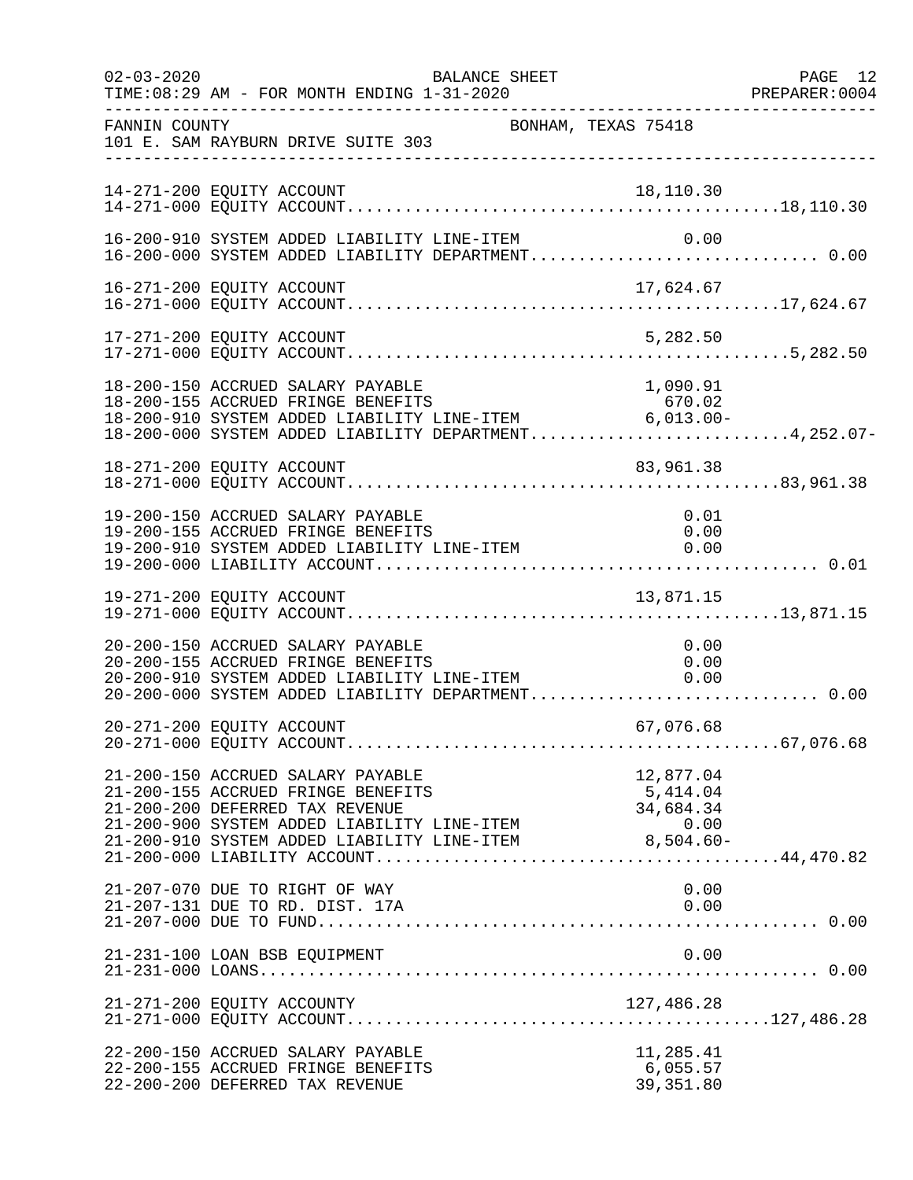| $02 - 03 - 2020$ | BALANCE SHEET<br>TIME: 08:29 AM - FOR MONTH ENDING 1-31-2020                                                                                                                                                                                                  |                                     | PAGE 12<br>PREPARER: 0004 |
|------------------|---------------------------------------------------------------------------------------------------------------------------------------------------------------------------------------------------------------------------------------------------------------|-------------------------------------|---------------------------|
| FANNIN COUNTY    | 101 E. SAM RAYBURN DRIVE SUITE 303<br>___________________________________                                                                                                                                                                                     | BONHAM, TEXAS 75418                 |                           |
|                  | 14-271-200 EQUITY ACCOUNT                                                                                                                                                                                                                                     | 18,110.30                           |                           |
|                  | 16-200-910 SYSTEM ADDED LIABILITY LINE-ITEM<br>16-200-000 SYSTEM ADDED LIABILITY DEPARTMENT 0.00                                                                                                                                                              | 0.00                                |                           |
|                  |                                                                                                                                                                                                                                                               |                                     |                           |
|                  | 17-271-200 EQUITY ACCOUNT                                                                                                                                                                                                                                     | 5,282.50                            |                           |
|                  | 18-200-150 ACCRUED SALARY PAYABLE<br>18-200-155 ACCRUED FRINGE BENEFITS<br>$18-200-155$ ACCRUED FRINGE BENEFITS $0/0.02$<br>18-200-910 SYSTEM ADDED LIABILITY LINE-ITEM 6,013.00-<br>18-200-000 SYSTEM ADDED LIABILITY DEPARTMENT4,252.07-                    | 1,090.91<br>670.02                  |                           |
|                  | 18-271-200 EQUITY ACCOUNT                                                                                                                                                                                                                                     | 83,961.38                           |                           |
|                  | 19-200-150 ACCRUED SALARY PAYABLE<br>19-200-155 ACCRUED FRINGE BENEFITS<br>19-200-910 SYSTEM ADDED LIABILITY LINE-ITEM                                                                                                                                        | 0.01<br>0.00<br>0.00                |                           |
|                  | 19-271-200 EQUITY ACCOUNT                                                                                                                                                                                                                                     | 13,871.15                           |                           |
|                  | 20-200-150 ACCRUED SALARY PAYABLE<br>20-200-155 ACCRUED FRINGE BENEFITS<br>20-200-155 ACCROED FRINGE BENEFIIS<br>20-200-910 SYSTEM ADDED LIABILITY LINE-ITEM<br>20-200-000 SYSTEM ADDED LIABILITY DEPARTMENT 0.00                                             | 0.00<br>0.00<br>0.00                |                           |
|                  | 20-271-200 EQUITY ACCOUNT                                                                                                                                                                                                                                     | 67,076.68                           |                           |
|                  | 21-200-150 ACCRUED SALARY PAYABLE<br>21-200-155 ACCRUED FRINGE BENEFITS<br>21-200-200 DEFERRED TAX REVENUE<br>$21-200-900$ SISTEM ADDED LIABILITY LINE-ITEM $0.00$<br>21-200-910 SYSTEM ADDED LIABILITY LINE-ITEM $8,504.60-$<br>21-200-000 LIABILITY ACCOUNT | 12,877.04<br>5,414.04<br>34,684.34  |                           |
|                  | 21-207-070 DUE TO RIGHT OF WAY<br>21-207-131 DUE TO RD. DIST. 17A                                                                                                                                                                                             | 0.00<br>0.00                        |                           |
|                  | 21-231-100 LOAN BSB EQUIPMENT                                                                                                                                                                                                                                 | 0.00                                |                           |
|                  | 21-271-200 EQUITY ACCOUNTY                                                                                                                                                                                                                                    |                                     |                           |
|                  | 22-200-150 ACCRUED SALARY PAYABLE<br>22-200-155 ACCRUED FRINGE BENEFITS<br>22-200-200 DEFERRED TAX REVENUE                                                                                                                                                    | 11,285.41<br>6,055.57<br>39, 351.80 |                           |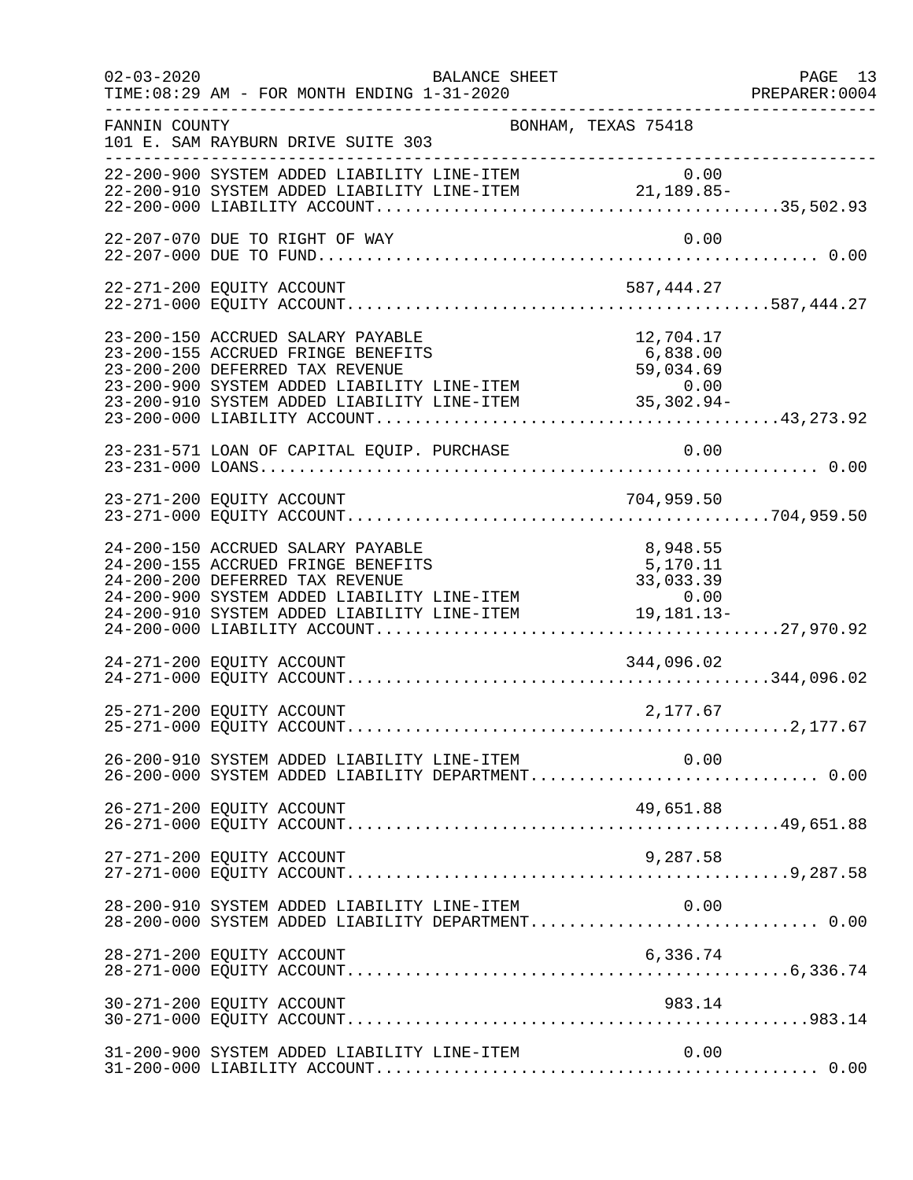| $02 - 03 - 2020$ | TIME: 08:29 AM - FOR MONTH ENDING 1-31-2020                                                                                                                                                                                                                              | BALANCE SHEET       |                      | PAGE 13<br>PREPARER: 0004<br>-------------------- |
|------------------|--------------------------------------------------------------------------------------------------------------------------------------------------------------------------------------------------------------------------------------------------------------------------|---------------------|----------------------|---------------------------------------------------|
| FANNIN COUNTY    | 101 E. SAM RAYBURN DRIVE SUITE 303                                                                                                                                                                                                                                       | BONHAM, TEXAS 75418 |                      |                                                   |
|                  | 0.00 0 0 07STEM ADDED LIABILITY LINE-ITEM 0 0.00<br>22-200-910 SYSTEM ADDED LIABILITY LINE-ITEM 21,189.85-                                                                                                                                                               |                     |                      |                                                   |
|                  | 22-207-070 DUE TO RIGHT OF WAY                                                                                                                                                                                                                                           |                     | 0.00                 |                                                   |
|                  | 22-271-200 EQUITY ACCOUNT                                                                                                                                                                                                                                                |                     | 587,444.27           |                                                   |
|                  | 23-200-150 ACCRUED SALARY PAYABLE<br>23-200-155 ACCRUED FRINGE BENEFITS<br>23-200-200 DEFERRED TAX REVENUE<br>23-200-900 SYSTEM ADDED LIABILITY LINE-ITEM<br>23-200-910 SYSTEM ADDED LIABILITY LINE-ITEM<br>23-200-000 LIABILITY ACCOUNT                                 |                     | 12,704.17            |                                                   |
|                  | 23-231-571 LOAN OF CAPITAL EQUIP. PURCHASE                                                                                                                                                                                                                               |                     | 0.00                 |                                                   |
|                  |                                                                                                                                                                                                                                                                          |                     |                      |                                                   |
|                  | 24-200-150 ACCRUED SALARY PAYABLE<br>24-200-155 ACCRUED FRINGE BENEFITS<br>24-200-133 ACCROLD FRINGE BENEFITS<br>24-200-200 DEFERRED TAX REVENUE 33,033.39<br>24-200-900 SYSTEM ADDED LIABILITY LINE-ITEM 0.00<br>24-200-910 SYSTEM ADDED LIABILITY LINE-ITEM 19,181.13- |                     | 8,948.55<br>5,170.11 |                                                   |
|                  |                                                                                                                                                                                                                                                                          |                     |                      |                                                   |
|                  | 25-271-200 EQUITY ACCOUNT                                                                                                                                                                                                                                                |                     | 2,177.67             |                                                   |
|                  | 26-200-910 SYSTEM ADDED LIABILITY LINE-ITEM<br>26-200-000 SYSTEM ADDED LIABILITY DEPARTMENT 0.00                                                                                                                                                                         |                     | 0.00                 |                                                   |
|                  | 26-271-200 EQUITY ACCOUNT                                                                                                                                                                                                                                                |                     | 49,651.88            |                                                   |
|                  | 27-271-200 EQUITY ACCOUNT                                                                                                                                                                                                                                                |                     | 9,287.58             |                                                   |
|                  | 28-200-910 SYSTEM ADDED LIABILITY LINE-ITEM<br>28-200-000 SYSTEM ADDED LIABILITY DEPARTMENT 0.00                                                                                                                                                                         |                     | 0.00                 |                                                   |
|                  | 28-271-200 EQUITY ACCOUNT                                                                                                                                                                                                                                                |                     | 6,336.74             |                                                   |
|                  | 30-271-200 EQUITY ACCOUNT                                                                                                                                                                                                                                                |                     | 983.14               |                                                   |
|                  | 31-200-900 SYSTEM ADDED LIABILITY LINE-ITEM                                                                                                                                                                                                                              |                     | 0.00                 |                                                   |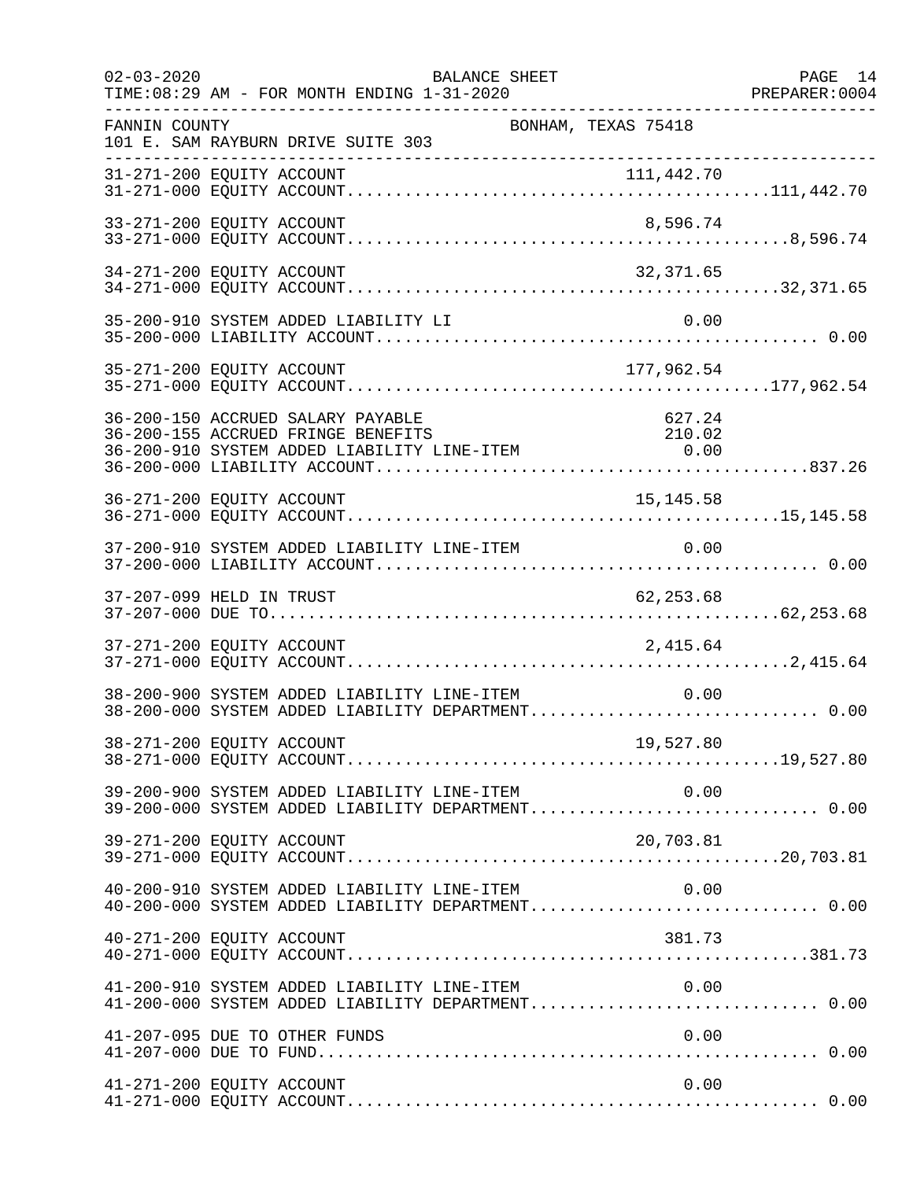| $02 - 03 - 2020$          | TIME: 08:29 AM - FOR MONTH ENDING 1-31-2020                                                                                  | <b>BALANCE SHEET</b> |                                                                                                        | PAGE 14<br>PREPARER: 0004 |
|---------------------------|------------------------------------------------------------------------------------------------------------------------------|----------------------|--------------------------------------------------------------------------------------------------------|---------------------------|
| FANNIN COUNTY             | 101 E. SAM RAYBURN DRIVE SUITE 303                                                                                           |                      | --------------------------------------<br>BONHAM, TEXAS 75418                                          |                           |
|                           |                                                                                                                              |                      |                                                                                                        |                           |
| 33-271-200 EQUITY ACCOUNT |                                                                                                                              |                      | 8,596.74                                                                                               |                           |
| 34-271-200 EQUITY ACCOUNT |                                                                                                                              |                      | 32,371.65                                                                                              |                           |
|                           | 35-200-910 SYSTEM ADDED LIABILITY LI                                                                                         |                      | 0.00                                                                                                   |                           |
| 35-271-200 EQUITY ACCOUNT |                                                                                                                              |                      | 177,962.54                                                                                             |                           |
|                           | 36-200-150 ACCRUED SALARY PAYABLE<br>36-200-155 ACCRUED FRINGE BENEFITS<br>36-200-133 ACCROLE FRINGE EINITITY LINE-ITEM 6.00 |                      | 627.24<br>210.02                                                                                       |                           |
| 36-271-200 EQUITY ACCOUNT |                                                                                                                              |                      | 15, 145.58                                                                                             |                           |
|                           | 37-200-910 SYSTEM ADDED LIABILITY LINE-ITEM                                                                                  |                      | 0.00                                                                                                   |                           |
| 37-207-099 HELD IN TRUST  |                                                                                                                              |                      | 62,253.68                                                                                              |                           |
| 37-271-200 EQUITY ACCOUNT |                                                                                                                              |                      | 2,415.64                                                                                               |                           |
|                           | 38-200-900 SYSTEM ADDED LIABILITY LINE-ITEM                                                                                  |                      | 0.00<br>38-200-000 SYSTEM ADDED LIABILITY DEPARTMENT 0.00                                              |                           |
|                           | 38-271-200 EQUITY ACCOUNT                                                                                                    |                      |                                                                                                        |                           |
|                           |                                                                                                                              |                      | 39-200-900 SYSTEM ADDED LIABILITY LINE-ITEM 0.00<br>39-200-000 SYSTEM ADDED LIABILITY DEPARTMENT 0.00  |                           |
| 39-271-200 EQUITY ACCOUNT |                                                                                                                              |                      | 20,703.81                                                                                              |                           |
|                           | 40-200-910 SYSTEM ADDED LIABILITY LINE-ITEM                                                                                  |                      | 0.00<br>40-200-000 SYSTEM ADDED LIABILITY DEPARTMENT 0.00                                              |                           |
| 40-271-200 EQUITY ACCOUNT |                                                                                                                              |                      | 381.73                                                                                                 |                           |
|                           |                                                                                                                              |                      | 41-200-910 SYSTEM ADDED LIABILITY LINE-ITEM $0.00$<br>41-200-000 SYSTEM ADDED LIABILITY DEPARTMENT0.00 |                           |
|                           | 41-207-095 DUE TO OTHER FUNDS                                                                                                |                      | 0.00                                                                                                   |                           |
| 41-271-200 EQUITY ACCOUNT |                                                                                                                              |                      | 0.00                                                                                                   |                           |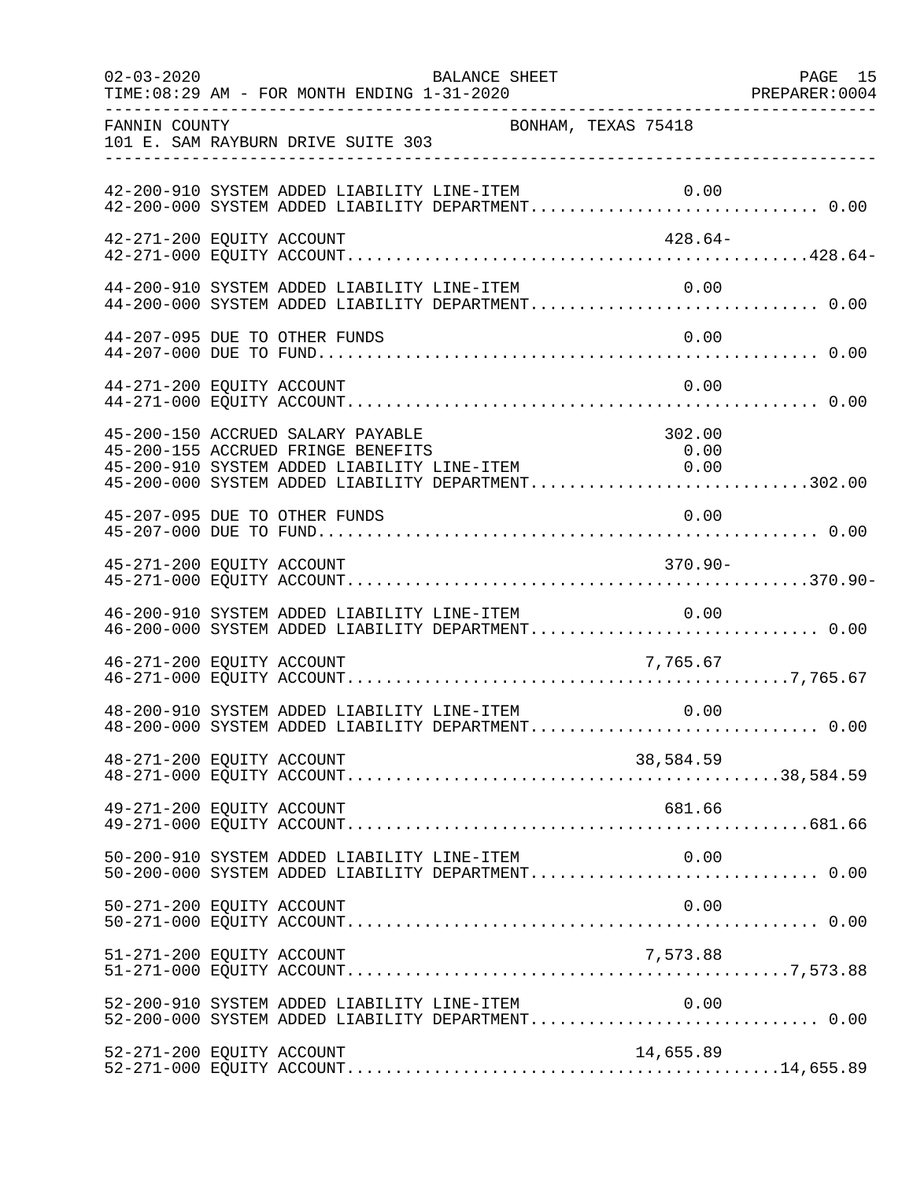| $02 - 03 - 2020$          | TIME: 08:29 AM - FOR MONTH ENDING 1-31-2020 | BALANCE SHEET                                                                                                                    |                                                                                                       |  |
|---------------------------|---------------------------------------------|----------------------------------------------------------------------------------------------------------------------------------|-------------------------------------------------------------------------------------------------------|--|
| FANNIN COUNTY             | 101 E. SAM RAYBURN DRIVE SUITE 303          | BONHAM, TEXAS 75418                                                                                                              |                                                                                                       |  |
|                           |                                             |                                                                                                                                  | 42-200-910 SYSTEM ADDED LIABILITY LINE-ITEM 0.00<br>42-200-000 SYSTEM ADDED LIABILITY DEPARTMENT 0.00 |  |
| 42-271-200 EQUITY ACCOUNT |                                             |                                                                                                                                  | 428.64-                                                                                               |  |
|                           |                                             | 44-200-910 SYSTEM ADDED LIABILITY LINE-ITEM                                                                                      | 0.00<br>44-200-000 SYSTEM ADDED LIABILITY DEPARTMENT 0.00                                             |  |
|                           | 44-207-095 DUE TO OTHER FUNDS               |                                                                                                                                  | 0.00                                                                                                  |  |
| 44-271-200 EQUITY ACCOUNT |                                             |                                                                                                                                  | 0.00                                                                                                  |  |
|                           | 45-200-150 ACCRUED SALARY PAYABLE           | 45-200-150 ACCROLD SADARI PATABLE<br>45-200-155 ACCROED FRINGE BENEFITS 0.00<br>45-200-910 SYSTEM ADDED LIABILITY LINE-ITEM 0.00 | 302.00<br>45-200-000 SYSTEM ADDED LIABILITY DEPARTMENT302.00                                          |  |
|                           | 45-207-095 DUE TO OTHER FUNDS               |                                                                                                                                  | 0.00                                                                                                  |  |
| 45-271-200 EQUITY ACCOUNT |                                             |                                                                                                                                  | $370.90 -$                                                                                            |  |
|                           | 46-200-910 SYSTEM ADDED LIABILITY LINE-ITEM |                                                                                                                                  | 0.00                                                                                                  |  |
| 46-271-200 EQUITY ACCOUNT |                                             |                                                                                                                                  | 7,765.67                                                                                              |  |
|                           |                                             | 48-200-910 SYSTEM ADDED LIABILITY LINE-ITEM                                                                                      | 0.00                                                                                                  |  |
| 48-271-200 EQUITY ACCOUNT |                                             |                                                                                                                                  | 38,584.59                                                                                             |  |
| 49-271-200 EQUITY ACCOUNT |                                             |                                                                                                                                  | 681.66                                                                                                |  |
|                           | 50-200-910 SYSTEM ADDED LIABILITY LINE-ITEM |                                                                                                                                  | 0.00<br>50-200-000 SYSTEM ADDED LIABILITY DEPARTMENT 0.00                                             |  |
| 50-271-200 EQUITY ACCOUNT |                                             |                                                                                                                                  | 0.00                                                                                                  |  |
| 51-271-200 EQUITY ACCOUNT |                                             |                                                                                                                                  | 7,573.88                                                                                              |  |
|                           | 52-200-910 SYSTEM ADDED LIABILITY LINE-ITEM |                                                                                                                                  | 0.00                                                                                                  |  |
| 52-271-200 EQUITY ACCOUNT |                                             |                                                                                                                                  | 14,655.89                                                                                             |  |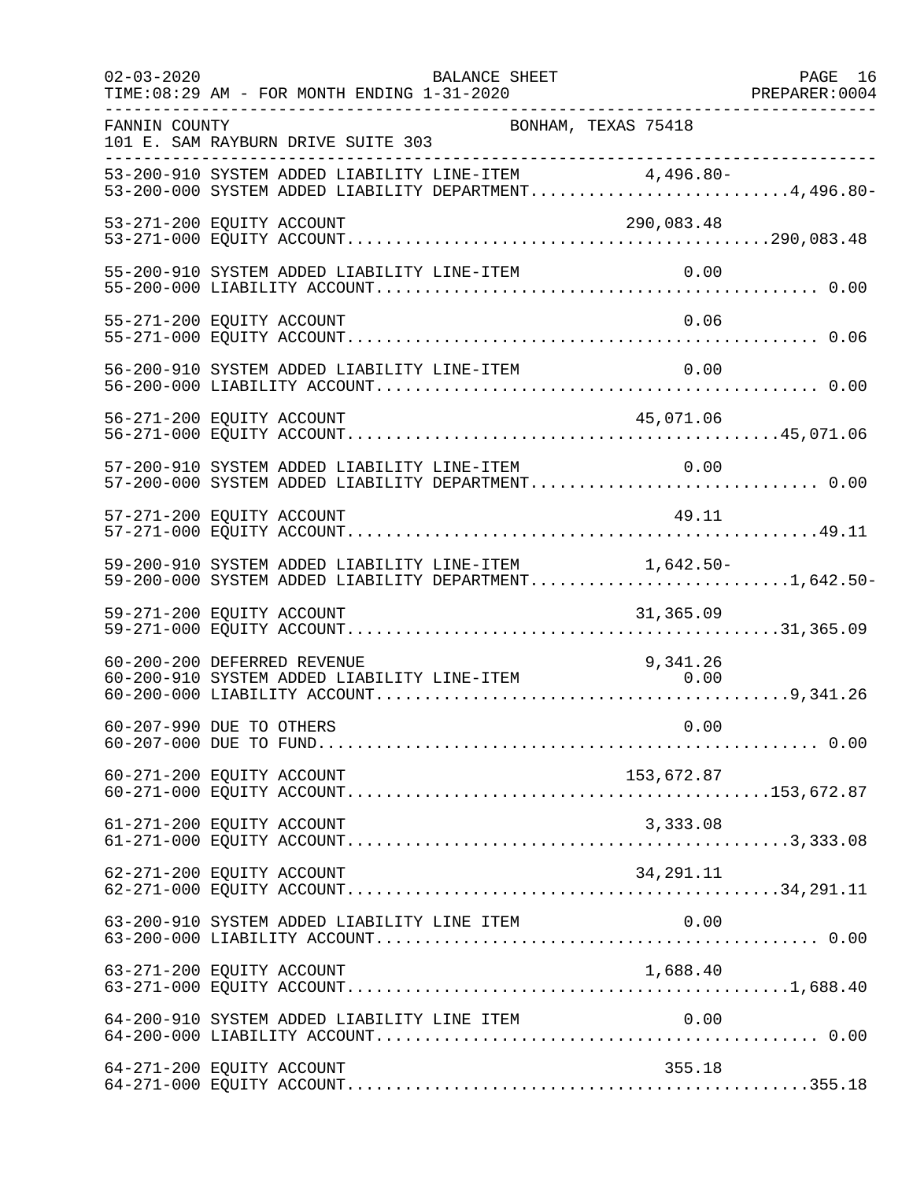| $02 - 03 - 2020$ | <b>BALANCE SHEET</b><br>TIME: 08:29 AM - FOR MONTH ENDING 1-31-2020                                            | PAGE 16 |
|------------------|----------------------------------------------------------------------------------------------------------------|---------|
| FANNIN COUNTY    | BONHAM, TEXAS 75418<br>101 E. SAM RAYBURN DRIVE SUITE 303                                                      |         |
|                  | 53-200-910 SYSTEM ADDED LIABILITY LINE-ITEM 4,496.80-<br>53-200-000 SYSTEM ADDED LIABILITY DEPARTMENT4,496.80- |         |
|                  | 53-271-200 EQUITY ACCOUNT<br>290,083.48                                                                        |         |
|                  | 55-200-910 SYSTEM ADDED LIABILITY LINE-ITEM<br>0.00                                                            |         |
|                  | 0.06<br>55-271-200 EQUITY ACCOUNT                                                                              |         |
|                  | 56-200-910 SYSTEM ADDED LIABILITY LINE-ITEM<br>0.00                                                            |         |
|                  | 56-271-200 EQUITY ACCOUNT<br>45,071.06                                                                         |         |
|                  | 57-200-910 SYSTEM ADDED LIABILITY LINE-ITEM<br>0.00<br>57-200-000 SYSTEM ADDED LIABILITY DEPARTMENT 0.00       |         |
|                  | 49.11<br>57-271-200 EQUITY ACCOUNT                                                                             |         |
|                  | 59-200-910 SYSTEM ADDED LIABILITY LINE-ITEM 1,642.50-<br>59-200-000 SYSTEM ADDED LIABILITY DEPARTMENT1,642.50- |         |
|                  | 59-271-200 EQUITY ACCOUNT<br>31,365.09                                                                         |         |
|                  | 60-200-200 DEFERRED REVENUE<br>9,341.26<br>60-200-910 SYSTEM ADDED LIABILITY LINE-ITEM<br>0.00                 |         |
|                  | 0.00<br>60-207-990 DUE TO OTHERS                                                                               |         |
|                  | 153,672.87<br>60-271-200 EQUITY ACCOUNT                                                                        |         |
|                  | 61-271-200 EQUITY ACCOUNT<br>3,333.08                                                                          |         |
|                  | 62-271-200 EQUITY ACCOUNT<br>34,291.11                                                                         |         |
|                  | 63-200-910 SYSTEM ADDED LIABILITY LINE ITEM<br>0.00                                                            |         |
|                  | 1,688.40<br>63-271-200 EQUITY ACCOUNT                                                                          |         |
|                  | 64-200-910 SYSTEM ADDED LIABILITY LINE ITEM<br>0.00                                                            |         |
|                  | 64-271-200 EQUITY ACCOUNT<br>355.18                                                                            |         |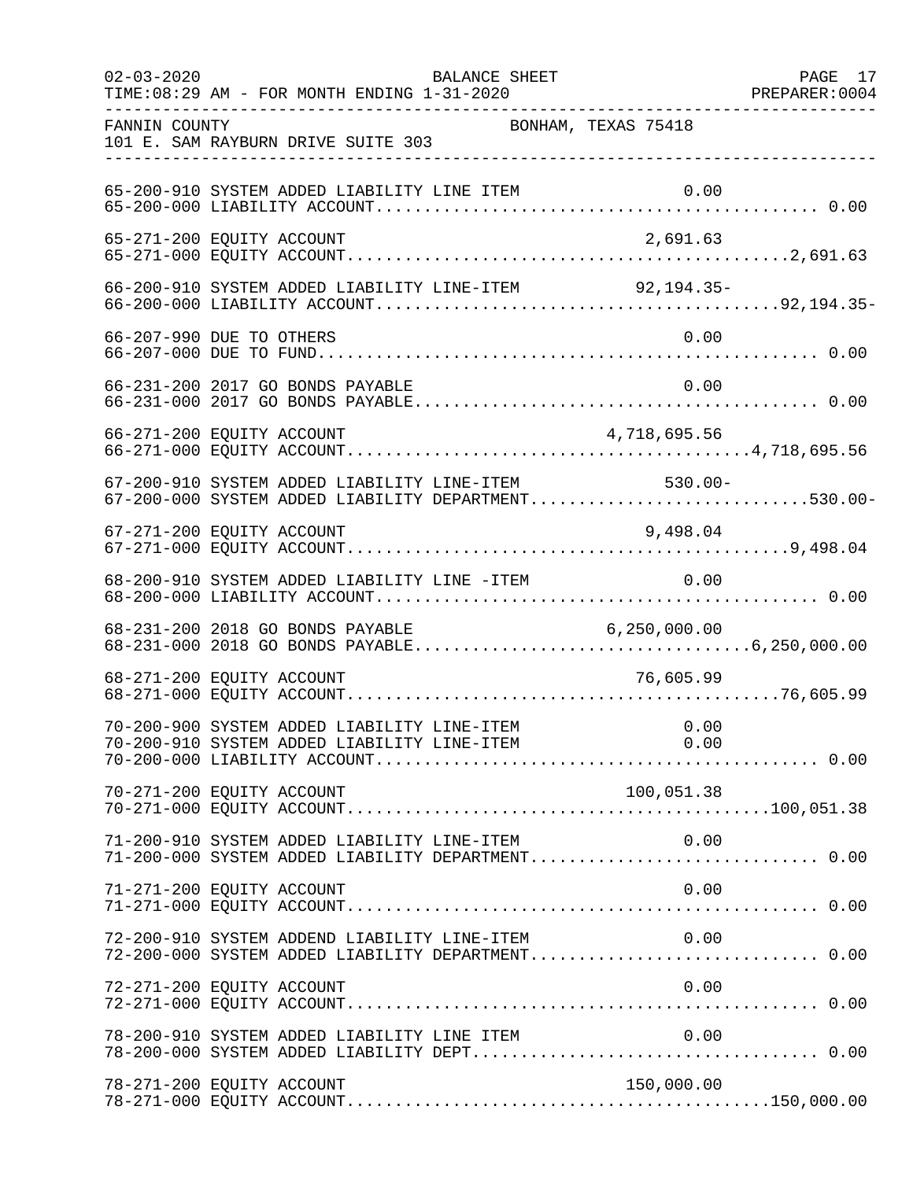| $02 - 03 - 2020$ | BALANCE SHEET<br>TIME: 08:29 AM - FOR MONTH ENDING 1-31-2020                                       |                     | PAGE 17 |
|------------------|----------------------------------------------------------------------------------------------------|---------------------|---------|
| FANNIN COUNTY    | 101 E. SAM RAYBURN DRIVE SUITE 303                                                                 | BONHAM, TEXAS 75418 |         |
|                  | 65-200-910 SYSTEM ADDED LIABILITY LINE ITEM                                                        |                     |         |
|                  | 65-271-200 EQUITY ACCOUNT                                                                          | 2,691.63            |         |
|                  | 66-200-910 SYSTEM ADDED LIABILITY LINE-ITEM 92,194.35-                                             |                     |         |
|                  | 66-207-990 DUE TO OTHERS                                                                           | 0.00                |         |
|                  | 66-231-200 2017 GO BONDS PAYABLE                                                                   | 0.00                |         |
|                  | 66-271-200 EQUITY ACCOUNT                                                                          | 4,718,695.56        |         |
|                  | 67-200-910 SYSTEM ADDED LIABILITY LINE-ITEM<br>67-200-000 SYSTEM ADDED LIABILITY DEPARTMENT530.00- | $530.00 -$          |         |
|                  | 67-271-200 EQUITY ACCOUNT                                                                          | 9,498.04            |         |
|                  | 68-200-910 SYSTEM ADDED LIABILITY LINE -ITEM 0.00                                                  |                     |         |
|                  |                                                                                                    |                     |         |
|                  | 68-271-200 EQUITY ACCOUNT                                                                          | 76,605.99           |         |
|                  |                                                                                                    |                     |         |
|                  | 70-271-200 EQUITY ACCOUNT                                                                          | 100,051.38          |         |
|                  | 71-200-910 SYSTEM ADDED LIABILITY LINE-ITEM<br>71-200-000 SYSTEM ADDED LIABILITY DEPARTMENT 0.00   | 0.00                |         |
|                  | 71-271-200 EQUITY ACCOUNT                                                                          | 0.00                |         |
|                  | 72-200-910 SYSTEM ADDEND LIABILITY LINE-ITEM<br>72-200-000 SYSTEM ADDED LIABILITY DEPARTMENT 0.00  | 0.00                |         |
|                  | 72-271-200 EQUITY ACCOUNT                                                                          | 0.00                |         |
|                  | 78-200-910 SYSTEM ADDED LIABILITY LINE ITEM                                                        | 0.00                |         |
|                  | 78-271-200 EQUITY ACCOUNT                                                                          | 150,000.00          |         |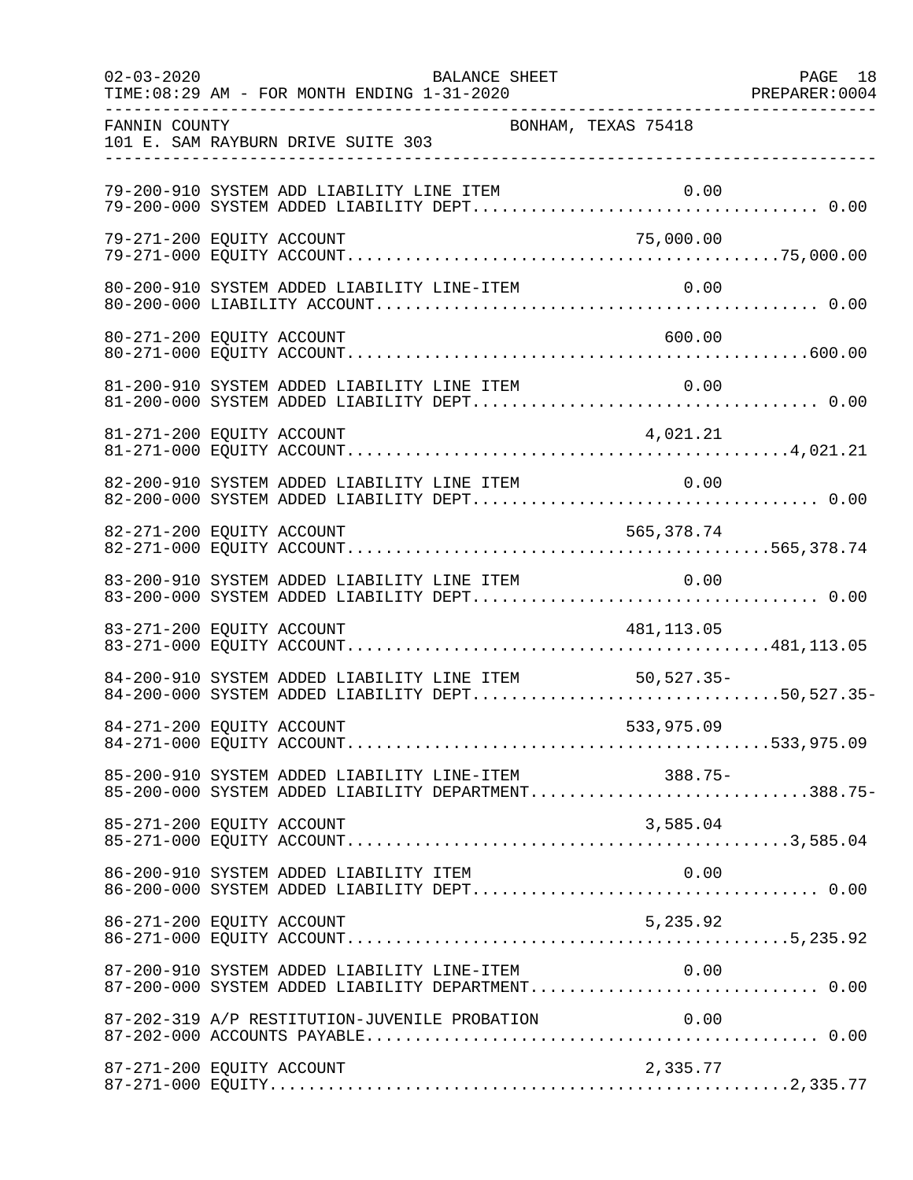| $02 - 03 - 2020$          | TIME: 08:29 AM - FOR MONTH ENDING 1-31-2020 | BALANCE SHEET                                 | PAGE 18<br>PREPARER:0004<br>-------------------------------------                                          | PAGE 18 |
|---------------------------|---------------------------------------------|-----------------------------------------------|------------------------------------------------------------------------------------------------------------|---------|
| FANNIN COUNTY             | 101 E. SAM RAYBURN DRIVE SUITE 303          |                                               | BONHAM, TEXAS 75418                                                                                        |         |
|                           | 79-200-910 SYSTEM ADD LIABILITY LINE ITEM   |                                               | 0.00                                                                                                       |         |
| 79-271-200 EQUITY ACCOUNT |                                             |                                               | 75,000.00                                                                                                  |         |
|                           |                                             | 80-200-910 SYSTEM ADDED LIABILITY LINE-ITEM   | 0.00                                                                                                       |         |
| 80-271-200 EQUITY ACCOUNT |                                             |                                               | 600.00                                                                                                     |         |
|                           | 81-200-910 SYSTEM ADDED LIABILITY LINE ITEM |                                               | 0.00                                                                                                       |         |
| 81-271-200 EQUITY ACCOUNT |                                             |                                               | 4,021.21                                                                                                   |         |
|                           |                                             | 82-200-910 SYSTEM ADDED LIABILITY LINE ITEM   | 0.00                                                                                                       |         |
|                           |                                             |                                               |                                                                                                            |         |
|                           | 83-200-910 SYSTEM ADDED LIABILITY LINE ITEM |                                               | 0.00                                                                                                       |         |
| 83-271-200 EQUITY ACCOUNT |                                             |                                               | 481,113.05                                                                                                 |         |
|                           |                                             |                                               | 84-200-910 SYSTEM ADDED LIABILITY LINE ITEM 50,527.35-<br>84-200-000 SYSTEM ADDED LIABILITY DEPT50,527.35- |         |
| 84-271-200 EQUITY ACCOUNT |                                             |                                               | 533,975.09                                                                                                 |         |
|                           |                                             |                                               | 85-200-910 SYSTEM ADDED LIABILITY LINE-ITEM 388.75-<br>85-200-000 SYSTEM ADDED LIABILITY DEPARTMENT388.75- |         |
| 85-271-200 EQUITY ACCOUNT |                                             |                                               | 3,585.04                                                                                                   |         |
|                           | 86-200-910 SYSTEM ADDED LIABILITY ITEM      |                                               | 0.00                                                                                                       |         |
| 86-271-200 EQUITY ACCOUNT |                                             |                                               | 5,235.92                                                                                                   |         |
|                           |                                             |                                               | 87-200-910 SYSTEM ADDED LIABILITY LINE-ITEM 0.00<br>87-200-000 SYSTEM ADDED LIABILITY DEPARTMENT 0.00      |         |
|                           |                                             | 87-202-319 A/P RESTITUTION-JUVENILE PROBATION | 0.00                                                                                                       |         |
| 87-271-200 EQUITY ACCOUNT |                                             |                                               | 2,335.77                                                                                                   |         |